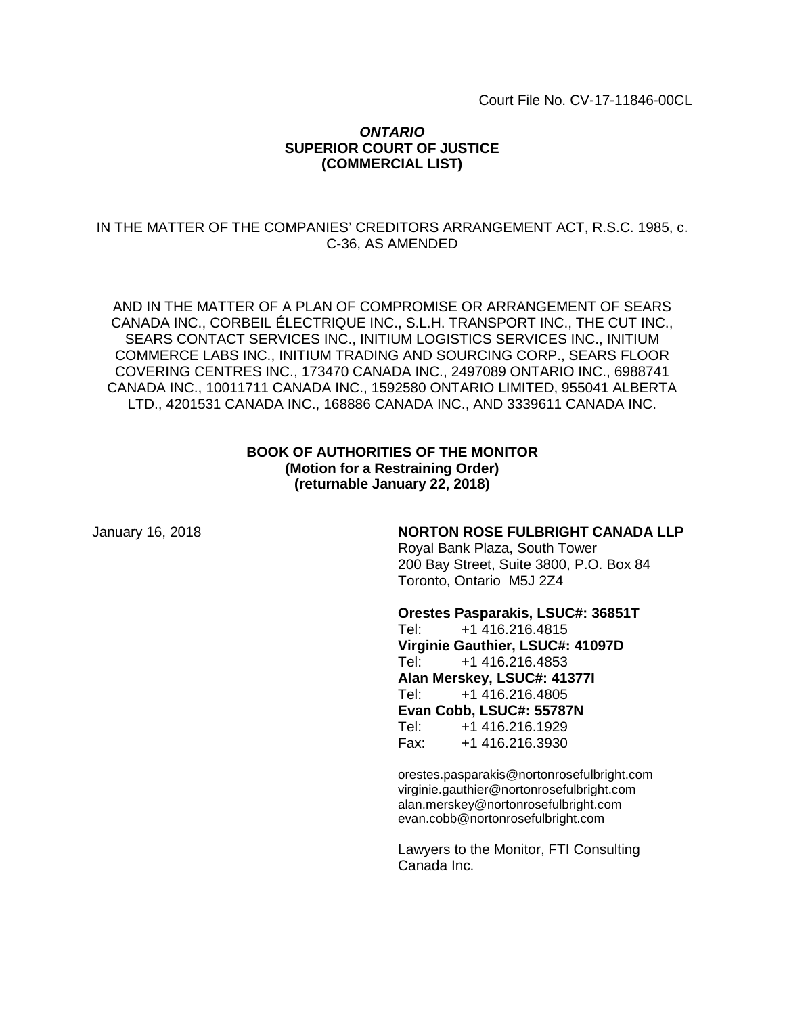Court File No. CV-17-11846-00CL

## *ONTARIO* **SUPERIOR COURT OF JUSTICE (COMMERCIAL LIST)**

## IN THE MATTER OF THE COMPANIES' CREDITORS ARRANGEMENT ACT, R.S.C. 1985, c. C-36, AS AMENDED

AND IN THE MATTER OF A PLAN OF COMPROMISE OR ARRANGEMENT OF SEARS CANADA INC., CORBEIL ÉLECTRIQUE INC., S.L.H. TRANSPORT INC., THE CUT INC., SEARS CONTACT SERVICES INC., INITIUM LOGISTICS SERVICES INC., INITIUM COMMERCE LABS INC., INITIUM TRADING AND SOURCING CORP., SEARS FLOOR COVERING CENTRES INC., 173470 CANADA INC., 2497089 ONTARIO INC., 6988741 CANADA INC., 10011711 CANADA INC., 1592580 ONTARIO LIMITED, 955041 ALBERTA LTD., 4201531 CANADA INC., 168886 CANADA INC., AND 3339611 CANADA INC.

## **BOOK OF AUTHORITIES OF THE MONITOR (Motion for a Restraining Order) (returnable January 22, 2018)**

### January 16, 2018 **NORTON ROSE FULBRIGHT CANADA LLP**

Royal Bank Plaza, South Tower 200 Bay Street, Suite 3800, P.O. Box 84 Toronto, Ontario M5J 2Z4

**Orestes Pasparakis, LSUC#: 36851T**

Tel: +1 416.216.4815 **Virginie Gauthier, LSUC#: 41097D** Tel: +1 416.216.4853 **Alan Merskey, LSUC#: 41377I** Tel: +1 416.216.4805 **Evan Cobb, LSUC#: 55787N**<br>Tel: +1 416.216.1929 Tel: +1 416.216.1929 Fax: +1 416.216.3930

orestes.pasparakis@nortonrosefulbright.com virginie.gauthier@nortonrosefulbright.com alan.merskey@nortonrosefulbright.com evan.cobb@nortonrosefulbright.com

Lawyers to the Monitor, FTI Consulting Canada Inc.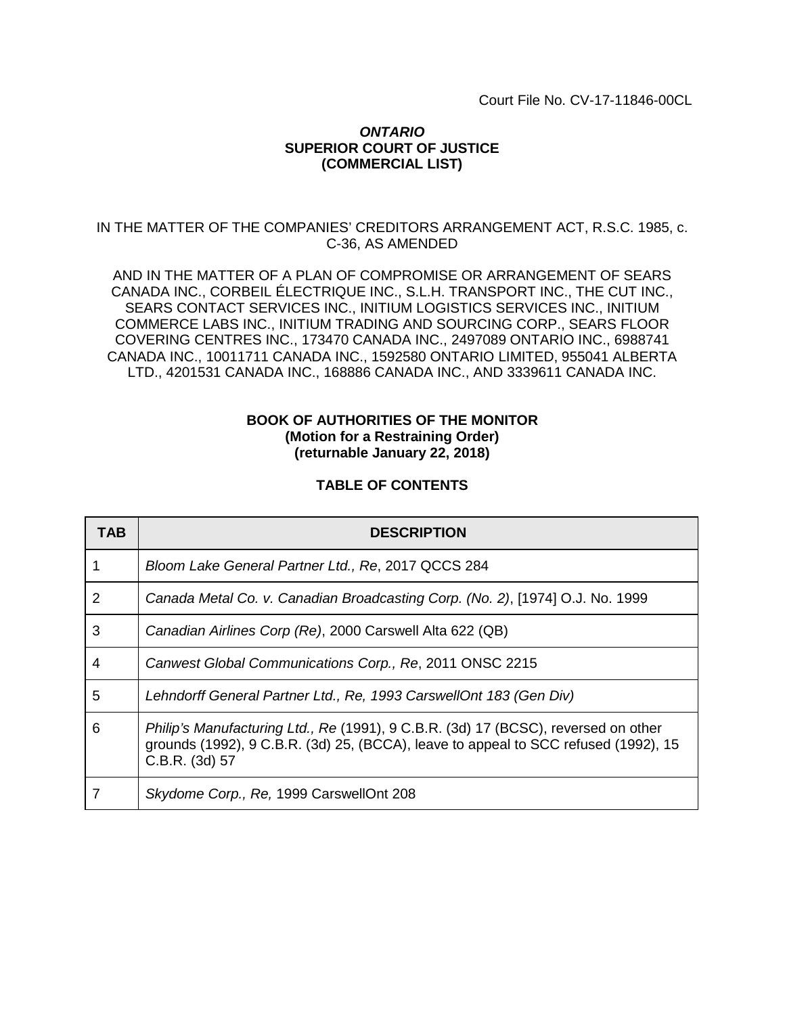Court File No. CV-17-11846-00CL

## *ONTARIO* **SUPERIOR COURT OF JUSTICE (COMMERCIAL LIST)**

## IN THE MATTER OF THE COMPANIES' CREDITORS ARRANGEMENT ACT, R.S.C. 1985, c. C-36, AS AMENDED

AND IN THE MATTER OF A PLAN OF COMPROMISE OR ARRANGEMENT OF SEARS CANADA INC., CORBEIL ÉLECTRIQUE INC., S.L.H. TRANSPORT INC., THE CUT INC., SEARS CONTACT SERVICES INC., INITIUM LOGISTICS SERVICES INC., INITIUM COMMERCE LABS INC., INITIUM TRADING AND SOURCING CORP., SEARS FLOOR COVERING CENTRES INC., 173470 CANADA INC., 2497089 ONTARIO INC., 6988741 CANADA INC., 10011711 CANADA INC., 1592580 ONTARIO LIMITED, 955041 ALBERTA LTD., 4201531 CANADA INC., 168886 CANADA INC., AND 3339611 CANADA INC.

## **BOOK OF AUTHORITIES OF THE MONITOR (Motion for a Restraining Order) (returnable January 22, 2018)**

## **TABLE OF CONTENTS**

| TAB            | <b>DESCRIPTION</b>                                                                                                                                                                          |  |
|----------------|---------------------------------------------------------------------------------------------------------------------------------------------------------------------------------------------|--|
|                | Bloom Lake General Partner Ltd., Re, 2017 QCCS 284                                                                                                                                          |  |
| $\overline{2}$ | Canada Metal Co. v. Canadian Broadcasting Corp. (No. 2), [1974] O.J. No. 1999                                                                                                               |  |
| 3              | Canadian Airlines Corp (Re), 2000 Carswell Alta 622 (QB)                                                                                                                                    |  |
| 4              | Canwest Global Communications Corp., Re, 2011 ONSC 2215                                                                                                                                     |  |
| 5              | Lehndorff General Partner Ltd., Re, 1993 CarswellOnt 183 (Gen Div)                                                                                                                          |  |
| 6              | Philip's Manufacturing Ltd., Re (1991), 9 C.B.R. (3d) 17 (BCSC), reversed on other<br>grounds (1992), 9 C.B.R. (3d) 25, (BCCA), leave to appeal to SCC refused (1992), 15<br>C.B.R. (3d) 57 |  |
|                | Skydome Corp., Re, 1999 CarswellOnt 208                                                                                                                                                     |  |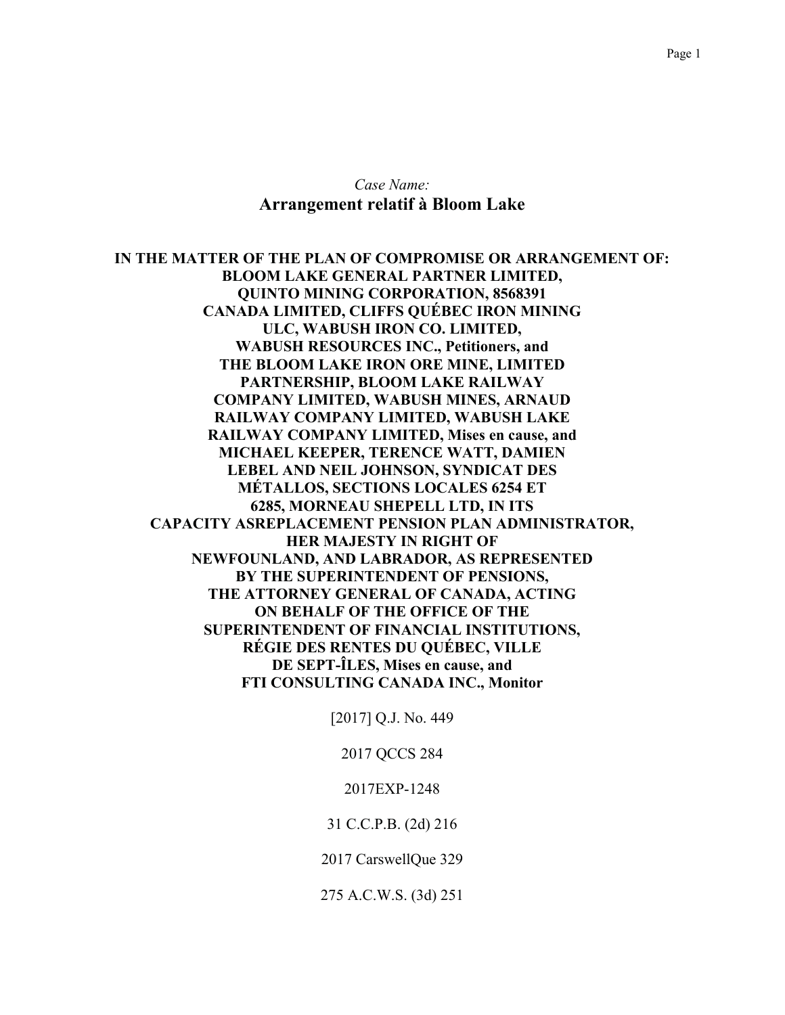## Case Name: Arrangement relatif à Bloom Lake

IN THE MATTER OF THE PLAN OF COMPROMISE OR ARRANGEMENT OF: **BLOOM LAKE GENERAL PARTNER LIMITED, OUINTO MINING CORPORATION, 8568391 CANADA LIMITED, CLIFFS QUÉBEC IRON MINING** ULC, WABUSH IRON CO. LIMITED, **WABUSH RESOURCES INC., Petitioners, and** THE BLOOM LAKE IRON ORE MINE, LIMITED **PARTNERSHIP, BLOOM LAKE RAILWAY COMPANY LIMITED, WABUSH MINES, ARNAUD** RAILWAY COMPANY LIMITED, WABUSH LAKE RAILWAY COMPANY LIMITED, Mises en cause, and MICHAEL KEEPER, TERENCE WATT, DAMIEN **LEBEL AND NEIL JOHNSON, SYNDICAT DES MÉTALLOS, SECTIONS LOCALES 6254 ET** 6285, MORNEAU SHEPELL LTD, IN ITS **CAPACITY ASREPLACEMENT PENSION PLAN ADMINISTRATOR. HER MAJESTY IN RIGHT OF NEWFOUNLAND, AND LABRADOR, AS REPRESENTED** BY THE SUPERINTENDENT OF PENSIONS, THE ATTORNEY GENERAL OF CANADA, ACTING ON BEHALF OF THE OFFICE OF THE **SUPERINTENDENT OF FINANCIAL INSTITUTIONS. RÉGIE DES RENTES DU QUÉBEC, VILLE** DE SEPT-ILES, Mises en cause, and FTI CONSULTING CANADA INC., Monitor

[2017] Q.J. No. 449

2017 QCCS 284

2017EXP-1248

31 C.C.P.B. (2d) 216

2017 CarswellQue 329

275 A.C.W.S. (3d) 251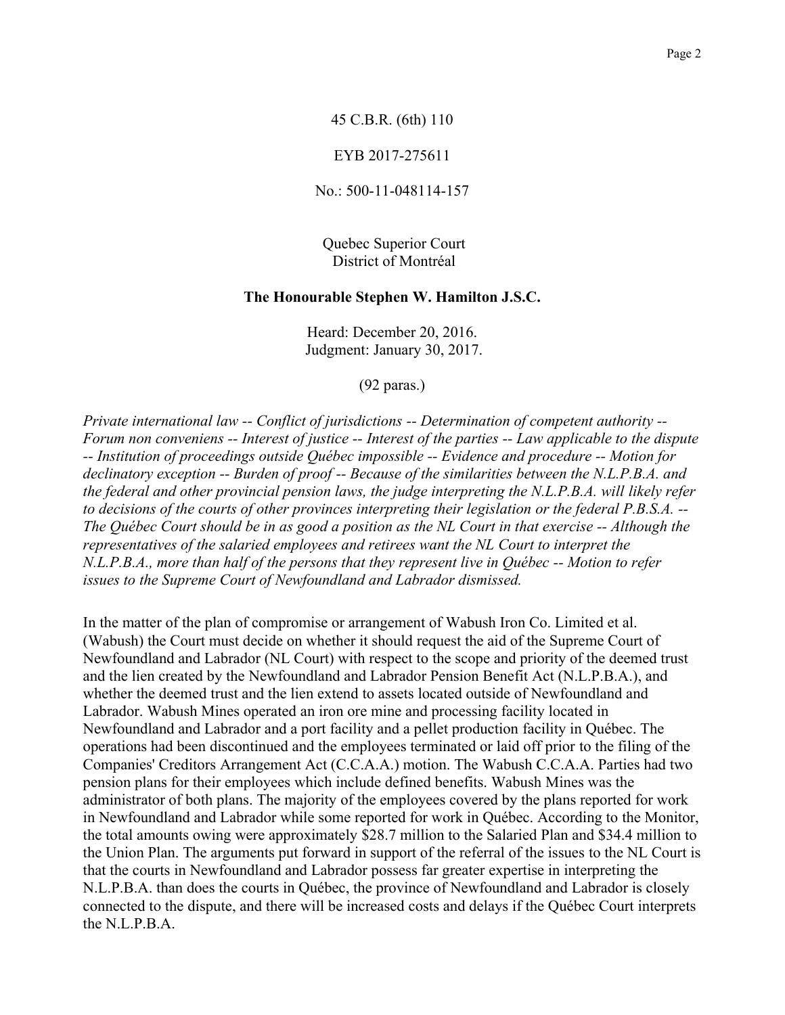## 45 C.B.R. (6th) 110

### EYB 2017-275611

No.: 500-11-048114-157

Quebec Superior Court District of Montréal

### The Honourable Stephen W. Hamilton J.S.C.

Heard: December 20, 2016. Judgment: January 30, 2017.

 $(92 \text{ paras.})$ 

Private international law -- Conflict of jurisdictions -- Determination of competent authority --Forum non conveniens -- Interest of justice -- Interest of the parties -- Law applicable to the dispute -- Institution of proceedings outside Québec impossible -- Evidence and procedure -- Motion for declinatory exception -- Burden of proof -- Because of the similarities between the N.L.P.B.A. and the federal and other provincial pension laws, the judge interpreting the N.L.P.B.A. will likely refer to decisions of the courts of other provinces interpreting their legislation or the federal P.B.S.A. --The Québec Court should be in as good a position as the NL Court in that exercise -- Although the representatives of the salaried employees and retirees want the NL Court to interpret the N.L.P.B.A., more than half of the persons that they represent live in Québec -- Motion to refer issues to the Supreme Court of Newfoundland and Labrador dismissed.

In the matter of the plan of compromise or arrangement of Wabush Iron Co. Limited et al. (Wabush) the Court must decide on whether it should request the aid of the Supreme Court of Newfoundland and Labrador (NL Court) with respect to the scope and priority of the deemed trust and the lien created by the Newfoundland and Labrador Pension Benefit Act (N.L.P.B.A.), and whether the deemed trust and the lien extend to assets located outside of Newfoundland and Labrador. Wabush Mines operated an iron ore mine and processing facility located in Newfoundland and Labrador and a port facility and a pellet production facility in Québec. The operations had been discontinued and the employees terminated or laid off prior to the filing of the Companies' Creditors Arrangement Act (C.C.A.A.) motion. The Wabush C.C.A.A. Parties had two pension plans for their employees which include defined benefits. Wabush Mines was the administrator of both plans. The majority of the employees covered by the plans reported for work in Newfoundland and Labrador while some reported for work in Québec. According to the Monitor, the total amounts owing were approximately \$28.7 million to the Salaried Plan and \$34.4 million to the Union Plan. The arguments put forward in support of the referral of the issues to the NL Court is that the courts in Newfoundland and Labrador possess far greater expertise in interpreting the N.L.P.B.A. than does the courts in Québec, the province of Newfoundland and Labrador is closely connected to the dispute, and there will be increased costs and delays if the Québec Court interprets the N.L.P.B.A.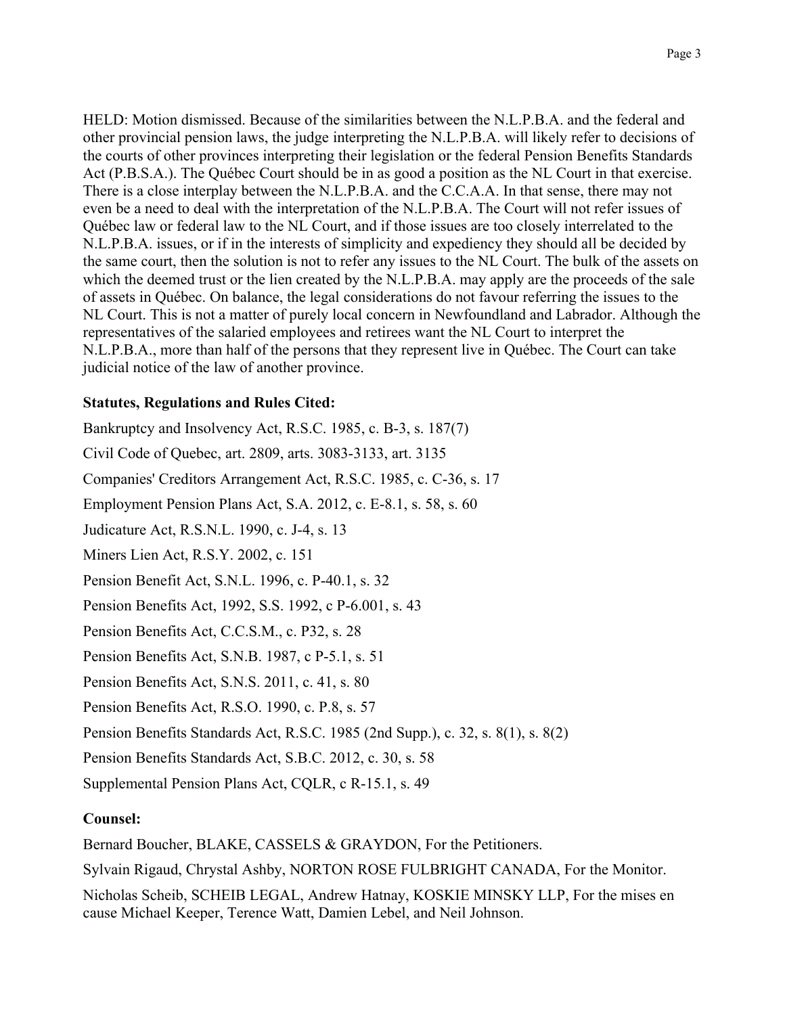HELD: Motion dismissed. Because of the similarities between the N.L.P.B.A. and the federal and other provincial pension laws, the judge interpreting the N.L.P.B.A. will likely refer to decisions of the courts of other provinces interpreting their legislation or the federal Pension Benefits Standards Act (P.B.S.A.). The Québec Court should be in as good a position as the NL Court in that exercise. There is a close interplay between the N.L.P.B.A. and the C.C.A.A. In that sense, there may not even be a need to deal with the interpretation of the N.L.P.B.A. The Court will not refer issues of Québec law or federal law to the NL Court, and if those issues are too closely interrelated to the N.L.P.B.A. issues, or if in the interests of simplicity and expediency they should all be decided by the same court, then the solution is not to refer any issues to the NL Court. The bulk of the assets on which the deemed trust or the lien created by the N.L.P.B.A. may apply are the proceeds of the sale of assets in Québec. On balance, the legal considerations do not favour referring the issues to the NL Court. This is not a matter of purely local concern in Newfoundland and Labrador. Although the representatives of the salaried employees and retirees want the NL Court to interpret the N.L.P.B.A., more than half of the persons that they represent live in Québec. The Court can take judicial notice of the law of another province.

## **Statutes, Regulations and Rules Cited:**

Bankruptcy and Insolvency Act, R.S.C. 1985, c. B-3, s. 187(7) Civil Code of Ouebec, art. 2809, arts. 3083-3133, art. 3135 Companies' Creditors Arrangement Act, R.S.C. 1985, c. C-36, s. 17 Employment Pension Plans Act, S.A. 2012, c. E-8.1, s. 58, s. 60 Judicature Act, R.S.N.L. 1990, c. J-4, s. 13 Miners Lien Act, R.S.Y. 2002, c. 151 Pension Benefit Act, S.N.L. 1996, c. P-40.1, s. 32 Pension Benefits Act, 1992, S.S. 1992, c P-6.001, s. 43 Pension Benefits Act, C.C.S.M., c. P32, s. 28 Pension Benefits Act, S.N.B. 1987, c P-5.1, s. 51 Pension Benefits Act, S.N.S. 2011, c. 41, s. 80 Pension Benefits Act, R.S.O. 1990, c. P.8, s. 57 Pension Benefits Standards Act, R.S.C. 1985 (2nd Supp.), c. 32, s. 8(1), s. 8(2) Pension Benefits Standards Act, S.B.C. 2012, c. 30, s. 58 Supplemental Pension Plans Act, COLR, c R-15.1, s. 49

# Counsel:

Bernard Boucher, BLAKE, CASSELS & GRAYDON, For the Petitioners.

Sylvain Rigaud, Chrystal Ashby, NORTON ROSE FULBRIGHT CANADA, For the Monitor.

Nicholas Scheib, SCHEIB LEGAL, Andrew Hatnay, KOSKIE MINSKY LLP, For the mises en cause Michael Keeper, Terence Watt, Damien Lebel, and Neil Johnson.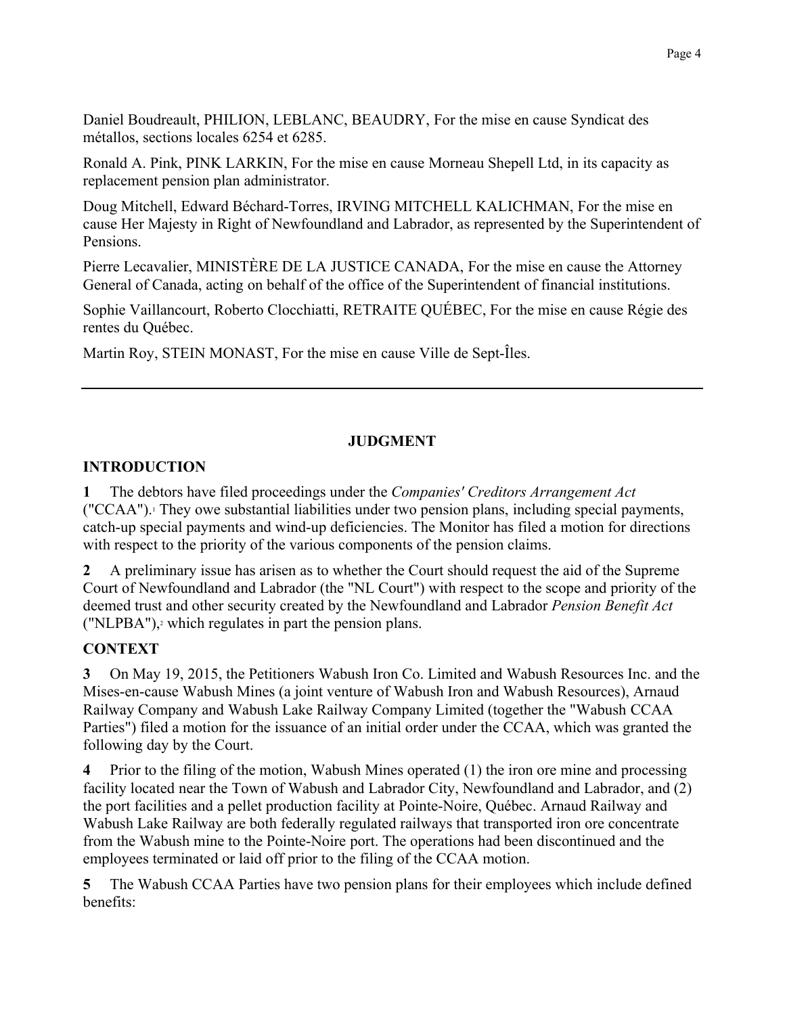Daniel Boudreault, PHILION, LEBLANC, BEAUDRY, For the mise en cause Syndicat des métallos, sections locales 6254 et 6285.

Ronald A. Pink, PINK LARKIN, For the mise en cause Morneau Shepell Ltd, in its capacity as replacement pension plan administrator.

Doug Mitchell, Edward Béchard-Torres, IRVING MITCHELL KALICHMAN, For the mise en cause Her Majesty in Right of Newfoundland and Labrador, as represented by the Superintendent of Pensions.

Pierre Lecavalier, MINISTÈRE DE LA JUSTICE CANADA, For the mise en cause the Attorney General of Canada, acting on behalf of the office of the Superintendent of financial institutions.

Sophie Vaillancourt, Roberto Clocchiatti, RETRAITE QUÉBEC, For the mise en cause Régie des rentes du Québec.

Martin Roy, STEIN MONAST, For the mise en cause Ville de Sept-Îles.

# **JUDGMENT**

## **INTRODUCTION**

The debtors have filed proceedings under the Companies' Creditors Arrangement Act  $\mathbf 1$ ("CCAA"). They owe substantial liabilities under two pension plans, including special payments, catch-up special payments and wind-up deficiencies. The Monitor has filed a motion for directions with respect to the priority of the various components of the pension claims.

A preliminary issue has arisen as to whether the Court should request the aid of the Supreme  $\mathbf{2}$ Court of Newfoundland and Labrador (the "NL Court") with respect to the scope and priority of the deemed trust and other security created by the Newfoundland and Labrador Pension Benefit Act ("NLPBA"),<sup>2</sup> which regulates in part the pension plans.

# **CONTEXT**

On May 19, 2015, the Petitioners Wabush Iron Co. Limited and Wabush Resources Inc. and the  $3<sup>7</sup>$ Mises-en-cause Wabush Mines (a joint venture of Wabush Iron and Wabush Resources), Arnaud Railway Company and Wabush Lake Railway Company Limited (together the "Wabush CCAA Parties") filed a motion for the issuance of an initial order under the CCAA, which was granted the following day by the Court.

Prior to the filing of the motion, Wabush Mines operated (1) the iron ore mine and processing  $\overline{4}$ facility located near the Town of Wabush and Labrador City, Newfoundland and Labrador, and (2) the port facilities and a pellet production facility at Pointe-Noire, Ouébec. Arnaud Railway and Wabush Lake Railway are both federally regulated railways that transported iron ore concentrate from the Wabush mine to the Pointe-Noire port. The operations had been discontinued and the employees terminated or laid off prior to the filing of the CCAA motion.

 $\overline{\mathbf{5}}$ The Wabush CCAA Parties have two pension plans for their employees which include defined benefits: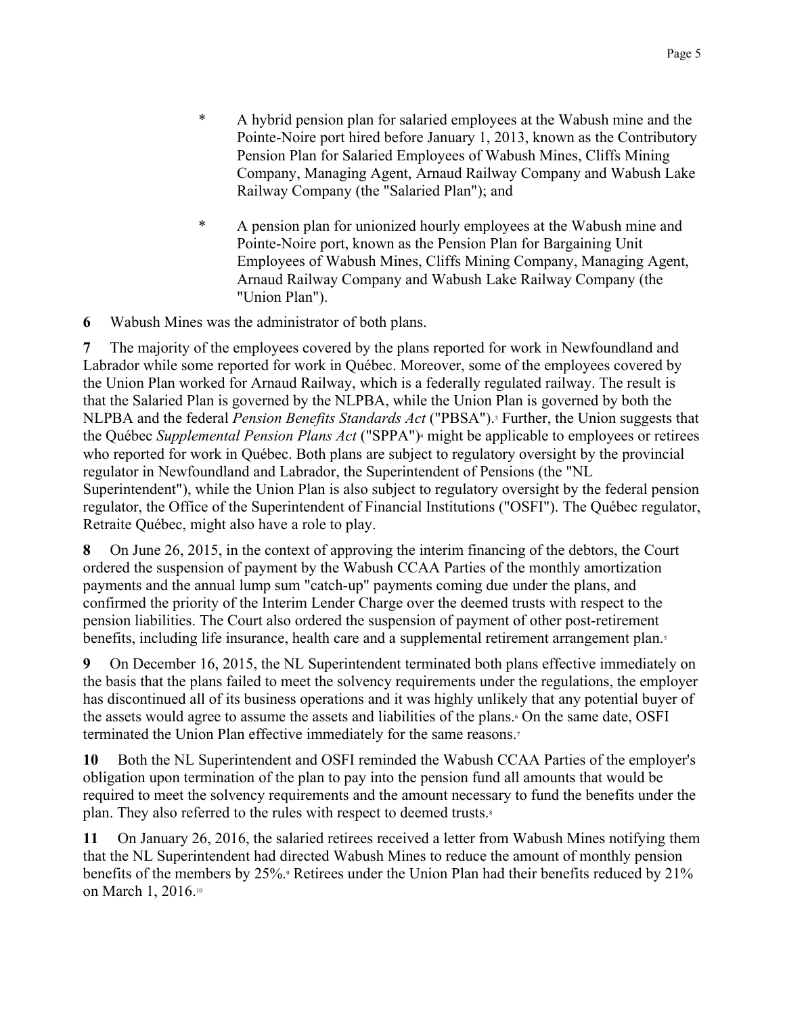- $\ast$ A hybrid pension plan for salaried employees at the Wabush mine and the Pointe-Noire port hired before January 1, 2013, known as the Contributory Pension Plan for Salaried Employees of Wabush Mines, Cliffs Mining Company, Managing Agent, Arnaud Railway Company and Wabush Lake Railway Company (the "Salaried Plan"); and
- $\ast$ A pension plan for unionized hourly employees at the Wabush mine and Pointe-Noire port, known as the Pension Plan for Bargaining Unit Employees of Wabush Mines, Cliffs Mining Company, Managing Agent, Arnaud Railway Company and Wabush Lake Railway Company (the "Union Plan").

Wabush Mines was the administrator of both plans. 6

The majority of the employees covered by the plans reported for work in Newfoundland and 7 Labrador while some reported for work in Québec. Moreover, some of the employees covered by the Union Plan worked for Arnaud Railway, which is a federally regulated railway. The result is that the Salaried Plan is governed by the NLPBA, while the Union Plan is governed by both the NLPBA and the federal *Pension Benefits Standards Act* ("PBSA").<sup>3</sup> Further, the Union suggests that the Québec Supplemental Pension Plans Act ("SPPA")<sup>4</sup> might be applicable to employees or retirees who reported for work in Québec. Both plans are subject to regulatory oversight by the provincial regulator in Newfoundland and Labrador, the Superintendent of Pensions (the "NL Superintendent"), while the Union Plan is also subject to regulatory oversight by the federal pension regulator, the Office of the Superintendent of Financial Institutions ("OSFI"). The Québec regulator, Retraite Québec, might also have a role to play.

On June 26, 2015, in the context of approving the interim financing of the debtors, the Court 8 ordered the suspension of payment by the Wabush CCAA Parties of the monthly amortization payments and the annual lump sum "catch-up" payments coming due under the plans, and confirmed the priority of the Interim Lender Charge over the deemed trusts with respect to the pension liabilities. The Court also ordered the suspension of payment of other post-retirement benefits, including life insurance, health care and a supplemental retirement arrangement plan.

9 On December 16, 2015, the NL Superintendent terminated both plans effective immediately on the basis that the plans failed to meet the solvency requirements under the regulations, the employer has discontinued all of its business operations and it was highly unlikely that any potential buyer of the assets would agree to assume the assets and liabilities of the plans. On the same date, OSFI terminated the Union Plan effective immediately for the same reasons.<sup>7</sup>

10 Both the NL Superintendent and OSFI reminded the Wabush CCAA Parties of the employer's obligation upon termination of the plan to pay into the pension fund all amounts that would be required to meet the solvency requirements and the amount necessary to fund the benefits under the plan. They also referred to the rules with respect to deemed trusts.<sup>8</sup>

11 On January 26, 2016, the salaried retirees received a letter from Wabush Mines notifying them that the NL Superintendent had directed Wabush Mines to reduce the amount of monthly pension benefits of the members by 25%.<sup>9</sup> Retirees under the Union Plan had their benefits reduced by 21% on March 1, 2016.10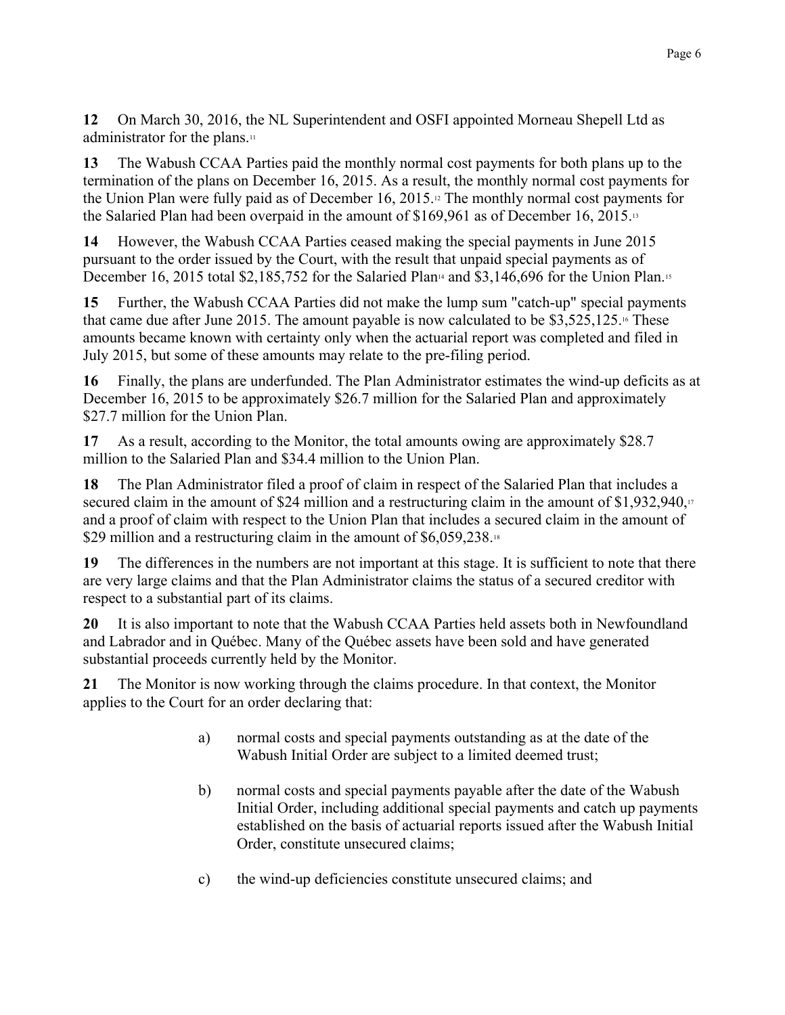12 On March 30, 2016, the NL Superintendent and OSFI appointed Morneau Shepell Ltd as administrator for the plans.<sup>11</sup>

13 The Wabush CCAA Parties paid the monthly normal cost payments for both plans up to the termination of the plans on December 16, 2015. As a result, the monthly normal cost payments for the Union Plan were fully paid as of December 16, 2015.<sup>12</sup> The monthly normal cost payments for the Salaried Plan had been overpaid in the amount of \$169,961 as of December 16, 2015.<sup>13</sup>

14 However, the Wabush CCAA Parties ceased making the special payments in June 2015 pursuant to the order issued by the Court, with the result that unpaid special payments as of December 16, 2015 total \$2,185,752 for the Salaried Plan<sup>14</sup> and \$3,146,696 for the Union Plan.<sup>15</sup>

15 Further, the Wabush CCAA Parties did not make the lump sum "catch-up" special payments that came due after June 2015. The amount payable is now calculated to be  $$3,525,125$ .<sup>16</sup> These amounts became known with certainty only when the actuarial report was completed and filed in July 2015, but some of these amounts may relate to the pre-filing period.

16 Finally, the plans are underfunded. The Plan Administrator estimates the wind-up deficits as at December 16, 2015 to be approximately \$26.7 million for the Salaried Plan and approximately \$27.7 million for the Union Plan.

17 As a result, according to the Monitor, the total amounts owing are approximately \$28.7 million to the Salaried Plan and \$34.4 million to the Union Plan.

18 The Plan Administrator filed a proof of claim in respect of the Salaried Plan that includes a secured claim in the amount of \$24 million and a restructuring claim in the amount of \$1,932,940, and a proof of claim with respect to the Union Plan that includes a secured claim in the amount of \$29 million and a restructuring claim in the amount of \$6,059,238.18

19 The differences in the numbers are not important at this stage. It is sufficient to note that there are very large claims and that the Plan Administrator claims the status of a secured creditor with respect to a substantial part of its claims.

20 It is also important to note that the Wabush CCAA Parties held assets both in Newfoundland and Labrador and in Québec. Many of the Québec assets have been sold and have generated substantial proceeds currently held by the Monitor.

 $21$ The Monitor is now working through the claims procedure. In that context, the Monitor applies to the Court for an order declaring that:

- a) normal costs and special payments outstanding as at the date of the Wabush Initial Order are subject to a limited deemed trust;
- normal costs and special payments payable after the date of the Wabush  $b)$ Initial Order, including additional special payments and catch up payments established on the basis of actuarial reports issued after the Wabush Initial Order, constitute unsecured claims;
- c) the wind-up deficiencies constitute unsecured claims; and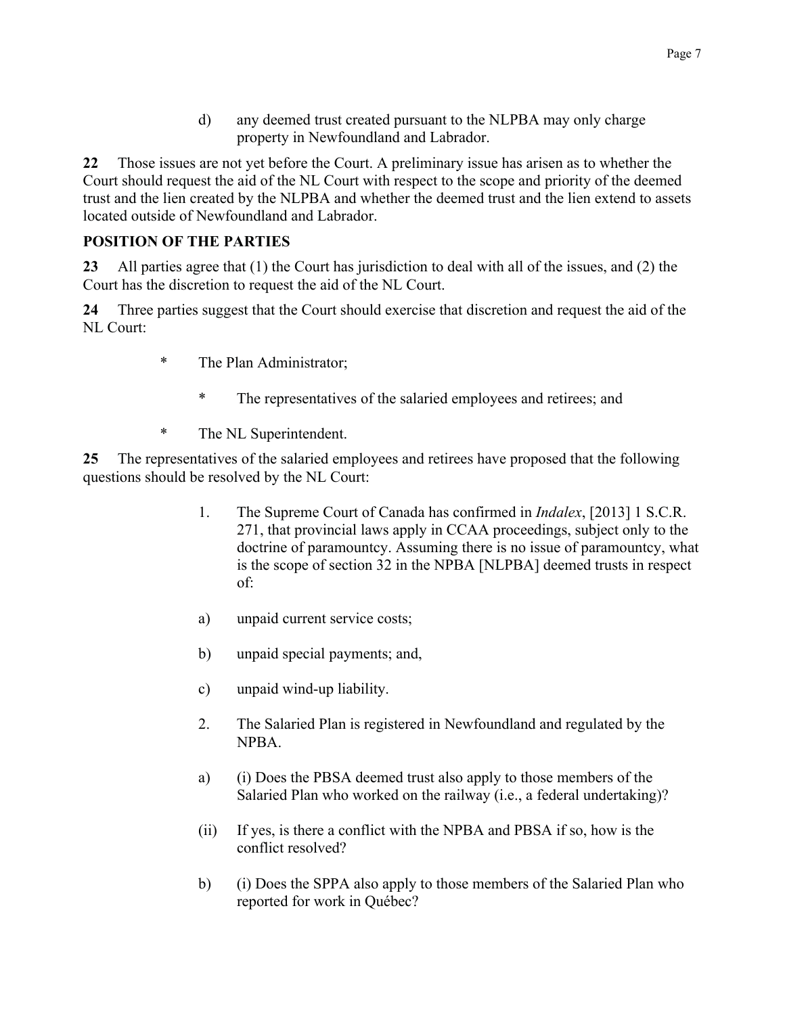$\mathbf{d}$ any deemed trust created pursuant to the NLPBA may only charge property in Newfoundland and Labrador.

Those issues are not yet before the Court. A preliminary issue has arisen as to whether the  $22$ Court should request the aid of the NL Court with respect to the scope and priority of the deemed trust and the lien created by the NLPBA and whether the deemed trust and the lien extend to assets located outside of Newfoundland and Labrador.

# **POSITION OF THE PARTIES**

 $23<sup>°</sup>$ All parties agree that (1) the Court has jurisdiction to deal with all of the issues, and (2) the Court has the discretion to request the aid of the NL Court.

24 Three parties suggest that the Court should exercise that discretion and request the aid of the NL Court:

- $\ast$ The Plan Administrator;
	- The representatives of the salaried employees and retirees; and
- $\ast$ The NL Superintendent.

The representatives of the salaried employees and retirees have proposed that the following  $25<sub>1</sub>$ questions should be resolved by the NL Court:

- $\mathbf{1}$ The Supreme Court of Canada has confirmed in *Indalex*, [2013] 1 S.C.R. 271, that provincial laws apply in CCAA proceedings, subject only to the doctrine of paramountcy. Assuming there is no issue of paramountcy, what is the scope of section 32 in the NPBA [NLPBA] deemed trusts in respect  $of:$
- unpaid current service costs; a)
- $b)$ unpaid special payments; and,
- $\mathbf{c})$ unpaid wind-up liability.
- 2. The Salaried Plan is registered in Newfoundland and regulated by the NPBA.
- (i) Does the PBSA deemed trust also apply to those members of the a) Salaried Plan who worked on the railway (*i.e.*, a federal undertaking)?
- If yes, is there a conflict with the NPBA and PBSA if so, how is the  $(ii)$ conflict resolved?
- (i) Does the SPPA also apply to those members of the Salaried Plan who  $b)$ reported for work in Québec?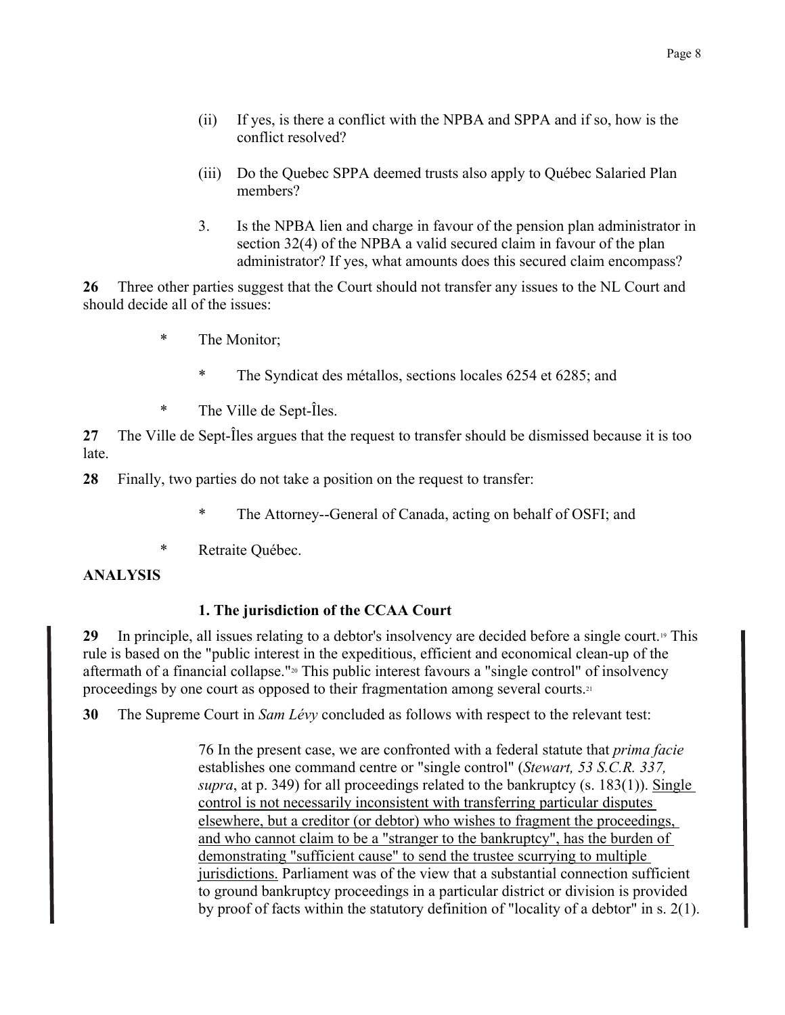- $(ii)$ If yes, is there a conflict with the NPBA and SPPA and if so, how is the conflict resolved?
- $(iii)$ Do the Ouebec SPPA deemed trusts also apply to Ouébec Salaried Plan members?
- 3. Is the NPBA lien and charge in favour of the pension plan administrator in section 32(4) of the NPBA a valid secured claim in favour of the plan administrator? If yes, what amounts does this secured claim encompass?

26 Three other parties suggest that the Court should not transfer any issues to the NL Court and should decide all of the issues:

- $\ast$ The Monitor:
	- The Syndicat des métallos, sections locales 6254 et 6285; and
- $\ast$ The Ville de Sept-Îles.

The Ville de Sept-Îles argues that the request to transfer should be dismissed because it is too  $27$ late

28 Finally, two parties do not take a position on the request to transfer.

- The Attorney--General of Canada, acting on behalf of OSFI; and
- $\ast$ Retraite Québec.

## **ANALYSIS**

# 1. The jurisdiction of the CCAA Court

29 In principle, all issues relating to a debtor's insolvency are decided before a single court.<sup>19</sup> This rule is based on the "public interest in the expeditious, efficient and economical clean-up of the aftermath of a financial collapse."<sup>20</sup> This public interest favours a "single control" of insolvency proceedings by one court as opposed to their fragmentation among several courts.<sup>21</sup>

30 The Supreme Court in Sam Lévy concluded as follows with respect to the relevant test:

> 76 In the present case, we are confronted with a federal statute that *prima facie* establishes one command centre or "single control" (*Stewart, 53 S.C.R. 337,* supra, at p. 349) for all proceedings related to the bankruptcy  $(s. 183(1))$ . Single control is not necessarily inconsistent with transferring particular disputes elsewhere, but a creditor (or debtor) who wishes to fragment the proceedings, and who cannot claim to be a "stranger to the bankruptcy", has the burden of demonstrating "sufficient cause" to send the trustee scurrying to multiple jurisdictions. Parliament was of the view that a substantial connection sufficient to ground bankruptcy proceedings in a particular district or division is provided by proof of facts within the statutory definition of "locality of a debtor" in s. 2(1).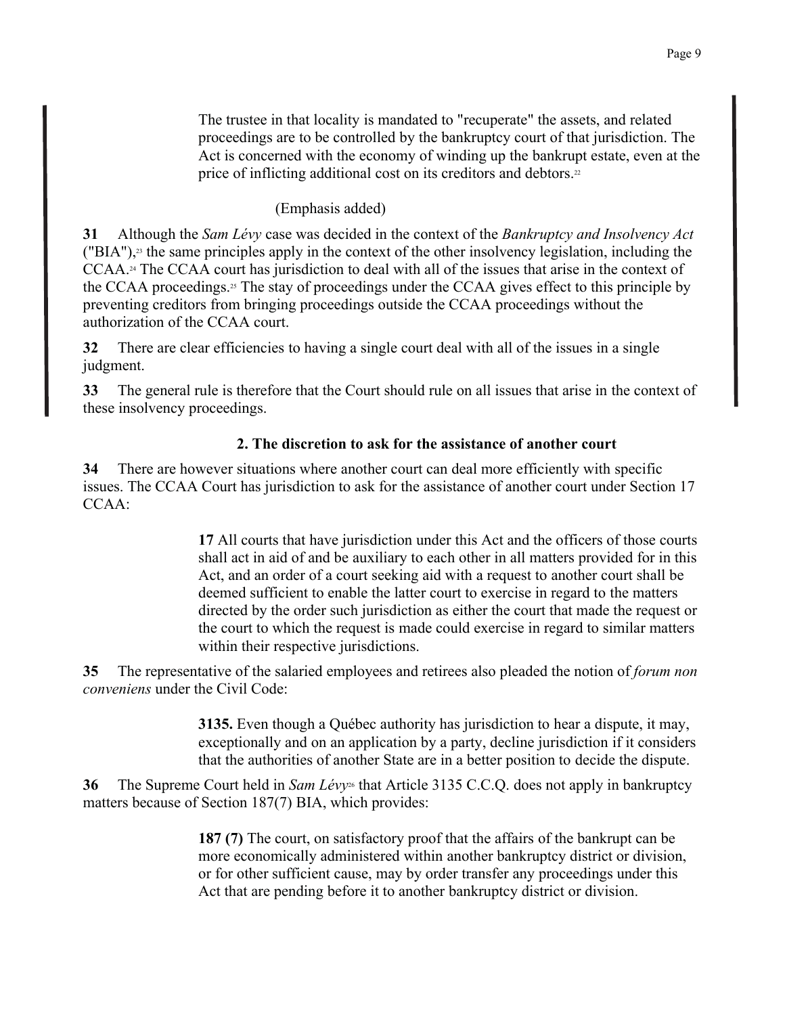The trustee in that locality is mandated to "recuperate" the assets, and related proceedings are to be controlled by the bankruptcy court of that jurisdiction. The Act is concerned with the economy of winding up the bankrupt estate, even at the price of inflicting additional cost on its creditors and debtors.<sup>22</sup>

## (Emphasis added)

Although the Sam Lévy case was decided in the context of the Bankruptcy and Insolvency Act 31 ("BIA"),<sup>23</sup> the same principles apply in the context of the other insolvency legislation, including the  $CCAA.$ <sup>24</sup> The CCAA court has jurisdiction to deal with all of the issues that arise in the context of the CCAA proceedings.<sup>25</sup> The stay of proceedings under the CCAA gives effect to this principle by preventing creditors from bringing proceedings outside the CCAA proceedings without the authorization of the CCAA court.

32 There are clear efficiencies to having a single court deal with all of the issues in a single judgment.

 $33<sup>2</sup>$ The general rule is therefore that the Court should rule on all issues that arise in the context of these insolvency proceedings.

# 2. The discretion to ask for the assistance of another court

34 There are however situations where another court can deal more efficiently with specific issues. The CCAA Court has jurisdiction to ask for the assistance of another court under Section 17  $CCAA$ 

> 17 All courts that have jurisdiction under this Act and the officers of those courts shall act in aid of and be auxiliary to each other in all matters provided for in this Act, and an order of a court seeking aid with a request to another court shall be deemed sufficient to enable the latter court to exercise in regard to the matters directed by the order such jurisdiction as either the court that made the request or the court to which the request is made could exercise in regard to similar matters within their respective jurisdictions.

The representative of the salaried employees and retirees also pleaded the notion of *forum non* 35 *conveniens* under the Civil Code:

> 3135. Even though a Québec authority has jurisdiction to hear a dispute, it may, exceptionally and on an application by a party, decline jurisdiction if it considers that the authorities of another State are in a better position to decide the dispute.

The Supreme Court held in Sam Lévy<sup>26</sup> that Article 3135 C.C.Q. does not apply in bankruptcy 36 matters because of Section 187(7) BIA, which provides:

> 187 (7) The court, on satisfactory proof that the affairs of the bankrupt can be more economically administered within another bankruptcy district or division, or for other sufficient cause, may by order transfer any proceedings under this Act that are pending before it to another bankruptcy district or division.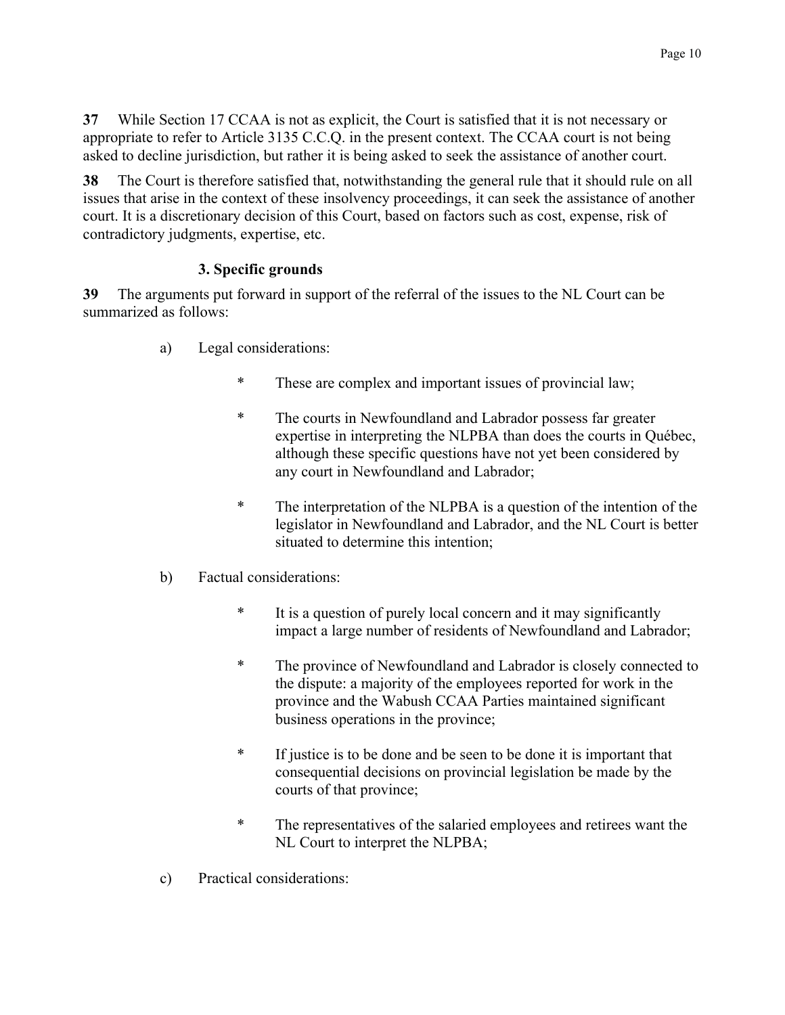$37$ While Section 17 CCAA is not as explicit, the Court is satisfied that it is not necessary or appropriate to refer to Article 3135 C.C.Q. in the present context. The CCAA court is not being asked to decline jurisdiction, but rather it is being asked to seek the assistance of another court.

The Court is therefore satisfied that, notwithstanding the general rule that it should rule on all 38 issues that arise in the context of these insolvency proceedings, it can seek the assistance of another court. It is a discretionary decision of this Court, based on factors such as cost, expense, risk of contradictory judgments, expertise, etc.

# 3. Specific grounds

39 The arguments put forward in support of the referral of the issues to the NL Court can be summarized as follows:

- Legal considerations: a)
	- $\ast$ These are complex and important issues of provincial law;
	- $\ast$ The courts in Newfoundland and Labrador possess far greater expertise in interpreting the NLPBA than does the courts in Québec, although these specific questions have not yet been considered by any court in Newfoundland and Labrador;
	- $\ast$ The interpretation of the NLPBA is a question of the intention of the legislator in Newfoundland and Labrador, and the NL Court is better situated to determine this intention;
- $b)$ Factual considerations:
	- $\ast$ It is a question of purely local concern and it may significantly impact a large number of residents of Newfoundland and Labrador;
	- $\ast$ The province of Newfoundland and Labrador is closely connected to the dispute: a majority of the employees reported for work in the province and the Wabush CCAA Parties maintained significant business operations in the province;
	- $\ast$ If justice is to be done and be seen to be done it is important that consequential decisions on provincial legislation be made by the courts of that province;
	- $\ast$ The representatives of the salaried employees and retirees want the NL Court to interpret the NLPBA;
- Practical considerations:  $\mathbf{c}$ )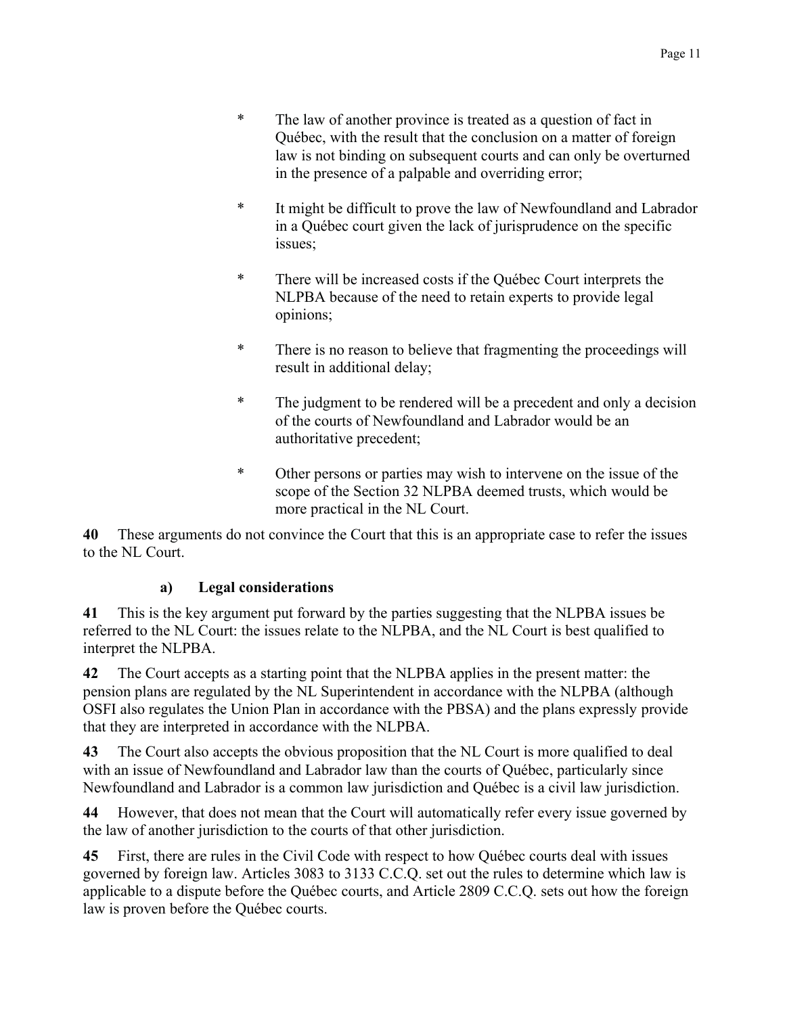- $\ast$ The law of another province is treated as a question of fact in Ouébec, with the result that the conclusion on a matter of foreign law is not binding on subsequent courts and can only be overturned in the presence of a palpable and overriding error;
- $\ast$ It might be difficult to prove the law of Newfoundland and Labrador in a Québec court given the lack of jurisprudence on the specific issues:
- $\ast$ There will be increased costs if the Québec Court interprets the NLPBA because of the need to retain experts to provide legal opinions;
- $\ast$ There is no reason to believe that fragmenting the proceedings will result in additional delay;
- $\ast$ The judgment to be rendered will be a precedent and only a decision of the courts of Newfoundland and Labrador would be an authoritative precedent:
- $\ast$ Other persons or parties may wish to intervene on the issue of the scope of the Section 32 NLPBA deemed trusts, which would be more practical in the NL Court.

40 These arguments do not convince the Court that this is an appropriate case to refer the issues to the NL Court.

#### $a)$ **Legal considerations**

This is the key argument put forward by the parties suggesting that the NLPBA issues be 41 referred to the NL Court: the issues relate to the NLPBA, and the NL Court is best qualified to interpret the NLPBA.

The Court accepts as a starting point that the NLPBA applies in the present matter: the 42 pension plans are regulated by the NL Superintendent in accordance with the NLPBA (although OSFI also regulates the Union Plan in accordance with the PBSA) and the plans expressly provide that they are interpreted in accordance with the NLPBA.

The Court also accepts the obvious proposition that the NL Court is more qualified to deal 43 with an issue of Newfoundland and Labrador law than the courts of Québec, particularly since Newfoundland and Labrador is a common law jurisdiction and Ouébec is a civil law jurisdiction.

44 However, that does not mean that the Court will automatically refer every issue governed by the law of another jurisdiction to the courts of that other jurisdiction.

First, there are rules in the Civil Code with respect to how Québec courts deal with issues 45 governed by foreign law. Articles 3083 to 3133 C.C.Q. set out the rules to determine which law is applicable to a dispute before the Québec courts, and Article 2809 C.C.Q. sets out how the foreign law is proven before the Québec courts.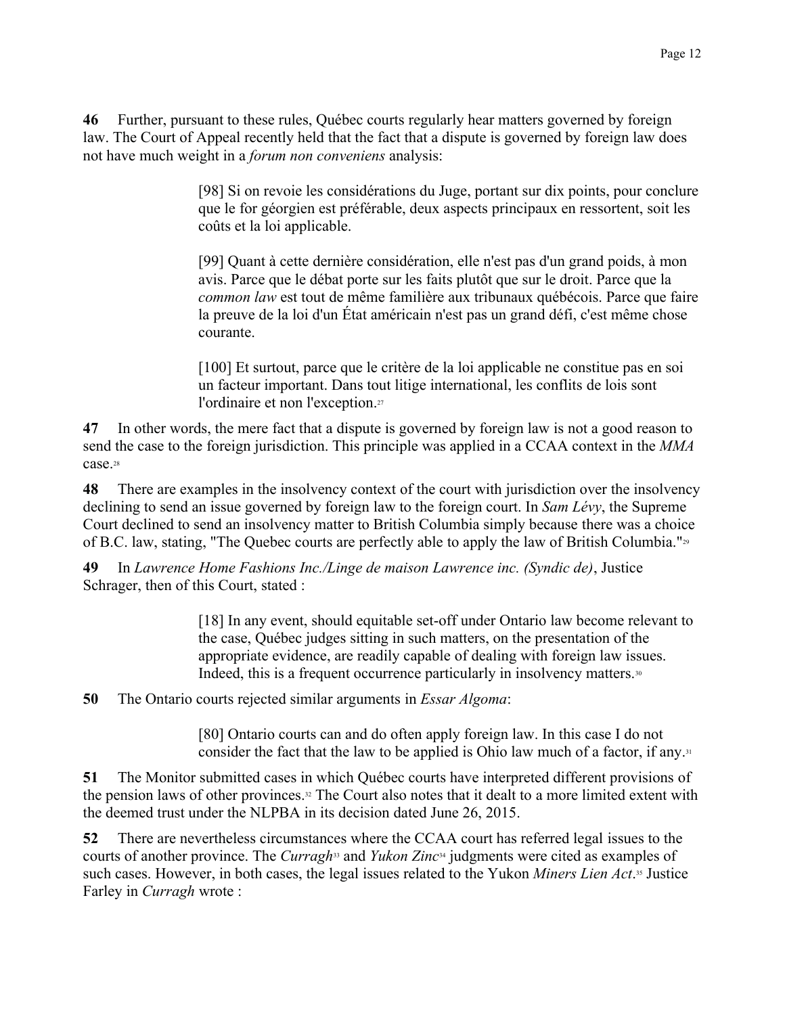46 Further, pursuant to these rules, Québec courts regularly hear matters governed by foreign law. The Court of Appeal recently held that the fact that a dispute is governed by foreign law does not have much weight in a *forum non conveniens* analysis:

> [98] Si on revoie les considérations du Juge, portant sur dix points, pour conclure que le for géorgien est préférable, deux aspects principaux en ressortent, soit les coûts et la loi applicable.

> [99] Quant à cette dernière considération, elle n'est pas d'un grand poids, à mon avis. Parce que le débat porte sur les faits plutôt que sur le droit. Parce que la common law est tout de même familière aux tribunaux québécois. Parce que faire la preuve de la loi d'un État américain n'est pas un grand défi, c'est même chose courante.

[100] Et surtout, parce que le critère de la loi applicable ne constitue pas en soi un facteur important. Dans tout litige international, les conflits de lois sont l'ordinaire et non l'exception.<sup>27</sup>

In other words, the mere fact that a dispute is governed by foreign law is not a good reason to 47 send the case to the foreign jurisdiction. This principle was applied in a CCAA context in the MMA case.<sup>28</sup>

48 There are examples in the insolvency context of the court with jurisdiction over the insolvency declining to send an issue governed by foreign law to the foreign court. In Sam Lévy, the Supreme Court declined to send an insolvency matter to British Columbia simply because there was a choice of B.C. law, stating, "The Quebec courts are perfectly able to apply the law of British Columbia."<sup>29</sup>

49 In Lawrence Home Fashions Inc./Linge de maison Lawrence inc. (Syndic de), Justice Schrager, then of this Court, stated :

> [18] In any event, should equitable set-off under Ontario law become relevant to the case. Ouébec judges sitting in such matters, on the presentation of the appropriate evidence, are readily capable of dealing with foreign law issues. Indeed, this is a frequent occurrence particularly in insolvency matters.<sup>30</sup>

50 The Ontario courts rejected similar arguments in *Essar Algoma*:

> [80] Ontario courts can and do often apply foreign law. In this case I do not consider the fact that the law to be applied is Ohio law much of a factor, if any.<sup>31</sup>

51 The Monitor submitted cases in which Québec courts have interpreted different provisions of the pension laws of other provinces.<sup>32</sup> The Court also notes that it dealt to a more limited extent with the deemed trust under the NLPBA in its decision dated June 26, 2015.

52 There are nevertheless circumstances where the CCAA court has referred legal issues to the courts of another province. The *Curragh*<sup>33</sup> and *Yukon Zinc*<sup>34</sup> judgments were cited as examples of such cases. However, in both cases, the legal issues related to the Yukon Miners Lien Act.<sup>35</sup> Justice Farley in *Curragh* wrote: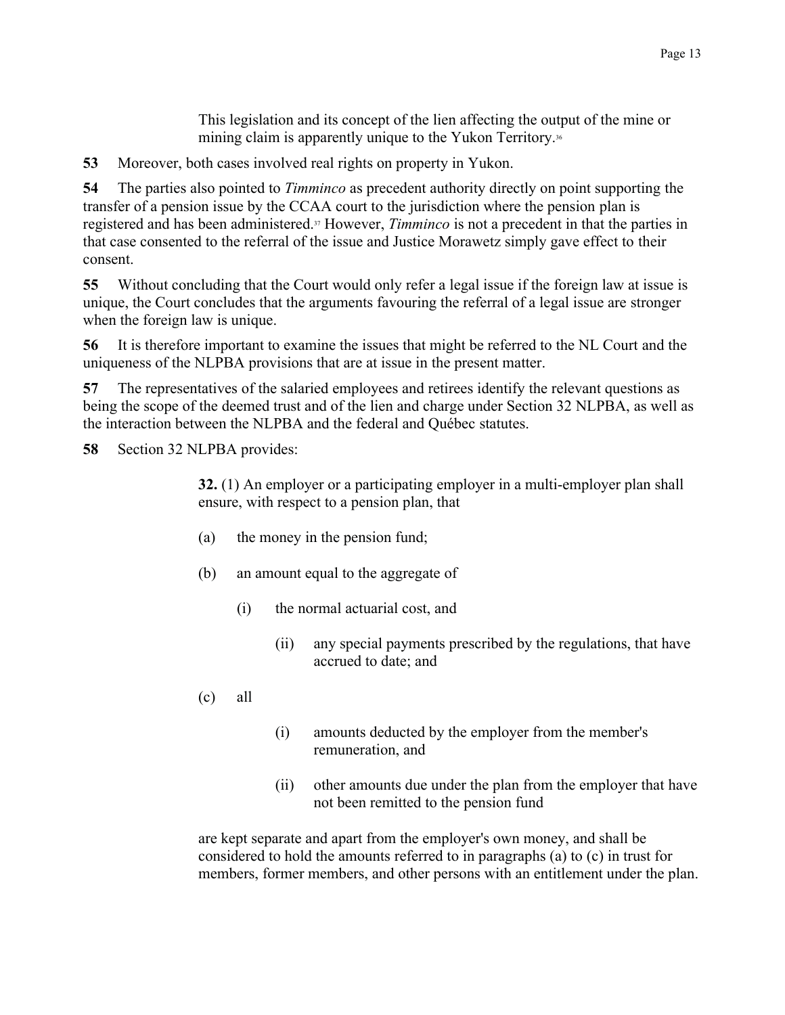This legislation and its concept of the lien affecting the output of the mine or mining claim is apparently unique to the Yukon Territory.<sup>36</sup>

53 Moreover, both cases involved real rights on property in Yukon.

54 The parties also pointed to *Timminco* as precedent authority directly on point supporting the transfer of a pension issue by the CCAA court to the jurisdiction where the pension plan is registered and has been administered.<sup>37</sup> However, *Timminco* is not a precedent in that the parties in that case consented to the referral of the issue and Justice Morawetz simply gave effect to their consent.

55 Without concluding that the Court would only refer a legal issue if the foreign law at issue is unique, the Court concludes that the arguments favouring the referral of a legal issue are stronger when the foreign law is unique.

56 It is therefore important to examine the issues that might be referred to the NL Court and the uniqueness of the NLPBA provisions that are at issue in the present matter.

57 The representatives of the salaried employees and retirees identify the relevant questions as being the scope of the deemed trust and of the lien and charge under Section 32 NLPBA, as well as the interaction between the NLPBA and the federal and Québec statutes.

58 Section 32 NLPBA provides:

> 32. (1) An employer or a participating employer in a multi-employer plan shall ensure, with respect to a pension plan, that

- (a) the money in the pension fund;
- $(b)$ an amount equal to the aggregate of
	- $(i)$ the normal actuarial cost, and
		- $(ii)$ any special payments prescribed by the regulations, that have accrued to date; and
- $(c)$ all
- $(i)$ amounts deducted by the employer from the member's remuneration, and
- other amounts due under the plan from the employer that have  $(ii)$ not been remitted to the pension fund

are kept separate and apart from the employer's own money, and shall be considered to hold the amounts referred to in paragraphs (a) to (c) in trust for members, former members, and other persons with an entitlement under the plan.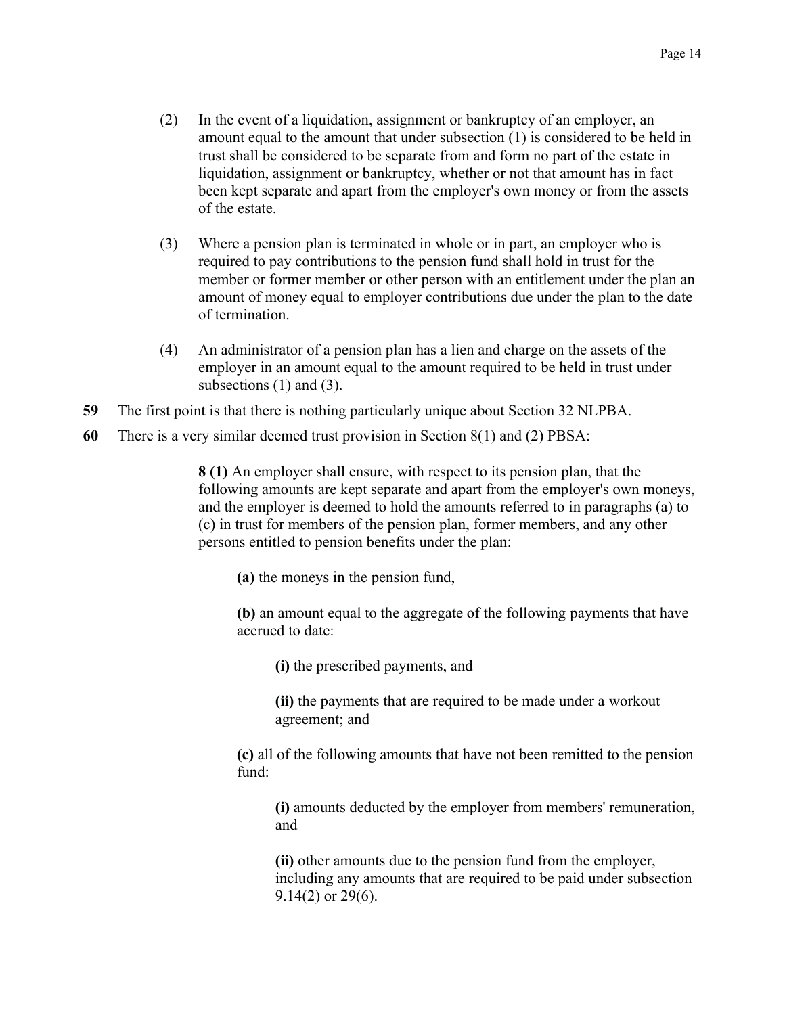- $(2)$ In the event of a liquidation, assignment or bankruptcy of an employer, an amount equal to the amount that under subsection  $(1)$  is considered to be held in trust shall be considered to be separate from and form no part of the estate in liquidation, assignment or bankruptcy, whether or not that amount has in fact been kept separate and apart from the employer's own money or from the assets of the estate.
- Where a pension plan is terminated in whole or in part, an employer who is  $(3)$ required to pay contributions to the pension fund shall hold in trust for the member or former member or other person with an entitlement under the plan an amount of money equal to employer contributions due under the plan to the date of termination.
- $(4)$ An administrator of a pension plan has a lien and charge on the assets of the employer in an amount equal to the amount required to be held in trust under subsections  $(1)$  and  $(3)$ .
- 59 The first point is that there is nothing particularly unique about Section 32 NLPBA.
- 60 There is a very similar deemed trust provision in Section  $8(1)$  and (2) PBSA:

8 (1) An employer shall ensure, with respect to its pension plan, that the following amounts are kept separate and apart from the employer's own moneys, and the employer is deemed to hold the amounts referred to in paragraphs (a) to (c) in trust for members of the pension plan, former members, and any other persons entitled to pension benefits under the plan:

(a) the moneys in the pension fund,

(b) an amount equal to the aggregate of the following payments that have accrued to date:

(i) the prescribed payments, and

(ii) the payments that are required to be made under a workout agreement; and

(c) all of the following amounts that have not been remitted to the pension fund $\cdot$ 

(i) amounts deducted by the employer from members' remuneration. and

(ii) other amounts due to the pension fund from the employer, including any amounts that are required to be paid under subsection  $9.14(2)$  or  $29(6)$ .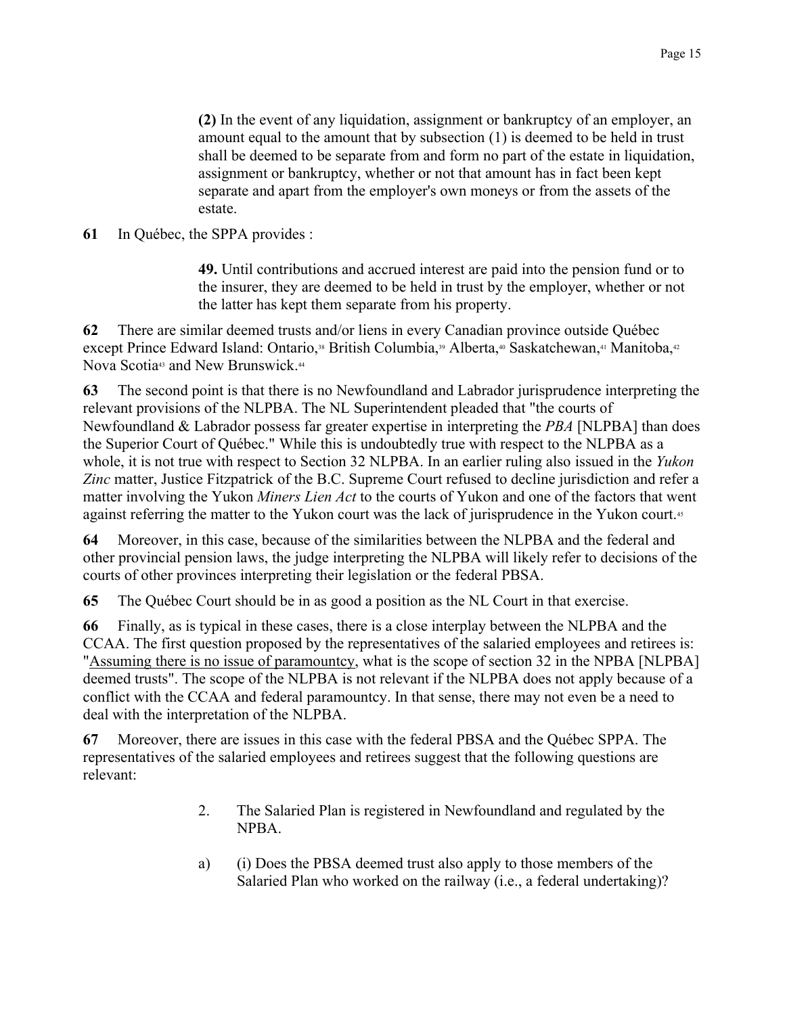(2) In the event of any liquidation, assignment or bankruptcy of an employer, an amount equal to the amount that by subsection (1) is deemed to be held in trust shall be deemed to be separate from and form no part of the estate in liquidation, assignment or bankruptcy, whether or not that amount has in fact been kept separate and apart from the employer's own moneys or from the assets of the estate.

#### 61 In Québec, the SPPA provides :

49. Until contributions and accrued interest are paid into the pension fund or to the insurer, they are deemed to be held in trust by the employer, whether or not the latter has kept them separate from his property.

62 There are similar deemed trusts and/or liens in every Canadian province outside Québec except Prince Edward Island: Ontario,<sup>38</sup> British Columbia,<sup>39</sup> Alberta,<sup>40</sup> Saskatchewan,<sup>41</sup> Manitoba,<sup>42</sup> Nova Scotia<sup>43</sup> and New Brunswick.<sup>44</sup>

63 The second point is that there is no Newfoundland and Labrador jurisprudence interpreting the relevant provisions of the NLPBA. The NL Superintendent pleaded that "the courts of Newfoundland & Labrador possess far greater expertise in interpreting the PBA [NLPBA] than does the Superior Court of Québec." While this is undoubtedly true with respect to the NLPBA as a whole, it is not true with respect to Section 32 NLPBA. In an earlier ruling also issued in the Yukon Zinc matter, Justice Fitzpatrick of the B.C. Supreme Court refused to decline jurisdiction and refer a matter involving the Yukon Miners Lien Act to the courts of Yukon and one of the factors that went against referring the matter to the Yukon court was the lack of jurisprudence in the Yukon court.<sup>45</sup>

64 Moreover, in this case, because of the similarities between the NLPBA and the federal and other provincial pension laws, the judge interpreting the NLPBA will likely refer to decisions of the courts of other provinces interpreting their legislation or the federal PBSA.

65 The Québec Court should be in as good a position as the NL Court in that exercise.

66 Finally, as is typical in these cases, there is a close interplay between the NLPBA and the CCAA. The first question proposed by the representatives of the salaried employees and retirees is: "Assuming there is no issue of paramountcy, what is the scope of section 32 in the NPBA [NLPBA] deemed trusts". The scope of the NLPBA is not relevant if the NLPBA does not apply because of a conflict with the CCAA and federal paramountcy. In that sense, there may not even be a need to deal with the interpretation of the NLPBA.

Moreover, there are issues in this case with the federal PBSA and the Québec SPPA. The 67 representatives of the salaried employees and retirees suggest that the following questions are relevant:

- $2.$ The Salaried Plan is registered in Newfoundland and regulated by the NPBA.
- (i) Does the PBSA deemed trust also apply to those members of the a) Salaried Plan who worked on the railway (i.e., a federal undertaking)?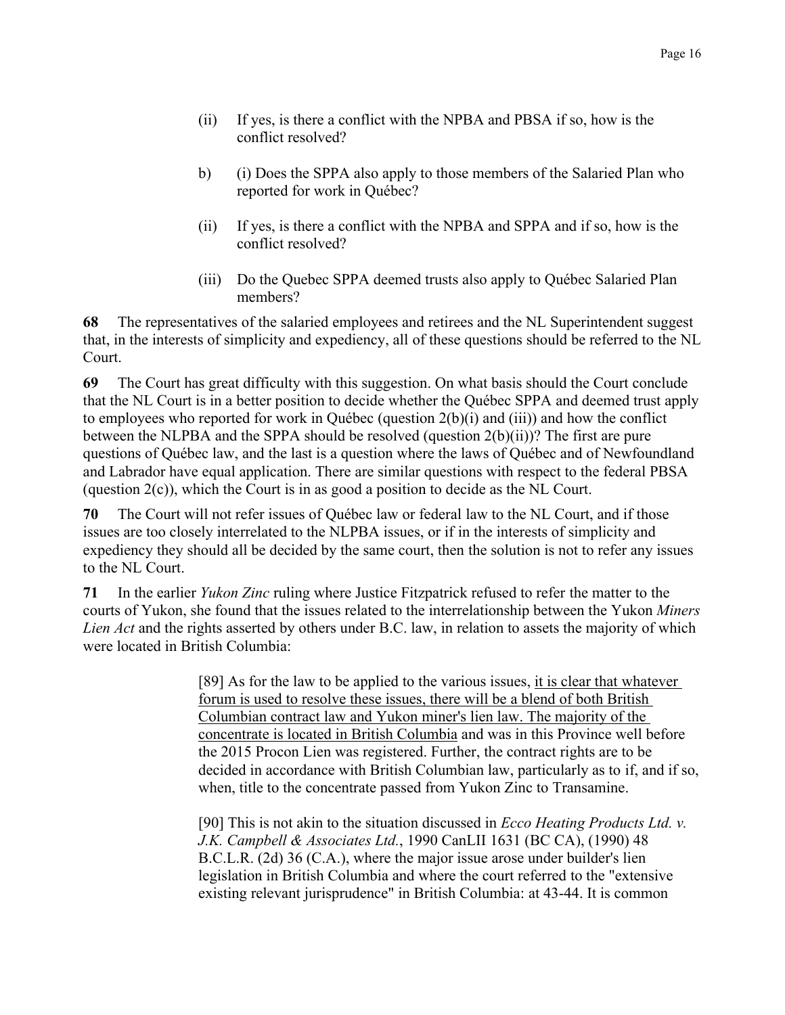- $(ii)$ If yes, is there a conflict with the NPBA and PBSA if so, how is the conflict resolved?
- (i) Does the SPPA also apply to those members of the Salaried Plan who  $b)$ reported for work in Québec?
- $(ii)$ If yes, is there a conflict with the NPBA and SPPA and if so, how is the conflict resolved?
- Do the Quebec SPPA deemed trusts also apply to Québec Salaried Plan  $(iii)$ members?

The representatives of the salaried employees and retirees and the NL Superintendent suggest 68 that, in the interests of simplicity and expediency, all of these questions should be referred to the NL Court.

69 The Court has great difficulty with this suggestion. On what basis should the Court conclude that the NL Court is in a better position to decide whether the Québec SPPA and deemed trust apply to employees who reported for work in Québec (question 2(b)(i) and (iii)) and how the conflict between the NLPBA and the SPPA should be resolved (question  $2(b)(ii)$ )? The first are pure questions of Québec law, and the last is a question where the laws of Québec and of Newfoundland and Labrador have equal application. There are similar questions with respect to the federal PBSA (question  $2(c)$ ), which the Court is in as good a position to decide as the NL Court.

70 The Court will not refer issues of Québec law or federal law to the NL Court, and if those issues are too closely interrelated to the NLPBA issues, or if in the interests of simplicity and expediency they should all be decided by the same court, then the solution is not to refer any issues to the NL Court.

71 In the earlier *Yukon Zinc* ruling where Justice Fitzpatrick refused to refer the matter to the courts of Yukon, she found that the issues related to the interrelationship between the Yukon Miners *Lien Act* and the rights asserted by others under B.C. law, in relation to assets the majority of which were located in British Columbia:

> [89] As for the law to be applied to the various issues, it is clear that whatever forum is used to resolve these issues, there will be a blend of both British Columbian contract law and Yukon miner's lien law. The majority of the concentrate is located in British Columbia and was in this Province well before the 2015 Procon Lien was registered. Further, the contract rights are to be decided in accordance with British Columbian law, particularly as to if, and if so, when, title to the concentrate passed from Yukon Zinc to Transamine.

[90] This is not akin to the situation discussed in *Ecco Heating Products Ltd.*  $\nu$ . J.K. Campbell & Associates Ltd., 1990 CanLII 1631 (BC CA), (1990) 48 B.C.L.R. (2d) 36 (C.A.), where the major issue arose under builder's lien legislation in British Columbia and where the court referred to the "extensive" existing relevant jurisprudence" in British Columbia: at 43-44. It is common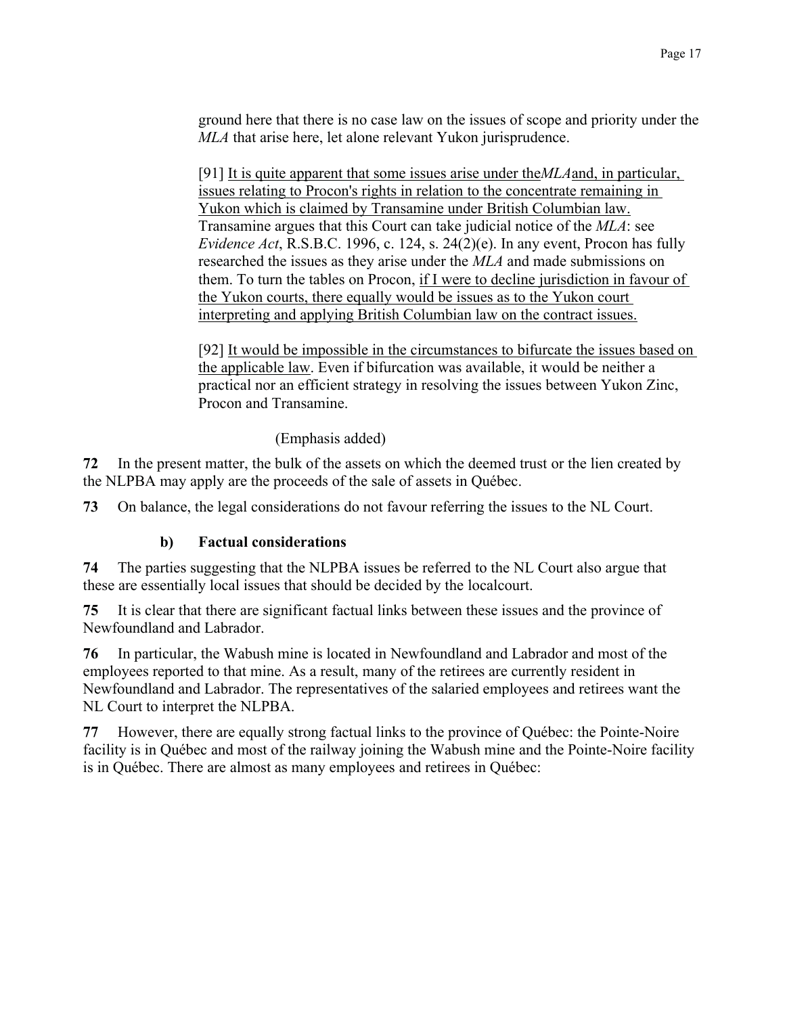ground here that there is no case law on the issues of scope and priority under the MLA that arise here, let alone relevant Yukon jurisprudence.

[91] It is quite apparent that some issues arise under the  $MLA$  and, in particular, issues relating to Procon's rights in relation to the concentrate remaining in Yukon which is claimed by Transamine under British Columbian law. Transamine argues that this Court can take judicial notice of the MLA: see *Evidence Act*, R.S.B.C. 1996, c. 124, s. 24(2)(e). In any event, Procon has fully researched the issues as they arise under the MLA and made submissions on them. To turn the tables on Procon, if I were to decline jurisdiction in favour of the Yukon courts, there equally would be issues as to the Yukon court interpreting and applying British Columbian law on the contract issues.

[92] It would be impossible in the circumstances to bifurcate the issues based on the applicable law. Even if bifurcation was available, it would be neither a practical nor an efficient strategy in resolving the issues between Yukon Zinc, Procon and Transamine.

(Emphasis added)

72 In the present matter, the bulk of the assets on which the deemed trust or the lien created by the NLPBA may apply are the proceeds of the sale of assets in Québec.

73 On balance, the legal considerations do not favour referring the issues to the NL Court.

#### $\mathbf{b}$ **Factual considerations**

74 The parties suggesting that the NLPBA issues be referred to the NL Court also argue that these are essentially local issues that should be decided by the localcourt.

75 It is clear that there are significant factual links between these issues and the province of Newfoundland and Labrador.

76 In particular, the Wabush mine is located in Newfoundland and Labrador and most of the employees reported to that mine. As a result, many of the retirees are currently resident in Newfoundland and Labrador. The representatives of the salaried employees and retirees want the NL Court to interpret the NLPBA.

77 However, there are equally strong factual links to the province of Québec: the Pointe-Noire facility is in Ouébec and most of the railway joining the Wabush mine and the Pointe-Noire facility is in Québec. There are almost as many employees and retirees in Québec: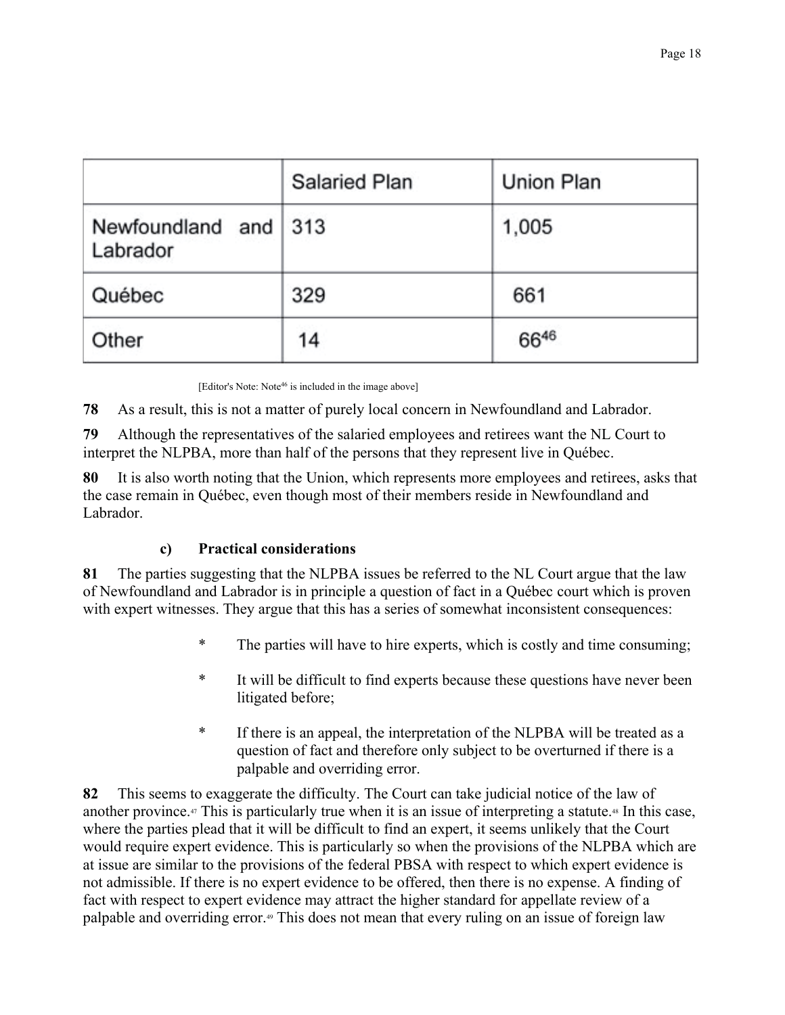|                                  | <b>Salaried Plan</b> | Union Plan |
|----------------------------------|----------------------|------------|
| Newfoundland and 313<br>Labrador |                      | 1,005      |
| Québec                           | 329                  | 661        |
| Other                            | 14                   | 6646       |

[Editor's Note: Note<sup>46</sup> is included in the image above]

78 As a result, this is not a matter of purely local concern in Newfoundland and Labrador.

79 Although the representatives of the salaried employees and retirees want the NL Court to interpret the NLPBA, more than half of the persons that they represent live in Québec.

80 It is also worth noting that the Union, which represents more employees and retirees, asks that the case remain in Québec, even though most of their members reside in Newfoundland and Labrador.

#### $\mathbf{c}$ **Practical considerations**

The parties suggesting that the NLPBA issues be referred to the NL Court argue that the law 81 of Newfoundland and Labrador is in principle a question of fact in a Québec court which is proven with expert witnesses. They argue that this has a series of somewhat inconsistent consequences:

- $\ast$ The parties will have to hire experts, which is costly and time consuming;
- $\ast$ It will be difficult to find experts because these questions have never been litigated before;
- $\ast$ If there is an appeal, the interpretation of the NLPBA will be treated as a question of fact and therefore only subject to be overturned if there is a palpable and overriding error.

82 This seems to exaggerate the difficulty. The Court can take judicial notice of the law of another province.<sup>47</sup> This is particularly true when it is an issue of interpreting a statute.<sup>48</sup> In this case, where the parties plead that it will be difficult to find an expert, it seems unlikely that the Court would require expert evidence. This is particularly so when the provisions of the NLPBA which are at issue are similar to the provisions of the federal PBSA with respect to which expert evidence is not admissible. If there is no expert evidence to be offered, then there is no expense. A finding of fact with respect to expert evidence may attract the higher standard for appellate review of a palpable and overriding error.<sup>49</sup> This does not mean that every ruling on an issue of foreign law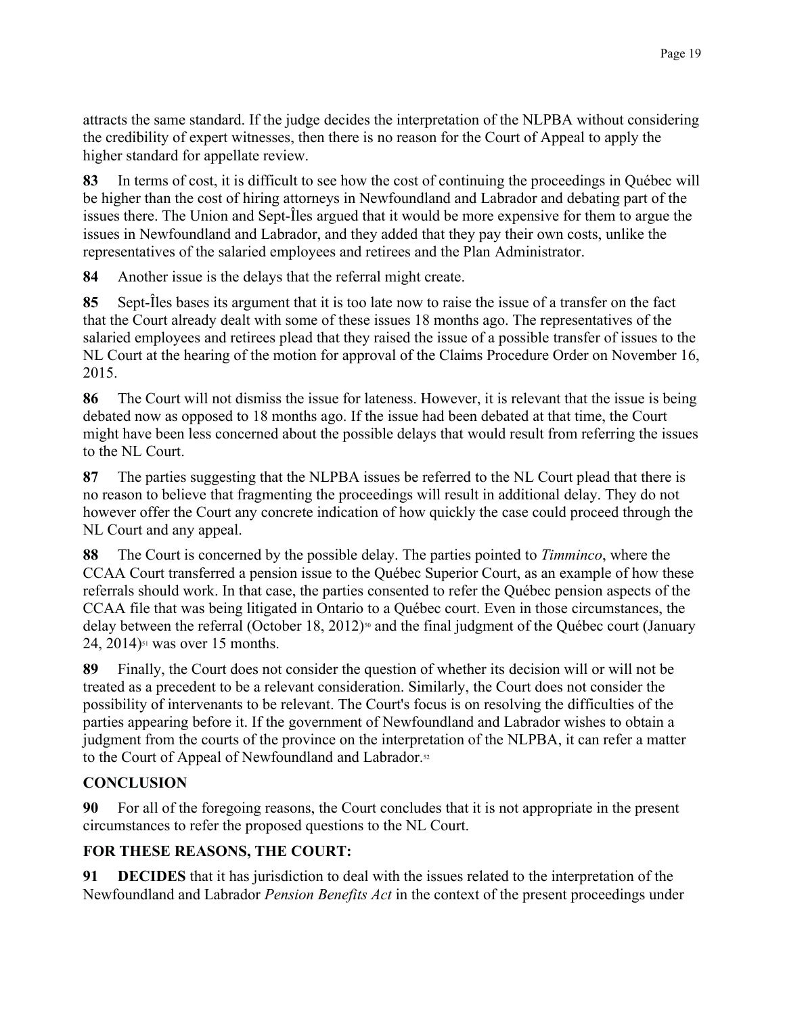attracts the same standard. If the judge decides the interpretation of the NLPBA without considering the credibility of expert witnesses, then there is no reason for the Court of Appeal to apply the higher standard for appellate review.

In terms of cost, it is difficult to see how the cost of continuing the proceedings in Québec will 83 be higher than the cost of hiring attorneys in Newfoundland and Labrador and debating part of the issues there. The Union and Sept-Iles argued that it would be more expensive for them to argue the issues in Newfoundland and Labrador, and they added that they pay their own costs, unlike the representatives of the salaried employees and retirees and the Plan Administrator.

84 Another issue is the delays that the referral might create.

85 Sept-Iles bases its argument that it is too late now to raise the issue of a transfer on the fact that the Court already dealt with some of these issues 18 months ago. The representatives of the salaried employees and retirees plead that they raised the issue of a possible transfer of issues to the NL Court at the hearing of the motion for approval of the Claims Procedure Order on November 16,  $2015.$ 

86 The Court will not dismiss the issue for lateness. However, it is relevant that the issue is being debated now as opposed to 18 months ago. If the issue had been debated at that time, the Court might have been less concerned about the possible delays that would result from referring the issues to the NL Court.

87 The parties suggesting that the NLPBA issues be referred to the NL Court plead that there is no reason to believe that fragmenting the proceedings will result in additional delay. They do not however offer the Court any concrete indication of how quickly the case could proceed through the NL Court and any appeal.

The Court is concerned by the possible delay. The parties pointed to *Timminco*, where the 88 CCAA Court transferred a pension issue to the Québec Superior Court, as an example of how these referrals should work. In that case, the parties consented to refer the Québec pension aspects of the CCAA file that was being litigated in Ontario to a Québec court. Even in those circumstances, the delay between the referral (October 18, 2012)<sup>50</sup> and the final judgment of the Québec court (January 24, 2014)<sup>51</sup> was over 15 months.

89 Finally, the Court does not consider the question of whether its decision will or will not be treated as a precedent to be a relevant consideration. Similarly, the Court does not consider the possibility of intervenants to be relevant. The Court's focus is on resolving the difficulties of the parties appearing before it. If the government of Newfoundland and Labrador wishes to obtain a judgment from the courts of the province on the interpretation of the NLPBA, it can refer a matter to the Court of Appeal of Newfoundland and Labrador.<sup>52</sup>

# **CONCLUSION**

For all of the foregoing reasons, the Court concludes that it is not appropriate in the present 90 circumstances to refer the proposed questions to the NL Court.

# FOR THESE REASONS, THE COURT:

91 **DECIDES** that it has jurisdiction to deal with the issues related to the interpretation of the Newfoundland and Labrador Pension Benefits Act in the context of the present proceedings under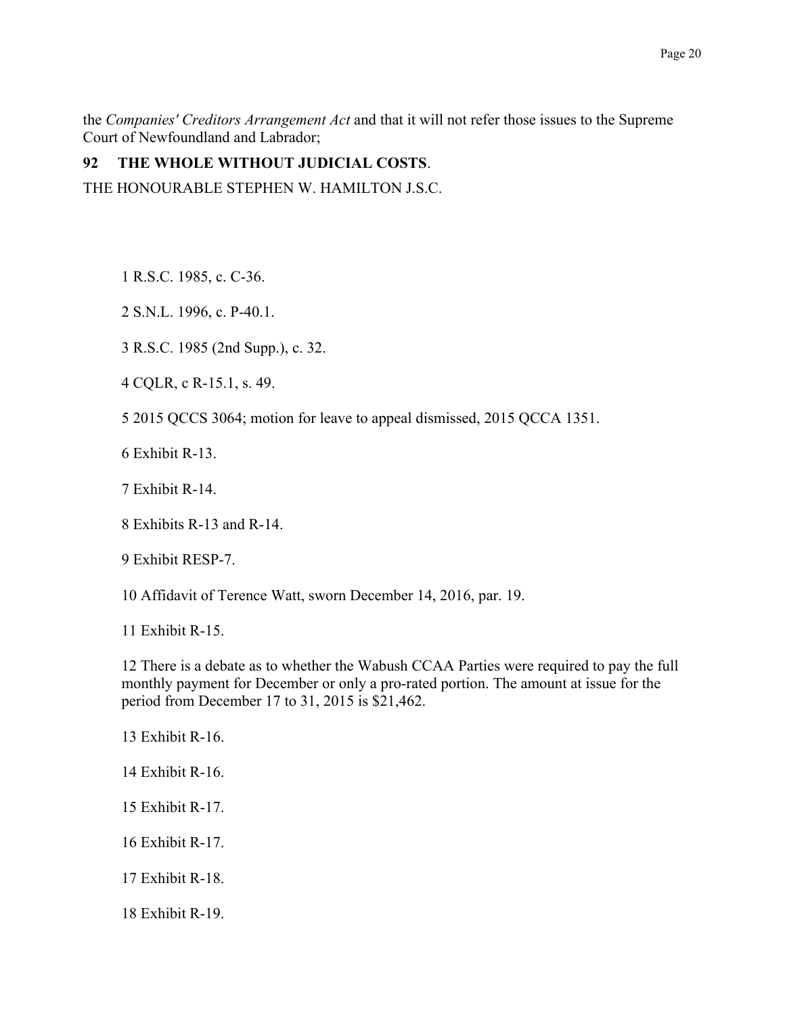the Companies' Creditors Arrangement Act and that it will not refer those issues to the Supreme Court of Newfoundland and Labrador;

#### 92 THE WHOLE WITHOUT JUDICIAL COSTS.

THE HONOURABLE STEPHEN W. HAMILTON J.S.C.

1 R.S.C. 1985, c. C-36.

2 S.N.L. 1996, c. P-40.1.

3 R.S.C. 1985 (2nd Supp.), c. 32.

4 CQLR, c R-15.1, s. 49.

5 2015 QCCS 3064; motion for leave to appeal dismissed, 2015 QCCA 1351.

 $6$  Exhibit R-13

7 Exhibit R-14.

8 Exhibits R-13 and R-14

9 Exhibit RESP-7.

10 Affidavit of Terence Watt, sworn December 14, 2016, par. 19.

11 Exhibit R-15

12 There is a debate as to whether the Wabush CCAA Parties were required to pay the full monthly payment for December or only a pro-rated portion. The amount at issue for the period from December 17 to 31, 2015 is \$21,462.

13 Exhibit R-16.

14 Exhibit  $R-16$ 

15 Exhibit R-17.

16 Exhibit R-17.

17 Exhibit R-18.

18 Exhibit R-19.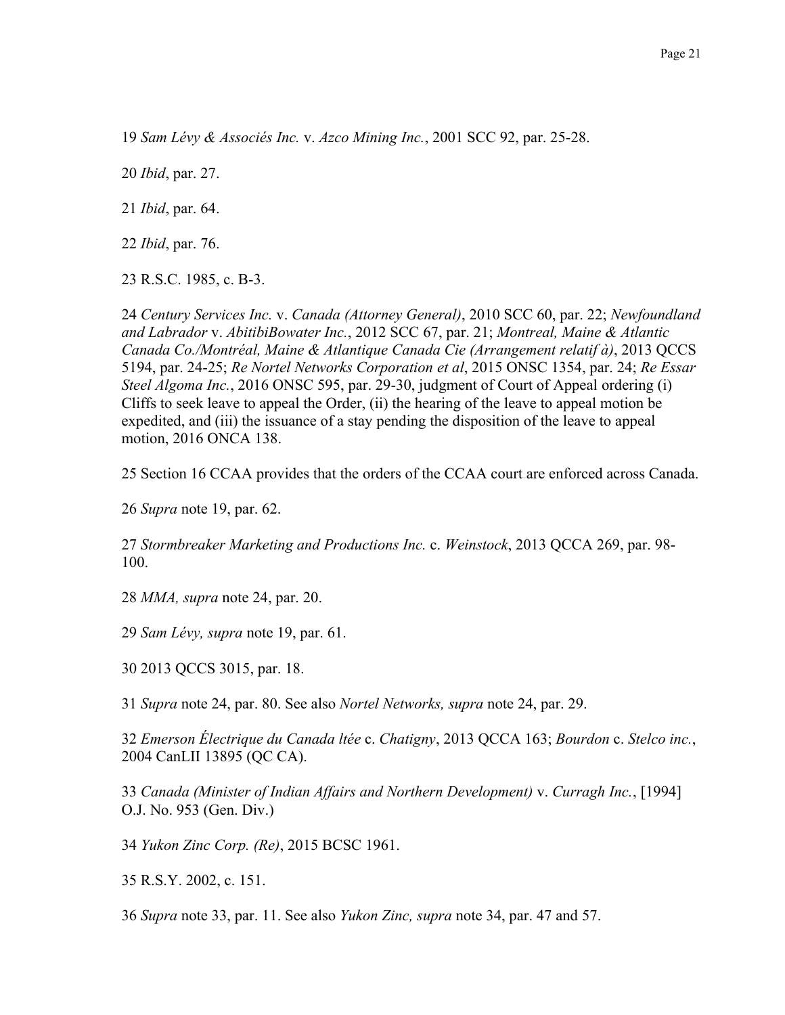19 Sam Lévy & Associés Inc. v. Azco Mining Inc., 2001 SCC 92, par. 25-28.

20 *Ibid*, par. 27.

21 *Ibid*, par. 64.

22 *Ibid*, par. 76.

23 R.S.C. 1985, c. B-3.

24 Century Services Inc. v. Canada (Attorney General), 2010 SCC 60, par. 22; Newfoundland and Labrador v. AbitibiBowater Inc., 2012 SCC 67, par. 21; Montreal, Maine & Atlantic Canada Co./Montréal, Maine & Atlantique Canada Cie (Arrangement relatif à), 2013 QCCS 5194, par. 24-25; Re Nortel Networks Corporation et al., 2015 ONSC 1354, par. 24; Re Essar Steel Algoma Inc., 2016 ONSC 595, par. 29-30, judgment of Court of Appeal ordering (i) Cliffs to seek leave to appeal the Order, (ii) the hearing of the leave to appeal motion be expedited, and (iii) the issuance of a stay pending the disposition of the leave to appeal motion, 2016 ONCA 138.

25 Section 16 CCAA provides that the orders of the CCAA court are enforced across Canada.

26 Supra note 19, par. 62.

27 Stormbreaker Marketing and Productions Inc. c. Weinstock, 2013 QCCA 269, par. 98-100

28 MMA, supra note 24, par. 20.

29 Sam Lévy, supra note 19, par. 61.

30 2013 QCCS 3015, par. 18.

31 Supra note 24, par. 80. See also Nortel Networks, supra note 24, par. 29.

32 Emerson Électrique du Canada ltée c. Chatigny, 2013 QCCA 163; Bourdon c. Stelco inc., 2004 CanLII 13895 (QC CA).

33 Canada (Minister of Indian Affairs and Northern Development) v. Curragh Inc., [1994] O.J. No. 953 (Gen. Div.)

34 Yukon Zinc Corp. (Re), 2015 BCSC 1961.

35 R.S.Y. 2002, c. 151.

36 Supra note 33, par. 11. See also Yukon Zinc, supra note 34, par. 47 and 57.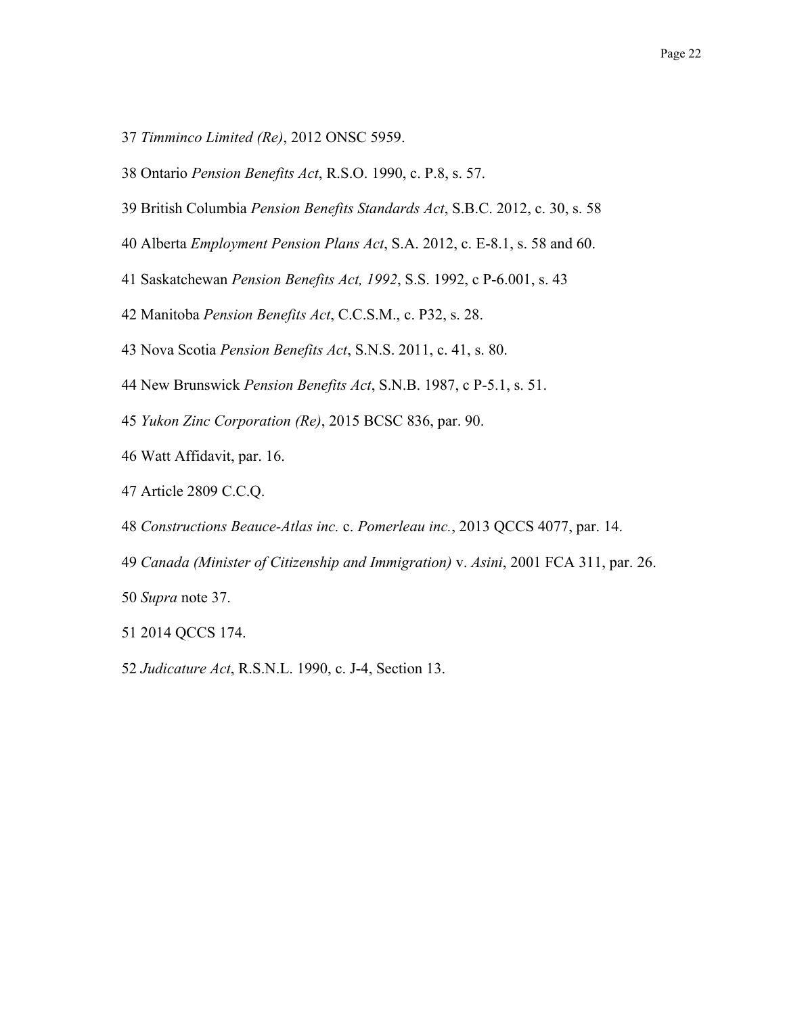- 37 Timminco Limited (Re), 2012 ONSC 5959.
- 38 Ontario Pension Benefits Act, R.S.O. 1990, c. P.8, s. 57.
- 39 British Columbia Pension Benefits Standards Act, S.B.C. 2012, c. 30, s. 58
- 40 Alberta *Employment Pension Plans Act*, S.A. 2012, c. E-8.1, s. 58 and 60.
- 41 Saskatchewan Pension Benefits Act, 1992, S.S. 1992, c P-6.001, s. 43
- 42 Manitoba Pension Benefits Act, C.C.S.M., c. P32, s. 28.
- 43 Nova Scotia Pension Benefits Act, S.N.S. 2011, c. 41, s. 80.
- 44 New Brunswick Pension Benefits Act, S.N.B. 1987, c P-5.1, s. 51.
- 45 Yukon Zinc Corporation (Re), 2015 BCSC 836, par. 90.
- 46 Watt Affidavit, par. 16.
- 47 Article 2809 C.C.Q.
- 48 Constructions Beauce-Atlas inc. c. Pomerleau inc., 2013 QCCS 4077, par. 14.
- 49 Canada (Minister of Citizenship and Immigration) v. Asini, 2001 FCA 311, par. 26.
- 50 Supra note 37.
- 51 2014 QCCS 174.
- 52 Judicature Act, R.S.N.L. 1990, c. J-4, Section 13.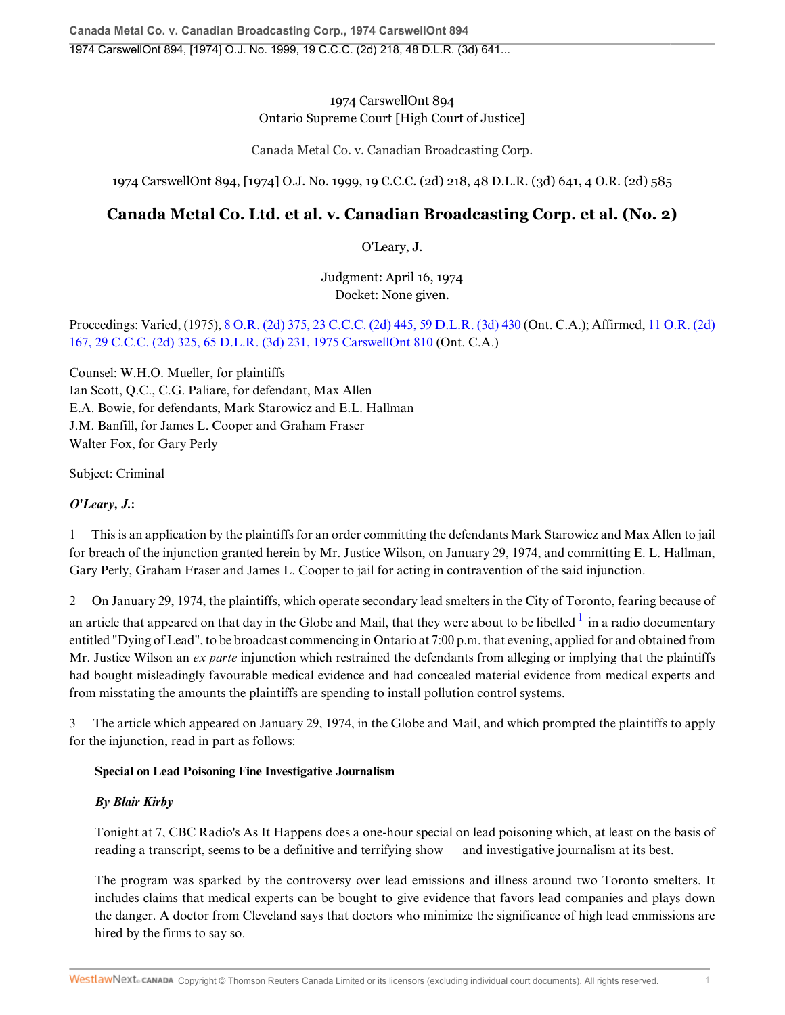## 1974 CarswellOnt 894 Ontario Supreme Court [High Court of Justice]

Canada Metal Co. v. Canadian Broadcasting Corp.

1974 CarswellOnt 894, [1974] O.J. No. 1999, 19 C.C.C. (2d) 218, 48 D.L.R. (3d) 641, 4 O.R. (2d) 585

# **Canada Metal Co. Ltd. et al. v. Canadian Broadcasting Corp. et al. (No. 2)**

O'Leary, J.

Judgment: April 16, 1974 Docket: None given.

## Proceedings: Varied, (1975), 8 O.R. (2d) 375, 23 C.C.C. (2d) 445, 59 D.L.R. (3d) 430 (Ont. C.A.); Affirmed, 11 O.R. (2d) 167, 29 C.C.C. (2d) 325, 65 D.L.R. (3d) 231, 1975 CarswellOnt 810 (Ont. C.A.)

Counsel: W.H.O. Mueller, for plaintiffs Ian Scott, Q.C., C.G. Paliare, for defendant, Max Allen E.A. Bowie, for defendants, Mark Starowicz and E.L. Hallman J.M. Banfill, for James L. Cooper and Graham Fraser Walter Fox, for Gary Perly

Subject: Criminal

## *O'Leary, J.***:**

1 This is an application by the plaintiffs for an order committing the defendants Mark Starowicz and Max Allen to jail for breach of the injunction granted herein by Mr. Justice Wilson, on January 29, 1974, and committing E. L. Hallman, Gary Perly, Graham Fraser and James L. Cooper to jail for acting in contravention of the said injunction.

2 On January 29, 1974, the plaintiffs, which operate secondary lead smelters in the City of Toronto, fearing because of

an article that appeared on that day in the Globe and Mail, that they were about to be libelled  $^1$  in a radio documentary entitled "Dying of Lead", to be broadcast commencing in Ontario at 7:00 p.m. that evening, applied for and obtained from Mr. Justice Wilson an *ex parte* injunction which restrained the defendants from alleging or implying that the plaintiffs had bought misleadingly favourable medical evidence and had concealed material evidence from medical experts and from misstating the amounts the plaintiffs are spending to install pollution control systems.

3 The article which appeared on January 29, 1974, in the Globe and Mail, and which prompted the plaintiffs to apply for the injunction, read in part as follows:

## **Special on Lead Poisoning Fine Investigative Journalism**

## *By Blair Kirby*

Tonight at 7, CBC Radio's As It Happens does a one-hour special on lead poisoning which, at least on the basis of reading a transcript, seems to be a definitive and terrifying show — and investigative journalism at its best.

The program was sparked by the controversy over lead emissions and illness around two Toronto smelters. It includes claims that medical experts can be bought to give evidence that favors lead companies and plays down the danger. A doctor from Cleveland says that doctors who minimize the significance of high lead emmissions are hired by the firms to say so.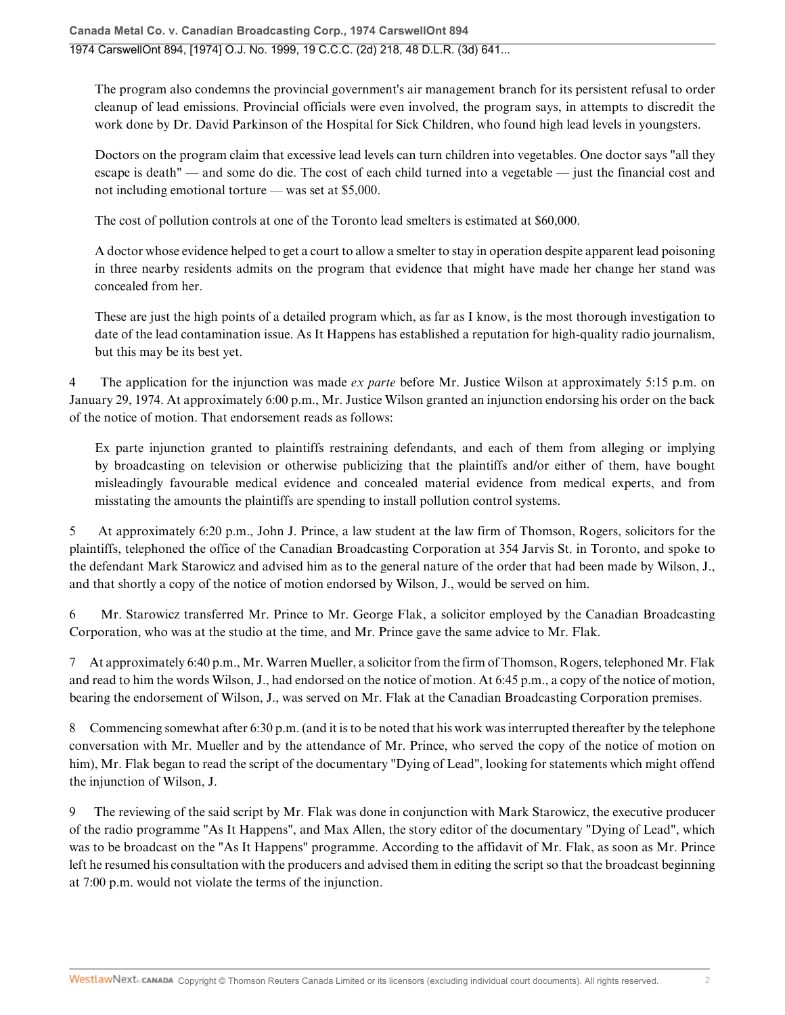The program also condemns the provincial government's air management branch for its persistent refusal to order cleanup of lead emissions. Provincial officials were even involved, the program says, in attempts to discredit the work done by Dr. David Parkinson of the Hospital for Sick Children, who found high lead levels in youngsters.

Doctors on the program claim that excessive lead levels can turn children into vegetables. One doctor says "all they escape is death" — and some do die. The cost of each child turned into a vegetable — just the financial cost and not including emotional torture — was set at \$5,000.

The cost of pollution controls at one of the Toronto lead smelters is estimated at \$60,000.

A doctor whose evidence helped to get a court to allow a smelter to stay in operation despite apparent lead poisoning in three nearby residents admits on the program that evidence that might have made her change her stand was concealed from her.

These are just the high points of a detailed program which, as far as I know, is the most thorough investigation to date of the lead contamination issue. As It Happens has established a reputation for high-quality radio journalism, but this may be its best yet.

4 The application for the injunction was made *ex parte* before Mr. Justice Wilson at approximately 5:15 p.m. on January 29, 1974. At approximately 6:00 p.m., Mr. Justice Wilson granted an injunction endorsing his order on the back of the notice of motion. That endorsement reads as follows:

Ex parte injunction granted to plaintiffs restraining defendants, and each of them from alleging or implying by broadcasting on television or otherwise publicizing that the plaintiffs and/or either of them, have bought misleadingly favourable medical evidence and concealed material evidence from medical experts, and from misstating the amounts the plaintiffs are spending to install pollution control systems.

5 At approximately 6:20 p.m., John J. Prince, a law student at the law firm of Thomson, Rogers, solicitors for the plaintiffs, telephoned the office of the Canadian Broadcasting Corporation at 354 Jarvis St. in Toronto, and spoke to the defendant Mark Starowicz and advised him as to the general nature of the order that had been made by Wilson, J., and that shortly a copy of the notice of motion endorsed by Wilson, J., would be served on him.

6 Mr. Starowicz transferred Mr. Prince to Mr. George Flak, a solicitor employed by the Canadian Broadcasting Corporation, who was at the studio at the time, and Mr. Prince gave the same advice to Mr. Flak.

7 At approximately 6:40 p.m., Mr. Warren Mueller, a solicitor from the firm of Thomson, Rogers, telephoned Mr. Flak and read to him the words Wilson, J., had endorsed on the notice of motion. At 6:45 p.m., a copy of the notice of motion, bearing the endorsement of Wilson, J., was served on Mr. Flak at the Canadian Broadcasting Corporation premises.

8 Commencing somewhat after 6:30 p.m. (and it is to be noted that his work was interrupted thereafter by the telephone conversation with Mr. Mueller and by the attendance of Mr. Prince, who served the copy of the notice of motion on him), Mr. Flak began to read the script of the documentary "Dying of Lead", looking for statements which might offend the injunction of Wilson, J.

9 The reviewing of the said script by Mr. Flak was done in conjunction with Mark Starowicz, the executive producer of the radio programme "As It Happens", and Max Allen, the story editor of the documentary "Dying of Lead", which was to be broadcast on the "As It Happens" programme. According to the affidavit of Mr. Flak, as soon as Mr. Prince left he resumed his consultation with the producers and advised them in editing the script so that the broadcast beginning at 7:00 p.m. would not violate the terms of the injunction.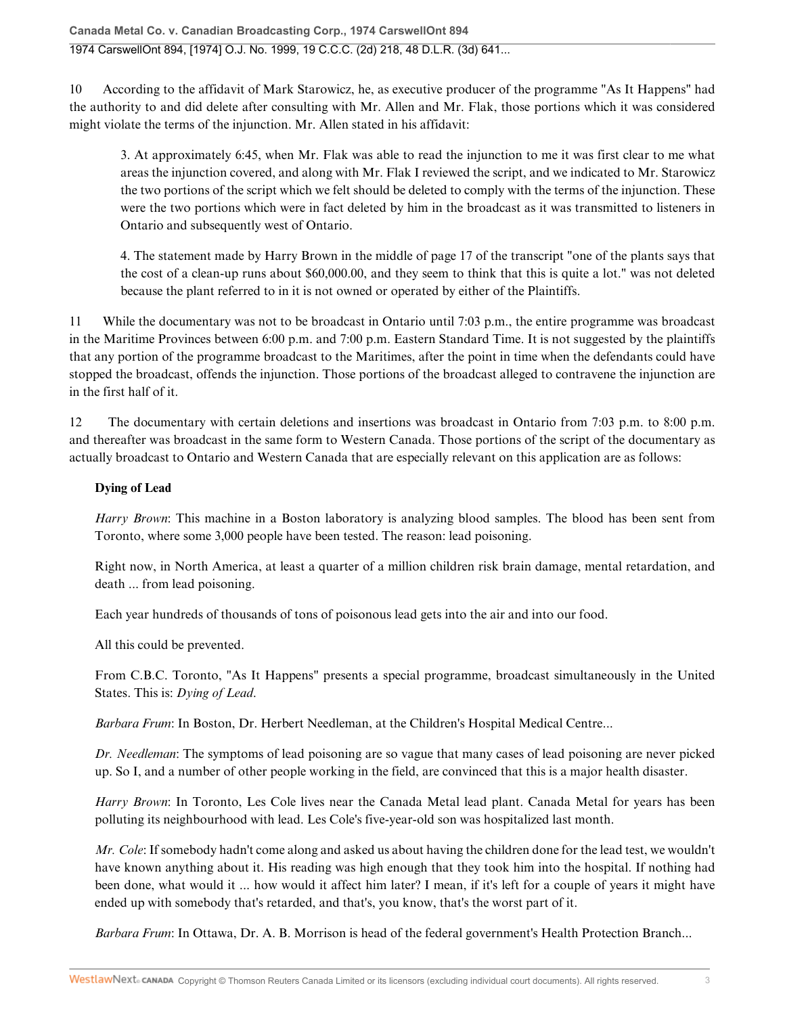10 According to the affidavit of Mark Starowicz, he, as executive producer of the programme "As It Happens" had the authority to and did delete after consulting with Mr. Allen and Mr. Flak, those portions which it was considered might violate the terms of the injunction. Mr. Allen stated in his affidavit:

3. At approximately 6:45, when Mr. Flak was able to read the injunction to me it was first clear to me what areas the injunction covered, and along with Mr. Flak I reviewed the script, and we indicated to Mr. Starowicz the two portions of the script which we felt should be deleted to comply with the terms of the injunction. These were the two portions which were in fact deleted by him in the broadcast as it was transmitted to listeners in Ontario and subsequently west of Ontario.

4. The statement made by Harry Brown in the middle of page 17 of the transcript "one of the plants says that the cost of a clean-up runs about \$60,000.00, and they seem to think that this is quite a lot." was not deleted because the plant referred to in it is not owned or operated by either of the Plaintiffs.

11 While the documentary was not to be broadcast in Ontario until 7:03 p.m., the entire programme was broadcast in the Maritime Provinces between 6:00 p.m. and 7:00 p.m. Eastern Standard Time. It is not suggested by the plaintiffs that any portion of the programme broadcast to the Maritimes, after the point in time when the defendants could have stopped the broadcast, offends the injunction. Those portions of the broadcast alleged to contravene the injunction are in the first half of it.

12 The documentary with certain deletions and insertions was broadcast in Ontario from 7:03 p.m. to 8:00 p.m. and thereafter was broadcast in the same form to Western Canada. Those portions of the script of the documentary as actually broadcast to Ontario and Western Canada that are especially relevant on this application are as follows:

## **Dying of Lead**

*Harry Brown*: This machine in a Boston laboratory is analyzing blood samples. The blood has been sent from Toronto, where some 3,000 people have been tested. The reason: lead poisoning.

Right now, in North America, at least a quarter of a million children risk brain damage, mental retardation, and death ... from lead poisoning.

Each year hundreds of thousands of tons of poisonous lead gets into the air and into our food.

All this could be prevented.

From C.B.C. Toronto, "As It Happens" presents a special programme, broadcast simultaneously in the United States. This is: *Dying of Lead*.

*Barbara Frum*: In Boston, Dr. Herbert Needleman, at the Children's Hospital Medical Centre...

*Dr. Needleman*: The symptoms of lead poisoning are so vague that many cases of lead poisoning are never picked up. So I, and a number of other people working in the field, are convinced that this is a major health disaster.

*Harry Brown*: In Toronto, Les Cole lives near the Canada Metal lead plant. Canada Metal for years has been polluting its neighbourhood with lead. Les Cole's five-year-old son was hospitalized last month.

*Mr. Cole*: If somebody hadn't come along and asked us about having the children done for the lead test, we wouldn't have known anything about it. His reading was high enough that they took him into the hospital. If nothing had been done, what would it ... how would it affect him later? I mean, if it's left for a couple of years it might have ended up with somebody that's retarded, and that's, you know, that's the worst part of it.

*Barbara Frum*: In Ottawa, Dr. A. B. Morrison is head of the federal government's Health Protection Branch...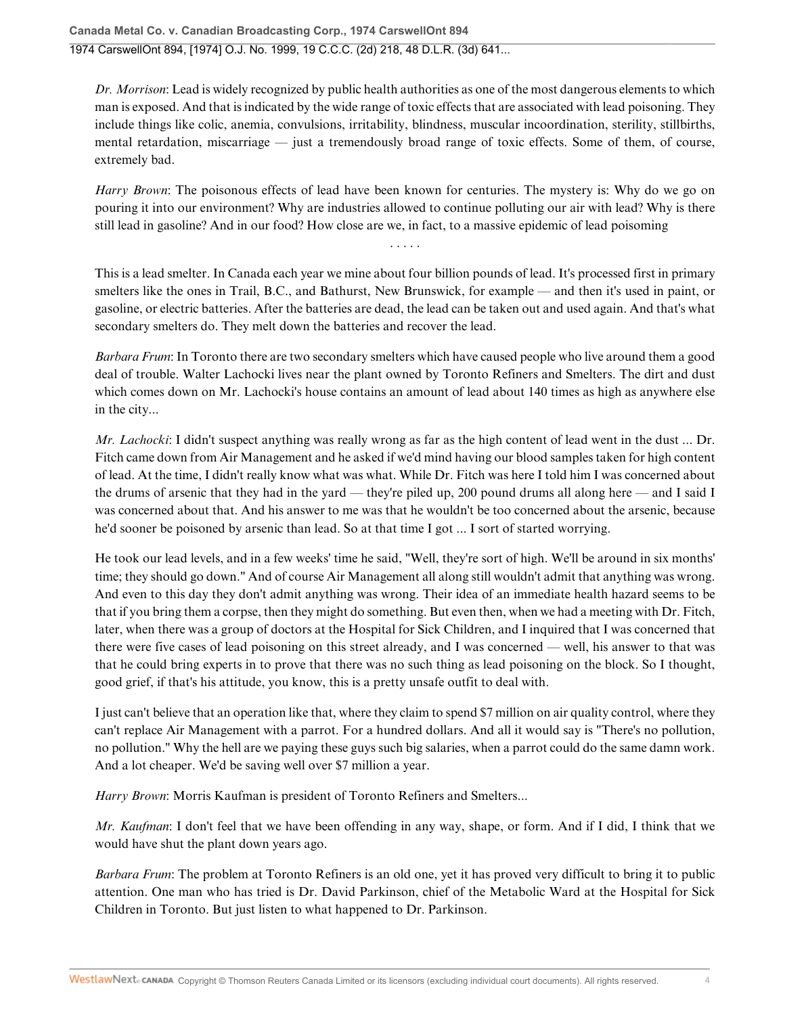*Dr. Morrison*: Lead is widely recognized by public health authorities as one of the most dangerous elements to which man is exposed. And that is indicated by the wide range of toxic effects that are associated with lead poisoning. They include things like colic, anemia, convulsions, irritability, blindness, muscular incoordination, sterility, stillbirths, mental retardation, miscarriage — just a tremendously broad range of toxic effects. Some of them, of course, extremely bad.

*Harry Brown*: The poisonous effects of lead have been known for centuries. The mystery is: Why do we go on pouring it into our environment? Why are industries allowed to continue polluting our air with lead? Why is there still lead in gasoline? And in our food? How close are we, in fact, to a massive epidemic of lead poisoming

This is a lead smelter. In Canada each year we mine about four billion pounds of lead. It's processed first in primary smelters like the ones in Trail, B.C., and Bathurst, New Brunswick, for example — and then it's used in paint, or gasoline, or electric batteries. After the batteries are dead, the lead can be taken out and used again. And that's what secondary smelters do. They melt down the batteries and recover the lead.

*Barbara Frum*: In Toronto there are two secondary smelters which have caused people who live around them a good deal of trouble. Walter Lachocki lives near the plant owned by Toronto Refiners and Smelters. The dirt and dust which comes down on Mr. Lachocki's house contains an amount of lead about 140 times as high as anywhere else in the city...

*Mr. Lachocki*: I didn't suspect anything was really wrong as far as the high content of lead went in the dust ... Dr. Fitch came down from Air Management and he asked if we'd mind having our blood samples taken for high content of lead. At the time, I didn't really know what was what. While Dr. Fitch was here I told him I was concerned about the drums of arsenic that they had in the yard — they're piled up, 200 pound drums all along here — and I said I was concerned about that. And his answer to me was that he wouldn't be too concerned about the arsenic, because he'd sooner be poisoned by arsenic than lead. So at that time I got ... I sort of started worrying.

He took our lead levels, and in a few weeks' time he said, "Well, they're sort of high. We'll be around in six months' time; they should go down." And of course Air Management all along still wouldn't admit that anything was wrong. And even to this day they don't admit anything was wrong. Their idea of an immediate health hazard seems to be that if you bring them a corpse, then they might do something. But even then, when we had a meeting with Dr. Fitch, later, when there was a group of doctors at the Hospital for Sick Children, and I inquired that I was concerned that there were five cases of lead poisoning on this street already, and I was concerned — well, his answer to that was that he could bring experts in to prove that there was no such thing as lead poisoning on the block. So I thought, good grief, if that's his attitude, you know, this is a pretty unsafe outfit to deal with.

I just can't believe that an operation like that, where they claim to spend \$7 million on air quality control, where they can't replace Air Management with a parrot. For a hundred dollars. And all it would say is "There's no pollution, no pollution." Why the hell are we paying these guys such big salaries, when a parrot could do the same damn work. And a lot cheaper. We'd be saving well over \$7 million a year.

*Harry Brown*: Morris Kaufman is president of Toronto Refiners and Smelters...

*Mr. Kaufman*: I don't feel that we have been offending in any way, shape, or form. And if I did, I think that we would have shut the plant down years ago.

*Barbara Frum*: The problem at Toronto Refiners is an old one, yet it has proved very difficult to bring it to public attention. One man who has tried is Dr. David Parkinson, chief of the Metabolic Ward at the Hospital for Sick Children in Toronto. But just listen to what happened to Dr. Parkinson.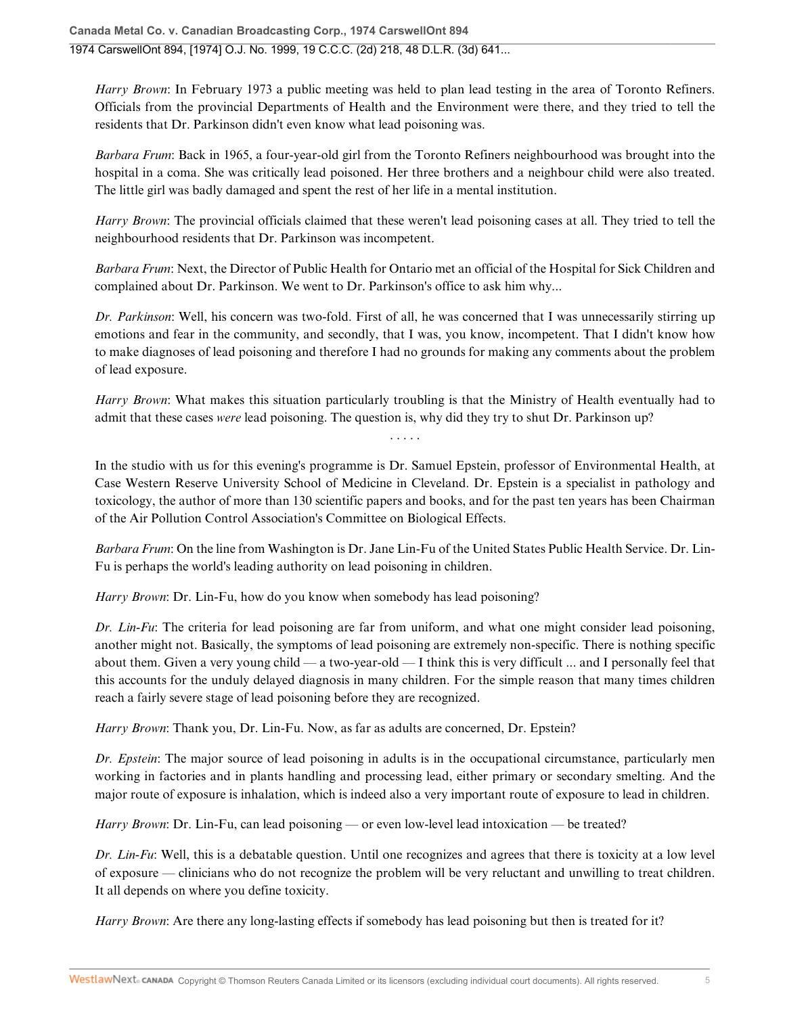*Harry Brown*: In February 1973 a public meeting was held to plan lead testing in the area of Toronto Refiners. Officials from the provincial Departments of Health and the Environment were there, and they tried to tell the residents that Dr. Parkinson didn't even know what lead poisoning was.

*Barbara Frum*: Back in 1965, a four-year-old girl from the Toronto Refiners neighbourhood was brought into the hospital in a coma. She was critically lead poisoned. Her three brothers and a neighbour child were also treated. The little girl was badly damaged and spent the rest of her life in a mental institution.

*Harry Brown*: The provincial officials claimed that these weren't lead poisoning cases at all. They tried to tell the neighbourhood residents that Dr. Parkinson was incompetent.

*Barbara Frum*: Next, the Director of Public Health for Ontario met an official of the Hospital for Sick Children and complained about Dr. Parkinson. We went to Dr. Parkinson's office to ask him why...

*Dr. Parkinson*: Well, his concern was two-fold. First of all, he was concerned that I was unnecessarily stirring up emotions and fear in the community, and secondly, that I was, you know, incompetent. That I didn't know how to make diagnoses of lead poisoning and therefore I had no grounds for making any comments about the problem of lead exposure.

*Harry Brown*: What makes this situation particularly troubling is that the Ministry of Health eventually had to admit that these cases *were* lead poisoning. The question is, why did they try to shut Dr. Parkinson up?

. . . . .

In the studio with us for this evening's programme is Dr. Samuel Epstein, professor of Environmental Health, at Case Western Reserve University School of Medicine in Cleveland. Dr. Epstein is a specialist in pathology and toxicology, the author of more than 130 scientific papers and books, and for the past ten years has been Chairman of the Air Pollution Control Association's Committee on Biological Effects.

*Barbara Frum*: On the line from Washington is Dr. Jane Lin-Fu of the United States Public Health Service. Dr. Lin-Fu is perhaps the world's leading authority on lead poisoning in children.

*Harry Brown*: Dr. Lin-Fu, how do you know when somebody has lead poisoning?

*Dr. Lin-Fu*: The criteria for lead poisoning are far from uniform, and what one might consider lead poisoning, another might not. Basically, the symptoms of lead poisoning are extremely non-specific. There is nothing specific about them. Given a very young child — a two-year-old — I think this is very difficult ... and I personally feel that this accounts for the unduly delayed diagnosis in many children. For the simple reason that many times children reach a fairly severe stage of lead poisoning before they are recognized.

*Harry Brown*: Thank you, Dr. Lin-Fu. Now, as far as adults are concerned, Dr. Epstein?

*Dr. Epstein*: The major source of lead poisoning in adults is in the occupational circumstance, particularly men working in factories and in plants handling and processing lead, either primary or secondary smelting. And the major route of exposure is inhalation, which is indeed also a very important route of exposure to lead in children.

*Harry Brown*: Dr. Lin-Fu, can lead poisoning — or even low-level lead intoxication — be treated?

*Dr. Lin-Fu*: Well, this is a debatable question. Until one recognizes and agrees that there is toxicity at a low level of exposure — clinicians who do not recognize the problem will be very reluctant and unwilling to treat children. It all depends on where you define toxicity.

*Harry Brown*: Are there any long-lasting effects if somebody has lead poisoning but then is treated for it?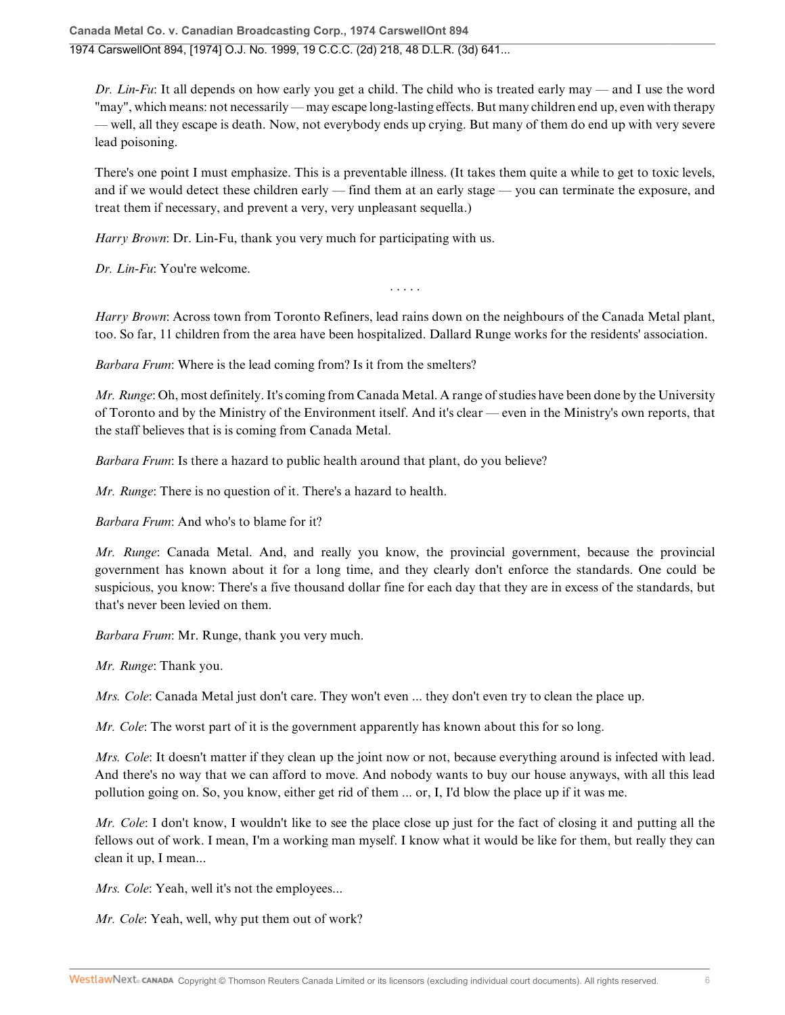*Dr. Lin-Fu*: It all depends on how early you get a child. The child who is treated early may — and I use the word "may", which means: not necessarily — may escape long-lasting effects. But many children end up, even with therapy — well, all they escape is death. Now, not everybody ends up crying. But many of them do end up with very severe lead poisoning.

There's one point I must emphasize. This is a preventable illness. (It takes them quite a while to get to toxic levels, and if we would detect these children early — find them at an early stage — you can terminate the exposure, and treat them if necessary, and prevent a very, very unpleasant sequella.)

*Harry Brown*: Dr. Lin-Fu, thank you very much for participating with us.

*Dr. Lin-Fu*: You're welcome.

*Harry Brown*: Across town from Toronto Refiners, lead rains down on the neighbours of the Canada Metal plant, too. So far, 11 children from the area have been hospitalized. Dallard Runge works for the residents' association.

. . . . .

*Barbara Frum*: Where is the lead coming from? Is it from the smelters?

*Mr. Runge*: Oh, most definitely. It's coming from Canada Metal. A range of studies have been done by the University of Toronto and by the Ministry of the Environment itself. And it's clear — even in the Ministry's own reports, that the staff believes that is is coming from Canada Metal.

*Barbara Frum*: Is there a hazard to public health around that plant, do you believe?

*Mr. Runge*: There is no question of it. There's a hazard to health.

*Barbara Frum*: And who's to blame for it?

*Mr. Runge*: Canada Metal. And, and really you know, the provincial government, because the provincial government has known about it for a long time, and they clearly don't enforce the standards. One could be suspicious, you know: There's a five thousand dollar fine for each day that they are in excess of the standards, but that's never been levied on them.

*Barbara Frum*: Mr. Runge, thank you very much.

*Mr. Runge*: Thank you.

*Mrs. Cole:* Canada Metal just don't care. They won't even ... they don't even try to clean the place up.

*Mr. Cole*: The worst part of it is the government apparently has known about this for so long.

*Mrs. Cole*: It doesn't matter if they clean up the joint now or not, because everything around is infected with lead. And there's no way that we can afford to move. And nobody wants to buy our house anyways, with all this lead pollution going on. So, you know, either get rid of them ... or, I, I'd blow the place up if it was me.

*Mr. Cole*: I don't know, I wouldn't like to see the place close up just for the fact of closing it and putting all the fellows out of work. I mean, I'm a working man myself. I know what it would be like for them, but really they can clean it up, I mean...

*Mrs. Cole:* Yeah, well it's not the employees...

*Mr. Cole*: Yeah, well, why put them out of work?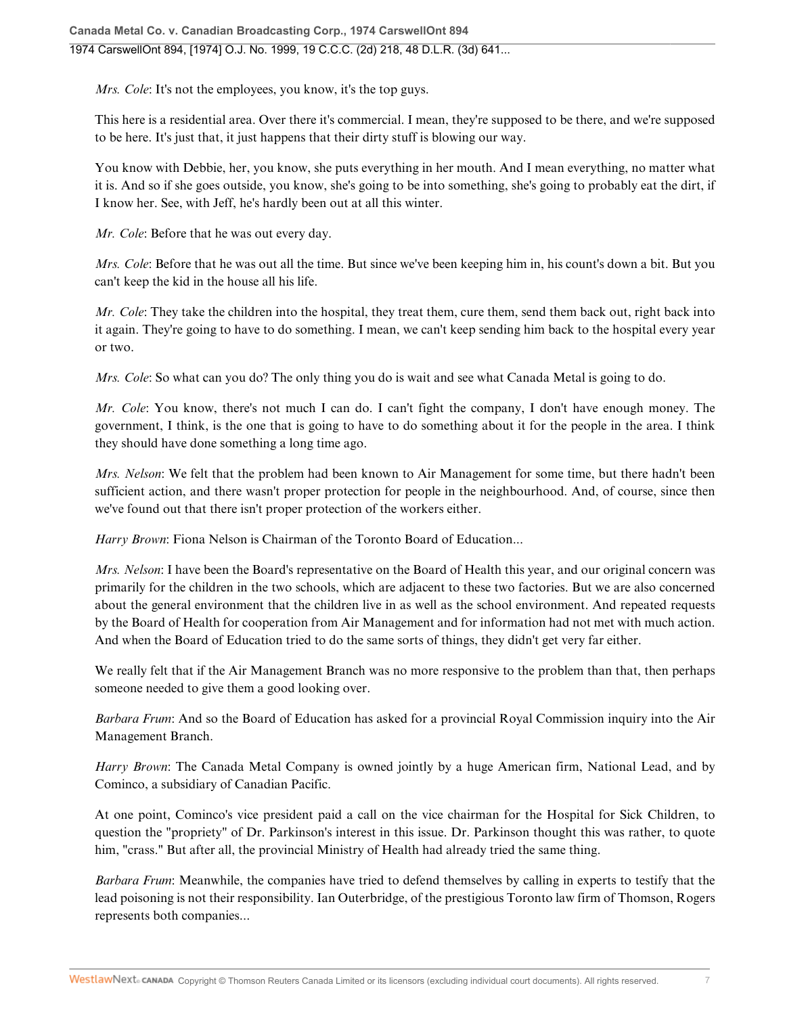*Mrs. Cole:* It's not the employees, you know, it's the top guys.

This here is a residential area. Over there it's commercial. I mean, they're supposed to be there, and we're supposed to be here. It's just that, it just happens that their dirty stuff is blowing our way.

You know with Debbie, her, you know, she puts everything in her mouth. And I mean everything, no matter what it is. And so if she goes outside, you know, she's going to be into something, she's going to probably eat the dirt, if I know her. See, with Jeff, he's hardly been out at all this winter.

*Mr. Cole*: Before that he was out every day.

*Mrs. Cole*: Before that he was out all the time. But since we've been keeping him in, his count's down a bit. But you can't keep the kid in the house all his life.

*Mr. Cole*: They take the children into the hospital, they treat them, cure them, send them back out, right back into it again. They're going to have to do something. I mean, we can't keep sending him back to the hospital every year or two.

*Mrs. Cole:* So what can you do? The only thing you do is wait and see what Canada Metal is going to do.

*Mr. Cole*: You know, there's not much I can do. I can't fight the company, I don't have enough money. The government, I think, is the one that is going to have to do something about it for the people in the area. I think they should have done something a long time ago.

*Mrs. Nelson*: We felt that the problem had been known to Air Management for some time, but there hadn't been sufficient action, and there wasn't proper protection for people in the neighbourhood. And, of course, since then we've found out that there isn't proper protection of the workers either.

*Harry Brown*: Fiona Nelson is Chairman of the Toronto Board of Education...

*Mrs. Nelson*: I have been the Board's representative on the Board of Health this year, and our original concern was primarily for the children in the two schools, which are adjacent to these two factories. But we are also concerned about the general environment that the children live in as well as the school environment. And repeated requests by the Board of Health for cooperation from Air Management and for information had not met with much action. And when the Board of Education tried to do the same sorts of things, they didn't get very far either.

We really felt that if the Air Management Branch was no more responsive to the problem than that, then perhaps someone needed to give them a good looking over.

*Barbara Frum*: And so the Board of Education has asked for a provincial Royal Commission inquiry into the Air Management Branch.

*Harry Brown*: The Canada Metal Company is owned jointly by a huge American firm, National Lead, and by Cominco, a subsidiary of Canadian Pacific.

At one point, Cominco's vice president paid a call on the vice chairman for the Hospital for Sick Children, to question the "propriety" of Dr. Parkinson's interest in this issue. Dr. Parkinson thought this was rather, to quote him, "crass." But after all, the provincial Ministry of Health had already tried the same thing.

*Barbara Frum*: Meanwhile, the companies have tried to defend themselves by calling in experts to testify that the lead poisoning is not their responsibility. Ian Outerbridge, of the prestigious Toronto law firm of Thomson, Rogers represents both companies...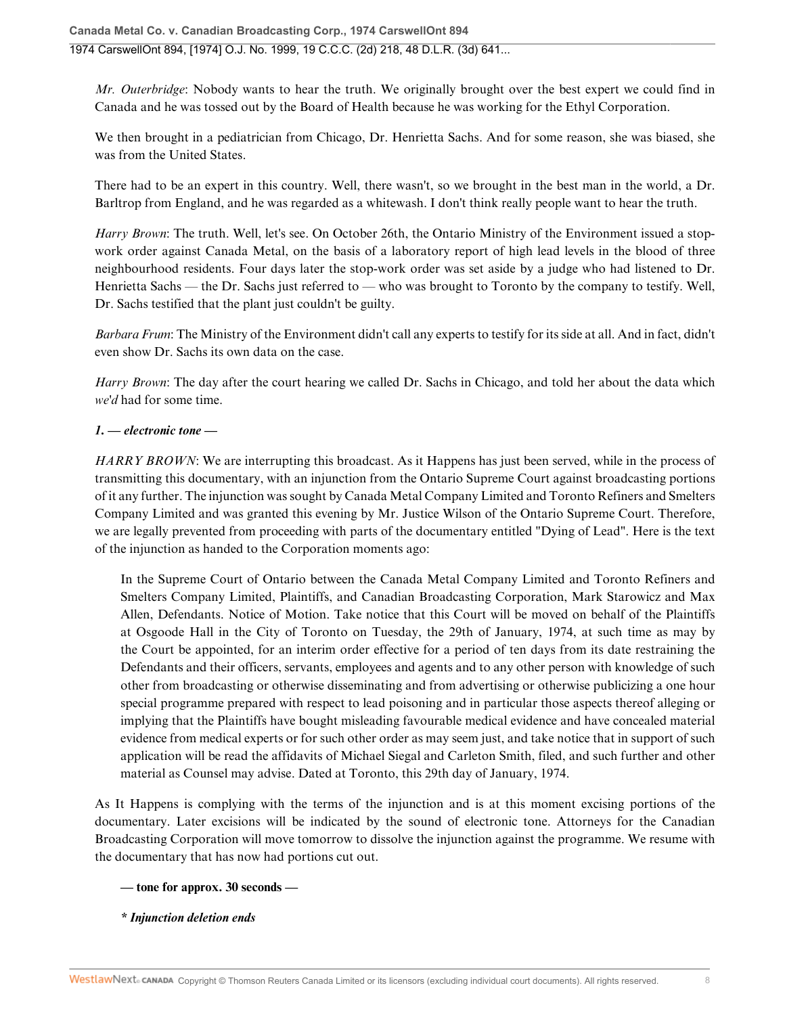*Mr. Outerbridge*: Nobody wants to hear the truth. We originally brought over the best expert we could find in Canada and he was tossed out by the Board of Health because he was working for the Ethyl Corporation.

We then brought in a pediatrician from Chicago, Dr. Henrietta Sachs. And for some reason, she was biased, she was from the United States.

There had to be an expert in this country. Well, there wasn't, so we brought in the best man in the world, a Dr. Barltrop from England, and he was regarded as a whitewash. I don't think really people want to hear the truth.

*Harry Brown*: The truth. Well, let's see. On October 26th, the Ontario Ministry of the Environment issued a stopwork order against Canada Metal, on the basis of a laboratory report of high lead levels in the blood of three neighbourhood residents. Four days later the stop-work order was set aside by a judge who had listened to Dr. Henrietta Sachs — the Dr. Sachs just referred to — who was brought to Toronto by the company to testify. Well, Dr. Sachs testified that the plant just couldn't be guilty.

*Barbara Frum*: The Ministry of the Environment didn't call any experts to testify for its side at all. And in fact, didn't even show Dr. Sachs its own data on the case.

*Harry Brown*: The day after the court hearing we called Dr. Sachs in Chicago, and told her about the data which *we'd* had for some time.

## *1. — electronic tone —*

*HARRY BROWN*: We are interrupting this broadcast. As it Happens has just been served, while in the process of transmitting this documentary, with an injunction from the Ontario Supreme Court against broadcasting portions of it any further. The injunction was sought by Canada Metal Company Limited and Toronto Refiners and Smelters Company Limited and was granted this evening by Mr. Justice Wilson of the Ontario Supreme Court. Therefore, we are legally prevented from proceeding with parts of the documentary entitled "Dying of Lead". Here is the text of the injunction as handed to the Corporation moments ago:

In the Supreme Court of Ontario between the Canada Metal Company Limited and Toronto Refiners and Smelters Company Limited, Plaintiffs, and Canadian Broadcasting Corporation, Mark Starowicz and Max Allen, Defendants. Notice of Motion. Take notice that this Court will be moved on behalf of the Plaintiffs at Osgoode Hall in the City of Toronto on Tuesday, the 29th of January, 1974, at such time as may by the Court be appointed, for an interim order effective for a period of ten days from its date restraining the Defendants and their officers, servants, employees and agents and to any other person with knowledge of such other from broadcasting or otherwise disseminating and from advertising or otherwise publicizing a one hour special programme prepared with respect to lead poisoning and in particular those aspects thereof alleging or implying that the Plaintiffs have bought misleading favourable medical evidence and have concealed material evidence from medical experts or for such other order as may seem just, and take notice that in support of such application will be read the affidavits of Michael Siegal and Carleton Smith, filed, and such further and other material as Counsel may advise. Dated at Toronto, this 29th day of January, 1974.

As It Happens is complying with the terms of the injunction and is at this moment excising portions of the documentary. Later excisions will be indicated by the sound of electronic tone. Attorneys for the Canadian Broadcasting Corporation will move tomorrow to dissolve the injunction against the programme. We resume with the documentary that has now had portions cut out.

### **— tone for approx. 30 seconds —**

*\* Injunction deletion ends*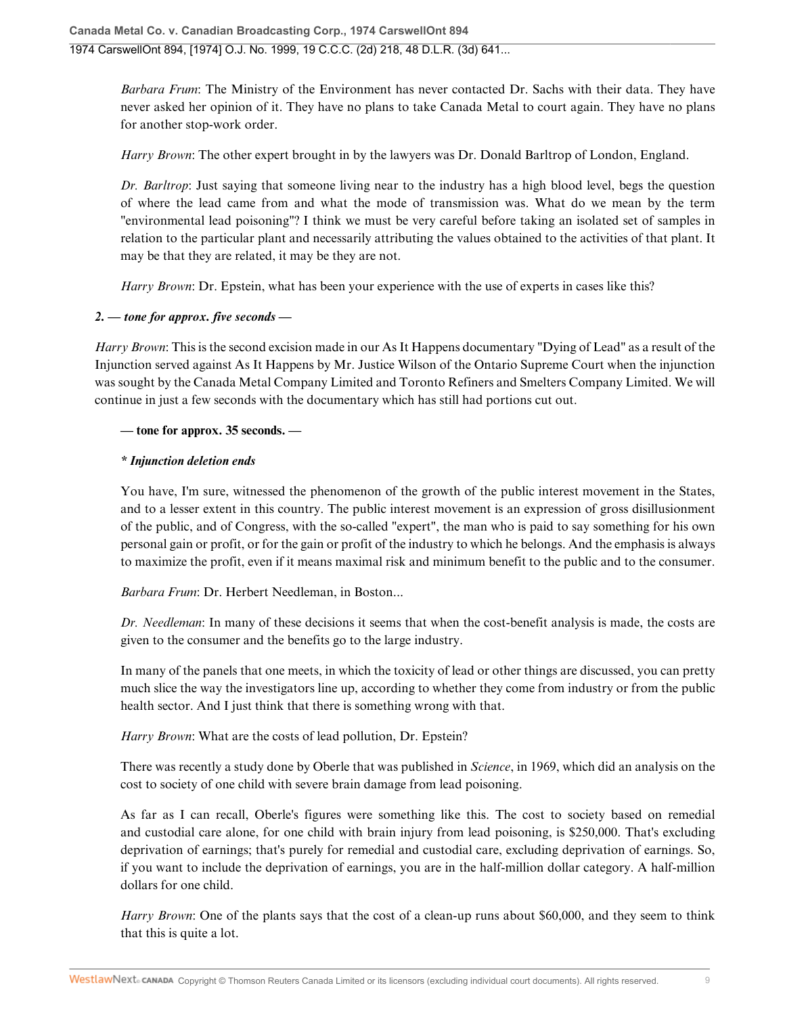*Barbara Frum*: The Ministry of the Environment has never contacted Dr. Sachs with their data. They have never asked her opinion of it. They have no plans to take Canada Metal to court again. They have no plans for another stop-work order.

*Harry Brown*: The other expert brought in by the lawyers was Dr. Donald Barltrop of London, England.

*Dr. Barltrop*: Just saying that someone living near to the industry has a high blood level, begs the question of where the lead came from and what the mode of transmission was. What do we mean by the term "environmental lead poisoning"? I think we must be very careful before taking an isolated set of samples in relation to the particular plant and necessarily attributing the values obtained to the activities of that plant. It may be that they are related, it may be they are not.

*Harry Brown*: Dr. Epstein, what has been your experience with the use of experts in cases like this?

## *2. — tone for approx. five seconds —*

*Harry Brown*: This is the second excision made in our As It Happens documentary "Dying of Lead" as a result of the Injunction served against As It Happens by Mr. Justice Wilson of the Ontario Supreme Court when the injunction was sought by the Canada Metal Company Limited and Toronto Refiners and Smelters Company Limited. We will continue in just a few seconds with the documentary which has still had portions cut out.

## **— tone for approx. 35 seconds. —**

### *\* Injunction deletion ends*

You have, I'm sure, witnessed the phenomenon of the growth of the public interest movement in the States, and to a lesser extent in this country. The public interest movement is an expression of gross disillusionment of the public, and of Congress, with the so-called "expert", the man who is paid to say something for his own personal gain or profit, or for the gain or profit of the industry to which he belongs. And the emphasis is always to maximize the profit, even if it means maximal risk and minimum benefit to the public and to the consumer.

*Barbara Frum*: Dr. Herbert Needleman, in Boston...

*Dr. Needleman*: In many of these decisions it seems that when the cost-benefit analysis is made, the costs are given to the consumer and the benefits go to the large industry.

In many of the panels that one meets, in which the toxicity of lead or other things are discussed, you can pretty much slice the way the investigators line up, according to whether they come from industry or from the public health sector. And I just think that there is something wrong with that.

*Harry Brown*: What are the costs of lead pollution, Dr. Epstein?

There was recently a study done by Oberle that was published in *Science*, in 1969, which did an analysis on the cost to society of one child with severe brain damage from lead poisoning.

As far as I can recall, Oberle's figures were something like this. The cost to society based on remedial and custodial care alone, for one child with brain injury from lead poisoning, is \$250,000. That's excluding deprivation of earnings; that's purely for remedial and custodial care, excluding deprivation of earnings. So, if you want to include the deprivation of earnings, you are in the half-million dollar category. A half-million dollars for one child.

*Harry Brown*: One of the plants says that the cost of a clean-up runs about \$60,000, and they seem to think that this is quite a lot.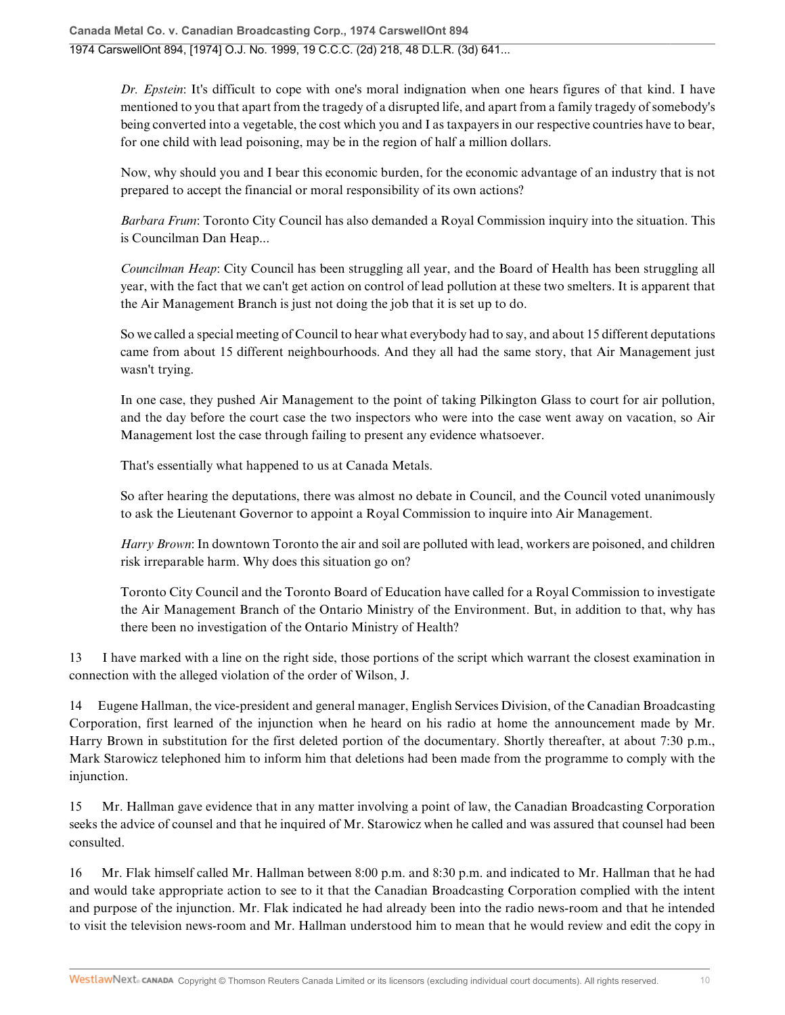*Dr. Epstein*: It's difficult to cope with one's moral indignation when one hears figures of that kind. I have mentioned to you that apart from the tragedy of a disrupted life, and apart from a family tragedy of somebody's being converted into a vegetable, the cost which you and I as taxpayers in our respective countries have to bear, for one child with lead poisoning, may be in the region of half a million dollars.

Now, why should you and I bear this economic burden, for the economic advantage of an industry that is not prepared to accept the financial or moral responsibility of its own actions?

*Barbara Frum*: Toronto City Council has also demanded a Royal Commission inquiry into the situation. This is Councilman Dan Heap...

*Councilman Heap*: City Council has been struggling all year, and the Board of Health has been struggling all year, with the fact that we can't get action on control of lead pollution at these two smelters. It is apparent that the Air Management Branch is just not doing the job that it is set up to do.

So we called a special meeting of Council to hear what everybody had to say, and about 15 different deputations came from about 15 different neighbourhoods. And they all had the same story, that Air Management just wasn't trying.

In one case, they pushed Air Management to the point of taking Pilkington Glass to court for air pollution, and the day before the court case the two inspectors who were into the case went away on vacation, so Air Management lost the case through failing to present any evidence whatsoever.

That's essentially what happened to us at Canada Metals.

So after hearing the deputations, there was almost no debate in Council, and the Council voted unanimously to ask the Lieutenant Governor to appoint a Royal Commission to inquire into Air Management.

*Harry Brown*: In downtown Toronto the air and soil are polluted with lead, workers are poisoned, and children risk irreparable harm. Why does this situation go on?

Toronto City Council and the Toronto Board of Education have called for a Royal Commission to investigate the Air Management Branch of the Ontario Ministry of the Environment. But, in addition to that, why has there been no investigation of the Ontario Ministry of Health?

13 I have marked with a line on the right side, those portions of the script which warrant the closest examination in connection with the alleged violation of the order of Wilson, J.

14 Eugene Hallman, the vice-president and general manager, English Services Division, of the Canadian Broadcasting Corporation, first learned of the injunction when he heard on his radio at home the announcement made by Mr. Harry Brown in substitution for the first deleted portion of the documentary. Shortly thereafter, at about 7:30 p.m., Mark Starowicz telephoned him to inform him that deletions had been made from the programme to comply with the injunction.

15 Mr. Hallman gave evidence that in any matter involving a point of law, the Canadian Broadcasting Corporation seeks the advice of counsel and that he inquired of Mr. Starowicz when he called and was assured that counsel had been consulted.

16 Mr. Flak himself called Mr. Hallman between 8:00 p.m. and 8:30 p.m. and indicated to Mr. Hallman that he had and would take appropriate action to see to it that the Canadian Broadcasting Corporation complied with the intent and purpose of the injunction. Mr. Flak indicated he had already been into the radio news-room and that he intended to visit the television news-room and Mr. Hallman understood him to mean that he would review and edit the copy in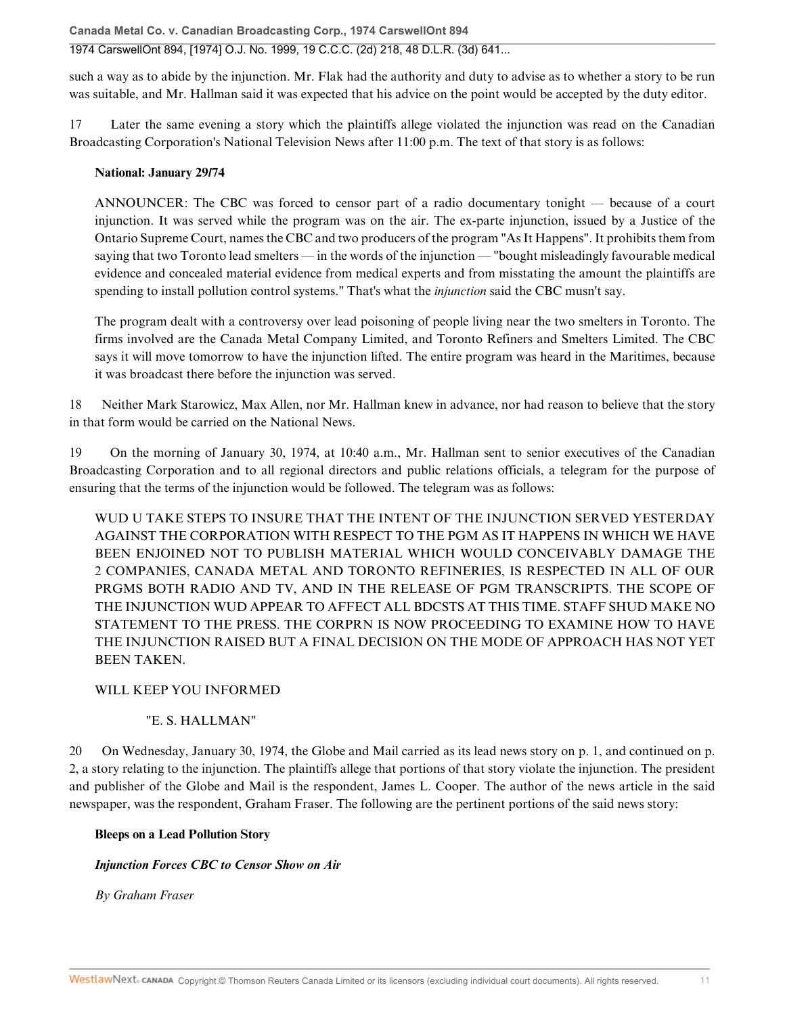**Canada Metal Co. v. Canadian Broadcasting Corp., 1974 CarswellOnt 894** 1974 CarswellOnt 894, [1974] O.J. No. 1999, 19 C.C.C. (2d) 218, 48 D.L.R. (3d) 641...

such a way as to abide by the injunction. Mr. Flak had the authority and duty to advise as to whether a story to be run was suitable, and Mr. Hallman said it was expected that his advice on the point would be accepted by the duty editor.

17 Later the same evening a story which the plaintiffs allege violated the injunction was read on the Canadian Broadcasting Corporation's National Television News after 11:00 p.m. The text of that story is as follows:

### **National: January 29/74**

ANNOUNCER: The CBC was forced to censor part of a radio documentary tonight — because of a court injunction. It was served while the program was on the air. The ex-parte injunction, issued by a Justice of the Ontario Supreme Court, names the CBC and two producers of the program "As It Happens". It prohibits them from saying that two Toronto lead smelters — in the words of the injunction — "bought misleadingly favourable medical evidence and concealed material evidence from medical experts and from misstating the amount the plaintiffs are spending to install pollution control systems." That's what the *injunction* said the CBC musn't say.

The program dealt with a controversy over lead poisoning of people living near the two smelters in Toronto. The firms involved are the Canada Metal Company Limited, and Toronto Refiners and Smelters Limited. The CBC says it will move tomorrow to have the injunction lifted. The entire program was heard in the Maritimes, because it was broadcast there before the injunction was served.

18 Neither Mark Starowicz, Max Allen, nor Mr. Hallman knew in advance, nor had reason to believe that the story in that form would be carried on the National News.

19 On the morning of January 30, 1974, at 10:40 a.m., Mr. Hallman sent to senior executives of the Canadian Broadcasting Corporation and to all regional directors and public relations officials, a telegram for the purpose of ensuring that the terms of the injunction would be followed. The telegram was as follows:

WUD U TAKE STEPS TO INSURE THAT THE INTENT OF THE INJUNCTION SERVED YESTERDAY AGAINST THE CORPORATION WITH RESPECT TO THE PGM AS IT HAPPENS IN WHICH WE HAVE BEEN ENJOINED NOT TO PUBLISH MATERIAL WHICH WOULD CONCEIVABLY DAMAGE THE 2 COMPANIES, CANADA METAL AND TORONTO REFINERIES, IS RESPECTED IN ALL OF OUR PRGMS BOTH RADIO AND TV, AND IN THE RELEASE OF PGM TRANSCRIPTS. THE SCOPE OF THE INJUNCTION WUD APPEAR TO AFFECT ALL BDCSTS AT THIS TIME. STAFF SHUD MAKE NO STATEMENT TO THE PRESS. THE CORPRN IS NOW PROCEEDING TO EXAMINE HOW TO HAVE THE INJUNCTION RAISED BUT A FINAL DECISION ON THE MODE OF APPROACH HAS NOT YET BEEN TAKEN.

### WILL KEEP YOU INFORMED

### "E. S. HALLMAN"

20 On Wednesday, January 30, 1974, the Globe and Mail carried as its lead news story on p. 1, and continued on p. 2, a story relating to the injunction. The plaintiffs allege that portions of that story violate the injunction. The president and publisher of the Globe and Mail is the respondent, James L. Cooper. The author of the news article in the said newspaper, was the respondent, Graham Fraser. The following are the pertinent portions of the said news story:

### **Bleeps on a Lead Pollution Story**

### *Injunction Forces CBC to Censor Show on Air*

*By Graham Fraser*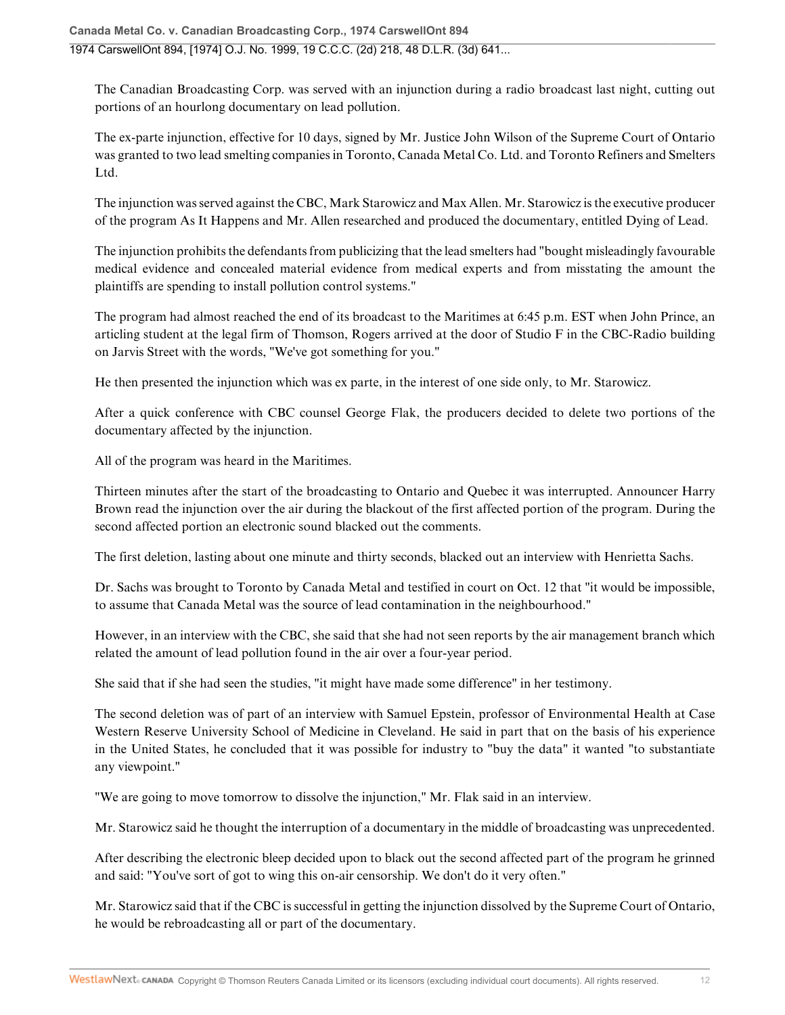The Canadian Broadcasting Corp. was served with an injunction during a radio broadcast last night, cutting out portions of an hourlong documentary on lead pollution.

The ex-parte injunction, effective for 10 days, signed by Mr. Justice John Wilson of the Supreme Court of Ontario was granted to two lead smelting companies in Toronto, Canada Metal Co. Ltd. and Toronto Refiners and Smelters Ltd.

The injunction was served against the CBC, Mark Starowicz and Max Allen. Mr. Starowicz is the executive producer of the program As It Happens and Mr. Allen researched and produced the documentary, entitled Dying of Lead.

The injunction prohibits the defendants from publicizing that the lead smelters had "bought misleadingly favourable medical evidence and concealed material evidence from medical experts and from misstating the amount the plaintiffs are spending to install pollution control systems."

The program had almost reached the end of its broadcast to the Maritimes at 6:45 p.m. EST when John Prince, an articling student at the legal firm of Thomson, Rogers arrived at the door of Studio F in the CBC-Radio building on Jarvis Street with the words, "We've got something for you."

He then presented the injunction which was ex parte, in the interest of one side only, to Mr. Starowicz.

After a quick conference with CBC counsel George Flak, the producers decided to delete two portions of the documentary affected by the injunction.

All of the program was heard in the Maritimes.

Thirteen minutes after the start of the broadcasting to Ontario and Quebec it was interrupted. Announcer Harry Brown read the injunction over the air during the blackout of the first affected portion of the program. During the second affected portion an electronic sound blacked out the comments.

The first deletion, lasting about one minute and thirty seconds, blacked out an interview with Henrietta Sachs.

Dr. Sachs was brought to Toronto by Canada Metal and testified in court on Oct. 12 that "it would be impossible, to assume that Canada Metal was the source of lead contamination in the neighbourhood."

However, in an interview with the CBC, she said that she had not seen reports by the air management branch which related the amount of lead pollution found in the air over a four-year period.

She said that if she had seen the studies, "it might have made some difference" in her testimony.

The second deletion was of part of an interview with Samuel Epstein, professor of Environmental Health at Case Western Reserve University School of Medicine in Cleveland. He said in part that on the basis of his experience in the United States, he concluded that it was possible for industry to "buy the data" it wanted "to substantiate any viewpoint."

"We are going to move tomorrow to dissolve the injunction," Mr. Flak said in an interview.

Mr. Starowicz said he thought the interruption of a documentary in the middle of broadcasting was unprecedented.

After describing the electronic bleep decided upon to black out the second affected part of the program he grinned and said: "You've sort of got to wing this on-air censorship. We don't do it very often."

Mr. Starowicz said that if the CBC is successful in getting the injunction dissolved by the Supreme Court of Ontario, he would be rebroadcasting all or part of the documentary.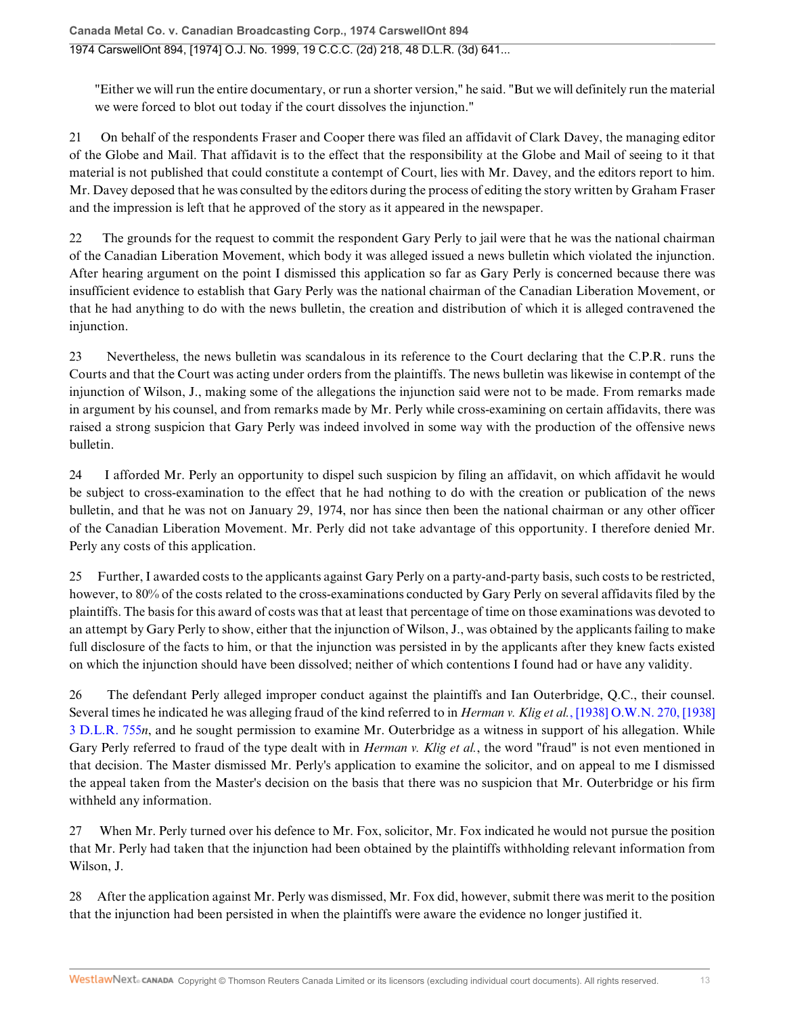"Either we will run the entire documentary, or run a shorter version," he said. "But we will definitely run the material we were forced to blot out today if the court dissolves the injunction."

21 On behalf of the respondents Fraser and Cooper there was filed an affidavit of Clark Davey, the managing editor of the Globe and Mail. That affidavit is to the effect that the responsibility at the Globe and Mail of seeing to it that material is not published that could constitute a contempt of Court, lies with Mr. Davey, and the editors report to him. Mr. Davey deposed that he was consulted by the editors during the process of editing the story written by Graham Fraser and the impression is left that he approved of the story as it appeared in the newspaper.

22 The grounds for the request to commit the respondent Gary Perly to jail were that he was the national chairman of the Canadian Liberation Movement, which body it was alleged issued a news bulletin which violated the injunction. After hearing argument on the point I dismissed this application so far as Gary Perly is concerned because there was insufficient evidence to establish that Gary Perly was the national chairman of the Canadian Liberation Movement, or that he had anything to do with the news bulletin, the creation and distribution of which it is alleged contravened the injunction.

23 Nevertheless, the news bulletin was scandalous in its reference to the Court declaring that the C.P.R. runs the Courts and that the Court was acting under orders from the plaintiffs. The news bulletin was likewise in contempt of the injunction of Wilson, J., making some of the allegations the injunction said were not to be made. From remarks made in argument by his counsel, and from remarks made by Mr. Perly while cross-examining on certain affidavits, there was raised a strong suspicion that Gary Perly was indeed involved in some way with the production of the offensive news bulletin.

24 I afforded Mr. Perly an opportunity to dispel such suspicion by filing an affidavit, on which affidavit he would be subject to cross-examination to the effect that he had nothing to do with the creation or publication of the news bulletin, and that he was not on January 29, 1974, nor has since then been the national chairman or any other officer of the Canadian Liberation Movement. Mr. Perly did not take advantage of this opportunity. I therefore denied Mr. Perly any costs of this application.

25 Further, I awarded costs to the applicants against Gary Perly on a party-and-party basis, such costs to be restricted, however, to 80% of the costs related to the cross-examinations conducted by Gary Perly on several affidavits filed by the plaintiffs. The basis for this award of costs was that at least that percentage of time on those examinations was devoted to an attempt by Gary Perly to show, either that the injunction of Wilson, J., was obtained by the applicants failing to make full disclosure of the facts to him, or that the injunction was persisted in by the applicants after they knew facts existed on which the injunction should have been dissolved; neither of which contentions I found had or have any validity.

26 The defendant Perly alleged improper conduct against the plaintiffs and Ian Outerbridge, Q.C., their counsel. Several times he indicated he was alleging fraud of the kind referred to in *Herman v. Klig et al.*, [1938] O.W.N. 270, [1938] 3 D.L.R. 755*n*, and he sought permission to examine Mr. Outerbridge as a witness in support of his allegation. While Gary Perly referred to fraud of the type dealt with in *Herman v. Klig et al.*, the word "fraud" is not even mentioned in that decision. The Master dismissed Mr. Perly's application to examine the solicitor, and on appeal to me I dismissed the appeal taken from the Master's decision on the basis that there was no suspicion that Mr. Outerbridge or his firm withheld any information.

27 When Mr. Perly turned over his defence to Mr. Fox, solicitor, Mr. Fox indicated he would not pursue the position that Mr. Perly had taken that the injunction had been obtained by the plaintiffs withholding relevant information from Wilson, J.

28 After the application against Mr. Perly was dismissed, Mr. Fox did, however, submit there was merit to the position that the injunction had been persisted in when the plaintiffs were aware the evidence no longer justified it.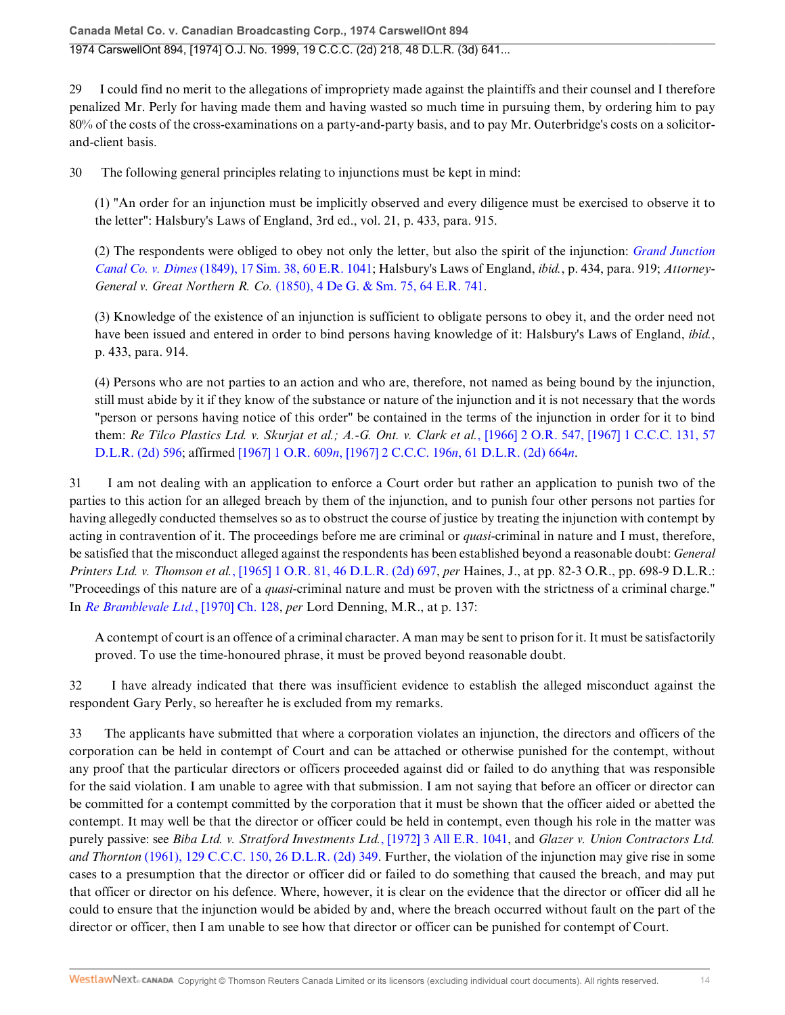29 I could find no merit to the allegations of impropriety made against the plaintiffs and their counsel and I therefore penalized Mr. Perly for having made them and having wasted so much time in pursuing them, by ordering him to pay 80% of the costs of the cross-examinations on a party-and-party basis, and to pay Mr. Outerbridge's costs on a solicitorand-client basis.

30 The following general principles relating to injunctions must be kept in mind:

(1) "An order for an injunction must be implicitly observed and every diligence must be exercised to observe it to the letter": Halsbury's Laws of England, 3rd ed., vol. 21, p. 433, para. 915.

(2) The respondents were obliged to obey not only the letter, but also the spirit of the injunction: *Grand Junction Canal Co. v. Dimes* (1849), 17 Sim. 38, 60 E.R. 1041; Halsbury's Laws of England, *ibid.*, p. 434, para. 919; *Attorney-General v. Great Northern R. Co.* (1850), 4 De G. & Sm. 75, 64 E.R. 741.

(3) Knowledge of the existence of an injunction is sufficient to obligate persons to obey it, and the order need not have been issued and entered in order to bind persons having knowledge of it: Halsbury's Laws of England, *ibid.*, p. 433, para. 914.

(4) Persons who are not parties to an action and who are, therefore, not named as being bound by the injunction, still must abide by it if they know of the substance or nature of the injunction and it is not necessary that the words "person or persons having notice of this order" be contained in the terms of the injunction in order for it to bind them: *Re Tilco Plastics Ltd. v. Skurjat et al.; A.-G. Ont. v. Clark et al.*, [1966] 2 O.R. 547, [1967] 1 C.C.C. 131, 57 D.L.R. (2d) 596; affirmed [1967] 1 O.R. 609*n*, [1967] 2 C.C.C. 196*n*, 61 D.L.R. (2d) 664*n*.

31 I am not dealing with an application to enforce a Court order but rather an application to punish two of the parties to this action for an alleged breach by them of the injunction, and to punish four other persons not parties for having allegedly conducted themselves so as to obstruct the course of justice by treating the injunction with contempt by acting in contravention of it. The proceedings before me are criminal or *quasi*-criminal in nature and I must, therefore, be satisfied that the misconduct alleged against the respondents has been established beyond a reasonable doubt: *General Printers Ltd. v. Thomson et al.*, [1965] 1 O.R. 81, 46 D.L.R. (2d) 697, *per* Haines, J., at pp. 82-3 O.R., pp. 698-9 D.L.R.: "Proceedings of this nature are of a *quasi*-criminal nature and must be proven with the strictness of a criminal charge." In *Re Bramblevale Ltd.*, [1970] Ch. 128, *per* Lord Denning, M.R., at p. 137:

A contempt of court is an offence of a criminal character. A man may be sent to prison for it. It must be satisfactorily proved. To use the time-honoured phrase, it must be proved beyond reasonable doubt.

32 I have already indicated that there was insufficient evidence to establish the alleged misconduct against the respondent Gary Perly, so hereafter he is excluded from my remarks.

33 The applicants have submitted that where a corporation violates an injunction, the directors and officers of the corporation can be held in contempt of Court and can be attached or otherwise punished for the contempt, without any proof that the particular directors or officers proceeded against did or failed to do anything that was responsible for the said violation. I am unable to agree with that submission. I am not saying that before an officer or director can be committed for a contempt committed by the corporation that it must be shown that the officer aided or abetted the contempt. It may well be that the director or officer could be held in contempt, even though his role in the matter was purely passive: see *Biba Ltd. v. Stratford Investments Ltd.*, [1972] 3 All E.R. 1041, and *Glazer v. Union Contractors Ltd. and Thornton* (1961), 129 C.C.C. 150, 26 D.L.R. (2d) 349. Further, the violation of the injunction may give rise in some cases to a presumption that the director or officer did or failed to do something that caused the breach, and may put that officer or director on his defence. Where, however, it is clear on the evidence that the director or officer did all he could to ensure that the injunction would be abided by and, where the breach occurred without fault on the part of the director or officer, then I am unable to see how that director or officer can be punished for contempt of Court.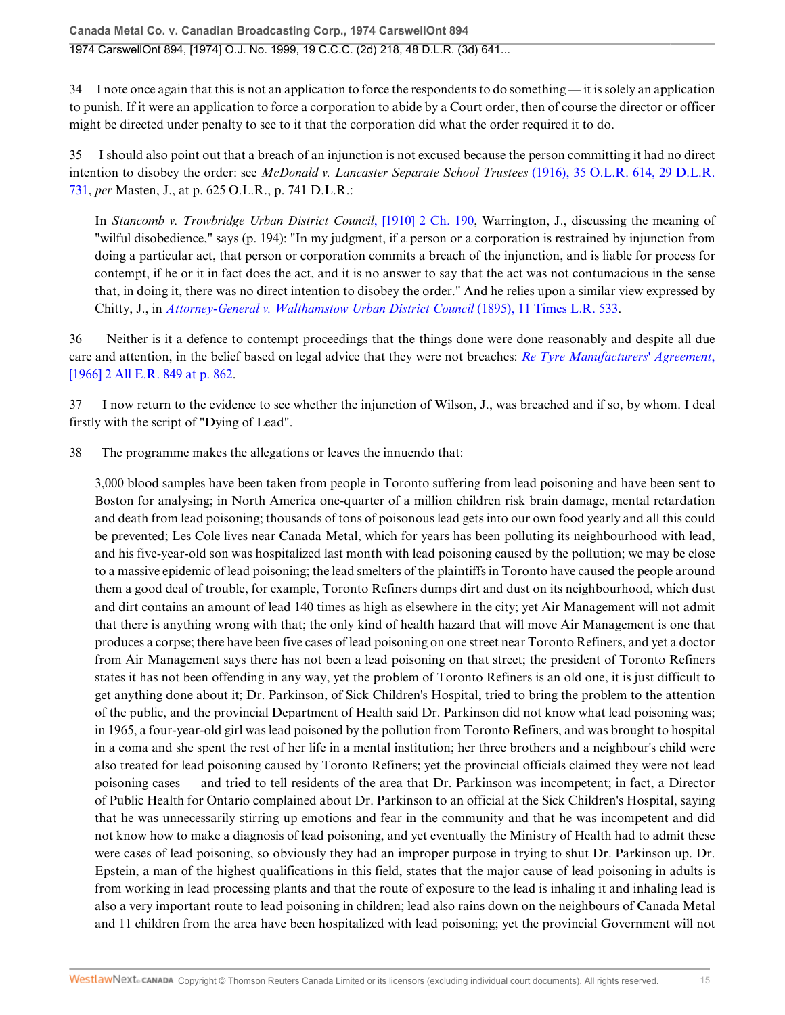34 I note once again that this is not an application to force the respondents to do something — it is solely an application to punish. If it were an application to force a corporation to abide by a Court order, then of course the director or officer might be directed under penalty to see to it that the corporation did what the order required it to do.

35 I should also point out that a breach of an injunction is not excused because the person committing it had no direct intention to disobey the order: see *McDonald v. Lancaster Separate School Trustees* (1916), 35 O.L.R. 614, 29 D.L.R. 731, *per* Masten, J., at p. 625 O.L.R., p. 741 D.L.R.:

In *Stancomb v. Trowbridge Urban District Council*, [1910] 2 Ch. 190, Warrington, J., discussing the meaning of "wilful disobedience," says (p. 194): "In my judgment, if a person or a corporation is restrained by injunction from doing a particular act, that person or corporation commits a breach of the injunction, and is liable for process for contempt, if he or it in fact does the act, and it is no answer to say that the act was not contumacious in the sense that, in doing it, there was no direct intention to disobey the order." And he relies upon a similar view expressed by Chitty, J., in *Attorney-General v. Walthamstow Urban District Council* (1895), 11 Times L.R. 533.

36 Neither is it a defence to contempt proceedings that the things done were done reasonably and despite all due care and attention, in the belief based on legal advice that they were not breaches: *Re Tyre Manufacturers' Agreement*, [1966] 2 All E.R. 849 at p. 862.

37 I now return to the evidence to see whether the injunction of Wilson, J., was breached and if so, by whom. I deal firstly with the script of "Dying of Lead".

38 The programme makes the allegations or leaves the innuendo that:

3,000 blood samples have been taken from people in Toronto suffering from lead poisoning and have been sent to Boston for analysing; in North America one-quarter of a million children risk brain damage, mental retardation and death from lead poisoning; thousands of tons of poisonous lead gets into our own food yearly and all this could be prevented; Les Cole lives near Canada Metal, which for years has been polluting its neighbourhood with lead, and his five-year-old son was hospitalized last month with lead poisoning caused by the pollution; we may be close to a massive epidemic of lead poisoning; the lead smelters of the plaintiffs in Toronto have caused the people around them a good deal of trouble, for example, Toronto Refiners dumps dirt and dust on its neighbourhood, which dust and dirt contains an amount of lead 140 times as high as elsewhere in the city; yet Air Management will not admit that there is anything wrong with that; the only kind of health hazard that will move Air Management is one that produces a corpse; there have been five cases of lead poisoning on one street near Toronto Refiners, and yet a doctor from Air Management says there has not been a lead poisoning on that street; the president of Toronto Refiners states it has not been offending in any way, yet the problem of Toronto Refiners is an old one, it is just difficult to get anything done about it; Dr. Parkinson, of Sick Children's Hospital, tried to bring the problem to the attention of the public, and the provincial Department of Health said Dr. Parkinson did not know what lead poisoning was; in 1965, a four-year-old girl was lead poisoned by the pollution from Toronto Refiners, and was brought to hospital in a coma and she spent the rest of her life in a mental institution; her three brothers and a neighbour's child were also treated for lead poisoning caused by Toronto Refiners; yet the provincial officials claimed they were not lead poisoning cases — and tried to tell residents of the area that Dr. Parkinson was incompetent; in fact, a Director of Public Health for Ontario complained about Dr. Parkinson to an official at the Sick Children's Hospital, saying that he was unnecessarily stirring up emotions and fear in the community and that he was incompetent and did not know how to make a diagnosis of lead poisoning, and yet eventually the Ministry of Health had to admit these were cases of lead poisoning, so obviously they had an improper purpose in trying to shut Dr. Parkinson up. Dr. Epstein, a man of the highest qualifications in this field, states that the major cause of lead poisoning in adults is from working in lead processing plants and that the route of exposure to the lead is inhaling it and inhaling lead is also a very important route to lead poisoning in children; lead also rains down on the neighbours of Canada Metal and 11 children from the area have been hospitalized with lead poisoning; yet the provincial Government will not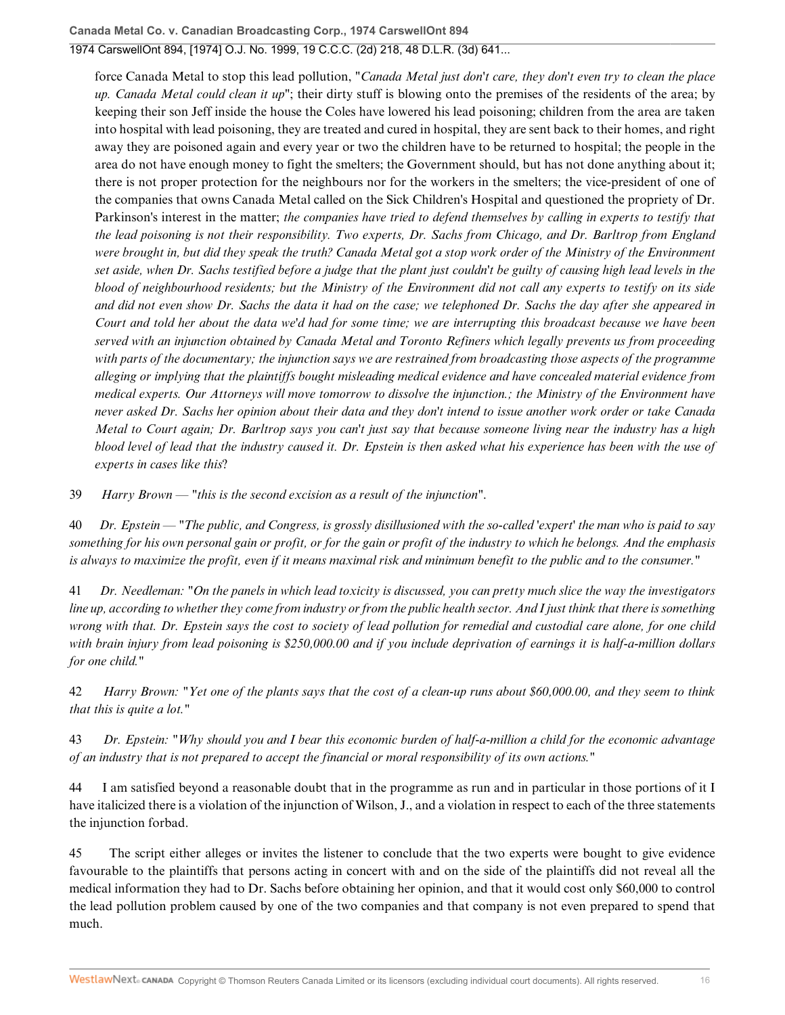force Canada Metal to stop this lead pollution, "*Canada Metal just don't care, they don't even try to clean the place up. Canada Metal could clean it up*"; their dirty stuff is blowing onto the premises of the residents of the area; by keeping their son Jeff inside the house the Coles have lowered his lead poisoning; children from the area are taken into hospital with lead poisoning, they are treated and cured in hospital, they are sent back to their homes, and right away they are poisoned again and every year or two the children have to be returned to hospital; the people in the area do not have enough money to fight the smelters; the Government should, but has not done anything about it; there is not proper protection for the neighbours nor for the workers in the smelters; the vice-president of one of the companies that owns Canada Metal called on the Sick Children's Hospital and questioned the propriety of Dr. Parkinson's interest in the matter; *the companies have tried to defend themselves by calling in experts to testify that the lead poisoning is not their responsibility. Two experts, Dr. Sachs from Chicago, and Dr. Barltrop from England were brought in, but did they speak the truth? Canada Metal got a stop work order of the Ministry of the Environment set aside, when Dr. Sachs testified before a judge that the plant just couldn't be guilty of causing high lead levels in the blood of neighbourhood residents; but the Ministry of the Environment did not call any experts to testify on its side and did not even show Dr. Sachs the data it had on the case; we telephoned Dr. Sachs the day after she appeared in Court and told her about the data we'd had for some time; we are interrupting this broadcast because we have been served with an injunction obtained by Canada Metal and Toronto Refiners which legally prevents us from proceeding with parts of the documentary; the injunction says we are restrained from broadcasting those aspects of the programme alleging or implying that the plaintiffs bought misleading medical evidence and have concealed material evidence from medical experts. Our Attorneys will move tomorrow to dissolve the injunction.; the Ministry of the Environment have never asked Dr. Sachs her opinion about their data and they don't intend to issue another work order or take Canada Metal to Court again; Dr. Barltrop says you can't just say that because someone living near the industry has a high blood level of lead that the industry caused it. Dr. Epstein is then asked what his experience has been with the use of experts in cases like this*?

39 *Harry Brown — "this is the second excision as a result of the injunction"*.

40 *Dr. Epstein — "The public, and Congress, is grossly disillusioned with the so-called 'expert' the man who is paid to say something for his own personal gain or profit, or for the gain or profit of the industry to which he belongs. And the emphasis is always to maximize the profit, even if it means maximal risk and minimum benefit to the public and to the consumer."*

41 *Dr. Needleman: "On the panels in which lead toxicity is discussed, you can pretty much slice the way the investigators line up, according to whether they come from industry or from the public health sector. And I just think that there is something wrong with that. Dr. Epstein says the cost to society of lead pollution for remedial and custodial care alone, for one child with brain injury from lead poisoning is \$250,000.00 and if you include deprivation of earnings it is half-a-million dollars for one child."*

42 *Harry Brown: "Yet one of the plants says that the cost of a clean-up runs about \$60,000.00, and they seem to think that this is quite a lot."*

43 *Dr. Epstein: "Why should you and I bear this economic burden of half-a-million a child for the economic advantage of an industry that is not prepared to accept the financial or moral responsibility of its own actions."*

44 I am satisfied beyond a reasonable doubt that in the programme as run and in particular in those portions of it I have italicized there is a violation of the injunction of Wilson, J., and a violation in respect to each of the three statements the injunction forbad.

45 The script either alleges or invites the listener to conclude that the two experts were bought to give evidence favourable to the plaintiffs that persons acting in concert with and on the side of the plaintiffs did not reveal all the medical information they had to Dr. Sachs before obtaining her opinion, and that it would cost only \$60,000 to control the lead pollution problem caused by one of the two companies and that company is not even prepared to spend that much.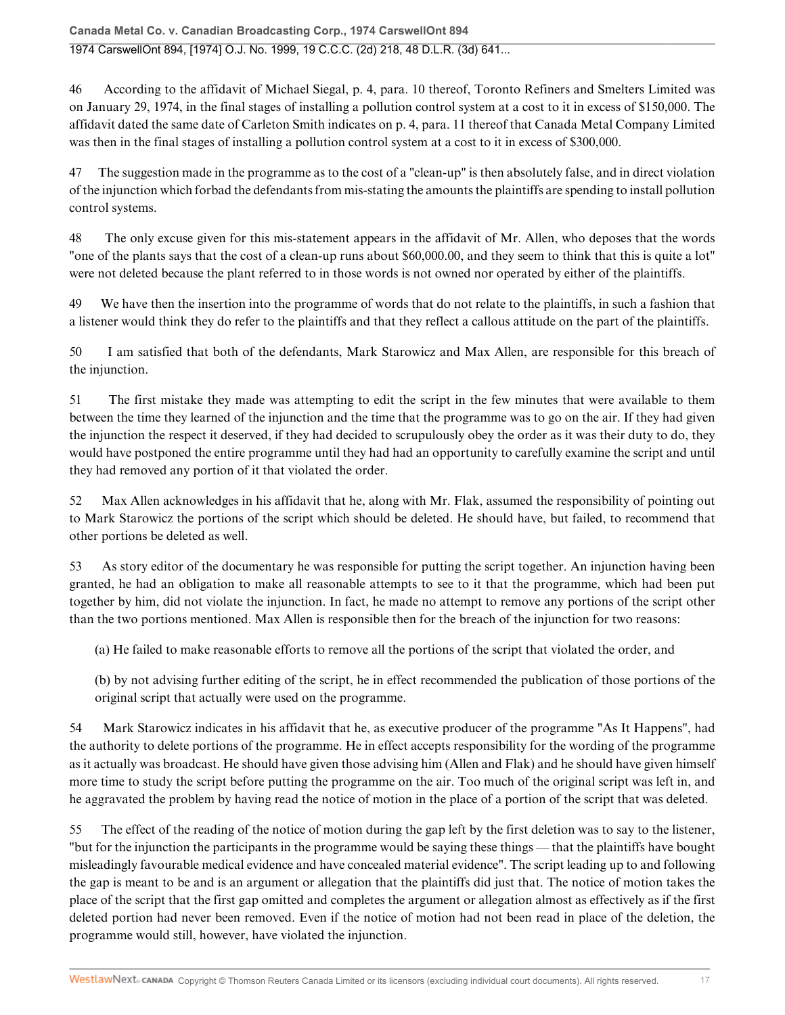46 According to the affidavit of Michael Siegal, p. 4, para. 10 thereof, Toronto Refiners and Smelters Limited was on January 29, 1974, in the final stages of installing a pollution control system at a cost to it in excess of \$150,000. The affidavit dated the same date of Carleton Smith indicates on p. 4, para. 11 thereof that Canada Metal Company Limited was then in the final stages of installing a pollution control system at a cost to it in excess of \$300,000.

47 The suggestion made in the programme as to the cost of a "clean-up" is then absolutely false, and in direct violation of the injunction which forbad the defendants from mis-stating the amounts the plaintiffs are spending to install pollution control systems.

48 The only excuse given for this mis-statement appears in the affidavit of Mr. Allen, who deposes that the words "one of the plants says that the cost of a clean-up runs about \$60,000.00, and they seem to think that this is quite a lot" were not deleted because the plant referred to in those words is not owned nor operated by either of the plaintiffs.

49 We have then the insertion into the programme of words that do not relate to the plaintiffs, in such a fashion that a listener would think they do refer to the plaintiffs and that they reflect a callous attitude on the part of the plaintiffs.

50 I am satisfied that both of the defendants, Mark Starowicz and Max Allen, are responsible for this breach of the injunction.

51 The first mistake they made was attempting to edit the script in the few minutes that were available to them between the time they learned of the injunction and the time that the programme was to go on the air. If they had given the injunction the respect it deserved, if they had decided to scrupulously obey the order as it was their duty to do, they would have postponed the entire programme until they had had an opportunity to carefully examine the script and until they had removed any portion of it that violated the order.

52 Max Allen acknowledges in his affidavit that he, along with Mr. Flak, assumed the responsibility of pointing out to Mark Starowicz the portions of the script which should be deleted. He should have, but failed, to recommend that other portions be deleted as well.

53 As story editor of the documentary he was responsible for putting the script together. An injunction having been granted, he had an obligation to make all reasonable attempts to see to it that the programme, which had been put together by him, did not violate the injunction. In fact, he made no attempt to remove any portions of the script other than the two portions mentioned. Max Allen is responsible then for the breach of the injunction for two reasons:

(a) He failed to make reasonable efforts to remove all the portions of the script that violated the order, and

(b) by not advising further editing of the script, he in effect recommended the publication of those portions of the original script that actually were used on the programme.

54 Mark Starowicz indicates in his affidavit that he, as executive producer of the programme "As It Happens", had the authority to delete portions of the programme. He in effect accepts responsibility for the wording of the programme as it actually was broadcast. He should have given those advising him (Allen and Flak) and he should have given himself more time to study the script before putting the programme on the air. Too much of the original script was left in, and he aggravated the problem by having read the notice of motion in the place of a portion of the script that was deleted.

55 The effect of the reading of the notice of motion during the gap left by the first deletion was to say to the listener, "but for the injunction the participants in the programme would be saying these things — that the plaintiffs have bought misleadingly favourable medical evidence and have concealed material evidence". The script leading up to and following the gap is meant to be and is an argument or allegation that the plaintiffs did just that. The notice of motion takes the place of the script that the first gap omitted and completes the argument or allegation almost as effectively as if the first deleted portion had never been removed. Even if the notice of motion had not been read in place of the deletion, the programme would still, however, have violated the injunction.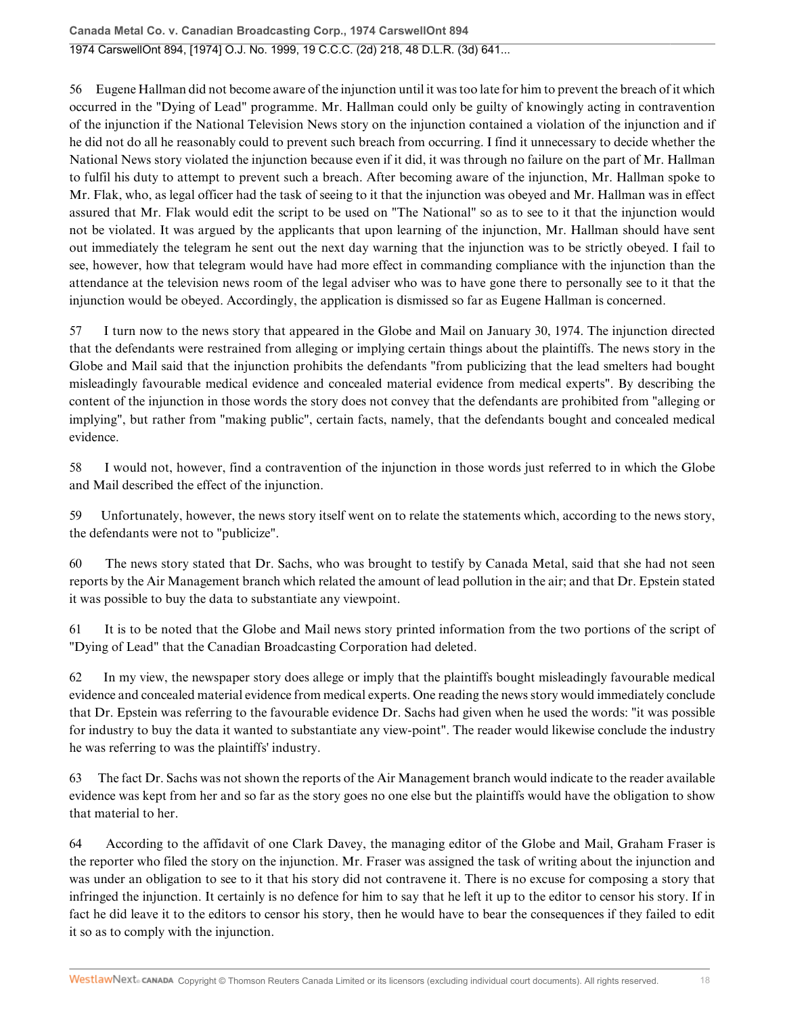56 Eugene Hallman did not become aware of the injunction until it was too late for him to prevent the breach of it which occurred in the "Dying of Lead" programme. Mr. Hallman could only be guilty of knowingly acting in contravention of the injunction if the National Television News story on the injunction contained a violation of the injunction and if he did not do all he reasonably could to prevent such breach from occurring. I find it unnecessary to decide whether the National News story violated the injunction because even if it did, it was through no failure on the part of Mr. Hallman to fulfil his duty to attempt to prevent such a breach. After becoming aware of the injunction, Mr. Hallman spoke to Mr. Flak, who, as legal officer had the task of seeing to it that the injunction was obeyed and Mr. Hallman was in effect assured that Mr. Flak would edit the script to be used on "The National" so as to see to it that the injunction would not be violated. It was argued by the applicants that upon learning of the injunction, Mr. Hallman should have sent out immediately the telegram he sent out the next day warning that the injunction was to be strictly obeyed. I fail to see, however, how that telegram would have had more effect in commanding compliance with the injunction than the attendance at the television news room of the legal adviser who was to have gone there to personally see to it that the injunction would be obeyed. Accordingly, the application is dismissed so far as Eugene Hallman is concerned.

57 I turn now to the news story that appeared in the Globe and Mail on January 30, 1974. The injunction directed that the defendants were restrained from alleging or implying certain things about the plaintiffs. The news story in the Globe and Mail said that the injunction prohibits the defendants "from publicizing that the lead smelters had bought misleadingly favourable medical evidence and concealed material evidence from medical experts". By describing the content of the injunction in those words the story does not convey that the defendants are prohibited from "alleging or implying", but rather from "making public", certain facts, namely, that the defendants bought and concealed medical evidence.

58 I would not, however, find a contravention of the injunction in those words just referred to in which the Globe and Mail described the effect of the injunction.

59 Unfortunately, however, the news story itself went on to relate the statements which, according to the news story, the defendants were not to "publicize".

60 The news story stated that Dr. Sachs, who was brought to testify by Canada Metal, said that she had not seen reports by the Air Management branch which related the amount of lead pollution in the air; and that Dr. Epstein stated it was possible to buy the data to substantiate any viewpoint.

61 It is to be noted that the Globe and Mail news story printed information from the two portions of the script of "Dying of Lead" that the Canadian Broadcasting Corporation had deleted.

62 In my view, the newspaper story does allege or imply that the plaintiffs bought misleadingly favourable medical evidence and concealed material evidence from medical experts. One reading the news story would immediately conclude that Dr. Epstein was referring to the favourable evidence Dr. Sachs had given when he used the words: "it was possible for industry to buy the data it wanted to substantiate any view-point". The reader would likewise conclude the industry he was referring to was the plaintiffs' industry.

63 The fact Dr. Sachs was not shown the reports of the Air Management branch would indicate to the reader available evidence was kept from her and so far as the story goes no one else but the plaintiffs would have the obligation to show that material to her.

64 According to the affidavit of one Clark Davey, the managing editor of the Globe and Mail, Graham Fraser is the reporter who filed the story on the injunction. Mr. Fraser was assigned the task of writing about the injunction and was under an obligation to see to it that his story did not contravene it. There is no excuse for composing a story that infringed the injunction. It certainly is no defence for him to say that he left it up to the editor to censor his story. If in fact he did leave it to the editors to censor his story, then he would have to bear the consequences if they failed to edit it so as to comply with the injunction.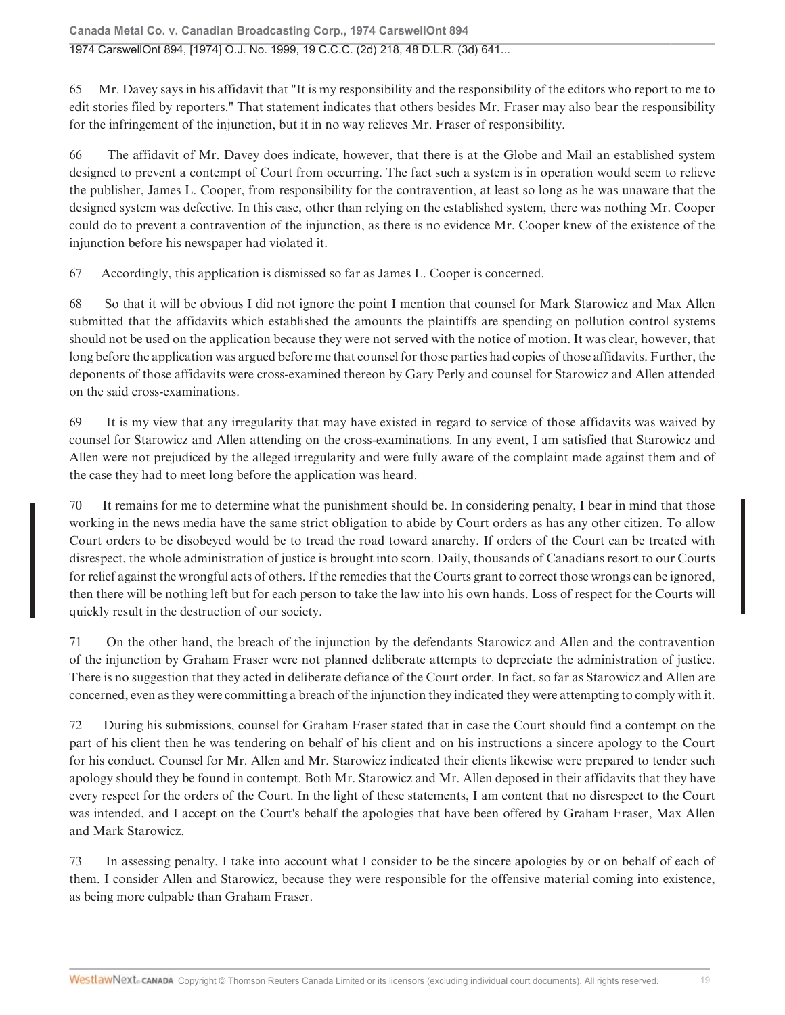Mr. Davey says in his affidavit that "It is my responsibility and the responsibility of the editors who report to me to 65 edit stories filed by reporters." That statement indicates that others besides Mr. Fraser may also bear the responsibility for the infringement of the injunction, but it in no way relieves Mr. Fraser of responsibility.

The affidavit of Mr. Davey does indicate, however, that there is at the Globe and Mail an established system 66 designed to prevent a contempt of Court from occurring. The fact such a system is in operation would seem to relieve the publisher, James L. Cooper, from responsibility for the contravention, at least so long as he was unaware that the designed system was defective. In this case, other than relying on the established system, there was nothing Mr. Cooper could do to prevent a contravention of the injunction, as there is no evidence Mr. Cooper knew of the existence of the injunction before his newspaper had violated it.

67 Accordingly, this application is dismissed so far as James L. Cooper is concerned.

68 So that it will be obvious I did not ignore the point I mention that counsel for Mark Starowicz and Max Allen submitted that the affidavits which established the amounts the plaintiffs are spending on pollution control systems should not be used on the application because they were not served with the notice of motion. It was clear, however, that long before the application was argued before me that counsel for those parties had copies of those affidavits. Further, the deponents of those affidavits were cross-examined thereon by Gary Perly and counsel for Starowicz and Allen attended on the said cross-examinations.

69 It is my view that any irregularity that may have existed in regard to service of those affidavits was waived by counsel for Starowicz and Allen attending on the cross-examinations. In any event, I am satisfied that Starowicz and Allen were not prejudiced by the alleged irregularity and were fully aware of the complaint made against them and of the case they had to meet long before the application was heard.

It remains for me to determine what the punishment should be. In considering penalty, I bear in mind that those 70 working in the news media have the same strict obligation to abide by Court orders as has any other citizen. To allow Court orders to be disobeyed would be to tread the road toward anarchy. If orders of the Court can be treated with disrespect, the whole administration of justice is brought into scorn. Daily, thousands of Canadians resort to our Courts for relief against the wrongful acts of others. If the remedies that the Courts grant to correct those wrongs can be ignored, then there will be nothing left but for each person to take the law into his own hands. Loss of respect for the Courts will quickly result in the destruction of our society.

71 On the other hand, the breach of the injunction by the defendants Starowicz and Allen and the contravention of the injunction by Graham Fraser were not planned deliberate attempts to depreciate the administration of justice. There is no suggestion that they acted in deliberate defiance of the Court order. In fact, so far as Starowicz and Allen are concerned, even as they were committing a breach of the injunction they indicated they were attempting to comply with it.

During his submissions, counsel for Graham Fraser stated that in case the Court should find a contempt on the 72 part of his client then he was tendering on behalf of his client and on his instructions a sincere apology to the Court for his conduct. Counsel for Mr. Allen and Mr. Starowicz indicated their clients likewise were prepared to tender such apology should they be found in contempt. Both Mr. Starowicz and Mr. Allen deposed in their affidavits that they have every respect for the orders of the Court. In the light of these statements, I am content that no disrespect to the Court was intended, and I accept on the Court's behalf the apologies that have been offered by Graham Fraser, Max Allen and Mark Starowicz.

In assessing penalty, I take into account what I consider to be the sincere apologies by or on behalf of each of 73 them. I consider Allen and Starowicz, because they were responsible for the offensive material coming into existence, as being more culpable than Graham Fraser.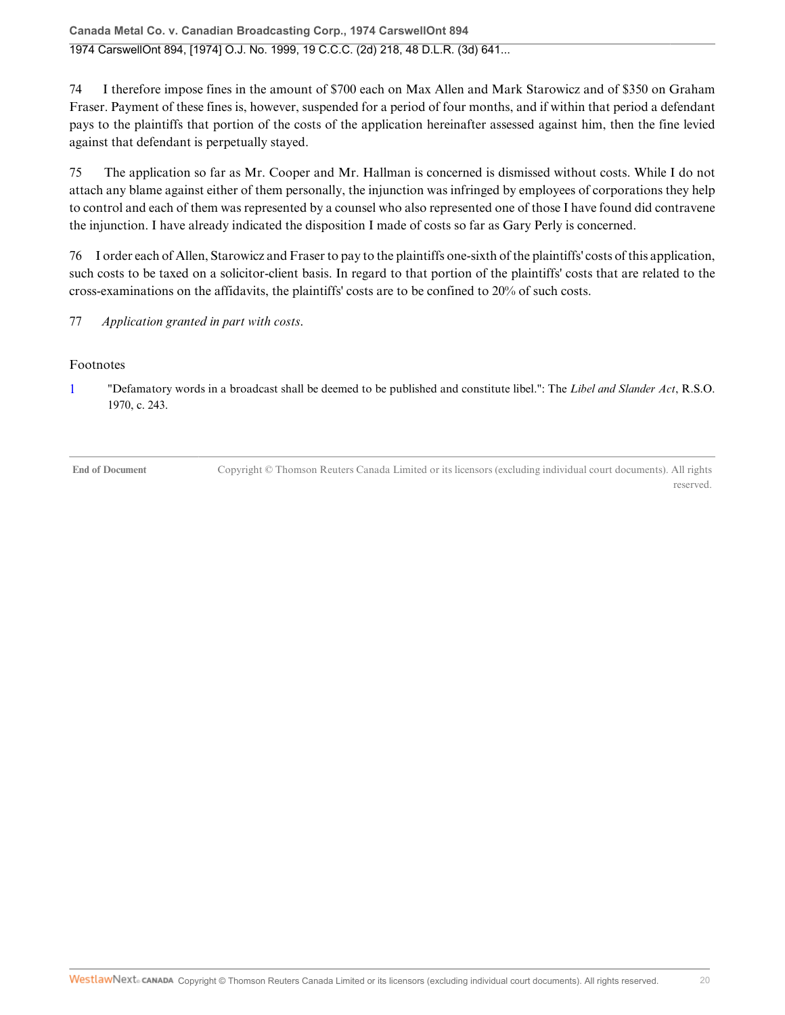**Canada Metal Co. v. Canadian Broadcasting Corp., 1974 CarswellOnt 894** 1974 CarswellOnt 894, [1974] O.J. No. 1999, 19 C.C.C. (2d) 218, 48 D.L.R. (3d) 641...

74 I therefore impose fines in the amount of \$700 each on Max Allen and Mark Starowicz and of \$350 on Graham Fraser. Payment of these fines is, however, suspended for a period of four months, and if within that period a defendant pays to the plaintiffs that portion of the costs of the application hereinafter assessed against him, then the fine levied against that defendant is perpetually stayed.

75 The application so far as Mr. Cooper and Mr. Hallman is concerned is dismissed without costs. While I do not attach any blame against either of them personally, the injunction was infringed by employees of corporations they help to control and each of them was represented by a counsel who also represented one of those I have found did contravene the injunction. I have already indicated the disposition I made of costs so far as Gary Perly is concerned.

76 I order each of Allen, Starowicz and Fraser to pay to the plaintiffs one-sixth of the plaintiffs' costs of this application, such costs to be taxed on a solicitor-client basis. In regard to that portion of the plaintiffs' costs that are related to the cross-examinations on the affidavits, the plaintiffs' costs are to be confined to 20% of such costs.

77 *Application granted in part with costs*.

#### Footnotes

1 "Defamatory words in a broadcast shall be deemed to be published and constitute libel.": The *Libel and Slander Act*, R.S.O. 1970, c. 243.

**End of Document** Copyright © Thomson Reuters Canada Limited or its licensors (excluding individual court documents). All rights reserved.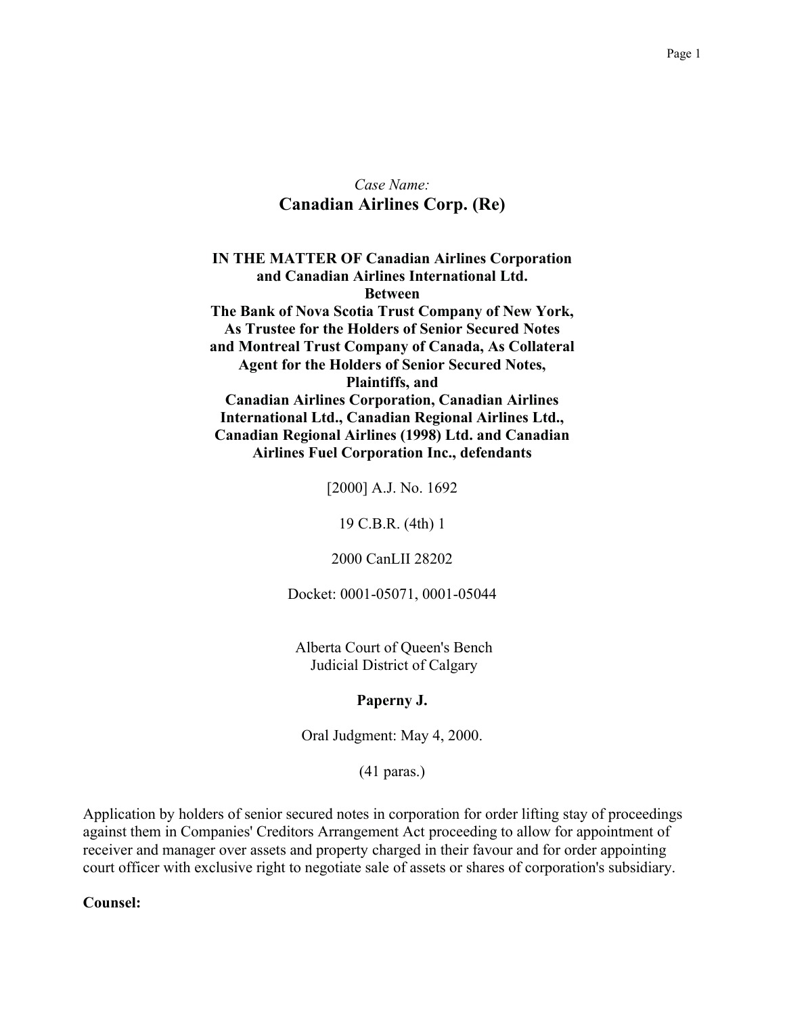## Case Name: **Canadian Airlines Corp. (Re)**

**IN THE MATTER OF Canadian Airlines Corporation** and Canadian Airlines International Ltd. **Between** The Bank of Nova Scotia Trust Company of New York, As Trustee for the Holders of Senior Secured Notes and Montreal Trust Company of Canada, As Collateral **Agent for the Holders of Senior Secured Notes, Plaintiffs, and Canadian Airlines Corporation, Canadian Airlines** International Ltd., Canadian Regional Airlines Ltd., **Canadian Regional Airlines (1998) Ltd. and Canadian Airlines Fuel Corporation Inc., defendants** 

[2000] A.J. No. 1692

19 C.B.R. (4th) 1

2000 CanLII 28202

Docket: 0001-05071, 0001-05044

Alberta Court of Queen's Bench Judicial District of Calgary

#### Paperny J.

Oral Judgment: May 4, 2000.

 $(41 \text{ paras.})$ 

Application by holders of senior secured notes in corporation for order lifting stay of proceedings against them in Companies' Creditors Arrangement Act proceeding to allow for appointment of receiver and manager over assets and property charged in their favour and for order appointing court officer with exclusive right to negotiate sale of assets or shares of corporation's subsidiary.

Counsel: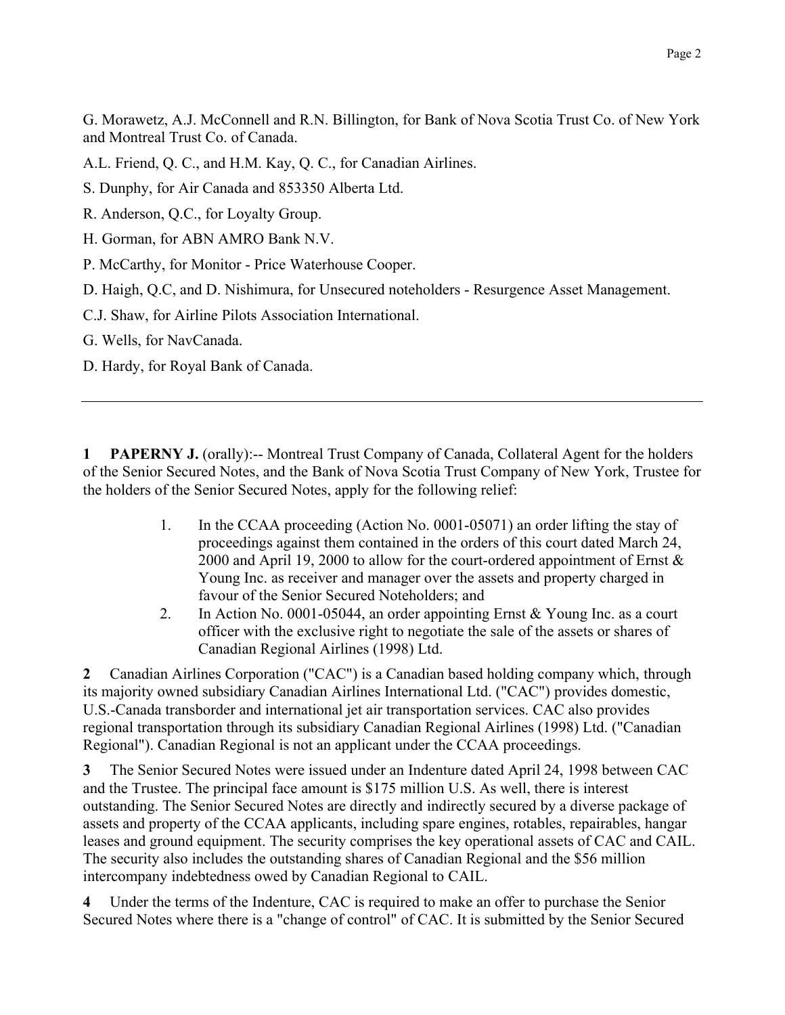G. Morawetz, A.J. McConnell and R.N. Billington, for Bank of Nova Scotia Trust Co. of New York and Montreal Trust Co. of Canada.

A.L. Friend, Q. C., and H.M. Kay, Q. C., for Canadian Airlines.

S. Dunphy, for Air Canada and 853350 Alberta Ltd.

- R. Anderson, Q.C., for Loyalty Group.
- H. Gorman, for ABN AMRO Bank N.V.
- P. McCarthy, for Monitor Price Waterhouse Cooper.
- D. Haigh, O.C. and D. Nishimura, for Unsecured noteholders Resurgence Asset Management.
- C.J. Shaw, for Airline Pilots Association International.
- G. Wells, for NavCanada.
- D. Hardy, for Royal Bank of Canada.

**PAPERNY J.** (orally):-- Montreal Trust Company of Canada, Collateral Agent for the holders 1 of the Senior Secured Notes, and the Bank of Nova Scotia Trust Company of New York, Trustee for the holders of the Senior Secured Notes, apply for the following relief:

- 1. In the CCAA proceeding (Action No. 0001-05071) an order lifting the stay of proceedings against them contained in the orders of this court dated March 24, 2000 and April 19, 2000 to allow for the court-ordered appointment of Ernst  $\&$ Young Inc. as receiver and manager over the assets and property charged in favour of the Senior Secured Noteholders; and
- In Action No. 0001-05044, an order appointing Ernst  $& Young Inc.$  as a court 2. officer with the exclusive right to negotiate the sale of the assets or shares of Canadian Regional Airlines (1998) Ltd.

Canadian Airlines Corporation ("CAC") is a Canadian based holding company which, through  $\mathbf{2}$ its majority owned subsidiary Canadian Airlines International Ltd. ("CAC") provides domestic, U.S.-Canada transborder and international jet air transportation services. CAC also provides regional transportation through its subsidiary Canadian Regional Airlines (1998) Ltd. ("Canadian Regional"). Canadian Regional is not an applicant under the CCAA proceedings.

The Senior Secured Notes were issued under an Indenture dated April 24, 1998 between CAC  $3<sup>1</sup>$ and the Trustee. The principal face amount is \$175 million U.S. As well, there is interest outstanding. The Senior Secured Notes are directly and indirectly secured by a diverse package of assets and property of the CCAA applicants, including spare engines, rotables, repairables, hangar leases and ground equipment. The security comprises the key operational assets of CAC and CAIL. The security also includes the outstanding shares of Canadian Regional and the \$56 million intercompany indebtedness owed by Canadian Regional to CAIL.

 $\overline{\mathbf{4}}$ Under the terms of the Indenture, CAC is required to make an offer to purchase the Senior Secured Notes where there is a "change of control" of CAC. It is submitted by the Senior Secured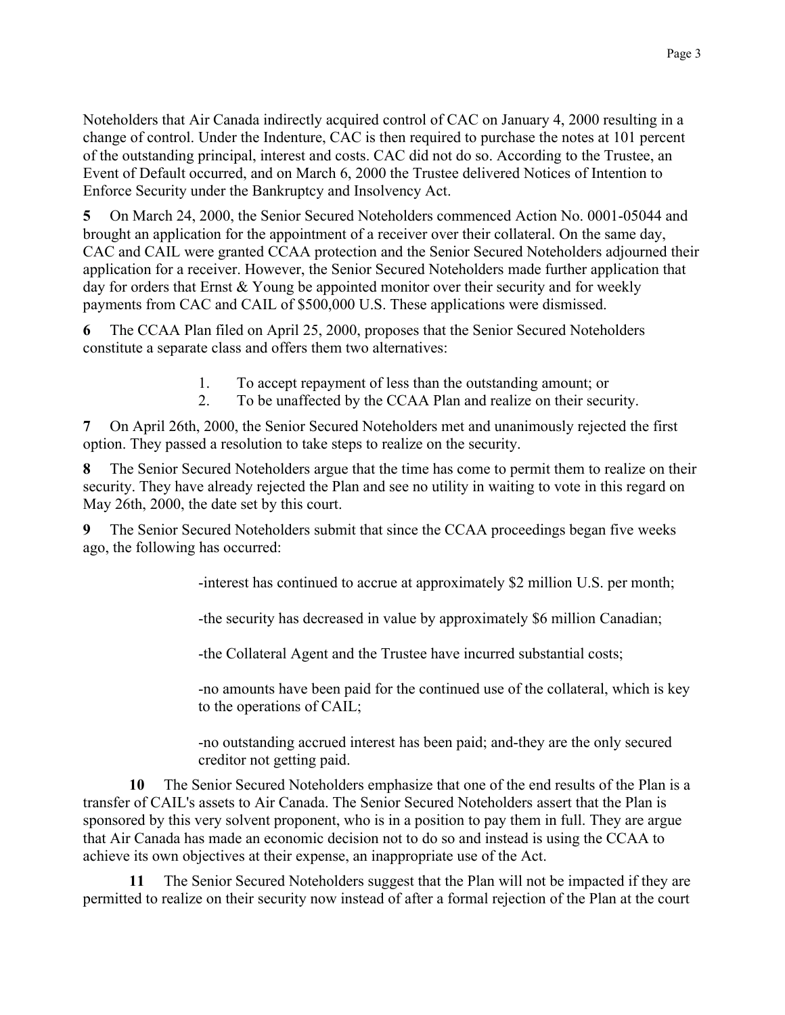Noteholders that Air Canada indirectly acquired control of CAC on January 4, 2000 resulting in a change of control. Under the Indenture, CAC is then required to purchase the notes at 101 percent of the outstanding principal, interest and costs. CAC did not do so. According to the Trustee, an Event of Default occurred, and on March 6, 2000 the Trustee delivered Notices of Intention to Enforce Security under the Bankruptcy and Insolvency Act.

 $5<sup>5</sup>$ On March 24, 2000, the Senior Secured Noteholders commenced Action No. 0001-05044 and brought an application for the appointment of a receiver over their collateral. On the same day, CAC and CAIL were granted CCAA protection and the Senior Secured Noteholders adjourned their application for a receiver. However, the Senior Secured Noteholders made further application that day for orders that Ernst  $&$  Young be appointed monitor over their security and for weekly payments from CAC and CAIL of \$500,000 U.S. These applications were dismissed.

6 The CCAA Plan filed on April 25, 2000, proposes that the Senior Secured Noteholders constitute a separate class and offers them two alternatives:

- $1_{-}$ To accept repayment of less than the outstanding amount; or
- $\overline{2}$ To be unaffected by the CCAA Plan and realize on their security.

On April 26th, 2000, the Senior Secured Noteholders met and unanimously rejected the first 7 option. They passed a resolution to take steps to realize on the security.

The Senior Secured Noteholders argue that the time has come to permit them to realize on their 8 security. They have already rejected the Plan and see no utility in waiting to vote in this regard on May 26th, 2000, the date set by this court.

The Senior Secured Noteholders submit that since the CCAA proceedings began five weeks 9 ago, the following has occurred:

-interest has continued to accrue at approximately \$2 million U.S. per month;

-the security has decreased in value by approximately \$6 million Canadian;

-the Collateral Agent and the Trustee have incurred substantial costs;

-no amounts have been paid for the continued use of the collateral, which is key to the operations of CAIL:

-no outstanding accrued interest has been paid; and-they are the only secured creditor not getting paid.

The Senior Secured Noteholders emphasize that one of the end results of the Plan is a 10 transfer of CAIL's assets to Air Canada. The Senior Secured Noteholders assert that the Plan is sponsored by this very solvent proponent, who is in a position to pay them in full. They are argue that Air Canada has made an economic decision not to do so and instead is using the CCAA to achieve its own objectives at their expense, an inappropriate use of the Act.

The Senior Secured Noteholders suggest that the Plan will not be impacted if they are 11 permitted to realize on their security now instead of after a formal rejection of the Plan at the court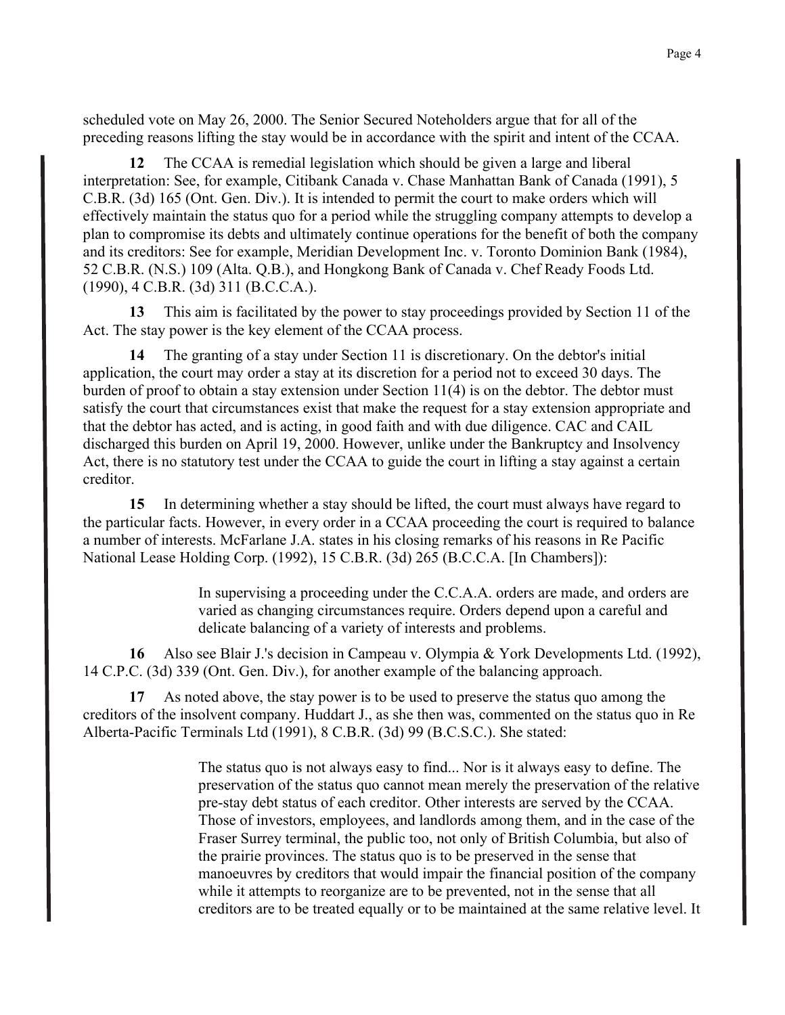scheduled vote on May 26, 2000. The Senior Secured Noteholders argue that for all of the preceding reasons lifting the stay would be in accordance with the spirit and intent of the CCAA.

The CCAA is remedial legislation which should be given a large and liberal  $12<sup>7</sup>$ interpretation: See, for example, Citibank Canada v. Chase Manhattan Bank of Canada (1991), 5 C.B.R. (3d) 165 (Ont. Gen. Div.). It is intended to permit the court to make orders which will effectively maintain the status quo for a period while the struggling company attempts to develop a plan to compromise its debts and ultimately continue operations for the benefit of both the company and its creditors: See for example, Meridian Development Inc. v. Toronto Dominion Bank (1984), 52 C.B.R. (N.S.) 109 (Alta. Q.B.), and Hongkong Bank of Canada v. Chef Ready Foods Ltd.  $(1990)$ , 4 C.B.R.  $(3d)$  311 (B.C.C.A.).

 $13<sup>7</sup>$ This aim is facilitated by the power to stay proceedings provided by Section 11 of the Act. The stay power is the key element of the CCAA process.

14 The granting of a stay under Section 11 is discretionary. On the debtor's initial application, the court may order a stay at its discretion for a period not to exceed 30 days. The burden of proof to obtain a stay extension under Section  $11(4)$  is on the debtor. The debtor must satisfy the court that circumstances exist that make the request for a stay extension appropriate and that the debtor has acted, and is acting, in good faith and with due diligence. CAC and CAIL discharged this burden on April 19, 2000. However, unlike under the Bankruptcy and Insolvency Act, there is no statutory test under the CCAA to guide the court in lifting a stay against a certain creditor.

 $15$ In determining whether a stay should be lifted, the court must always have regard to the particular facts. However, in every order in a CCAA proceeding the court is required to balance a number of interests. McFarlane J.A. states in his closing remarks of his reasons in Re Pacific National Lease Holding Corp. (1992), 15 C.B.R. (3d) 265 (B.C.C.A. [In Chambers]):

> In supervising a proceeding under the C.C.A.A. orders are made, and orders are varied as changing circumstances require. Orders depend upon a careful and delicate balancing of a variety of interests and problems.

16 Also see Blair J.'s decision in Campeau v. Olympia & York Developments Ltd. (1992), 14 C.P.C. (3d) 339 (Ont. Gen. Div.), for another example of the balancing approach.

17 As noted above, the stay power is to be used to preserve the status quo among the creditors of the insolvent company. Huddart J., as she then was, commented on the status quo in Re Alberta-Pacific Terminals Ltd (1991), 8 C.B.R. (3d) 99 (B.C.S.C.). She stated:

> The status quo is not always easy to find... Nor is it always easy to define. The preservation of the status quo cannot mean merely the preservation of the relative pre-stay debt status of each creditor. Other interests are served by the CCAA. Those of investors, employees, and landlords among them, and in the case of the Fraser Surrey terminal, the public too, not only of British Columbia, but also of the prairie provinces. The status quo is to be preserved in the sense that manoeuvres by creditors that would impair the financial position of the company while it attempts to reorganize are to be prevented, not in the sense that all creditors are to be treated equally or to be maintained at the same relative level. It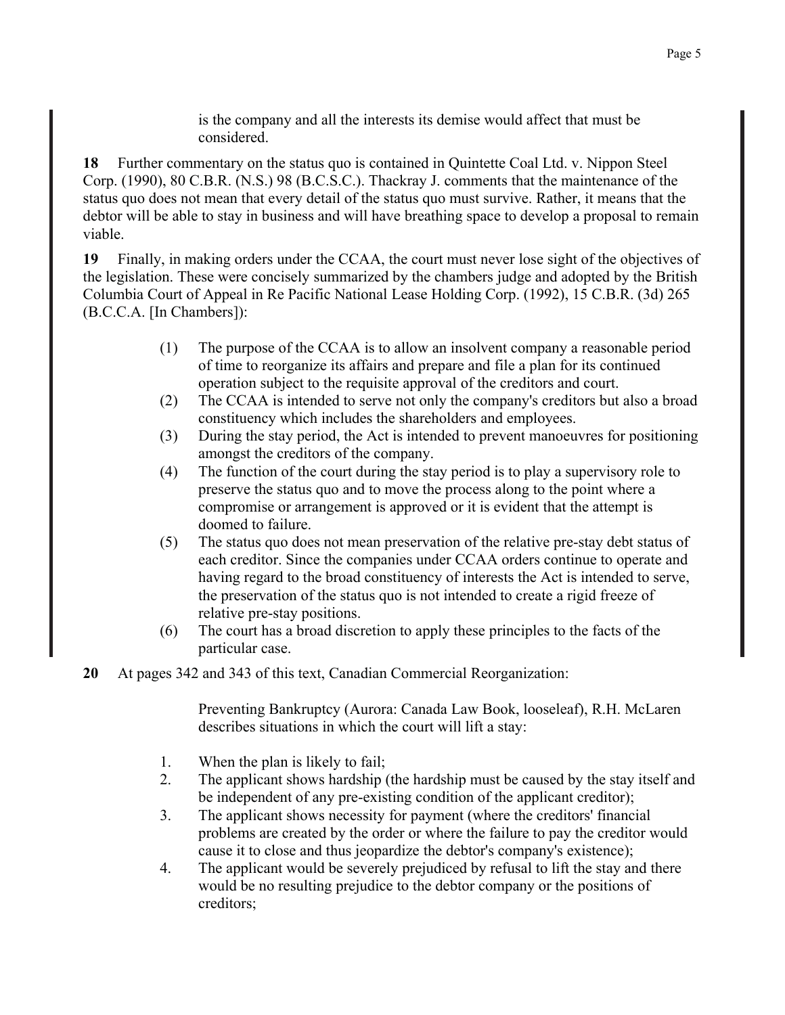is the company and all the interests its demise would affect that must be considered.

18 Further commentary on the status quo is contained in Quintette Coal Ltd. v. Nippon Steel Corp. (1990), 80 C.B.R. (N.S.) 98 (B.C.S.C.). Thackray J. comments that the maintenance of the status quo does not mean that every detail of the status quo must survive. Rather, it means that the debtor will be able to stay in business and will have breathing space to develop a proposal to remain viable.

19 Finally, in making orders under the CCAA, the court must never lose sight of the objectives of the legislation. These were concisely summarized by the chambers judge and adopted by the British Columbia Court of Appeal in Re Pacific National Lease Holding Corp. (1992), 15 C.B.R. (3d) 265 (B.C.C.A. [In Chambers]):

- The purpose of the CCAA is to allow an insolvent company a reasonable period  $(1)$ of time to reorganize its affairs and prepare and file a plan for its continued operation subject to the requisite approval of the creditors and court.
- $(2)$ The CCAA is intended to serve not only the company's creditors but also a broad constituency which includes the shareholders and employees.
- During the stay period, the Act is intended to prevent manoeuvres for positioning  $(3)$ amongst the creditors of the company.
- $(4)$ The function of the court during the stay period is to play a supervisory role to preserve the status quo and to move the process along to the point where a compromise or arrangement is approved or it is evident that the attempt is doomed to failure.
- $(5)$ The status quo does not mean preservation of the relative pre-stay debt status of each creditor. Since the companies under CCAA orders continue to operate and having regard to the broad constituency of interests the Act is intended to serve, the preservation of the status quo is not intended to create a rigid freeze of relative pre-stay positions.
- The court has a broad discretion to apply these principles to the facts of the  $(6)$ particular case.
- 20 At pages 342 and 343 of this text, Canadian Commercial Reorganization:

Preventing Bankruptcy (Aurora: Canada Law Book, looseleaf), R.H. McLaren describes situations in which the court will lift a stay:

- $1.$ When the plan is likely to fail;
- $2^{\circ}$ The applicant shows hardship (the hardship must be caused by the stay itself and be independent of any pre-existing condition of the applicant creditor);
- $3<sub>1</sub>$ The applicant shows necessity for payment (where the creditors' financial problems are created by the order or where the failure to pay the creditor would cause it to close and thus jeopardize the debtor's company's existence);
- $4.$ The applicant would be severely prejudiced by refusal to lift the stay and there would be no resulting prejudice to the debtor company or the positions of creditors: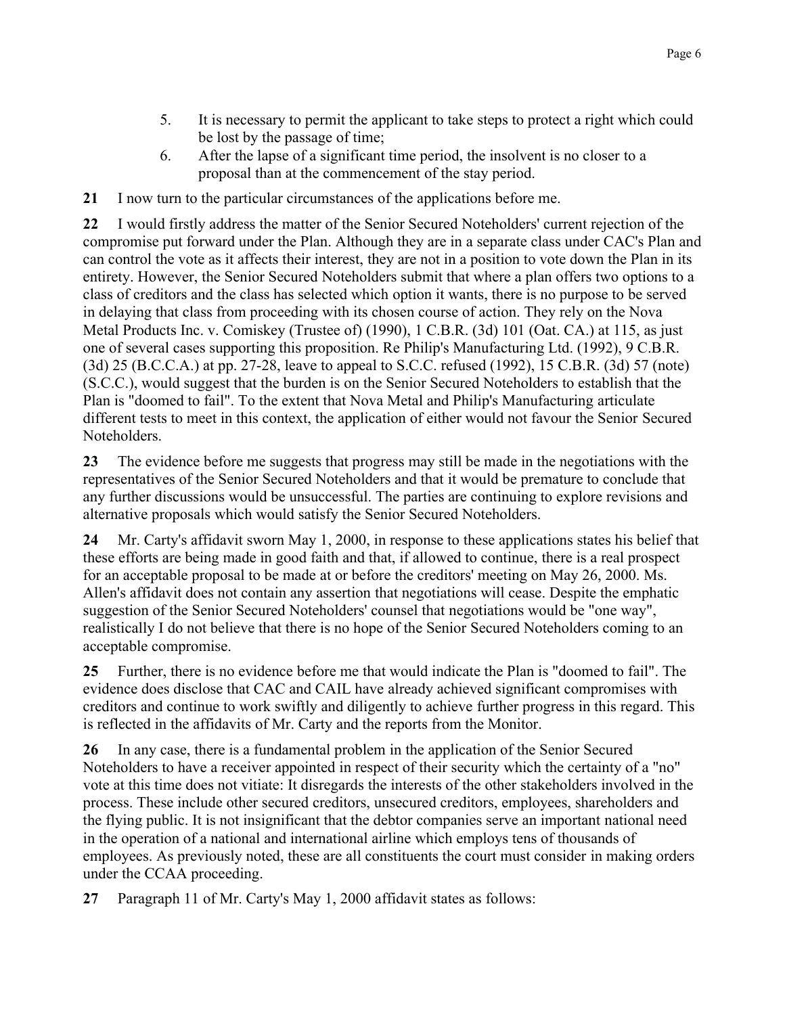- 5. It is necessary to permit the applicant to take steps to protect a right which could be lost by the passage of time;
- 6. After the lapse of a significant time period, the insolvent is no closer to a proposal than at the commencement of the stay period.

21 I now turn to the particular circumstances of the applications before me.

22 I would firstly address the matter of the Senior Secured Noteholders' current rejection of the compromise put forward under the Plan. Although they are in a separate class under CAC's Plan and can control the vote as it affects their interest, they are not in a position to vote down the Plan in its entirety. However, the Senior Secured Noteholders submit that where a plan offers two options to a class of creditors and the class has selected which option it wants, there is no purpose to be served in delaying that class from proceeding with its chosen course of action. They rely on the Nova Metal Products Inc. v. Comiskey (Trustee of) (1990), 1 C.B.R. (3d) 101 (Oat. CA.) at 115, as just one of several cases supporting this proposition. Re Philip's Manufacturing Ltd. (1992), 9 C.B.R. (3d) 25 (B.C.C.A.) at pp. 27-28, leave to appeal to S.C.C. refused (1992), 15 C.B.R. (3d) 57 (note) (S.C.C.), would suggest that the burden is on the Senior Secured Noteholders to establish that the Plan is "doomed to fail". To the extent that Nova Metal and Philip's Manufacturing articulate different tests to meet in this context, the application of either would not favour the Senior Secured Noteholders.

23 The evidence before me suggests that progress may still be made in the negotiations with the representatives of the Senior Secured Noteholders and that it would be premature to conclude that any further discussions would be unsuccessful. The parties are continuing to explore revisions and alternative proposals which would satisfy the Senior Secured Noteholders.

Mr. Carty's affidavit sworn May 1, 2000, in response to these applications states his belief that 24 these efforts are being made in good faith and that, if allowed to continue, there is a real prospect for an acceptable proposal to be made at or before the creditors' meeting on May 26, 2000. Ms. Allen's affidavit does not contain any assertion that negotiations will cease. Despite the emphatic suggestion of the Senior Secured Noteholders' counsel that negotiations would be "one way", realistically I do not believe that there is no hope of the Senior Secured Noteholders coming to an acceptable compromise.

Further, there is no evidence before me that would indicate the Plan is "doomed to fail". The 25 evidence does disclose that CAC and CAIL have already achieved significant compromises with creditors and continue to work swiftly and diligently to achieve further progress in this regard. This is reflected in the affidavits of Mr. Carty and the reports from the Monitor.

26 In any case, there is a fundamental problem in the application of the Senior Secured Noteholders to have a receiver appointed in respect of their security which the certainty of a "no" vote at this time does not vitiate: It disregards the interests of the other stakeholders involved in the process. These include other secured creditors, unsecured creditors, employees, shareholders and the flying public. It is not insignificant that the debtor companies serve an important national need in the operation of a national and international airline which employs tens of thousands of employees. As previously noted, these are all constituents the court must consider in making orders under the CCAA proceeding.

 $27$ Paragraph 11 of Mr. Carty's May 1, 2000 affidavit states as follows: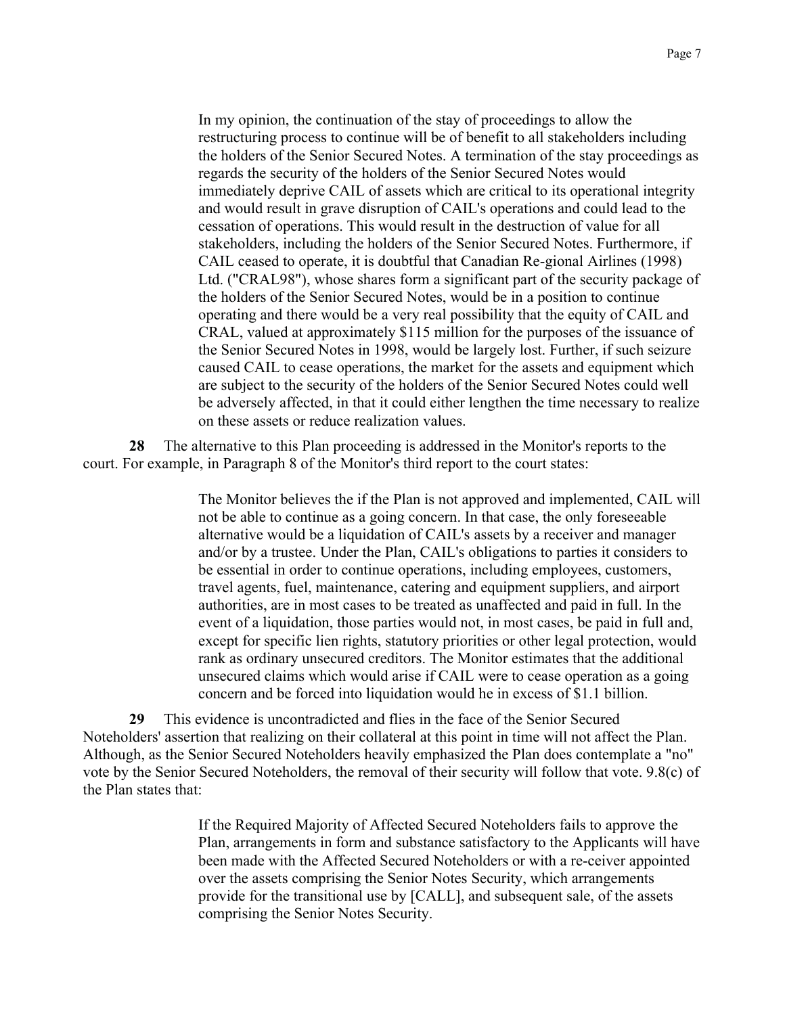In my opinion, the continuation of the stay of proceedings to allow the restructuring process to continue will be of benefit to all stakeholders including the holders of the Senior Secured Notes. A termination of the stay proceedings as regards the security of the holders of the Senior Secured Notes would immediately deprive CAIL of assets which are critical to its operational integrity and would result in grave disruption of CAIL's operations and could lead to the cessation of operations. This would result in the destruction of value for all stakeholders, including the holders of the Senior Secured Notes. Furthermore, if CAIL ceased to operate, it is doubtful that Canadian Re-gional Airlines (1998) Ltd. ("CRAL98"), whose shares form a significant part of the security package of the holders of the Senior Secured Notes, would be in a position to continue operating and there would be a very real possibility that the equity of CAIL and CRAL, valued at approximately \$115 million for the purposes of the issuance of the Senior Secured Notes in 1998, would be largely lost. Further, if such seizure caused CAIL to cease operations, the market for the assets and equipment which are subject to the security of the holders of the Senior Secured Notes could well be adversely affected, in that it could either lengthen the time necessary to realize on these assets or reduce realization values.

The alternative to this Plan proceeding is addressed in the Monitor's reports to the 28 court. For example, in Paragraph 8 of the Monitor's third report to the court states:

> The Monitor believes the if the Plan is not approved and implemented, CAIL will not be able to continue as a going concern. In that case, the only foreseeable alternative would be a liquidation of CAIL's assets by a receiver and manager and/or by a trustee. Under the Plan, CAIL's obligations to parties it considers to be essential in order to continue operations, including employees, customers, travel agents, fuel, maintenance, catering and equipment suppliers, and airport authorities, are in most cases to be treated as unaffected and paid in full. In the event of a liquidation, those parties would not, in most cases, be paid in full and, except for specific lien rights, statutory priorities or other legal protection, would rank as ordinary unsecured creditors. The Monitor estimates that the additional unsecured claims which would arise if CAIL were to cease operation as a going concern and be forced into liquidation would he in excess of \$1.1 billion.

This evidence is uncontradicted and flies in the face of the Senior Secured 29 Noteholders' assertion that realizing on their collateral at this point in time will not affect the Plan. Although, as the Senior Secured Noteholders heavily emphasized the Plan does contemplate a "no" vote by the Senior Secured Noteholders, the removal of their security will follow that vote. 9.8(c) of the Plan states that:

> If the Required Majority of Affected Secured Noteholders fails to approve the Plan, arrangements in form and substance satisfactory to the Applicants will have been made with the Affected Secured Noteholders or with a re-ceiver appointed over the assets comprising the Senior Notes Security, which arrangements provide for the transitional use by [CALL], and subsequent sale, of the assets comprising the Senior Notes Security.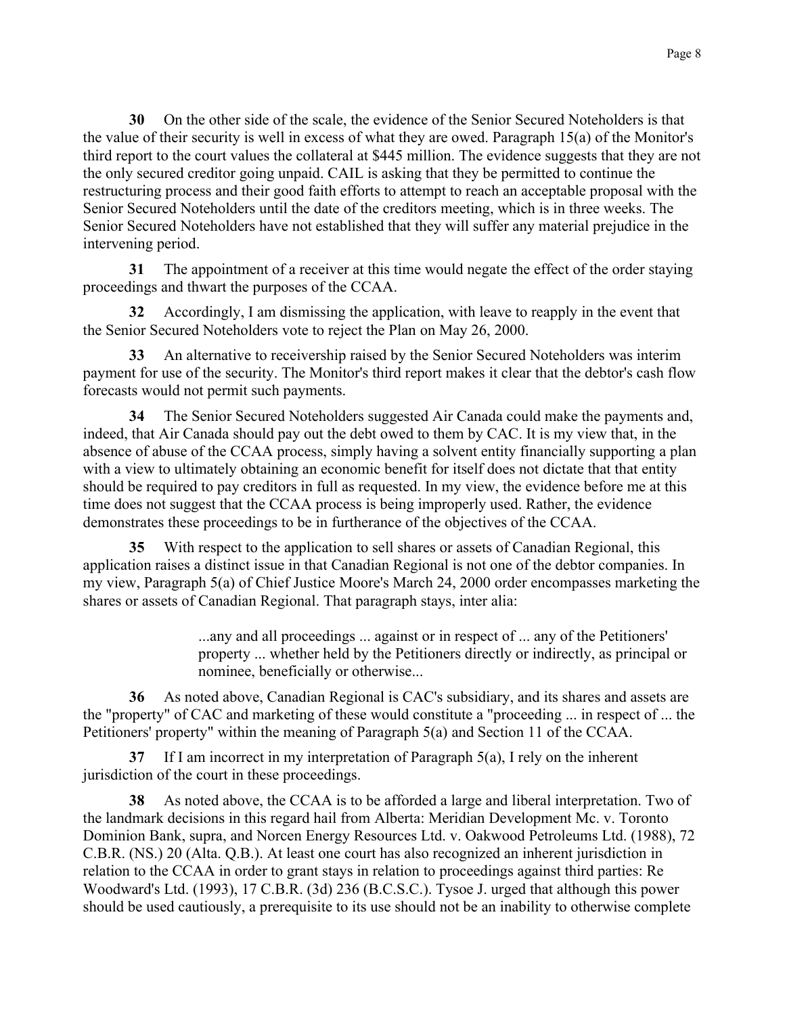On the other side of the scale, the evidence of the Senior Secured Noteholders is that 30 the value of their security is well in excess of what they are owed. Paragraph 15(a) of the Monitor's third report to the court values the collateral at \$445 million. The evidence suggests that they are not the only secured creditor going unpaid. CAIL is asking that they be permitted to continue the restructuring process and their good faith efforts to attempt to reach an acceptable proposal with the Senior Secured Noteholders until the date of the creditors meeting, which is in three weeks. The Senior Secured Noteholders have not established that they will suffer any material prejudice in the intervening period.

The appointment of a receiver at this time would negate the effect of the order staying  $31$ proceedings and thwart the purposes of the CCAA.

 $32<sup>2</sup>$ Accordingly, I am dismissing the application, with leave to reapply in the event that the Senior Secured Noteholders vote to reject the Plan on May 26, 2000.

 $33<sup>7</sup>$ An alternative to receivership raised by the Senior Secured Noteholders was interiment payment for use of the security. The Monitor's third report makes it clear that the debtor's cash flow forecasts would not permit such payments.

The Senior Secured Noteholders suggested Air Canada could make the payments and, 34 indeed, that Air Canada should pay out the debt owed to them by CAC. It is my view that, in the absence of abuse of the CCAA process, simply having a solvent entity financially supporting a plan with a view to ultimately obtaining an economic benefit for itself does not dictate that that entity should be required to pay creditors in full as requested. In my view, the evidence before me at this time does not suggest that the CCAA process is being improperly used. Rather, the evidence demonstrates these proceedings to be in furtherance of the objectives of the CCAA.

 $35<sup>5</sup>$ With respect to the application to sell shares or assets of Canadian Regional, this application raises a distinct issue in that Canadian Regional is not one of the debtor companies. In my view, Paragraph 5(a) of Chief Justice Moore's March 24, 2000 order encompasses marketing the shares or assets of Canadian Regional. That paragraph stays, inter alia:

> ...any and all proceedings ... against or in respect of ... any of the Petitioners' property ... whether held by the Petitioners directly or indirectly, as principal or nominee, beneficially or otherwise...

36 As noted above, Canadian Regional is CAC's subsidiary, and its shares and assets are the "property" of CAC and marketing of these would constitute a "proceeding ... in respect of ... the Petitioners' property" within the meaning of Paragraph 5(a) and Section 11 of the CCAA.

37 If I am incorrect in my interpretation of Paragraph  $5(a)$ , I rely on the inherent jurisdiction of the court in these proceedings.

38 As noted above, the CCAA is to be afforded a large and liberal interpretation. Two of the landmark decisions in this regard hail from Alberta: Meridian Development Mc. v. Toronto Dominion Bank, supra, and Norcen Energy Resources Ltd. v. Oakwood Petroleums Ltd. (1988), 72 C.B.R. (NS.) 20 (Alta. O.B.). At least one court has also recognized an inherent jurisdiction in relation to the CCAA in order to grant stays in relation to proceedings against third parties: Re Woodward's Ltd. (1993), 17 C.B.R. (3d) 236 (B.C.S.C.). Tysoe J. urged that although this power should be used cautiously, a prerequisite to its use should not be an inability to otherwise complete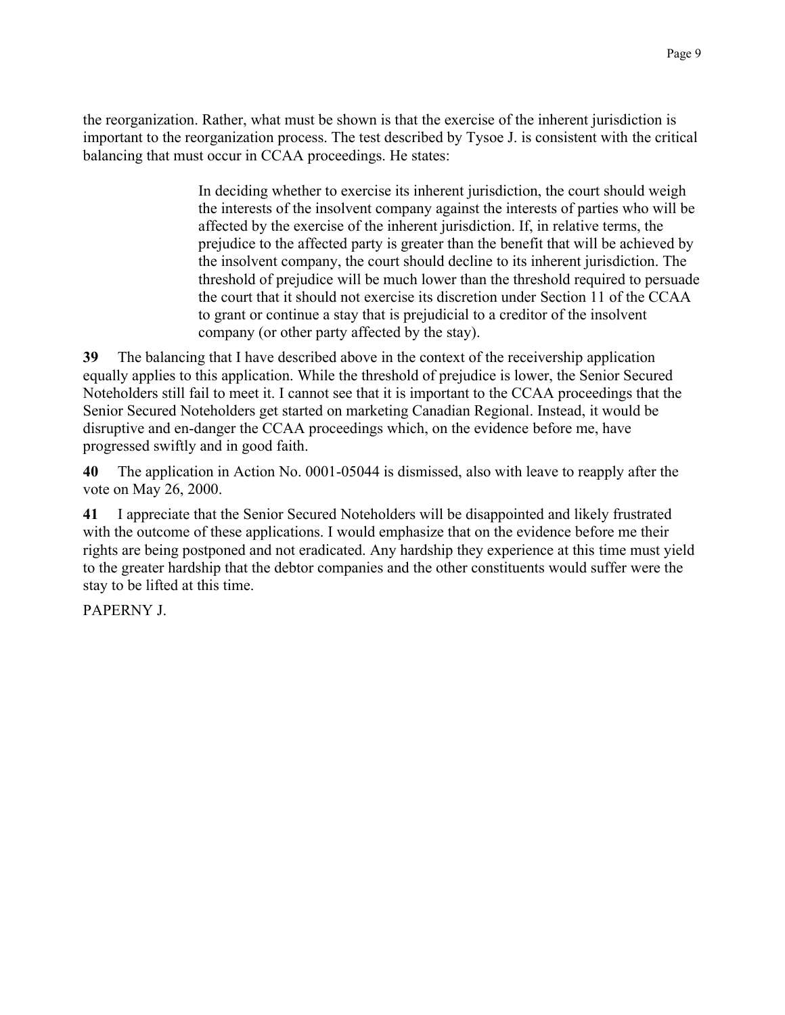the reorganization. Rather, what must be shown is that the exercise of the inherent jurisdiction is important to the reorganization process. The test described by Tysoe J. is consistent with the critical balancing that must occur in CCAA proceedings. He states:

> In deciding whether to exercise its inherent jurisdiction, the court should weigh the interests of the insolvent company against the interests of parties who will be affected by the exercise of the inherent jurisdiction. If, in relative terms, the prejudice to the affected party is greater than the benefit that will be achieved by the insolvent company, the court should decline to its inherent jurisdiction. The threshold of prejudice will be much lower than the threshold required to persuade the court that it should not exercise its discretion under Section 11 of the CCAA to grant or continue a stay that is prejudicial to a creditor of the insolvent company (or other party affected by the stay).

The balancing that I have described above in the context of the receivership application 39 equally applies to this application. While the threshold of prejudice is lower, the Senior Secured Noteholders still fail to meet it. I cannot see that it is important to the CCAA proceedings that the Senior Secured Noteholders get started on marketing Canadian Regional. Instead, it would be disruptive and en-danger the CCAA proceedings which, on the evidence before me, have progressed swiftly and in good faith.

40 The application in Action No. 0001-05044 is dismissed, also with leave to reapply after the vote on May 26, 2000.

41 I appreciate that the Senior Secured Noteholders will be disappointed and likely frustrated with the outcome of these applications. I would emphasize that on the evidence before me their rights are being postponed and not eradicated. Any hardship they experience at this time must yield to the greater hardship that the debtor companies and the other constituents would suffer were the stay to be lifted at this time.

**PAPERNY J**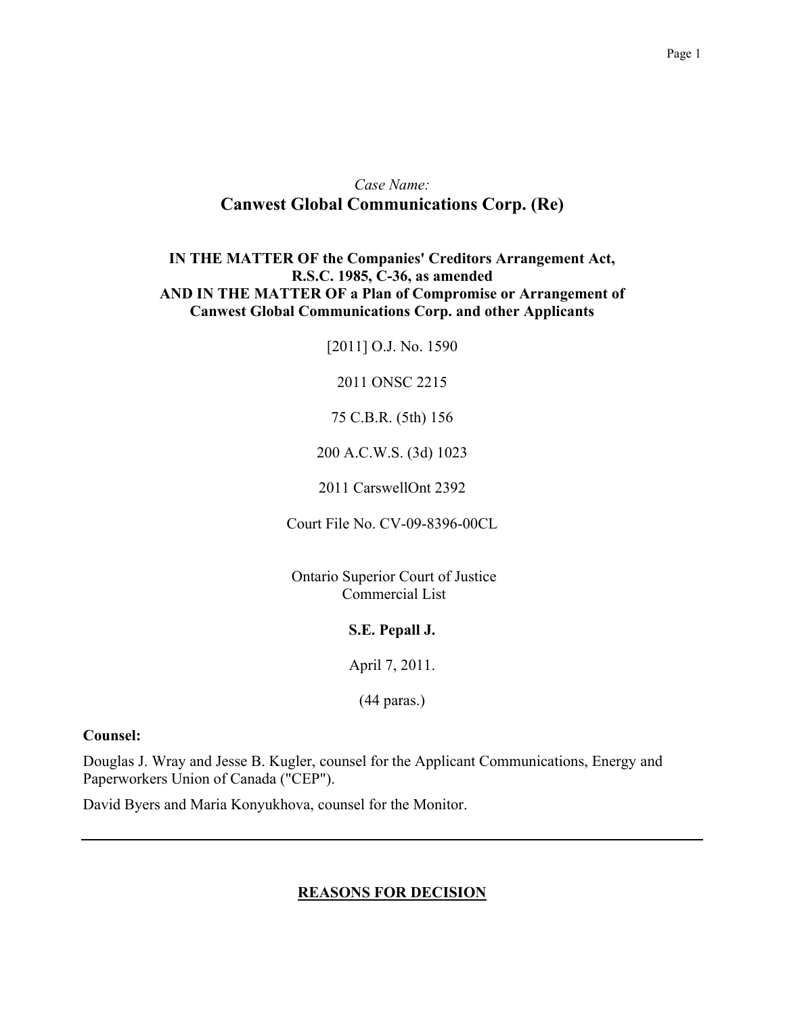## Case Name: **Canwest Global Communications Corp. (Re)**

## IN THE MATTER OF the Companies' Creditors Arrangement Act, R.S.C. 1985, C-36, as amended AND IN THE MATTER OF a Plan of Compromise or Arrangement of **Canwest Global Communications Corp. and other Applicants**

[2011] O.J. No. 1590

2011 ONSC 2215

75 C.B.R. (5th) 156

200 A.C.W.S. (3d) 1023

2011 CarswellOnt 2392

Court File No. CV-09-8396-00CL

Ontario Superior Court of Justice Commercial List

#### S.E. Pepall J.

April 7, 2011.

 $(44 \text{ paras.})$ 

#### **Counsel:**

Douglas J. Wray and Jesse B. Kugler, counsel for the Applicant Communications, Energy and Paperworkers Union of Canada ("CEP").

David Byers and Maria Konyukhova, counsel for the Monitor.

### **REASONS FOR DECISION**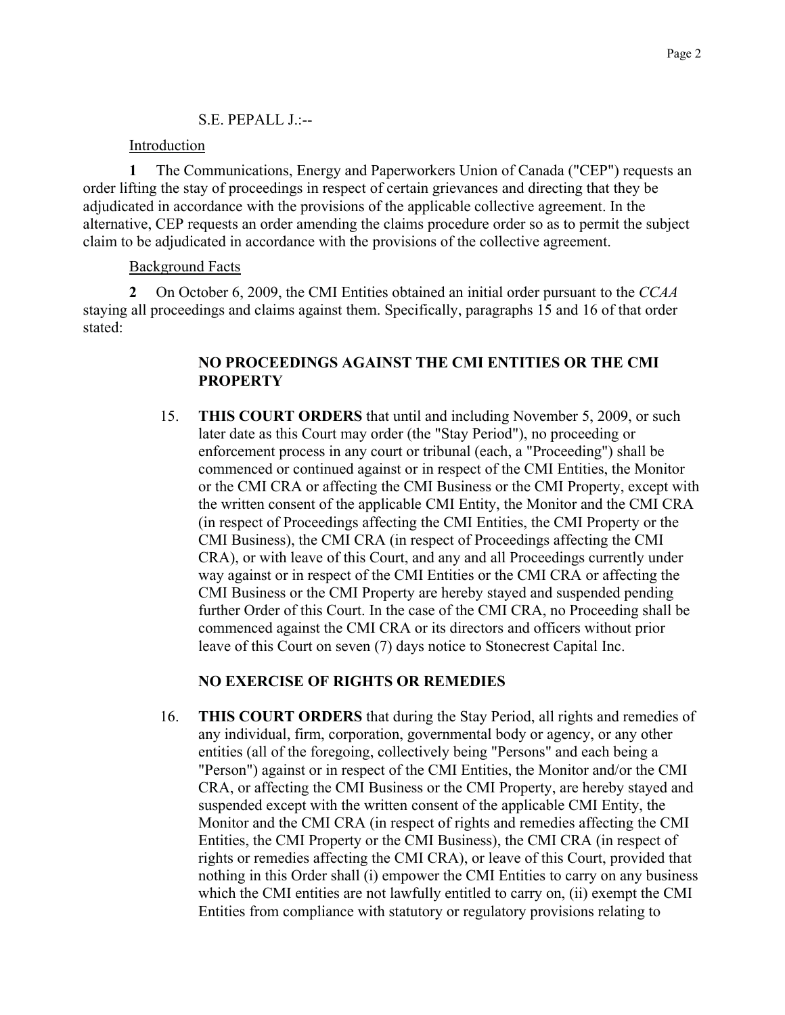### S.E. PEPALL J.:--

### Introduction

The Communications, Energy and Paperworkers Union of Canada ("CEP") requests an  $\mathbf{1}$ order lifting the stay of proceedings in respect of certain grievances and directing that they be adjudicated in accordance with the provisions of the applicable collective agreement. In the alternative, CEP requests an order amending the claims procedure order so as to permit the subject claim to be adjudicated in accordance with the provisions of the collective agreement.

### **Background Facts**

 $\overline{2}$ On October 6, 2009, the CMI Entities obtained an initial order pursuant to the CCAA staying all proceedings and claims against them. Specifically, paragraphs 15 and 16 of that order stated<sup>-</sup>

## NO PROCEEDINGS AGAINST THE CMI ENTITIES OR THE CMI **PROPERTY**

15. **THIS COURT ORDERS** that until and including November 5, 2009, or such later date as this Court may order (the "Stay Period"), no proceeding or enforcement process in any court or tribunal (each, a "Proceeding") shall be commenced or continued against or in respect of the CMI Entities, the Monitor or the CMI CRA or affecting the CMI Business or the CMI Property, except with the written consent of the applicable CMI Entity, the Monitor and the CMI CRA (in respect of Proceedings affecting the CMI Entities, the CMI Property or the CMI Business), the CMI CRA (in respect of Proceedings affecting the CMI CRA), or with leave of this Court, and any and all Proceedings currently under way against or in respect of the CMI Entities or the CMI CRA or affecting the CMI Business or the CMI Property are hereby stayed and suspended pending further Order of this Court. In the case of the CMI CRA, no Proceeding shall be commenced against the CMI CRA or its directors and officers without prior leave of this Court on seven (7) days notice to Stonecrest Capital Inc.

## **NO EXERCISE OF RIGHTS OR REMEDIES**

**THIS COURT ORDERS** that during the Stay Period, all rights and remedies of 16. any individual, firm, corporation, governmental body or agency, or any other entities (all of the foregoing, collectively being "Persons" and each being a "Person") against or in respect of the CMI Entities, the Monitor and/or the CMI CRA, or affecting the CMI Business or the CMI Property, are hereby stayed and suspended except with the written consent of the applicable CMI Entity, the Monitor and the CMI CRA (in respect of rights and remedies affecting the CMI Entities, the CMI Property or the CMI Business), the CMI CRA (in respect of rights or remedies affecting the CMI CRA), or leave of this Court, provided that nothing in this Order shall (i) empower the CMI Entities to carry on any business which the CMI entities are not lawfully entitled to carry on, (ii) exempt the CMI Entities from compliance with statutory or regulatory provisions relating to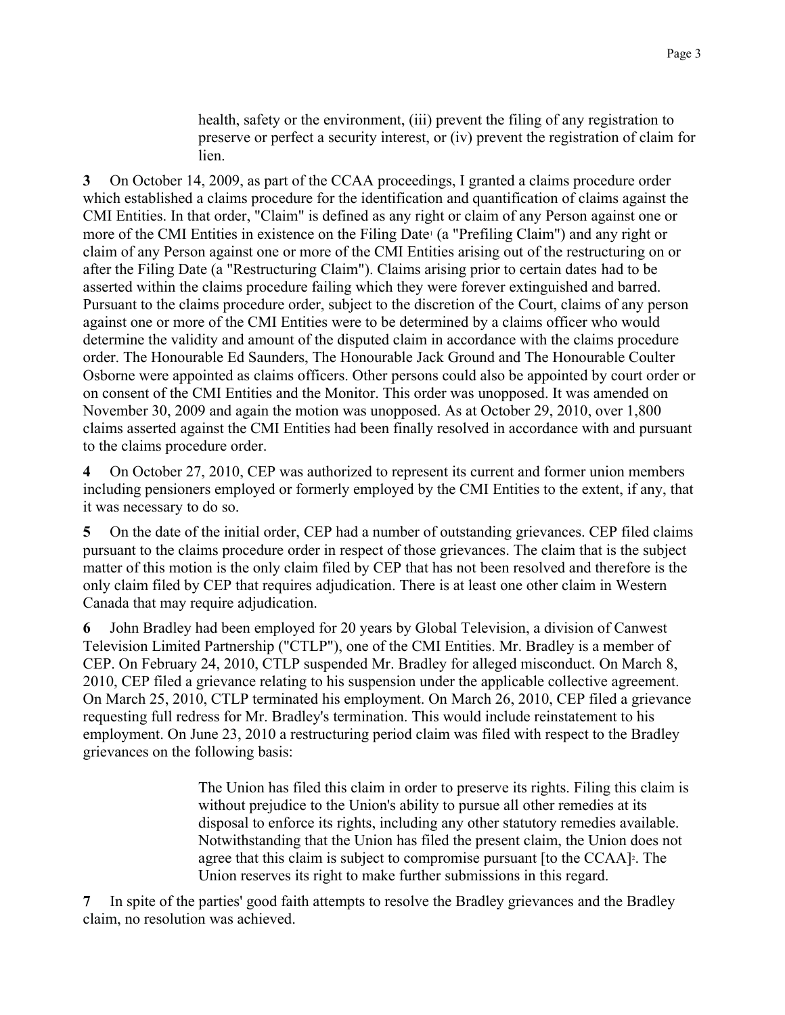health, safety or the environment, (iii) prevent the filing of any registration to preserve or perfect a security interest, or (iv) prevent the registration of claim for lien.

On October 14, 2009, as part of the CCAA proceedings, I granted a claims procedure order  $3<sup>1</sup>$ which established a claims procedure for the identification and quantification of claims against the CMI Entities. In that order, "Claim" is defined as any right or claim of any Person against one or more of the CMI Entities in existence on the Filing Date<sup>1</sup> (a "Prefiling Claim") and any right or claim of any Person against one or more of the CMI Entities arising out of the restructuring on or after the Filing Date (a "Restructuring Claim"). Claims arising prior to certain dates had to be asserted within the claims procedure failing which they were forever extinguished and barred. Pursuant to the claims procedure order, subject to the discretion of the Court, claims of any person against one or more of the CMI Entities were to be determined by a claims officer who would determine the validity and amount of the disputed claim in accordance with the claims procedure order. The Honourable Ed Saunders, The Honourable Jack Ground and The Honourable Coulter Osborne were appointed as claims officers. Other persons could also be appointed by court order or on consent of the CMI Entities and the Monitor. This order was unopposed. It was amended on November 30, 2009 and again the motion was unopposed. As at October 29, 2010, over 1,800 claims asserted against the CMI Entities had been finally resolved in accordance with and pursuant to the claims procedure order.

 $\overline{\mathbf{4}}$ On October 27, 2010, CEP was authorized to represent its current and former union members including pensioners employed or formerly employed by the CMI Entities to the extent, if any, that it was necessary to do so.

On the date of the initial order, CEP had a number of outstanding grievances. CEP filed claims  $5^{\circ}$ pursuant to the claims procedure order in respect of those grievances. The claim that is the subject matter of this motion is the only claim filed by CEP that has not been resolved and therefore is the only claim filed by CEP that requires adjudication. There is at least one other claim in Western Canada that may require adjudication.

John Bradley had been employed for 20 years by Global Television, a division of Canwest 6 Television Limited Partnership ("CTLP"), one of the CMI Entities. Mr. Bradley is a member of CEP. On February 24, 2010, CTLP suspended Mr. Bradley for alleged misconduct. On March 8, 2010, CEP filed a grievance relating to his suspension under the applicable collective agreement. On March 25, 2010, CTLP terminated his employment. On March 26, 2010, CEP filed a grievance requesting full redress for Mr. Bradley's termination. This would include reinstatement to his employment. On June 23, 2010 a restructuring period claim was filed with respect to the Bradley grievances on the following basis:

> The Union has filed this claim in order to preserve its rights. Filing this claim is without prejudice to the Union's ability to pursue all other remedies at its disposal to enforce its rights, including any other statutory remedies available. Notwithstanding that the Union has filed the present claim, the Union does not agree that this claim is subject to compromise pursuant [to the CCAA]<sup>2</sup>. The Union reserves its right to make further submissions in this regard.

In spite of the parties' good faith attempts to resolve the Bradley grievances and the Bradley  $7^{\circ}$ claim, no resolution was achieved.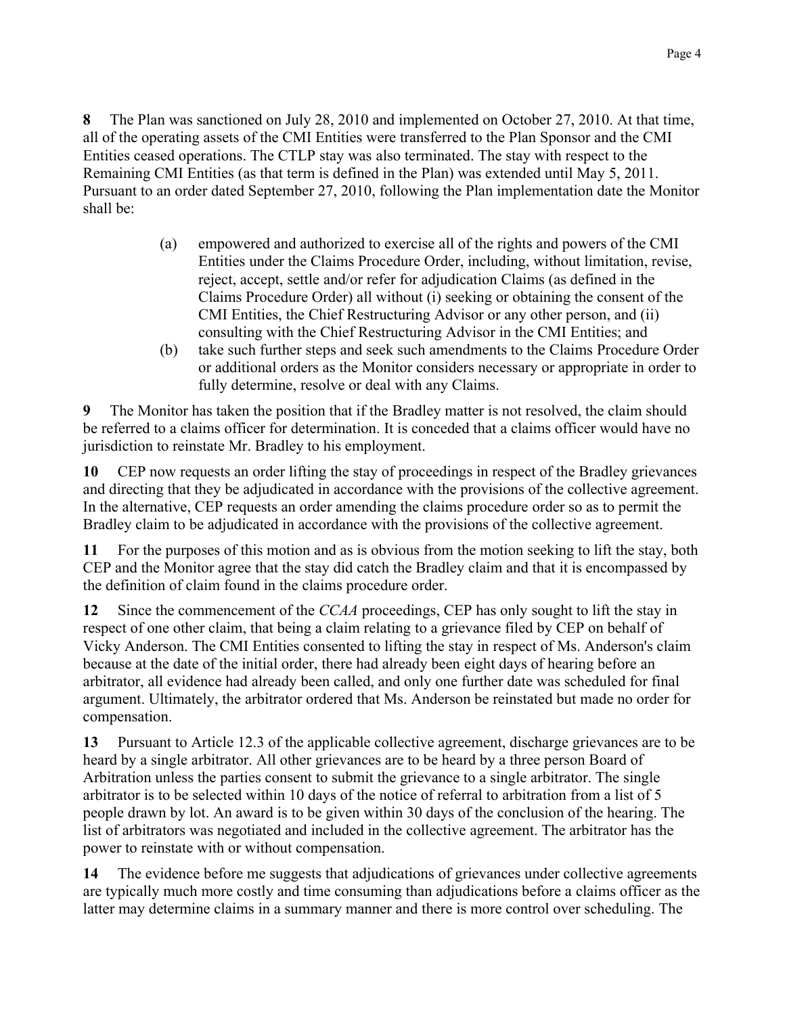The Plan was sanctioned on July 28, 2010 and implemented on October 27, 2010. At that time, 8 all of the operating assets of the CMI Entities were transferred to the Plan Sponsor and the CMI Entities ceased operations. The CTLP stay was also terminated. The stay with respect to the Remaining CMI Entities (as that term is defined in the Plan) was extended until May 5, 2011. Pursuant to an order dated September 27, 2010, following the Plan implementation date the Monitor shall be:

- empowered and authorized to exercise all of the rights and powers of the CMI  $(a)$ Entities under the Claims Procedure Order, including, without limitation, revise, reject, accept, settle and/or refer for adjudication Claims (as defined in the Claims Procedure Order) all without (i) seeking or obtaining the consent of the CMI Entities, the Chief Restructuring Advisor or any other person, and (ii) consulting with the Chief Restructuring Advisor in the CMI Entities; and
- take such further steps and seek such amendments to the Claims Procedure Order (b) or additional orders as the Monitor considers necessary or appropriate in order to fully determine, resolve or deal with any Claims.

The Monitor has taken the position that if the Bradley matter is not resolved, the claim should 9 be referred to a claims officer for determination. It is conceded that a claims officer would have no jurisdiction to reinstate Mr. Bradley to his employment.

10 CEP now requests an order lifting the stay of proceedings in respect of the Bradley grievances and directing that they be adjudicated in accordance with the provisions of the collective agreement. In the alternative, CEP requests an order amending the claims procedure order so as to permit the Bradley claim to be adjudicated in accordance with the provisions of the collective agreement.

For the purposes of this motion and as is obvious from the motion seeking to lift the stay, both 11 CEP and the Monitor agree that the stay did catch the Bradley claim and that it is encompassed by the definition of claim found in the claims procedure order.

 $12<sup>12</sup>$ Since the commencement of the CCAA proceedings, CEP has only sought to lift the stay in respect of one other claim, that being a claim relating to a grievance filed by CEP on behalf of Vicky Anderson. The CMI Entities consented to lifting the stay in respect of Ms. Anderson's claim because at the date of the initial order, there had already been eight days of hearing before an arbitrator, all evidence had already been called, and only one further date was scheduled for final argument. Ultimately, the arbitrator ordered that Ms. Anderson be reinstated but made no order for compensation.

 $13<sup>13</sup>$ Pursuant to Article 12.3 of the applicable collective agreement, discharge grievances are to be heard by a single arbitrator. All other grievances are to be heard by a three person Board of Arbitration unless the parties consent to submit the grievance to a single arbitrator. The single arbitrator is to be selected within 10 days of the notice of referral to arbitration from a list of 5 people drawn by lot. An award is to be given within 30 days of the conclusion of the hearing. The list of arbitrators was negotiated and included in the collective agreement. The arbitrator has the power to reinstate with or without compensation.

14 The evidence before me suggests that adjudications of grievances under collective agreements are typically much more costly and time consuming than adjudications before a claims officer as the latter may determine claims in a summary manner and there is more control over scheduling. The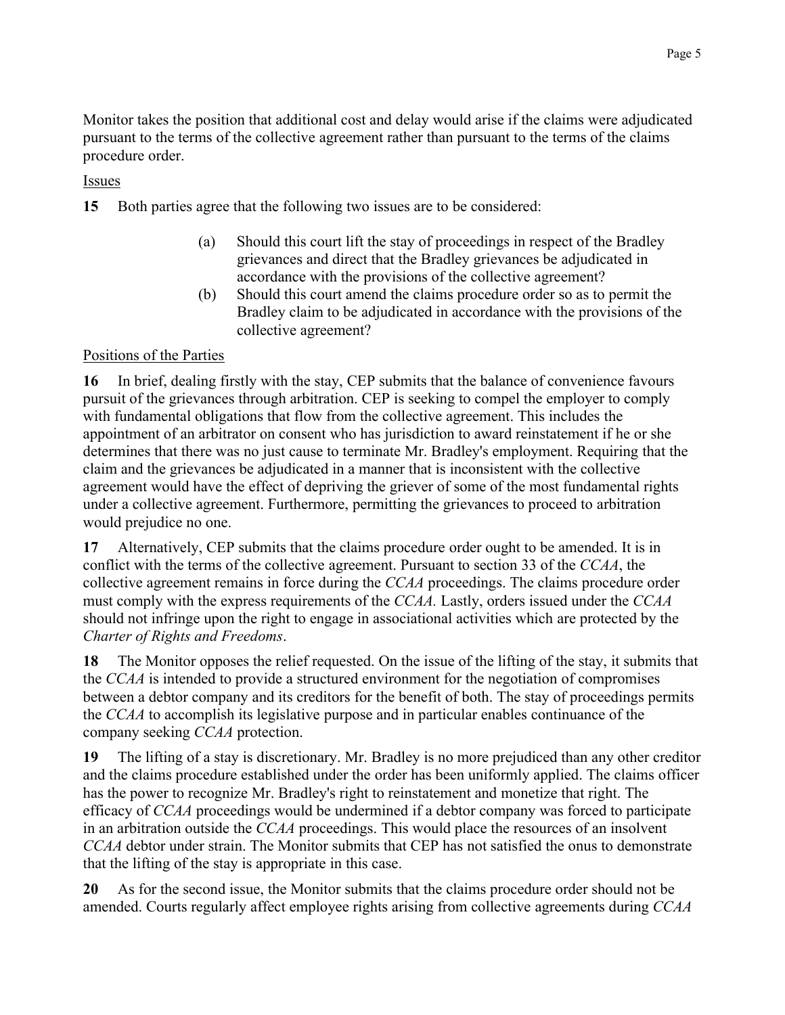Monitor takes the position that additional cost and delay would arise if the claims were adjudicated pursuant to the terms of the collective agreement rather than pursuant to the terms of the claims procedure order.

## Issues

15 Both parties agree that the following two issues are to be considered:

- Should this court lift the stay of proceedings in respect of the Bradley  $(a)$ grievances and direct that the Bradley grievances be adjudicated in accordance with the provisions of the collective agreement?
- $(b)$ Should this court amend the claims procedure order so as to permit the Bradley claim to be adjudicated in accordance with the provisions of the collective agreement?

# Positions of the Parties

16 In brief, dealing firstly with the stay, CEP submits that the balance of convenience favours pursuit of the grievances through arbitration. CEP is seeking to compel the employer to comply with fundamental obligations that flow from the collective agreement. This includes the appointment of an arbitrator on consent who has jurisdiction to award reinstatement if he or she determines that there was no just cause to terminate Mr. Bradley's employment. Requiring that the claim and the grievances be adjudicated in a manner that is inconsistent with the collective agreement would have the effect of depriving the griever of some of the most fundamental rights under a collective agreement. Furthermore, permitting the grievances to proceed to arbitration would prejudice no one.

17 Alternatively, CEP submits that the claims procedure order ought to be amended. It is in conflict with the terms of the collective agreement. Pursuant to section 33 of the CCAA, the collective agreement remains in force during the CCAA proceedings. The claims procedure order must comply with the express requirements of the CCAA. Lastly, orders issued under the CCAA should not infringe upon the right to engage in associational activities which are protected by the Charter of Rights and Freedoms.

The Monitor opposes the relief requested. On the issue of the lifting of the stay, it submits that 18 the CCAA is intended to provide a structured environment for the negotiation of compromises between a debtor company and its creditors for the benefit of both. The stay of proceedings permits the CCAA to accomplish its legislative purpose and in particular enables continuance of the company seeking CCAA protection.

19 The lifting of a stay is discretionary. Mr. Bradley is no more prejudiced than any other creditor and the claims procedure established under the order has been uniformly applied. The claims officer has the power to recognize Mr. Bradley's right to reinstatement and monetize that right. The efficacy of CCAA proceedings would be undermined if a debtor company was forced to participate in an arbitration outside the CCAA proceedings. This would place the resources of an insolvent CCAA debtor under strain. The Monitor submits that CEP has not satisfied the onus to demonstrate that the lifting of the stay is appropriate in this case.

As for the second issue, the Monitor submits that the claims procedure order should not be 20 amended. Courts regularly affect employee rights arising from collective agreements during CCAA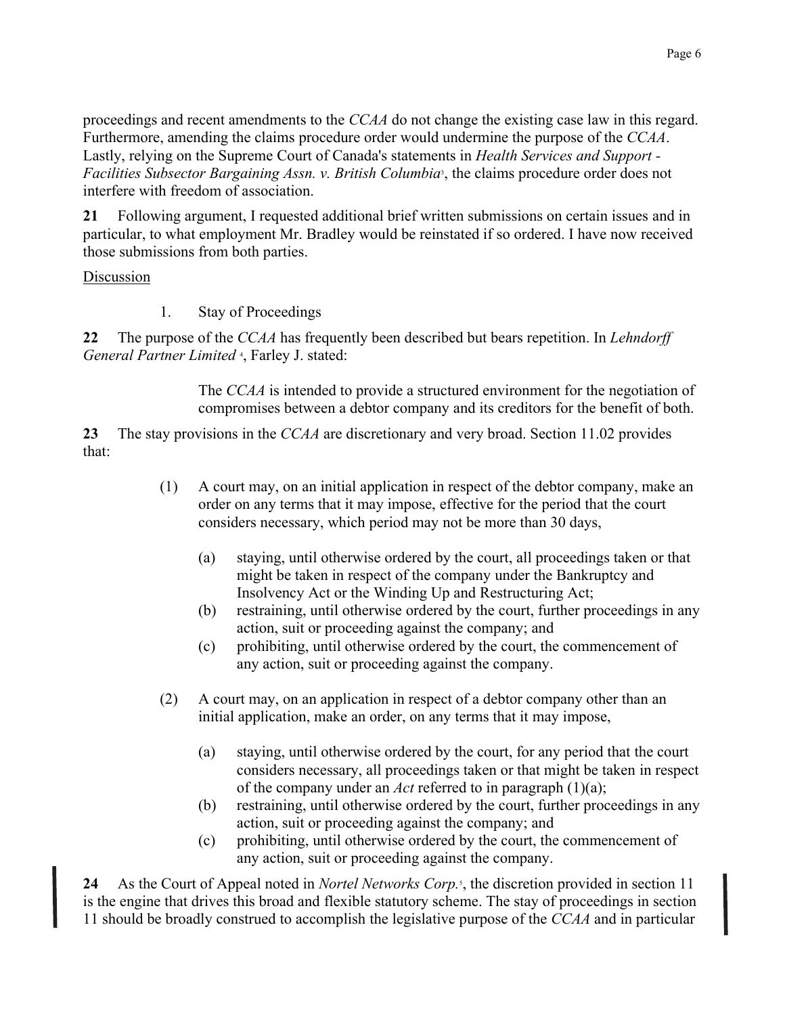proceedings and recent amendments to the CCAA do not change the existing case law in this regard. Furthermore, amending the claims procedure order would undermine the purpose of the CCAA. Lastly, relying on the Supreme Court of Canada's statements in *Health Services and Support* -*Facilities Subsector Bargaining Assn. v. British Columbia*, the claims procedure order does not interfere with freedom of association.

 $21$ Following argument, I requested additional brief written submissions on certain issues and in particular, to what employment Mr. Bradley would be reinstated if so ordered. I have now received those submissions from both parties.

## Discussion

 $1.$ **Stay of Proceedings** 

22 The purpose of the CCAA has frequently been described but bears repetition. In Lehndorff General Partner Limited<sup>4</sup>, Farley J. stated:

> The CCAA is intended to provide a structured environment for the negotiation of compromises between a debtor company and its creditors for the benefit of both.

23 The stay provisions in the CCAA are discretionary and very broad. Section 11.02 provides that:

- $(1)$ A court may, on an initial application in respect of the debtor company, make an order on any terms that it may impose, effective for the period that the court considers necessary, which period may not be more than 30 days,
	- $(a)$ staying, until otherwise ordered by the court, all proceedings taken or that might be taken in respect of the company under the Bankruptcy and Insolvency Act or the Winding Up and Restructuring Act;
	- (b) restraining, until otherwise ordered by the court, further proceedings in any action, suit or proceeding against the company; and
	- prohibiting, until otherwise ordered by the court, the commencement of  $(c)$ any action, suit or proceeding against the company.
- $(2)$ A court may, on an application in respect of a debtor company other than an initial application, make an order, on any terms that it may impose,
	- staying, until otherwise ordered by the court, for any period that the court  $(a)$ considers necessary, all proceedings taken or that might be taken in respect of the company under an Act referred to in paragraph  $(1)(a)$ ;
	- restraining, until otherwise ordered by the court, further proceedings in any (b) action, suit or proceeding against the company; and
	- prohibiting, until otherwise ordered by the court, the commencement of  $(c)$ any action, suit or proceeding against the company.

As the Court of Appeal noted in *Nortel Networks Corp*. the discretion provided in section 11 24 is the engine that drives this broad and flexible statutory scheme. The stay of proceedings in section 11 should be broadly construed to accomplish the legislative purpose of the CCAA and in particular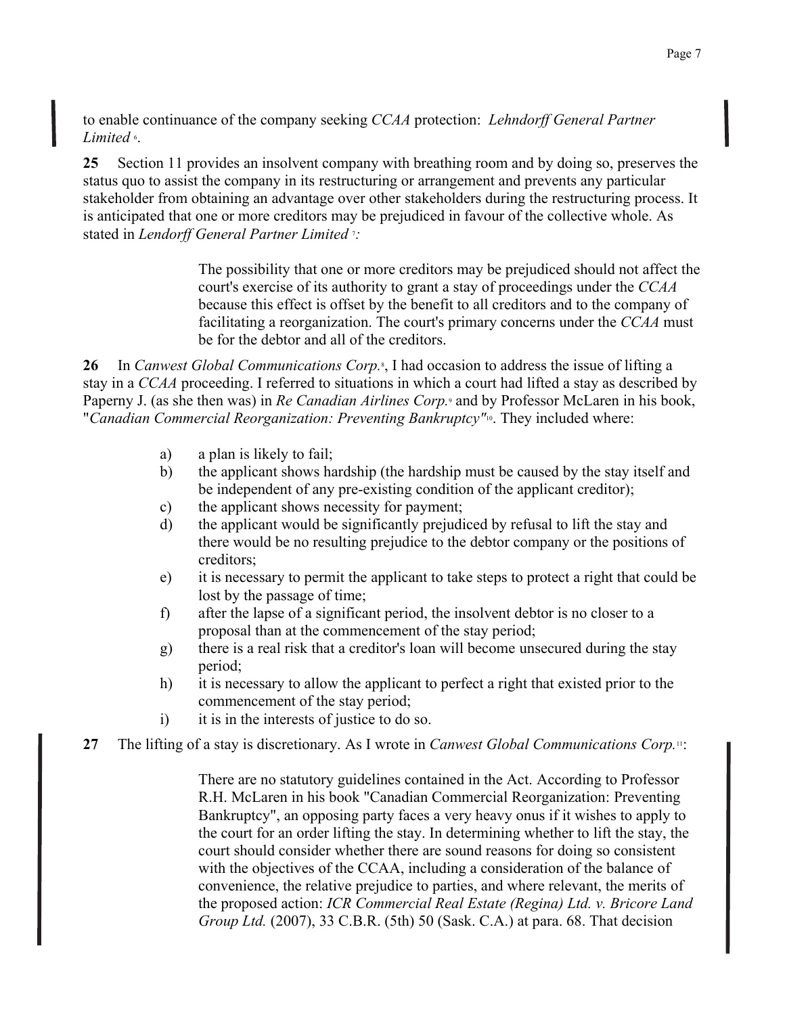to enable continuance of the company seeking CCAA protection: Lehndorff General Partner Limited 6.

25 Section 11 provides an insolvent company with breathing room and by doing so, preserves the status quo to assist the company in its restructuring or arrangement and prevents any particular stakeholder from obtaining an advantage over other stakeholders during the restructuring process. It is anticipated that one or more creditors may be prejudiced in favour of the collective whole. As stated in Lendorff General Partner Limited ::

> The possibility that one or more creditors may be prejudiced should not affect the court's exercise of its authority to grant a stay of proceedings under the CCAA because this effect is offset by the benefit to all creditors and to the company of facilitating a reorganization. The court's primary concerns under the CCAA must be for the debtor and all of the creditors.

26 In Canwest Global Communications Corp.<sup>s</sup>, I had occasion to address the issue of lifting a stay in a CCAA proceeding. I referred to situations in which a court had lifted a stay as described by Paperny J. (as she then was) in Re Canadian Airlines Corp.<sup>9</sup> and by Professor McLaren in his book, "Canadian Commercial Reorganization: Preventing Bankruptcy"<sup>10</sup>. They included where:

- a) a plan is likely to fail:
- b) the applicant shows hardship (the hardship must be caused by the stay itself and be independent of any pre-existing condition of the applicant creditor);
- the applicant shows necessity for payment;  $c)$
- the applicant would be significantly prejudiced by refusal to lift the stay and d) there would be no resulting prejudice to the debtor company or the positions of creditors:
- it is necessary to permit the applicant to take steps to protect a right that could be  $e)$ lost by the passage of time;
- after the lapse of a significant period, the insolvent debtor is no closer to a f) proposal than at the commencement of the stay period;
- there is a real risk that a creditor's loan will become unsecured during the stay g) period:
- it is necessary to allow the applicant to perfect a right that existed prior to the  $h)$ commencement of the stay period;
- $i)$ it is in the interests of justice to do so.
- 27 The lifting of a stay is discretionary. As I wrote in *Canwest Global Communications Corp*.".

There are no statutory guidelines contained in the Act. According to Professor R.H. McLaren in his book "Canadian Commercial Reorganization: Preventing Bankruptcy", an opposing party faces a very heavy onus if it wishes to apply to the court for an order lifting the stay. In determining whether to lift the stay, the court should consider whether there are sound reasons for doing so consistent with the objectives of the CCAA, including a consideration of the balance of convenience, the relative prejudice to parties, and where relevant, the merits of the proposed action: ICR Commercial Real Estate (Regina) Ltd. v. Bricore Land Group Ltd. (2007), 33 C.B.R. (5th) 50 (Sask. C.A.) at para. 68. That decision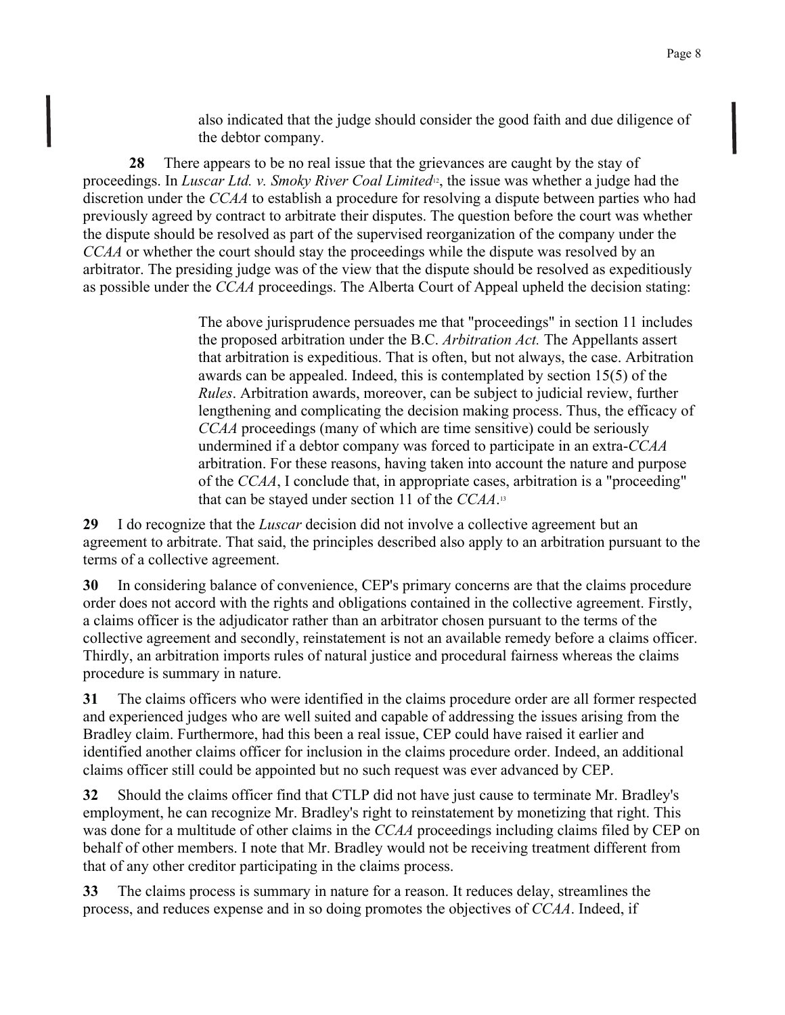also indicated that the judge should consider the good faith and due diligence of the debtor company.

28 There appears to be no real issue that the grievances are caught by the stay of proceedings. In Luscar Ltd. v. Smoky River Coal Limited<sup>12</sup>, the issue was whether a judge had the discretion under the CCAA to establish a procedure for resolving a dispute between parties who had previously agreed by contract to arbitrate their disputes. The question before the court was whether the dispute should be resolved as part of the supervised reorganization of the company under the CCAA or whether the court should stay the proceedings while the dispute was resolved by an arbitrator. The presiding judge was of the view that the dispute should be resolved as expeditiously as possible under the *CCAA* proceedings. The Alberta Court of Appeal upheld the decision stating:

> The above jurisprudence persuades me that "proceedings" in section 11 includes the proposed arbitration under the B.C. *Arbitration Act*. The Appellants assert that arbitration is expeditious. That is often, but not always, the case. Arbitration awards can be appealed. Indeed, this is contemplated by section 15(5) of the *Rules.* Arbitration awards, moreover, can be subject to judicial review, further lengthening and complicating the decision making process. Thus, the efficacy of CCAA proceedings (many of which are time sensitive) could be seriously undermined if a debtor company was forced to participate in an extra-CCAA arbitration. For these reasons, having taken into account the nature and purpose of the CCAA, I conclude that, in appropriate cases, arbitration is a "proceeding" that can be stayed under section 11 of the  $CCAA$ .<sup>13</sup>

29 I do recognize that the *Luscar* decision did not involve a collective agreement but an agreement to arbitrate. That said, the principles described also apply to an arbitration pursuant to the terms of a collective agreement.

In considering balance of convenience, CEP's primary concerns are that the claims procedure 30 order does not accord with the rights and obligations contained in the collective agreement. Firstly, a claims officer is the adjudicator rather than an arbitrator chosen pursuant to the terms of the collective agreement and secondly, reinstatement is not an available remedy before a claims officer. Thirdly, an arbitration imports rules of natural justice and procedural fairness whereas the claims procedure is summary in nature.

 $31$ The claims officers who were identified in the claims procedure order are all former respected and experienced judges who are well suited and capable of addressing the issues arising from the Bradley claim. Furthermore, had this been a real issue. CEP could have raised it earlier and identified another claims officer for inclusion in the claims procedure order. Indeed, an additional claims officer still could be appointed but no such request was ever advanced by CEP.

32 Should the claims officer find that CTLP did not have just cause to terminate Mr. Bradley's employment, he can recognize Mr. Bradley's right to reinstatement by monetizing that right. This was done for a multitude of other claims in the CCAA proceedings including claims filed by CEP on behalf of other members. I note that Mr. Bradley would not be receiving treatment different from that of any other creditor participating in the claims process.

33 The claims process is summary in nature for a reason. It reduces delay, streamlines the process, and reduces expense and in so doing promotes the objectives of CCAA. Indeed, if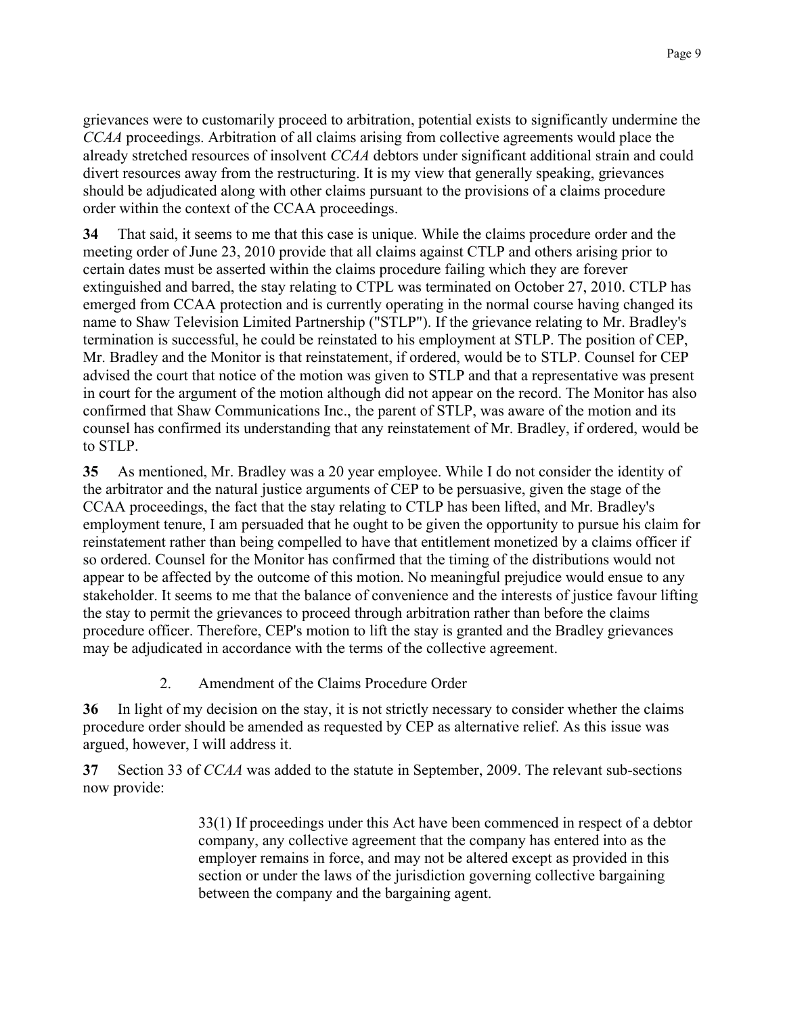grievances were to customarily proceed to arbitration, potential exists to significantly undermine the CCAA proceedings. Arbitration of all claims arising from collective agreements would place the already stretched resources of insolvent CCAA debtors under significant additional strain and could divert resources away from the restructuring. It is my view that generally speaking, grievances should be adjudicated along with other claims pursuant to the provisions of a claims procedure order within the context of the CCAA proceedings.

34 That said, it seems to me that this case is unique. While the claims procedure order and the meeting order of June 23, 2010 provide that all claims against CTLP and others arising prior to certain dates must be asserted within the claims procedure failing which they are forever extinguished and barred, the stay relating to CTPL was terminated on October 27, 2010. CTLP has emerged from CCAA protection and is currently operating in the normal course having changed its name to Shaw Television Limited Partnership ("STLP"). If the grievance relating to Mr. Bradley's termination is successful, he could be reinstated to his employment at STLP. The position of CEP, Mr. Bradley and the Monitor is that reinstatement, if ordered, would be to STLP. Counsel for CEP advised the court that notice of the motion was given to STLP and that a representative was present in court for the argument of the motion although did not appear on the record. The Monitor has also confirmed that Shaw Communications Inc., the parent of STLP, was aware of the motion and its counsel has confirmed its understanding that any reinstatement of Mr. Bradley, if ordered, would be to STLP.

 $35<sub>1</sub>$ As mentioned, Mr. Bradley was a 20 year employee. While I do not consider the identity of the arbitrator and the natural justice arguments of CEP to be persuasive, given the stage of the CCAA proceedings, the fact that the stay relating to CTLP has been lifted, and Mr. Bradley's employment tenure. I am persuaded that he ought to be given the opportunity to pursue his claim for reinstatement rather than being compelled to have that entitlement monetized by a claims officer if so ordered. Counsel for the Monitor has confirmed that the timing of the distributions would not appear to be affected by the outcome of this motion. No meaningful prejudice would ensue to any stakeholder. It seems to me that the balance of convenience and the interests of justice favour lifting the stay to permit the grievances to proceed through arbitration rather than before the claims procedure officer. Therefore, CEP's motion to lift the stay is granted and the Bradley grievances may be adjudicated in accordance with the terms of the collective agreement.

> $\overline{2}$ . Amendment of the Claims Procedure Order

In light of my decision on the stay, it is not strictly necessary to consider whether the claims 36 procedure order should be amended as requested by CEP as alternative relief. As this issue was argued, however, I will address it.

 $37$ Section 33 of CCAA was added to the statute in September, 2009. The relevant sub-sections now provide:

> 33(1) If proceedings under this Act have been commenced in respect of a debtor company, any collective agreement that the company has entered into as the employer remains in force, and may not be altered except as provided in this section or under the laws of the jurisdiction governing collective bargaining between the company and the bargaining agent.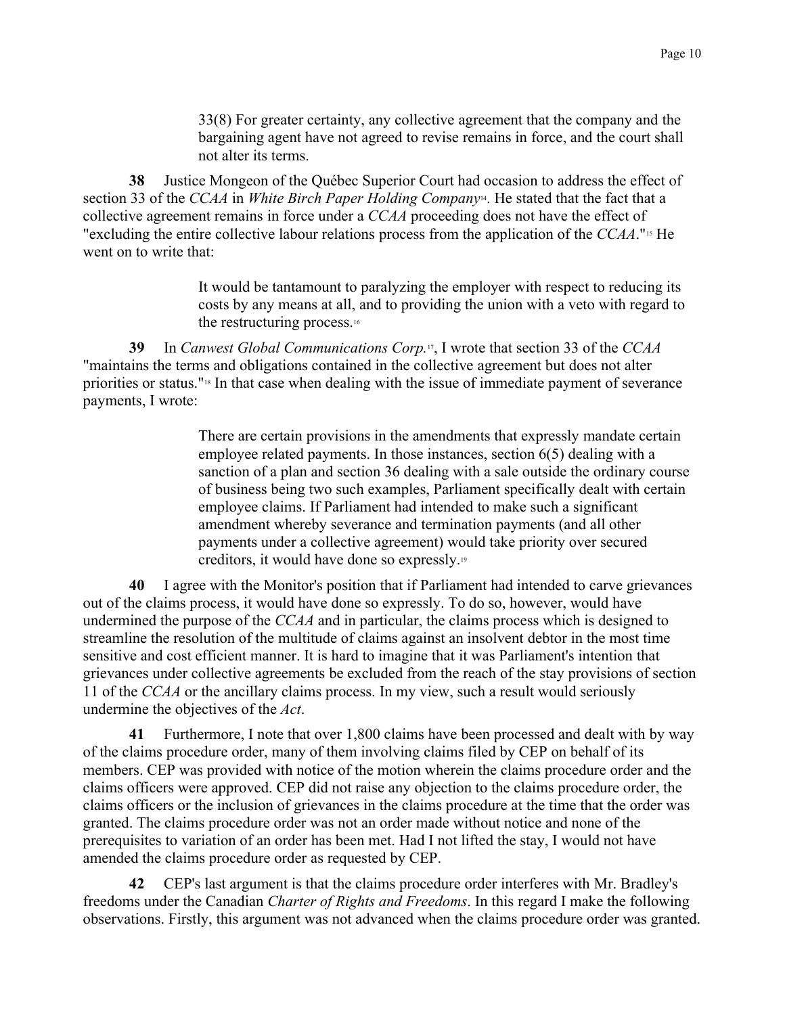33(8) For greater certainty, any collective agreement that the company and the bargaining agent have not agreed to revise remains in force, and the court shall not alter its terms.

Justice Mongeon of the Québec Superior Court had occasion to address the effect of 38 section 33 of the CCAA in White Birch Paper Holding Company<sup>14</sup>. He stated that the fact that a collective agreement remains in force under a CCAA proceeding does not have the effect of "excluding the entire collective labour relations process from the application of the CCAA."<sup>15</sup> He went on to write that:

> It would be tantamount to paralyzing the employer with respect to reducing its costs by any means at all, and to providing the union with a veto with regard to the restructuring process.<sup>16</sup>

In Canwest Global Communications Corp.<sup>17</sup>, I wrote that section 33 of the CCAA 39 "maintains the terms and obligations contained in the collective agreement but does not alter priorities or status."<sup>18</sup> In that case when dealing with the issue of immediate payment of severance payments, I wrote:

> There are certain provisions in the amendments that expressly mandate certain employee related payments. In those instances, section 6(5) dealing with a sanction of a plan and section 36 dealing with a sale outside the ordinary course of business being two such examples, Parliament specifically dealt with certain employee claims. If Parliament had intended to make such a significant amendment whereby severance and termination payments (and all other payments under a collective agreement) would take priority over secured creditors, it would have done so expressly.<sup>19</sup>

I agree with the Monitor's position that if Parliament had intended to carve grievances 40 out of the claims process, it would have done so expressly. To do so, however, would have undermined the purpose of the CCAA and in particular, the claims process which is designed to streamline the resolution of the multitude of claims against an insolvent debtor in the most time sensitive and cost efficient manner. It is hard to imagine that it was Parliament's intention that grievances under collective agreements be excluded from the reach of the stay provisions of section 11 of the CCAA or the ancillary claims process. In my view, such a result would seriously undermine the objectives of the Act.

Furthermore, I note that over 1,800 claims have been processed and dealt with by way 41 of the claims procedure order, many of them involving claims filed by CEP on behalf of its members. CEP was provided with notice of the motion wherein the claims procedure order and the claims officers were approved. CEP did not raise any objection to the claims procedure order, the claims officers or the inclusion of grievances in the claims procedure at the time that the order was granted. The claims procedure order was not an order made without notice and none of the prerequisites to variation of an order has been met. Had I not lifted the stay, I would not have amended the claims procedure order as requested by CEP.

CEP's last argument is that the claims procedure order interferes with Mr. Bradley's 42 freedoms under the Canadian Charter of Rights and Freedoms. In this regard I make the following observations. Firstly, this argument was not advanced when the claims procedure order was granted.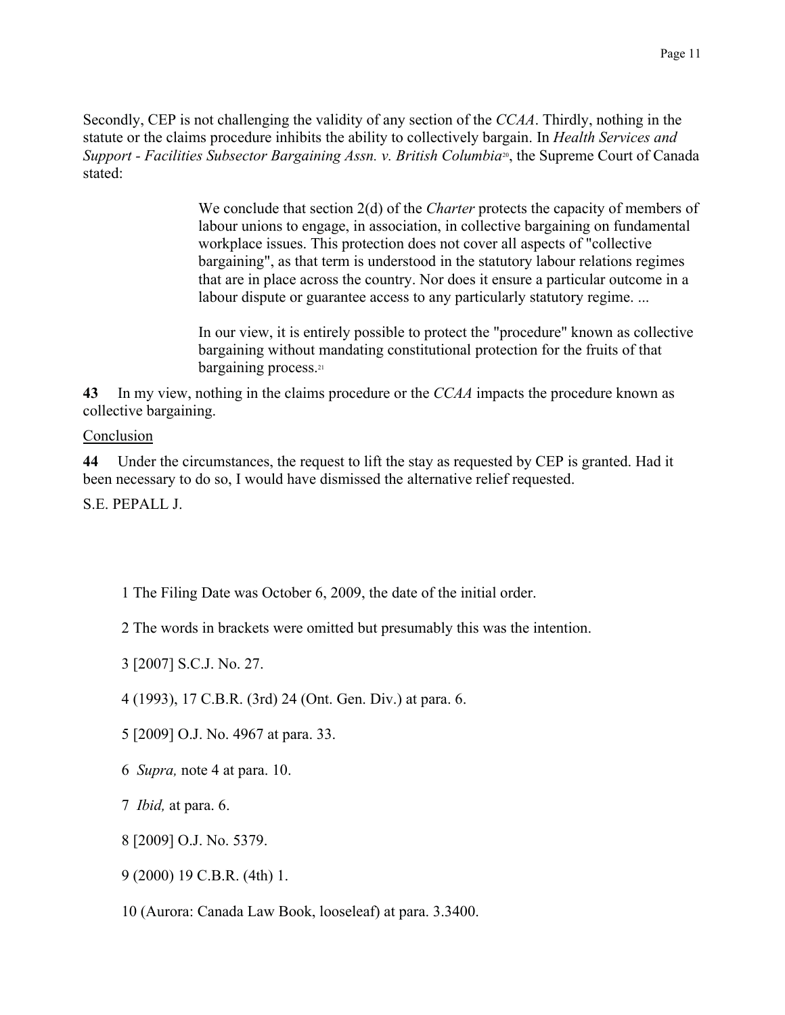Secondly, CEP is not challenging the validity of any section of the CCAA. Thirdly, nothing in the statute or the claims procedure inhibits the ability to collectively bargain. In Health Services and Support - Facilities Subsector Bargaining Assn. v. British Columbia<sup>30</sup>, the Supreme Court of Canada stated<sup>-</sup>

> We conclude that section  $2(d)$  of the *Charter* protects the capacity of members of labour unions to engage, in association, in collective bargaining on fundamental workplace issues. This protection does not cover all aspects of "collective" bargaining", as that term is understood in the statutory labour relations regimes that are in place across the country. Nor does it ensure a particular outcome in a labour dispute or guarantee access to any particularly statutory regime...

In our view, it is entirely possible to protect the "procedure" known as collective bargaining without mandating constitutional protection for the fruits of that bargaining process.<sup>21</sup>

43 In my view, nothing in the claims procedure or the CCAA impacts the procedure known as collective bargaining.

## Conclusion

44 Under the circumstances, the request to lift the stay as requested by CEP is granted. Had it been necessary to do so, I would have dismissed the alternative relief requested.

S E PEPALL J

- 1 The Filing Date was October 6, 2009, the date of the initial order.
- 2 The words in brackets were omitted but presumably this was the intention.
- 3 [2007] S.C.J. No. 27.
- 4 (1993), 17 C.B.R. (3rd) 24 (Ont. Gen. Div.) at para. 6.
- 5 [2009] O.J. No. 4967 at para. 33.
- 6 Supra, note 4 at para. 10.
- 7 *Ibid*, at para. 6.
- 8 [2009] O.J. No. 5379.
- 9 (2000) 19 C.B.R. (4th) 1.
- 10 (Aurora: Canada Law Book, looseleaf) at para, 3.3400.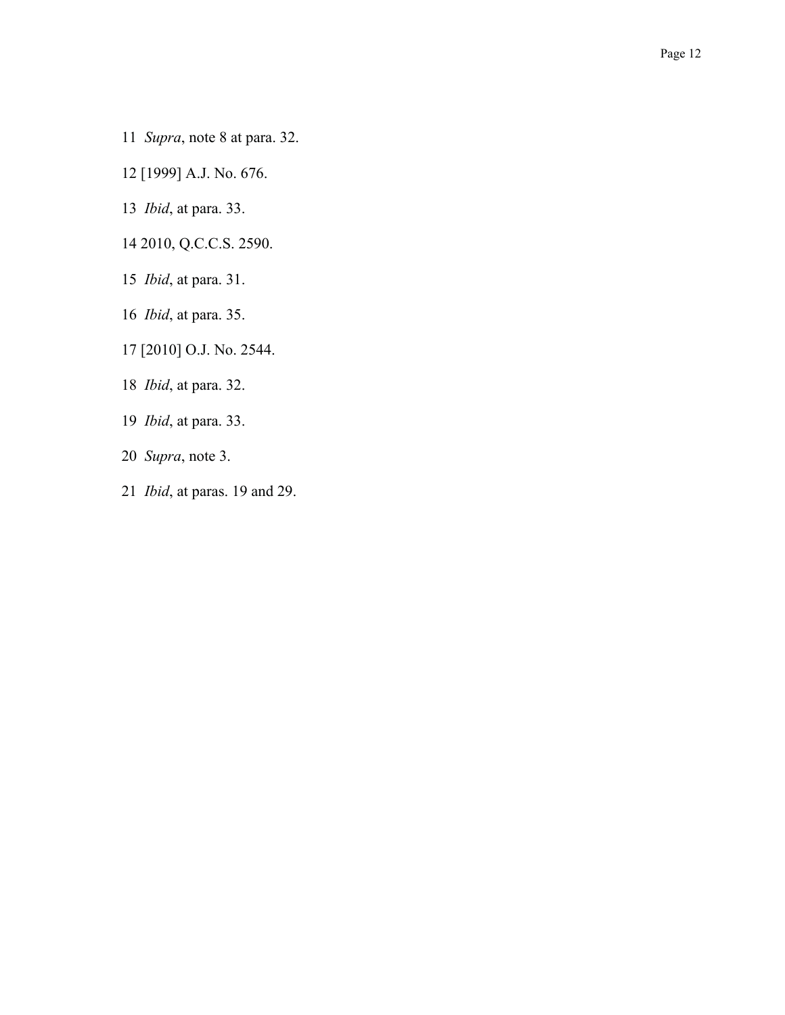- 11 Supra, note 8 at para. 32.
- 12 [1999] A.J. No. 676.
- 13 *Ibid*, at para. 33.
- 14 2010, Q.C.C.S. 2590.
- 15 *Ibid*, at para. 31.
- 16 *Ibid*, at para. 35.
- 17 [2010] O.J. No. 2544.
- 18 *Ibid*, at para. 32.
- 19 *Ibid*, at para. 33.
- 20 Supra, note 3.
- 21 Ibid, at paras. 19 and 29.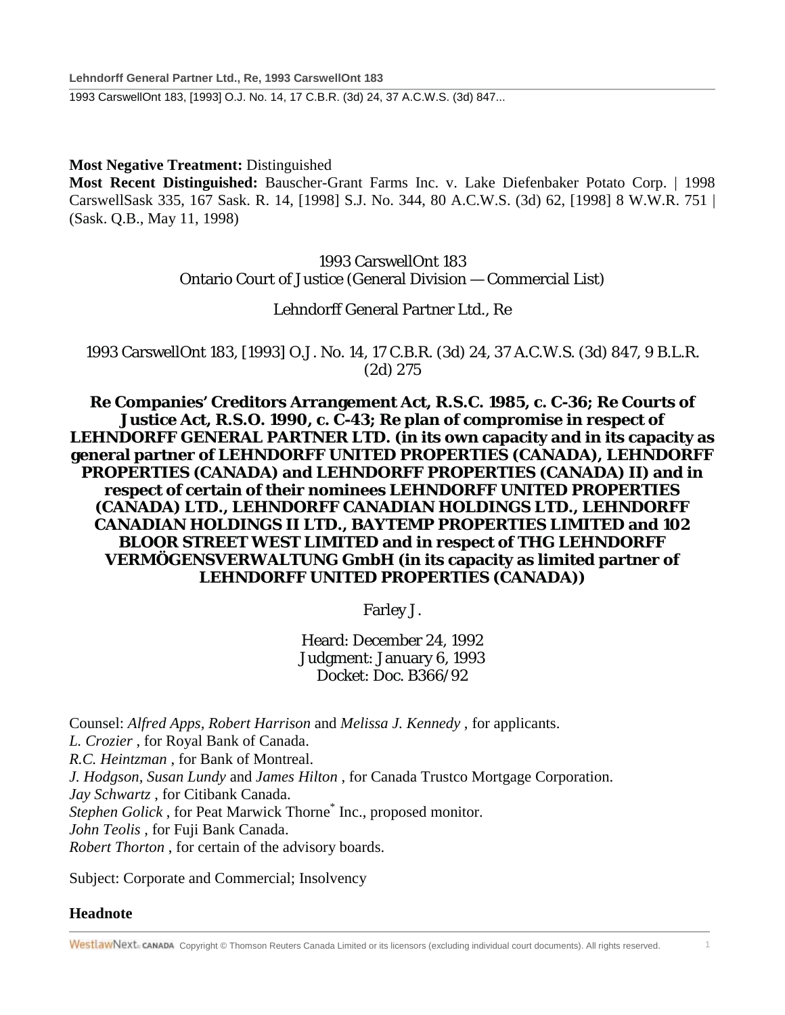**Lehndorff General Partner Ltd., Re, 1993 CarswellOnt 183** 1993 CarswellOnt 183, [1993] O.J. No. 14, 17 C.B.R. (3d) 24, 37 A.C.W.S. (3d) 847...

**Most Negative Treatment:** Distinguished

**Most Recent Distinguished:** Bauscher-Grant Farms Inc. v. Lake Diefenbaker Potato Corp. | 1998 CarswellSask 335, 167 Sask. R. 14, [1998] S.J. No. 344, 80 A.C.W.S. (3d) 62, [1998] 8 W.W.R. 751 | (Sask. Q.B., May 11, 1998)

> 1993 CarswellOnt 183 Ontario Court of Justice (General Division — Commercial List)

### Lehndorff General Partner Ltd., Re

1993 CarswellOnt 183, [1993] O.J. No. 14, 17 C.B.R. (3d) 24, 37 A.C.W.S. (3d) 847, 9 B.L.R. (2d) 275

**Re Companies' Creditors Arrangement Act, R.S.C. 1985, c. C-36; Re Courts of Justice Act, R.S.O. 1990, c. C-43; Re plan of compromise in respect of LEHNDORFF GENERAL PARTNER LTD. (in its own capacity and in its capacity as general partner of LEHNDORFF UNITED PROPERTIES (CANADA), LEHNDORFF PROPERTIES (CANADA) and LEHNDORFF PROPERTIES (CANADA) II) and in respect of certain of their nominees LEHNDORFF UNITED PROPERTIES (CANADA) LTD., LEHNDORFF CANADIAN HOLDINGS LTD., LEHNDORFF CANADIAN HOLDINGS II LTD., BAYTEMP PROPERTIES LIMITED and 102 BLOOR STREET WEST LIMITED and in respect of THG LEHNDORFF VERMÖGENSVERWALTUNG GmbH (in its capacity as limited partner of LEHNDORFF UNITED PROPERTIES (CANADA))**

Farley J.

Heard: December 24, 1992 Judgment: January 6, 1993 Docket: Doc. B366/92

Counsel: *Alfred Apps, Robert Harrison* and *Melissa J. Kennedy* , for applicants. *L. Crozier* , for Royal Bank of Canada. *R.C. Heintzman* , for Bank of Montreal. *J. Hodgson, Susan Lundy* and *James Hilton* , for Canada Trustco Mortgage Corporation. *Jay Schwartz* , for Citibank Canada. *Stephen Golick*, for Peat Marwick Thorne<sup>\*</sup> Inc., proposed monitor. *John Teolis* , for Fuji Bank Canada. *Robert Thorton* , for certain of the advisory boards.

Subject: Corporate and Commercial; Insolvency

### **Headnote**

WestlawNext. canada Copyright © Thomson Reuters Canada Limited or its licensors (excluding individual court documents). All rights reserved.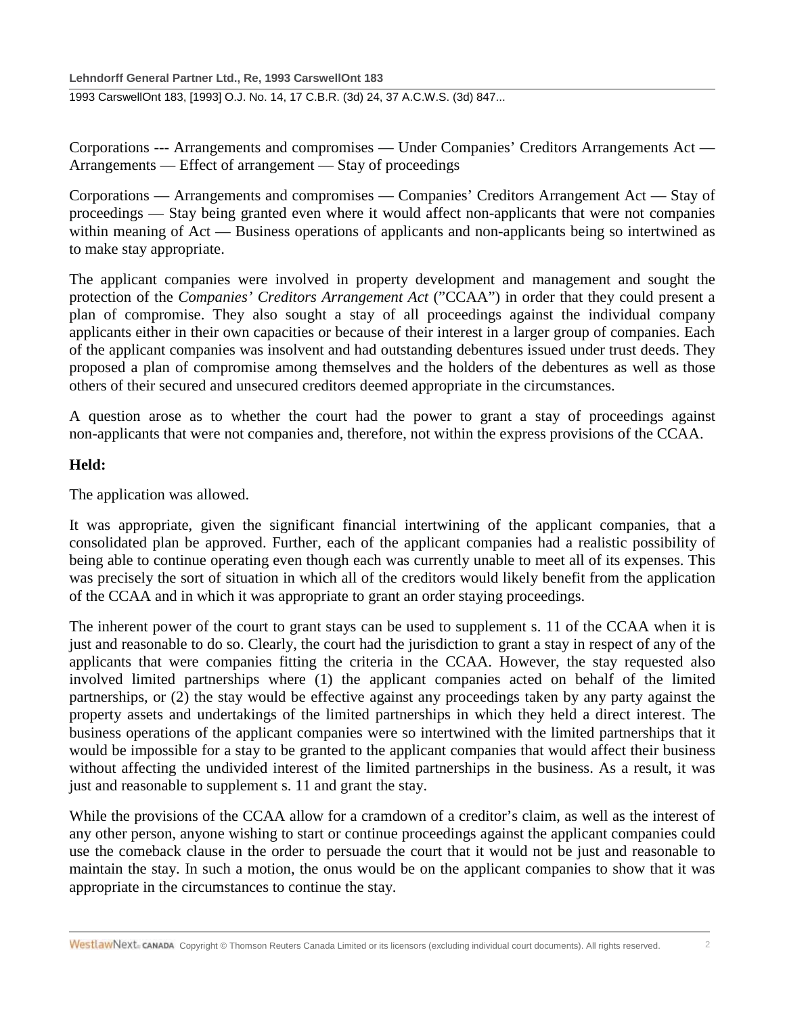### **Lehndorff General Partner Ltd., Re, 1993 CarswellOnt 183**

1993 CarswellOnt 183, [1993] O.J. No. 14, 17 C.B.R. (3d) 24, 37 A.C.W.S. (3d) 847...

Corporations --- Arrangements and compromises — Under Companies' Creditors Arrangements Act — Arrangements — Effect of arrangement — Stay of proceedings

Corporations — Arrangements and compromises — Companies' Creditors Arrangement Act — Stay of proceedings — Stay being granted even where it would affect non-applicants that were not companies within meaning of Act — Business operations of applicants and non-applicants being so intertwined as to make stay appropriate.

The applicant companies were involved in property development and management and sought the protection of the *Companies' Creditors Arrangement Act* ("CCAA") in order that they could present a plan of compromise. They also sought a stay of all proceedings against the individual company applicants either in their own capacities or because of their interest in a larger group of companies. Each of the applicant companies was insolvent and had outstanding debentures issued under trust deeds. They proposed a plan of compromise among themselves and the holders of the debentures as well as those others of their secured and unsecured creditors deemed appropriate in the circumstances.

A question arose as to whether the court had the power to grant a stay of proceedings against non-applicants that were not companies and, therefore, not within the express provisions of the CCAA.

#### **Held:**

The application was allowed.

It was appropriate, given the significant financial intertwining of the applicant companies, that a consolidated plan be approved. Further, each of the applicant companies had a realistic possibility of being able to continue operating even though each was currently unable to meet all of its expenses. This was precisely the sort of situation in which all of the creditors would likely benefit from the application of the CCAA and in which it was appropriate to grant an order staying proceedings.

The inherent power of the court to grant stays can be used to supplement s. 11 of the CCAA when it is just and reasonable to do so. Clearly, the court had the jurisdiction to grant a stay in respect of any of the applicants that were companies fitting the criteria in the CCAA. However, the stay requested also involved limited partnerships where (1) the applicant companies acted on behalf of the limited partnerships, or (2) the stay would be effective against any proceedings taken by any party against the property assets and undertakings of the limited partnerships in which they held a direct interest. The business operations of the applicant companies were so intertwined with the limited partnerships that it would be impossible for a stay to be granted to the applicant companies that would affect their business without affecting the undivided interest of the limited partnerships in the business. As a result, it was just and reasonable to supplement s. 11 and grant the stay.

While the provisions of the CCAA allow for a cramdown of a creditor's claim, as well as the interest of any other person, anyone wishing to start or continue proceedings against the applicant companies could use the comeback clause in the order to persuade the court that it would not be just and reasonable to maintain the stay. In such a motion, the onus would be on the applicant companies to show that it was appropriate in the circumstances to continue the stay.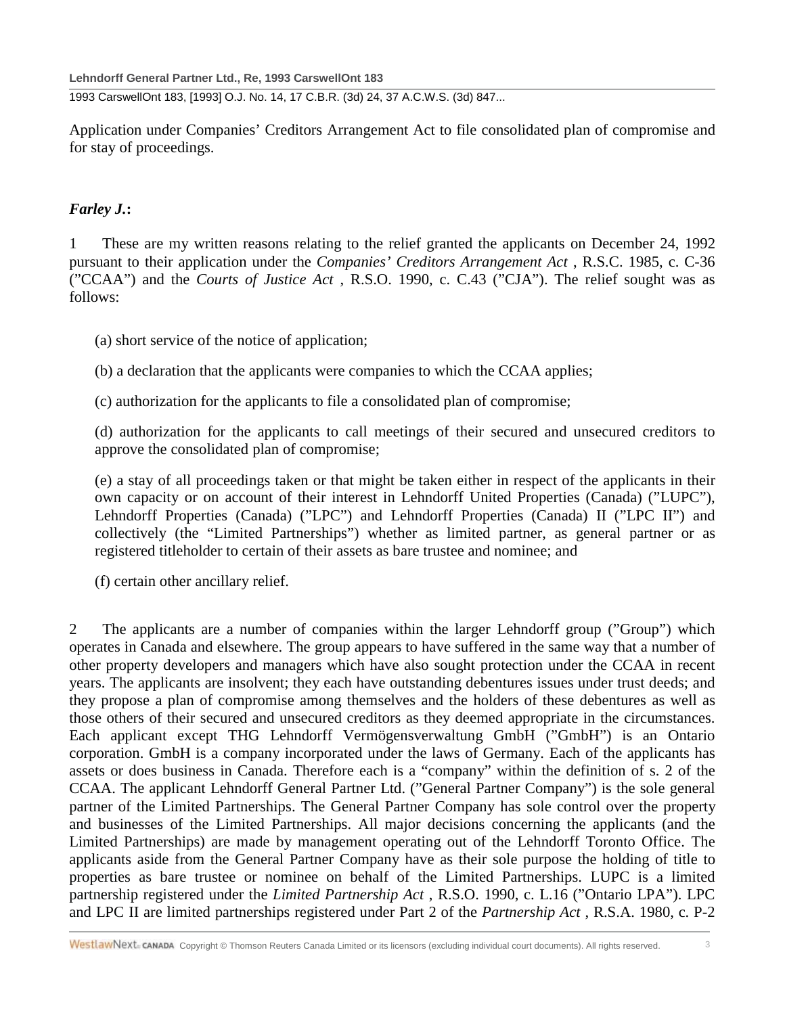1993 CarswellOnt 183, [1993] O.J. No. 14, 17 C.B.R. (3d) 24, 37 A.C.W.S. (3d) 847...

Application under Companies' Creditors Arrangement Act to file consolidated plan of compromise and for stay of proceedings.

### *Farley J.***:**

1 These are my written reasons relating to the relief granted the applicants on December 24, 1992 pursuant to their application under the *Companies' Creditors Arrangement Act* , R.S.C. 1985, c. C-36 ("CCAA") and the *Courts of Justice Act* , R.S.O. 1990, c. C.43 ("CJA"). The relief sought was as follows:

(a) short service of the notice of application;

(b) a declaration that the applicants were companies to which the CCAA applies;

(c) authorization for the applicants to file a consolidated plan of compromise;

(d) authorization for the applicants to call meetings of their secured and unsecured creditors to approve the consolidated plan of compromise;

(e) a stay of all proceedings taken or that might be taken either in respect of the applicants in their own capacity or on account of their interest in Lehndorff United Properties (Canada) ("LUPC"), Lehndorff Properties (Canada) ("LPC") and Lehndorff Properties (Canada) II ("LPC II") and collectively (the "Limited Partnerships") whether as limited partner, as general partner or as registered titleholder to certain of their assets as bare trustee and nominee; and

(f) certain other ancillary relief.

2 The applicants are a number of companies within the larger Lehndorff group ("Group") which operates in Canada and elsewhere. The group appears to have suffered in the same way that a number of other property developers and managers which have also sought protection under the CCAA in recent years. The applicants are insolvent; they each have outstanding debentures issues under trust deeds; and they propose a plan of compromise among themselves and the holders of these debentures as well as those others of their secured and unsecured creditors as they deemed appropriate in the circumstances. Each applicant except THG Lehndorff Vermögensverwaltung GmbH ("GmbH") is an Ontario corporation. GmbH is a company incorporated under the laws of Germany. Each of the applicants has assets or does business in Canada. Therefore each is a "company" within the definition of s. 2 of the CCAA. The applicant Lehndorff General Partner Ltd. ("General Partner Company") is the sole general partner of the Limited Partnerships. The General Partner Company has sole control over the property and businesses of the Limited Partnerships. All major decisions concerning the applicants (and the Limited Partnerships) are made by management operating out of the Lehndorff Toronto Office. The applicants aside from the General Partner Company have as their sole purpose the holding of title to properties as bare trustee or nominee on behalf of the Limited Partnerships. LUPC is a limited partnership registered under the *Limited Partnership Act* , R.S.O. 1990, c. L.16 ("Ontario LPA"). LPC and LPC II are limited partnerships registered under Part 2 of the *Partnership Act* , R.S.A. 1980, c. P-2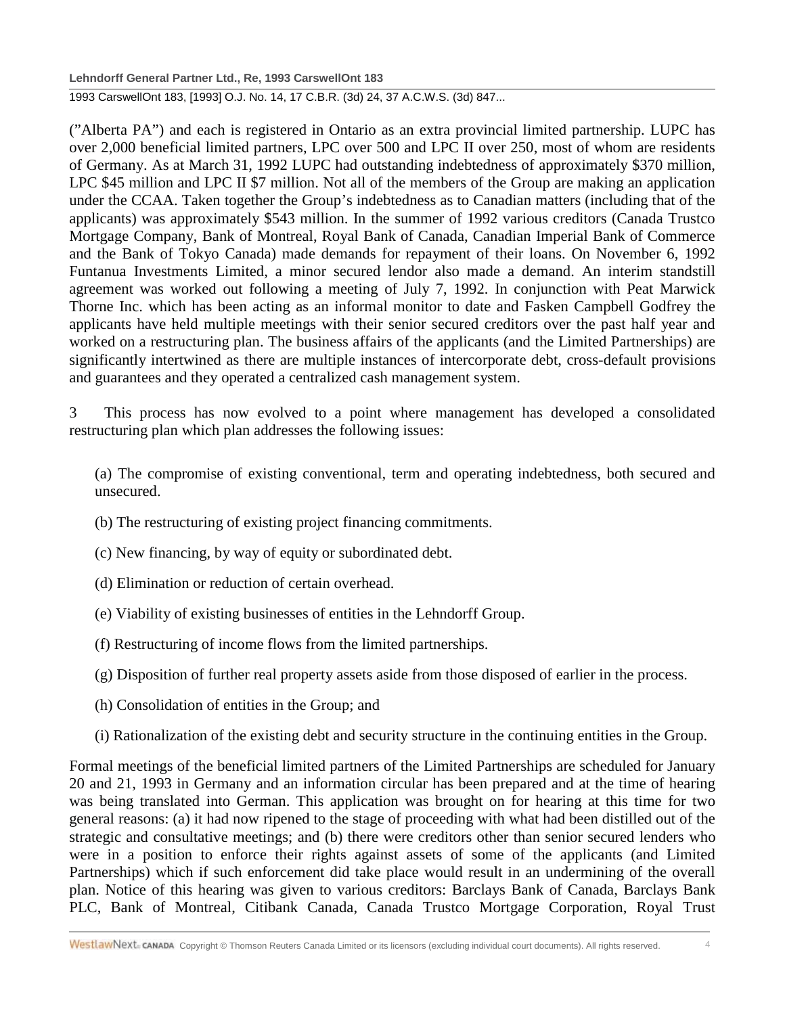**Lehndorff General Partner Ltd., Re, 1993 CarswellOnt 183**

1993 CarswellOnt 183, [1993] O.J. No. 14, 17 C.B.R. (3d) 24, 37 A.C.W.S. (3d) 847...

("Alberta PA") and each is registered in Ontario as an extra provincial limited partnership. LUPC has over 2,000 beneficial limited partners, LPC over 500 and LPC II over 250, most of whom are residents of Germany. As at March 31, 1992 LUPC had outstanding indebtedness of approximately \$370 million, LPC \$45 million and LPC II \$7 million. Not all of the members of the Group are making an application under the CCAA. Taken together the Group's indebtedness as to Canadian matters (including that of the applicants) was approximately \$543 million. In the summer of 1992 various creditors (Canada Trustco Mortgage Company, Bank of Montreal, Royal Bank of Canada, Canadian Imperial Bank of Commerce and the Bank of Tokyo Canada) made demands for repayment of their loans. On November 6, 1992 Funtanua Investments Limited, a minor secured lendor also made a demand. An interim standstill agreement was worked out following a meeting of July 7, 1992. In conjunction with Peat Marwick Thorne Inc. which has been acting as an informal monitor to date and Fasken Campbell Godfrey the applicants have held multiple meetings with their senior secured creditors over the past half year and worked on a restructuring plan. The business affairs of the applicants (and the Limited Partnerships) are significantly intertwined as there are multiple instances of intercorporate debt, cross-default provisions and guarantees and they operated a centralized cash management system.

3 This process has now evolved to a point where management has developed a consolidated restructuring plan which plan addresses the following issues:

(a) The compromise of existing conventional, term and operating indebtedness, both secured and unsecured.

- (b) The restructuring of existing project financing commitments.
- (c) New financing, by way of equity or subordinated debt.
- (d) Elimination or reduction of certain overhead.
- (e) Viability of existing businesses of entities in the Lehndorff Group.
- (f) Restructuring of income flows from the limited partnerships.
- (g) Disposition of further real property assets aside from those disposed of earlier in the process.
- (h) Consolidation of entities in the Group; and
- (i) Rationalization of the existing debt and security structure in the continuing entities in the Group.

Formal meetings of the beneficial limited partners of the Limited Partnerships are scheduled for January 20 and 21, 1993 in Germany and an information circular has been prepared and at the time of hearing was being translated into German. This application was brought on for hearing at this time for two general reasons: (a) it had now ripened to the stage of proceeding with what had been distilled out of the strategic and consultative meetings; and (b) there were creditors other than senior secured lenders who were in a position to enforce their rights against assets of some of the applicants (and Limited Partnerships) which if such enforcement did take place would result in an undermining of the overall plan. Notice of this hearing was given to various creditors: Barclays Bank of Canada, Barclays Bank PLC, Bank of Montreal, Citibank Canada, Canada Trustco Mortgage Corporation, Royal Trust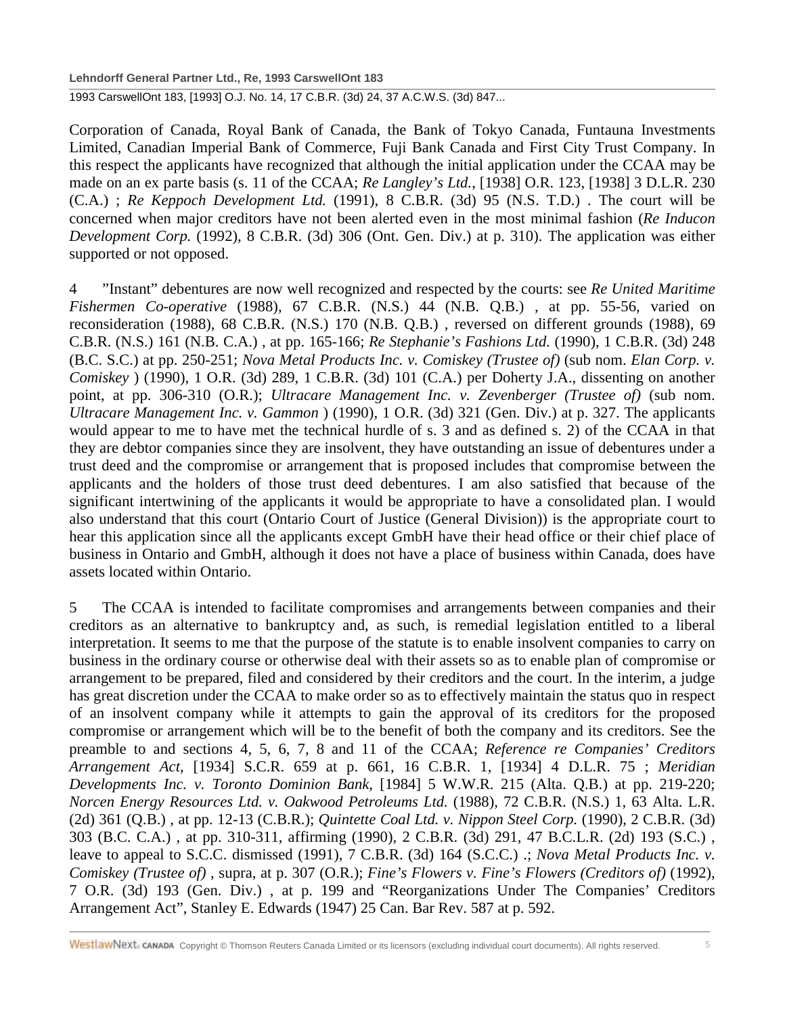**Lehndorff General Partner Ltd., Re, 1993 CarswellOnt 183**

1993 CarswellOnt 183, [1993] O.J. No. 14, 17 C.B.R. (3d) 24, 37 A.C.W.S. (3d) 847...

Corporation of Canada, Royal Bank of Canada, the Bank of Tokyo Canada, Funtauna Investments Limited, Canadian Imperial Bank of Commerce, Fuji Bank Canada and First City Trust Company. In this respect the applicants have recognized that although the initial application under the CCAA may be made on an ex parte basis (s. 11 of the CCAA; *Re Langley's Ltd.*, [1938] O.R. 123, [1938] 3 D.L.R. 230 (C.A.) ; *Re Keppoch Development Ltd.* (1991), 8 C.B.R. (3d) 95 (N.S. T.D.) . The court will be concerned when major creditors have not been alerted even in the most minimal fashion (*Re Inducon Development Corp.* (1992), 8 C.B.R. (3d) 306 (Ont. Gen. Div.) at p. 310). The application was either supported or not opposed.

4 "Instant" debentures are now well recognized and respected by the courts: see *Re United Maritime Fishermen Co-operative* (1988), 67 C.B.R. (N.S.) 44 (N.B. Q.B.) , at pp. 55-56, varied on reconsideration (1988), 68 C.B.R. (N.S.) 170 (N.B. Q.B.) , reversed on different grounds (1988), 69 C.B.R. (N.S.) 161 (N.B. C.A.) , at pp. 165-166; *Re Stephanie's Fashions Ltd.* (1990), 1 C.B.R. (3d) 248 (B.C. S.C.) at pp. 250-251; *Nova Metal Products Inc. v. Comiskey (Trustee of)* (sub nom. *Elan Corp. v. Comiskey* ) (1990), 1 O.R. (3d) 289, 1 C.B.R. (3d) 101 (C.A.) per Doherty J.A., dissenting on another point, at pp. 306-310 (O.R.); *Ultracare Management Inc. v. Zevenberger (Trustee of)* (sub nom. *Ultracare Management Inc. v. Gammon* ) (1990), 1 O.R. (3d) 321 (Gen. Div.) at p. 327. The applicants would appear to me to have met the technical hurdle of s. 3 and as defined s. 2) of the CCAA in that they are debtor companies since they are insolvent, they have outstanding an issue of debentures under a trust deed and the compromise or arrangement that is proposed includes that compromise between the applicants and the holders of those trust deed debentures. I am also satisfied that because of the significant intertwining of the applicants it would be appropriate to have a consolidated plan. I would also understand that this court (Ontario Court of Justice (General Division)) is the appropriate court to hear this application since all the applicants except GmbH have their head office or their chief place of business in Ontario and GmbH, although it does not have a place of business within Canada, does have assets located within Ontario.

5 The CCAA is intended to facilitate compromises and arrangements between companies and their creditors as an alternative to bankruptcy and, as such, is remedial legislation entitled to a liberal interpretation. It seems to me that the purpose of the statute is to enable insolvent companies to carry on business in the ordinary course or otherwise deal with their assets so as to enable plan of compromise or arrangement to be prepared, filed and considered by their creditors and the court. In the interim, a judge has great discretion under the CCAA to make order so as to effectively maintain the status quo in respect of an insolvent company while it attempts to gain the approval of its creditors for the proposed compromise or arrangement which will be to the benefit of both the company and its creditors. See the preamble to and sections 4, 5, 6, 7, 8 and 11 of the CCAA; *Reference re Companies' Creditors Arrangement Act*, [1934] S.C.R. 659 at p. 661, 16 C.B.R. 1, [1934] 4 D.L.R. 75 ; *Meridian Developments Inc. v. Toronto Dominion Bank*, [1984] 5 W.W.R. 215 (Alta. Q.B.) at pp. 219-220; *Norcen Energy Resources Ltd. v. Oakwood Petroleums Ltd.* (1988), 72 C.B.R. (N.S.) 1, 63 Alta. L.R. (2d) 361 (Q.B.) , at pp. 12-13 (C.B.R.); *Quintette Coal Ltd. v. Nippon Steel Corp.* (1990), 2 C.B.R. (3d) 303 (B.C. C.A.) , at pp. 310-311, affirming (1990), 2 C.B.R. (3d) 291, 47 B.C.L.R. (2d) 193 (S.C.) , leave to appeal to S.C.C. dismissed (1991), 7 C.B.R. (3d) 164 (S.C.C.) .; *Nova Metal Products Inc. v. Comiskey (Trustee of)* , supra, at p. 307 (O.R.); *Fine's Flowers v. Fine's Flowers (Creditors of)* (1992), 7 O.R. (3d) 193 (Gen. Div.) , at p. 199 and "Reorganizations Under The Companies' Creditors Arrangement Act", Stanley E. Edwards (1947) 25 Can. Bar Rev. 587 at p. 592.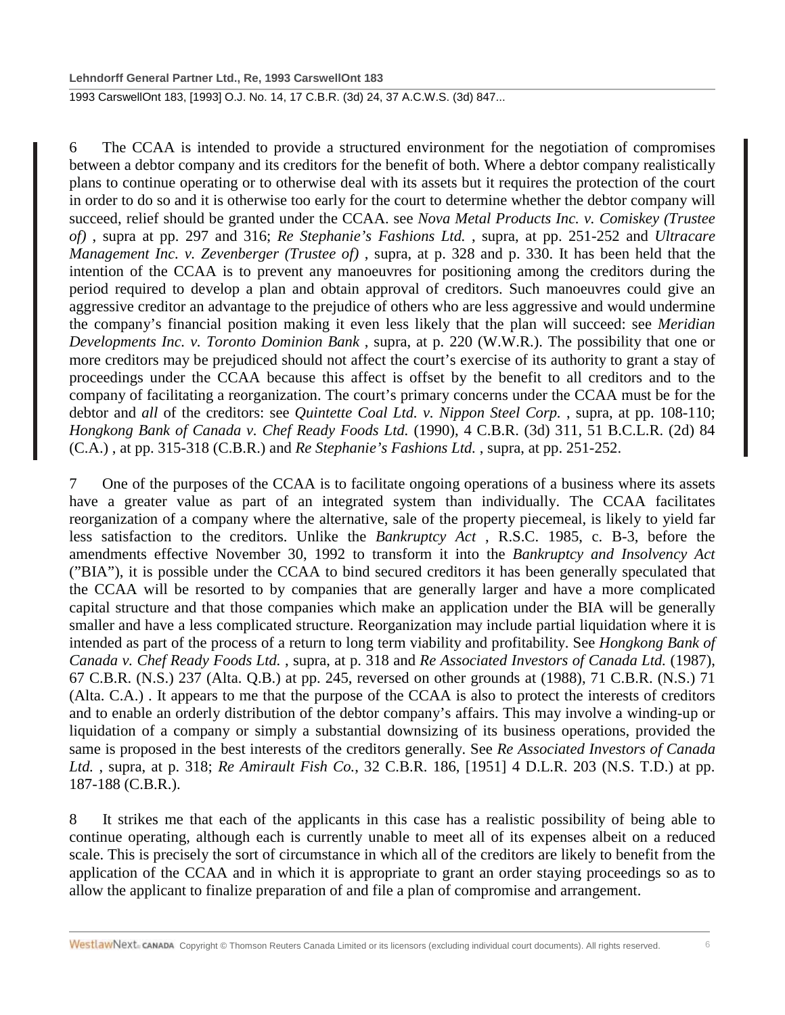1993 CarswellOnt 183, [1993] O.J. No. 14, 17 C.B.R. (3d) 24, 37 A.C.W.S. (3d) 847...

6 The CCAA is intended to provide a structured environment for the negotiation of compromises between a debtor company and its creditors for the benefit of both. Where a debtor company realistically plans to continue operating or to otherwise deal with its assets but it requires the protection of the court in order to do so and it is otherwise too early for the court to determine whether the debtor company will succeed, relief should be granted under the CCAA. see *Nova Metal Products Inc. v. Comiskey (Trustee of)* , supra at pp. 297 and 316; *Re Stephanie's Fashions Ltd.* , supra, at pp. 251-252 and *Ultracare Management Inc. v. Zevenberger (Trustee of)* , supra, at p. 328 and p. 330. It has been held that the intention of the CCAA is to prevent any manoeuvres for positioning among the creditors during the period required to develop a plan and obtain approval of creditors. Such manoeuvres could give an aggressive creditor an advantage to the prejudice of others who are less aggressive and would undermine the company's financial position making it even less likely that the plan will succeed: see *Meridian Developments Inc. v. Toronto Dominion Bank* , supra, at p. 220 (W.W.R.). The possibility that one or more creditors may be prejudiced should not affect the court's exercise of its authority to grant a stay of proceedings under the CCAA because this affect is offset by the benefit to all creditors and to the company of facilitating a reorganization. The court's primary concerns under the CCAA must be for the debtor and *all* of the creditors: see *Quintette Coal Ltd. v. Nippon Steel Corp.* , supra, at pp. 108-110; *Hongkong Bank of Canada v. Chef Ready Foods Ltd.* (1990), 4 C.B.R. (3d) 311, 51 B.C.L.R. (2d) 84 (C.A.) , at pp. 315-318 (C.B.R.) and *Re Stephanie's Fashions Ltd.* , supra, at pp. 251-252.

7 One of the purposes of the CCAA is to facilitate ongoing operations of a business where its assets have a greater value as part of an integrated system than individually. The CCAA facilitates reorganization of a company where the alternative, sale of the property piecemeal, is likely to yield far less satisfaction to the creditors. Unlike the *Bankruptcy Act* , R.S.C. 1985, c. B-3, before the amendments effective November 30, 1992 to transform it into the *Bankruptcy and Insolvency Act* ("BIA"), it is possible under the CCAA to bind secured creditors it has been generally speculated that the CCAA will be resorted to by companies that are generally larger and have a more complicated capital structure and that those companies which make an application under the BIA will be generally smaller and have a less complicated structure. Reorganization may include partial liquidation where it is intended as part of the process of a return to long term viability and profitability. See *Hongkong Bank of Canada v. Chef Ready Foods Ltd.* , supra, at p. 318 and *Re Associated Investors of Canada Ltd.* (1987), 67 C.B.R. (N.S.) 237 (Alta. Q.B.) at pp. 245, reversed on other grounds at (1988), 71 C.B.R. (N.S.) 71 (Alta. C.A.) . It appears to me that the purpose of the CCAA is also to protect the interests of creditors and to enable an orderly distribution of the debtor company's affairs. This may involve a winding-up or liquidation of a company or simply a substantial downsizing of its business operations, provided the same is proposed in the best interests of the creditors generally. See *Re Associated Investors of Canada Ltd.* , supra, at p. 318; *Re Amirault Fish Co.*, 32 C.B.R. 186, [1951] 4 D.L.R. 203 (N.S. T.D.) at pp. 187-188 (C.B.R.).

8 It strikes me that each of the applicants in this case has a realistic possibility of being able to continue operating, although each is currently unable to meet all of its expenses albeit on a reduced scale. This is precisely the sort of circumstance in which all of the creditors are likely to benefit from the application of the CCAA and in which it is appropriate to grant an order staying proceedings so as to allow the applicant to finalize preparation of and file a plan of compromise and arrangement.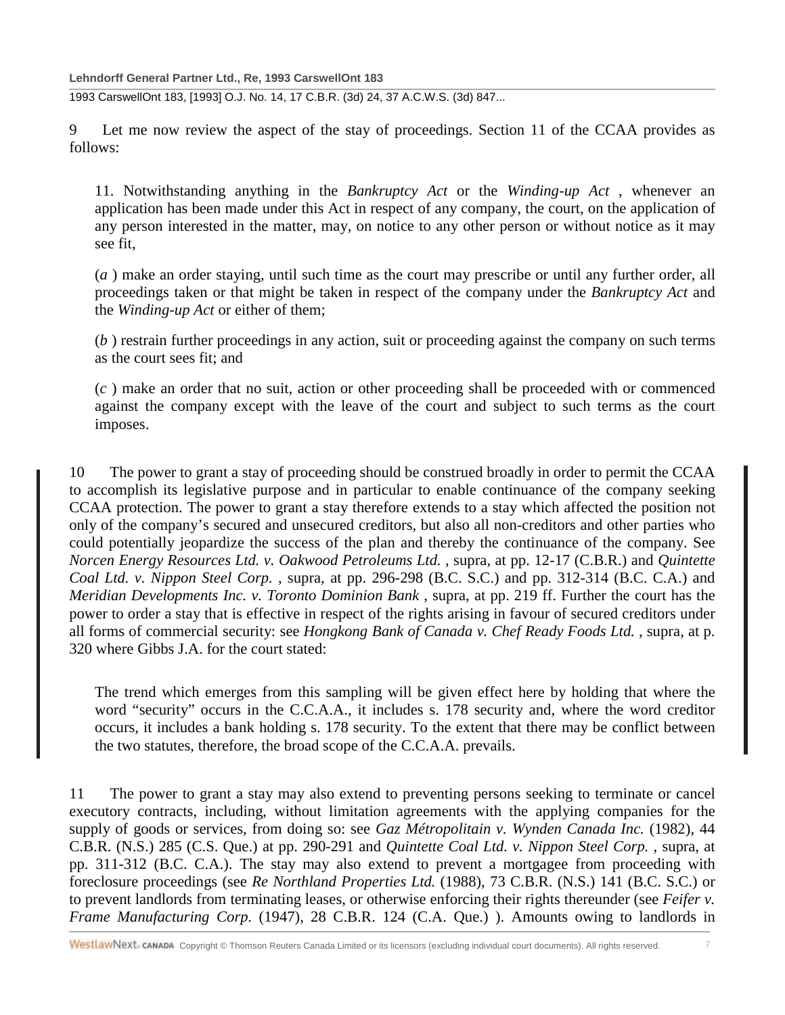**Lehndorff General Partner Ltd., Re, 1993 CarswellOnt 183**

1993 CarswellOnt 183, [1993] O.J. No. 14, 17 C.B.R. (3d) 24, 37 A.C.W.S. (3d) 847...

9 Let me now review the aspect of the stay of proceedings. Section 11 of the CCAA provides as follows:

11. Notwithstanding anything in the *Bankruptcy Act* or the *Winding-up Act* , whenever an application has been made under this Act in respect of any company, the court, on the application of any person interested in the matter, may, on notice to any other person or without notice as it may see fit,

(*a* ) make an order staying, until such time as the court may prescribe or until any further order, all proceedings taken or that might be taken in respect of the company under the *Bankruptcy Act* and the *Winding-up Act* or either of them;

(*b* ) restrain further proceedings in any action, suit or proceeding against the company on such terms as the court sees fit; and

(*c* ) make an order that no suit, action or other proceeding shall be proceeded with or commenced against the company except with the leave of the court and subject to such terms as the court imposes.

10 The power to grant a stay of proceeding should be construed broadly in order to permit the CCAA to accomplish its legislative purpose and in particular to enable continuance of the company seeking CCAA protection. The power to grant a stay therefore extends to a stay which affected the position not only of the company's secured and unsecured creditors, but also all non-creditors and other parties who could potentially jeopardize the success of the plan and thereby the continuance of the company. See *Norcen Energy Resources Ltd. v. Oakwood Petroleums Ltd.* , supra, at pp. 12-17 (C.B.R.) and *Quintette Coal Ltd. v. Nippon Steel Corp.* , supra, at pp. 296-298 (B.C. S.C.) and pp. 312-314 (B.C. C.A.) and *Meridian Developments Inc. v. Toronto Dominion Bank* , supra, at pp. 219 ff. Further the court has the power to order a stay that is effective in respect of the rights arising in favour of secured creditors under all forms of commercial security: see *Hongkong Bank of Canada v. Chef Ready Foods Ltd.* , supra, at p. 320 where Gibbs J.A. for the court stated:

The trend which emerges from this sampling will be given effect here by holding that where the word "security" occurs in the C.C.A.A., it includes s. 178 security and, where the word creditor occurs, it includes a bank holding s. 178 security. To the extent that there may be conflict between the two statutes, therefore, the broad scope of the C.C.A.A. prevails.

11 The power to grant a stay may also extend to preventing persons seeking to terminate or cancel executory contracts, including, without limitation agreements with the applying companies for the supply of goods or services, from doing so: see *Gaz Métropolitain v. Wynden Canada Inc.* (1982), 44 C.B.R. (N.S.) 285 (C.S. Que.) at pp. 290-291 and *Quintette Coal Ltd. v. Nippon Steel Corp.* , supra, at pp. 311-312 (B.C. C.A.). The stay may also extend to prevent a mortgagee from proceeding with foreclosure proceedings (see *Re Northland Properties Ltd.* (1988), 73 C.B.R. (N.S.) 141 (B.C. S.C.) or to prevent landlords from terminating leases, or otherwise enforcing their rights thereunder (see *Feifer v. Frame Manufacturing Corp.* (1947), 28 C.B.R. 124 (C.A. Que.) ). Amounts owing to landlords in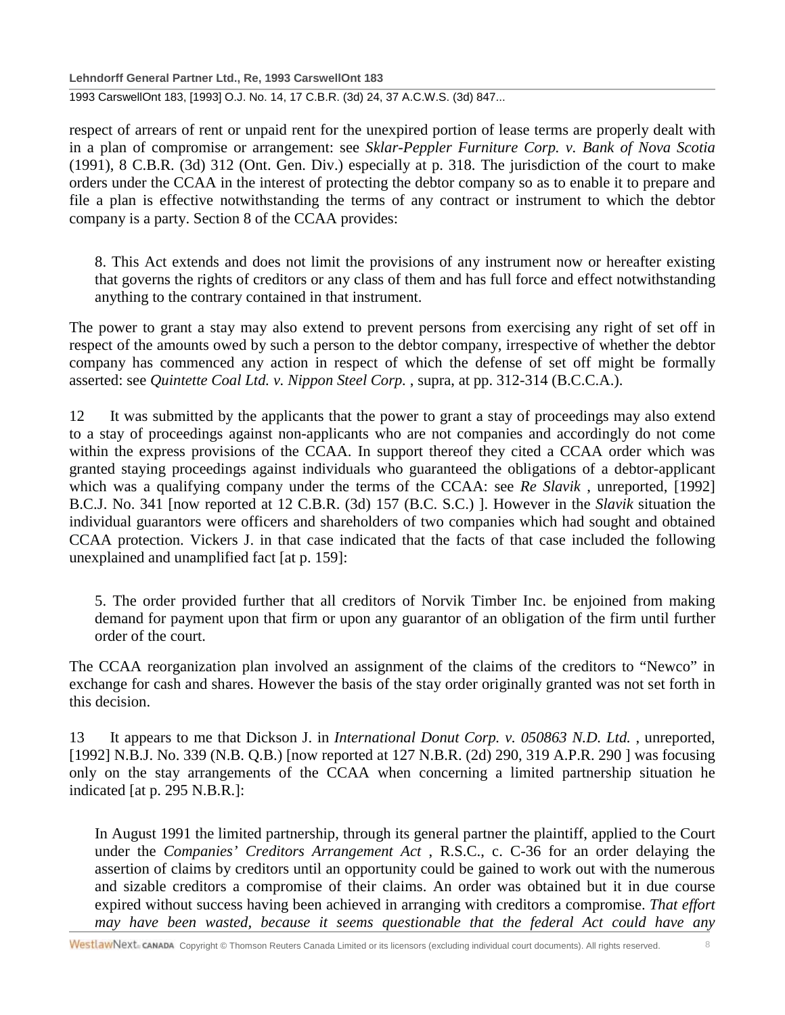**Lehndorff General Partner Ltd., Re, 1993 CarswellOnt 183**

1993 CarswellOnt 183, [1993] O.J. No. 14, 17 C.B.R. (3d) 24, 37 A.C.W.S. (3d) 847...

respect of arrears of rent or unpaid rent for the unexpired portion of lease terms are properly dealt with in a plan of compromise or arrangement: see *Sklar-Peppler Furniture Corp. v. Bank of Nova Scotia* (1991), 8 C.B.R. (3d) 312 (Ont. Gen. Div.) especially at p. 318. The jurisdiction of the court to make orders under the CCAA in the interest of protecting the debtor company so as to enable it to prepare and file a plan is effective notwithstanding the terms of any contract or instrument to which the debtor company is a party. Section 8 of the CCAA provides:

8. This Act extends and does not limit the provisions of any instrument now or hereafter existing that governs the rights of creditors or any class of them and has full force and effect notwithstanding anything to the contrary contained in that instrument.

The power to grant a stay may also extend to prevent persons from exercising any right of set off in respect of the amounts owed by such a person to the debtor company, irrespective of whether the debtor company has commenced any action in respect of which the defense of set off might be formally asserted: see *Quintette Coal Ltd. v. Nippon Steel Corp.* , supra, at pp. 312-314 (B.C.C.A.).

12 It was submitted by the applicants that the power to grant a stay of proceedings may also extend to a stay of proceedings against non-applicants who are not companies and accordingly do not come within the express provisions of the CCAA. In support thereof they cited a CCAA order which was granted staying proceedings against individuals who guaranteed the obligations of a debtor-applicant which was a qualifying company under the terms of the CCAA: see *Re Slavik* , unreported, [1992] B.C.J. No. 341 [now reported at 12 C.B.R. (3d) 157 (B.C. S.C.) ]. However in the *Slavik* situation the individual guarantors were officers and shareholders of two companies which had sought and obtained CCAA protection. Vickers J. in that case indicated that the facts of that case included the following unexplained and unamplified fact [at p. 159]:

5. The order provided further that all creditors of Norvik Timber Inc. be enjoined from making demand for payment upon that firm or upon any guarantor of an obligation of the firm until further order of the court.

The CCAA reorganization plan involved an assignment of the claims of the creditors to "Newco" in exchange for cash and shares. However the basis of the stay order originally granted was not set forth in this decision.

13 It appears to me that Dickson J. in *International Donut Corp. v. 050863 N.D. Ltd.* , unreported, [1992] N.B.J. No. 339 (N.B. Q.B.) [now reported at 127 N.B.R. (2d) 290, 319 A.P.R. 290 ] was focusing only on the stay arrangements of the CCAA when concerning a limited partnership situation he indicated [at p. 295 N.B.R.]:

In August 1991 the limited partnership, through its general partner the plaintiff, applied to the Court under the *Companies' Creditors Arrangement Act* , R.S.C., c. C-36 for an order delaying the assertion of claims by creditors until an opportunity could be gained to work out with the numerous and sizable creditors a compromise of their claims. An order was obtained but it in due course expired without success having been achieved in arranging with creditors a compromise. *That effort may have been wasted, because it seems questionable that the federal Act could have any*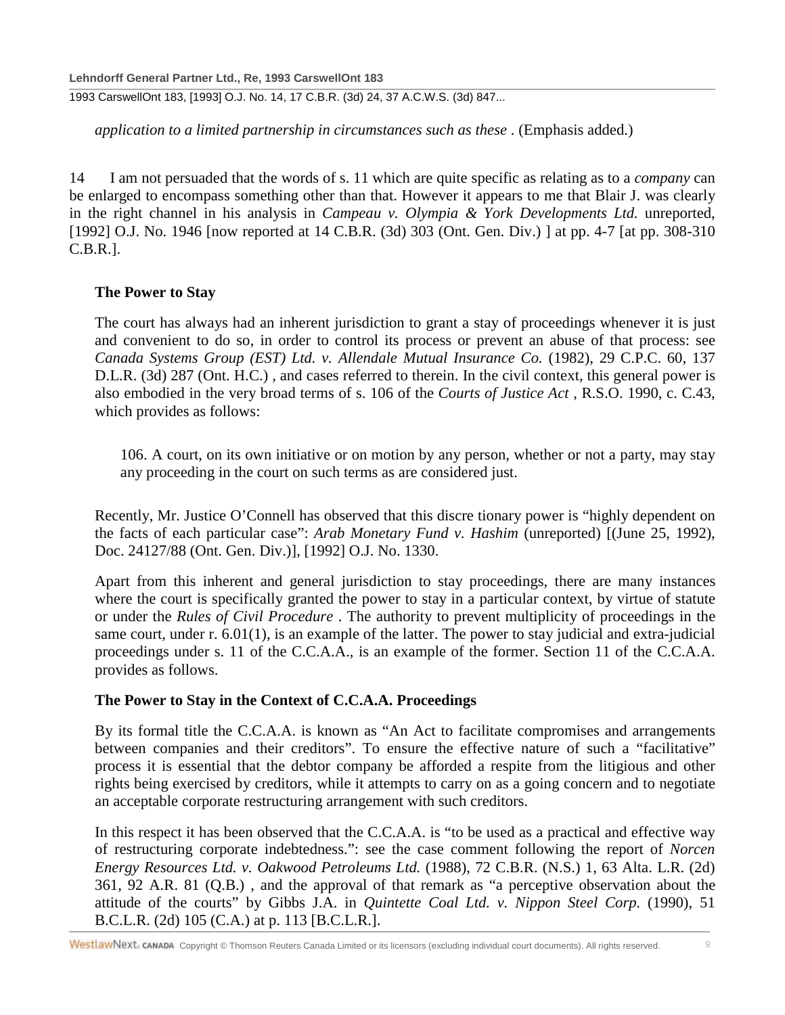*application to a limited partnership in circumstances such as these* . (Emphasis added.)

14 I am not persuaded that the words of s. 11 which are quite specific as relating as to a *company* can be enlarged to encompass something other than that. However it appears to me that Blair J. was clearly in the right channel in his analysis in *Campeau v. Olympia & York Developments Ltd.* unreported, [1992] O.J. No. 1946 [now reported at 14 C.B.R. (3d) 303 (Ont. Gen. Div.) ] at pp. 4-7 [at pp. 308-310] C.B.R.].

## **The Power to Stay**

The court has always had an inherent jurisdiction to grant a stay of proceedings whenever it is just and convenient to do so, in order to control its process or prevent an abuse of that process: see *Canada Systems Group (EST) Ltd. v. Allendale Mutual Insurance Co.* (1982), 29 C.P.C. 60, 137 D.L.R. (3d) 287 (Ont. H.C.) , and cases referred to therein. In the civil context, this general power is also embodied in the very broad terms of s. 106 of the *Courts of Justice Act* , R.S.O. 1990, c. C.43, which provides as follows:

106. A court, on its own initiative or on motion by any person, whether or not a party, may stay any proceeding in the court on such terms as are considered just.

Recently, Mr. Justice O'Connell has observed that this discre tionary power is "highly dependent on the facts of each particular case": *Arab Monetary Fund v. Hashim* (unreported) [(June 25, 1992), Doc. 24127/88 (Ont. Gen. Div.)], [1992] O.J. No. 1330.

Apart from this inherent and general jurisdiction to stay proceedings, there are many instances where the court is specifically granted the power to stay in a particular context, by virtue of statute or under the *Rules of Civil Procedure* . The authority to prevent multiplicity of proceedings in the same court, under r. 6.01(1), is an example of the latter. The power to stay judicial and extra-judicial proceedings under s. 11 of the C.C.A.A., is an example of the former. Section 11 of the C.C.A.A. provides as follows.

## **The Power to Stay in the Context of C.C.A.A. Proceedings**

By its formal title the C.C.A.A. is known as "An Act to facilitate compromises and arrangements between companies and their creditors". To ensure the effective nature of such a "facilitative" process it is essential that the debtor company be afforded a respite from the litigious and other rights being exercised by creditors, while it attempts to carry on as a going concern and to negotiate an acceptable corporate restructuring arrangement with such creditors.

In this respect it has been observed that the C.C.A.A. is "to be used as a practical and effective way of restructuring corporate indebtedness.": see the case comment following the report of *Norcen Energy Resources Ltd. v. Oakwood Petroleums Ltd.* (1988), 72 C.B.R. (N.S.) 1, 63 Alta. L.R. (2d) 361, 92 A.R. 81 (Q.B.) , and the approval of that remark as "a perceptive observation about the attitude of the courts" by Gibbs J.A. in *Quintette Coal Ltd. v. Nippon Steel Corp.* (1990), 51 B.C.L.R. (2d) 105 (C.A.) at p. 113 [B.C.L.R.].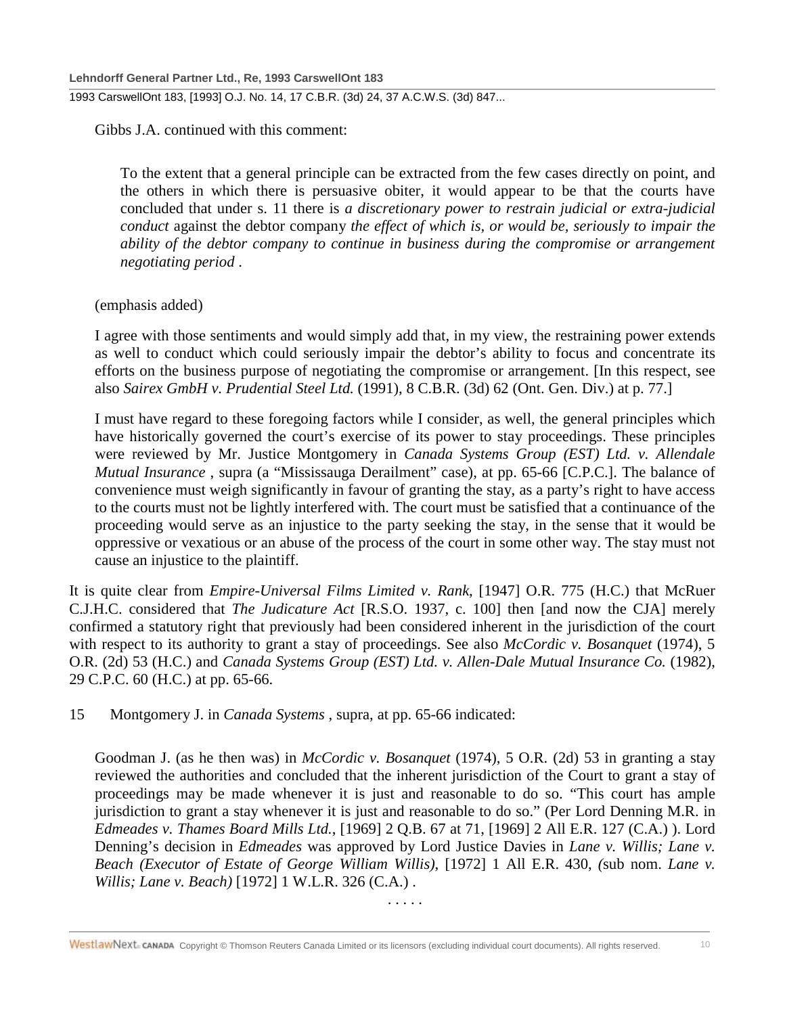Gibbs J.A. continued with this comment:

To the extent that a general principle can be extracted from the few cases directly on point, and the others in which there is persuasive obiter, it would appear to be that the courts have concluded that under s. 11 there is *a discretionary power to restrain judicial or extra-judicial conduct* against the debtor company *the effect of which is, or would be, seriously to impair the ability of the debtor company to continue in business during the compromise or arrangement negotiating period* .

#### (emphasis added)

I agree with those sentiments and would simply add that, in my view, the restraining power extends as well to conduct which could seriously impair the debtor's ability to focus and concentrate its efforts on the business purpose of negotiating the compromise or arrangement. [In this respect, see also *Sairex GmbH v. Prudential Steel Ltd.* (1991), 8 C.B.R. (3d) 62 (Ont. Gen. Div.) at p. 77.]

I must have regard to these foregoing factors while I consider, as well, the general principles which have historically governed the court's exercise of its power to stay proceedings. These principles were reviewed by Mr. Justice Montgomery in *Canada Systems Group (EST) Ltd. v. Allendale Mutual Insurance* , supra (a "Mississauga Derailment" case), at pp. 65-66 [C.P.C.]. The balance of convenience must weigh significantly in favour of granting the stay, as a party's right to have access to the courts must not be lightly interfered with. The court must be satisfied that a continuance of the proceeding would serve as an injustice to the party seeking the stay, in the sense that it would be oppressive or vexatious or an abuse of the process of the court in some other way. The stay must not cause an injustice to the plaintiff.

It is quite clear from *Empire-Universal Films Limited v. Rank*, [1947] O.R. 775 (H.C.) that McRuer C.J.H.C. considered that *The Judicature Act* [R.S.O. 1937, c. 100] then [and now the CJA] merely confirmed a statutory right that previously had been considered inherent in the jurisdiction of the court with respect to its authority to grant a stay of proceedings. See also *McCordic v. Bosanquet* (1974), 5 O.R. (2d) 53 (H.C.) and *Canada Systems Group (EST) Ltd. v. Allen-Dale Mutual Insurance Co.* (1982), 29 C.P.C. 60 (H.C.) at pp. 65-66.

15 Montgomery J. in *Canada Systems* , supra, at pp. 65-66 indicated:

Goodman J. (as he then was) in *McCordic v. Bosanquet* (1974), 5 O.R. (2d) 53 in granting a stay reviewed the authorities and concluded that the inherent jurisdiction of the Court to grant a stay of proceedings may be made whenever it is just and reasonable to do so. "This court has ample jurisdiction to grant a stay whenever it is just and reasonable to do so." (Per Lord Denning M.R. in *Edmeades v. Thames Board Mills Ltd.*, [1969] 2 Q.B. 67 at 71, [1969] 2 All E.R. 127 (C.A.) ). Lord Denning's decision in *Edmeades* was approved by Lord Justice Davies in *Lane v. Willis; Lane v. Beach (Executor of Estate of George William Willis)*, [1972] 1 All E.R. 430, *(*sub nom. *Lane v. Willis; Lane v. Beach)* [1972] 1 W.L.R. 326 (C.A.) .

. . . . .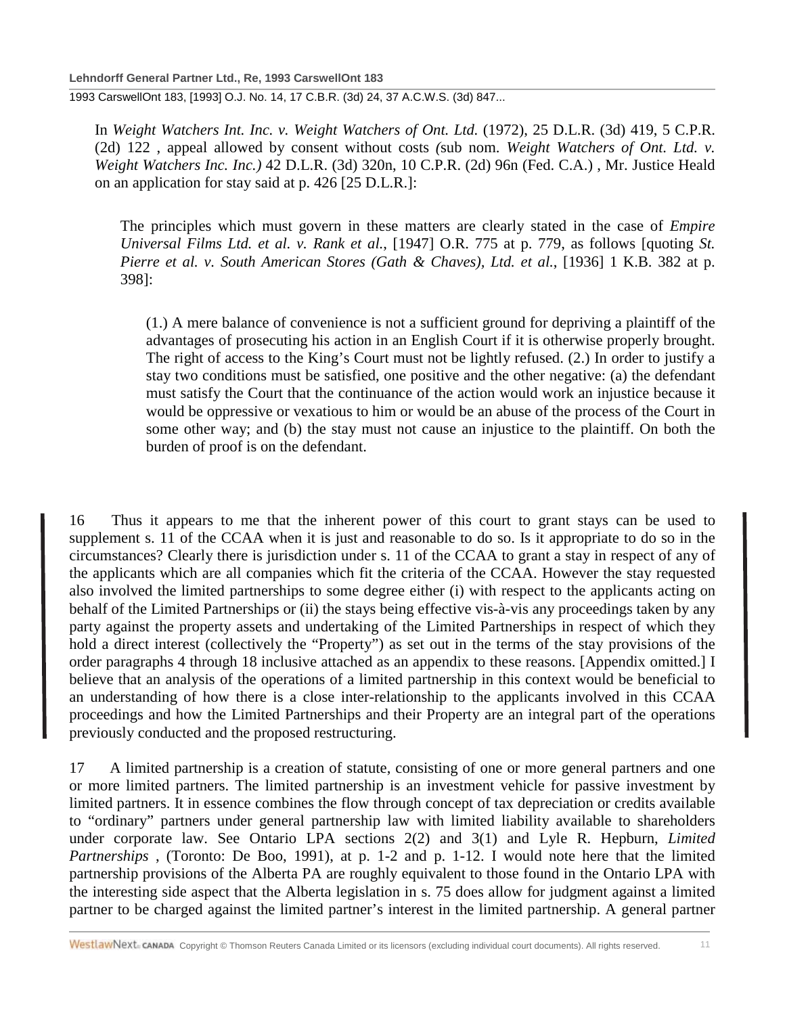In *Weight Watchers Int. Inc. v. Weight Watchers of Ont. Ltd.* (1972), 25 D.L.R. (3d) 419, 5 C.P.R. (2d) 122 , appeal allowed by consent without costs *(*sub nom. *Weight Watchers of Ont. Ltd. v. Weight Watchers Inc. Inc.)* 42 D.L.R. (3d) 320n, 10 C.P.R. (2d) 96n (Fed. C.A.) , Mr. Justice Heald on an application for stay said at p. 426 [25 D.L.R.]:

The principles which must govern in these matters are clearly stated in the case of *Empire Universal Films Ltd. et al. v. Rank et al.*, [1947] O.R. 775 at p. 779, as follows [quoting *St. Pierre et al. v. South American Stores (Gath & Chaves), Ltd. et al.*, [1936] 1 K.B. 382 at p. 398]:

(1.) A mere balance of convenience is not a sufficient ground for depriving a plaintiff of the advantages of prosecuting his action in an English Court if it is otherwise properly brought. The right of access to the King's Court must not be lightly refused. (2.) In order to justify a stay two conditions must be satisfied, one positive and the other negative: (a) the defendant must satisfy the Court that the continuance of the action would work an injustice because it would be oppressive or vexatious to him or would be an abuse of the process of the Court in some other way; and (b) the stay must not cause an injustice to the plaintiff. On both the burden of proof is on the defendant.

16 Thus it appears to me that the inherent power of this court to grant stays can be used to supplement s. 11 of the CCAA when it is just and reasonable to do so. Is it appropriate to do so in the circumstances? Clearly there is jurisdiction under s. 11 of the CCAA to grant a stay in respect of any of the applicants which are all companies which fit the criteria of the CCAA. However the stay requested also involved the limited partnerships to some degree either (i) with respect to the applicants acting on behalf of the Limited Partnerships or (ii) the stays being effective vis-à-vis any proceedings taken by any party against the property assets and undertaking of the Limited Partnerships in respect of which they hold a direct interest (collectively the "Property") as set out in the terms of the stay provisions of the order paragraphs 4 through 18 inclusive attached as an appendix to these reasons. [Appendix omitted.] I believe that an analysis of the operations of a limited partnership in this context would be beneficial to an understanding of how there is a close inter-relationship to the applicants involved in this CCAA proceedings and how the Limited Partnerships and their Property are an integral part of the operations previously conducted and the proposed restructuring.

17 A limited partnership is a creation of statute, consisting of one or more general partners and one or more limited partners. The limited partnership is an investment vehicle for passive investment by limited partners. It in essence combines the flow through concept of tax depreciation or credits available to "ordinary" partners under general partnership law with limited liability available to shareholders under corporate law. See Ontario LPA sections 2(2) and 3(1) and Lyle R. Hepburn, *Limited Partnerships* , (Toronto: De Boo, 1991), at p. 1-2 and p. 1-12. I would note here that the limited partnership provisions of the Alberta PA are roughly equivalent to those found in the Ontario LPA with the interesting side aspect that the Alberta legislation in s. 75 does allow for judgment against a limited partner to be charged against the limited partner's interest in the limited partnership. A general partner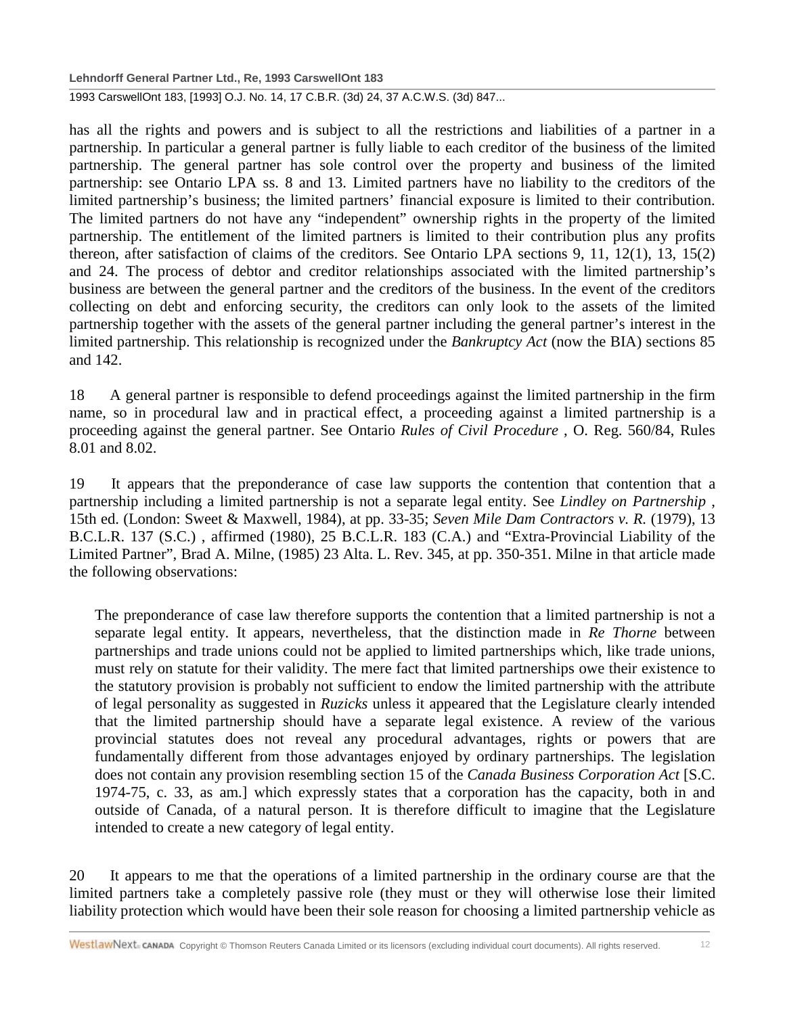**Lehndorff General Partner Ltd., Re, 1993 CarswellOnt 183** 1993 CarswellOnt 183, [1993] O.J. No. 14, 17 C.B.R. (3d) 24, 37 A.C.W.S. (3d) 847...

has all the rights and powers and is subject to all the restrictions and liabilities of a partner in a partnership. In particular a general partner is fully liable to each creditor of the business of the limited partnership. The general partner has sole control over the property and business of the limited partnership: see Ontario LPA ss. 8 and 13. Limited partners have no liability to the creditors of the limited partnership's business; the limited partners' financial exposure is limited to their contribution. The limited partners do not have any "independent" ownership rights in the property of the limited partnership. The entitlement of the limited partners is limited to their contribution plus any profits thereon, after satisfaction of claims of the creditors. See Ontario LPA sections 9, 11, 12(1), 13, 15(2) and 24. The process of debtor and creditor relationships associated with the limited partnership's business are between the general partner and the creditors of the business. In the event of the creditors collecting on debt and enforcing security, the creditors can only look to the assets of the limited partnership together with the assets of the general partner including the general partner's interest in the limited partnership. This relationship is recognized under the *Bankruptcy Act* (now the BIA) sections 85 and 142.

18 A general partner is responsible to defend proceedings against the limited partnership in the firm name, so in procedural law and in practical effect, a proceeding against a limited partnership is a proceeding against the general partner. See Ontario *Rules of Civil Procedure* , O. Reg. 560/84, Rules 8.01 and 8.02.

19 It appears that the preponderance of case law supports the contention that contention that a partnership including a limited partnership is not a separate legal entity. See *Lindley on Partnership* , 15th ed. (London: Sweet & Maxwell, 1984), at pp. 33-35; *Seven Mile Dam Contractors v. R.* (1979), 13 B.C.L.R. 137 (S.C.) , affirmed (1980), 25 B.C.L.R. 183 (C.A.) and "Extra-Provincial Liability of the Limited Partner", Brad A. Milne, (1985) 23 Alta. L. Rev. 345, at pp. 350-351. Milne in that article made the following observations:

The preponderance of case law therefore supports the contention that a limited partnership is not a separate legal entity. It appears, nevertheless, that the distinction made in *Re Thorne* between partnerships and trade unions could not be applied to limited partnerships which, like trade unions, must rely on statute for their validity. The mere fact that limited partnerships owe their existence to the statutory provision is probably not sufficient to endow the limited partnership with the attribute of legal personality as suggested in *Ruzicks* unless it appeared that the Legislature clearly intended that the limited partnership should have a separate legal existence. A review of the various provincial statutes does not reveal any procedural advantages, rights or powers that are fundamentally different from those advantages enjoyed by ordinary partnerships. The legislation does not contain any provision resembling section 15 of the *Canada Business Corporation Act* [S.C. 1974-75, c. 33, as am.] which expressly states that a corporation has the capacity, both in and outside of Canada, of a natural person. It is therefore difficult to imagine that the Legislature intended to create a new category of legal entity.

20 It appears to me that the operations of a limited partnership in the ordinary course are that the limited partners take a completely passive role (they must or they will otherwise lose their limited liability protection which would have been their sole reason for choosing a limited partnership vehicle as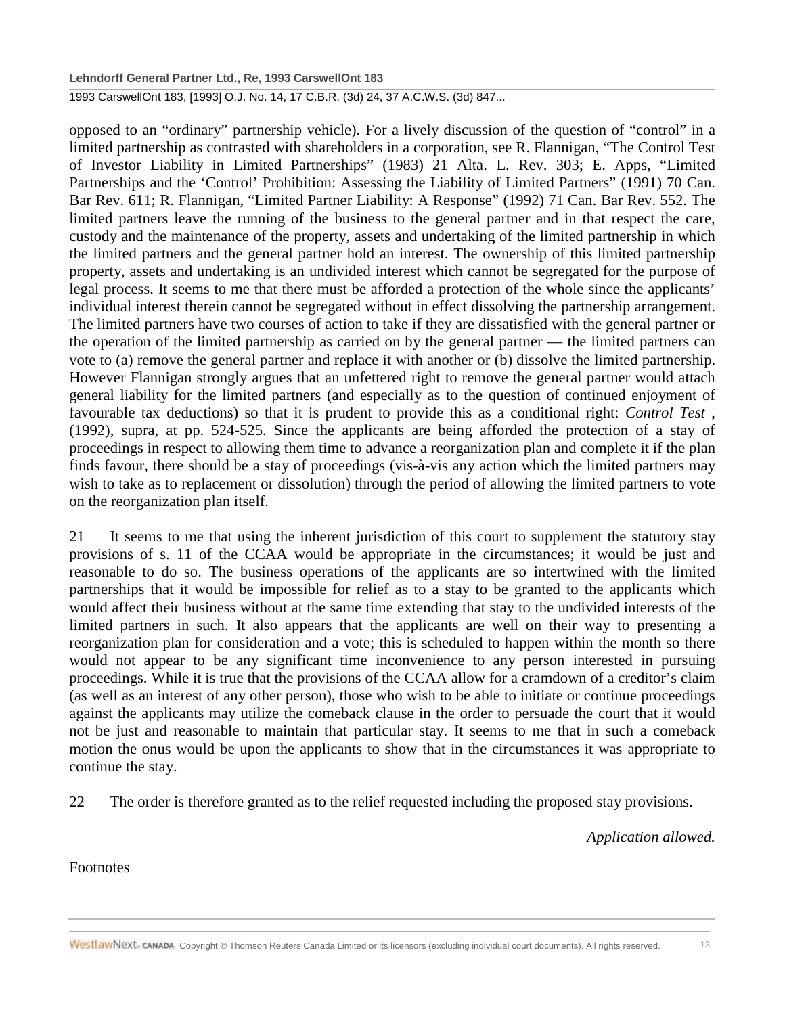opposed to an "ordinary" partnership vehicle). For a lively discussion of the question of "control" in a limited partnership as contrasted with shareholders in a corporation, see R. Flannigan, "The Control Test of Investor Liability in Limited Partnerships" (1983) 21 Alta. L. Rev. 303; E. Apps, "Limited Partnerships and the 'Control' Prohibition: Assessing the Liability of Limited Partners" (1991) 70 Can. Bar Rev. 611; R. Flannigan, "Limited Partner Liability: A Response" (1992) 71 Can. Bar Rev. 552. The limited partners leave the running of the business to the general partner and in that respect the care, custody and the maintenance of the property, assets and undertaking of the limited partnership in which the limited partners and the general partner hold an interest. The ownership of this limited partnership property, assets and undertaking is an undivided interest which cannot be segregated for the purpose of legal process. It seems to me that there must be afforded a protection of the whole since the applicants' individual interest therein cannot be segregated without in effect dissolving the partnership arrangement. The limited partners have two courses of action to take if they are dissatisfied with the general partner or the operation of the limited partnership as carried on by the general partner — the limited partners can vote to (a) remove the general partner and replace it with another or (b) dissolve the limited partnership. However Flannigan strongly argues that an unfettered right to remove the general partner would attach general liability for the limited partners (and especially as to the question of continued enjoyment of favourable tax deductions) so that it is prudent to provide this as a conditional right: *Control Test* , (1992), supra, at pp. 524-525. Since the applicants are being afforded the protection of a stay of proceedings in respect to allowing them time to advance a reorganization plan and complete it if the plan finds favour, there should be a stay of proceedings (vis-à-vis any action which the limited partners may wish to take as to replacement or dissolution) through the period of allowing the limited partners to vote on the reorganization plan itself.

21 It seems to me that using the inherent jurisdiction of this court to supplement the statutory stay provisions of s. 11 of the CCAA would be appropriate in the circumstances; it would be just and reasonable to do so. The business operations of the applicants are so intertwined with the limited partnerships that it would be impossible for relief as to a stay to be granted to the applicants which would affect their business without at the same time extending that stay to the undivided interests of the limited partners in such. It also appears that the applicants are well on their way to presenting a reorganization plan for consideration and a vote; this is scheduled to happen within the month so there would not appear to be any significant time inconvenience to any person interested in pursuing proceedings. While it is true that the provisions of the CCAA allow for a cramdown of a creditor's claim (as well as an interest of any other person), those who wish to be able to initiate or continue proceedings against the applicants may utilize the comeback clause in the order to persuade the court that it would not be just and reasonable to maintain that particular stay. It seems to me that in such a comeback motion the onus would be upon the applicants to show that in the circumstances it was appropriate to continue the stay.

22 The order is therefore granted as to the relief requested including the proposed stay provisions.

*Application allowed.*

Footnotes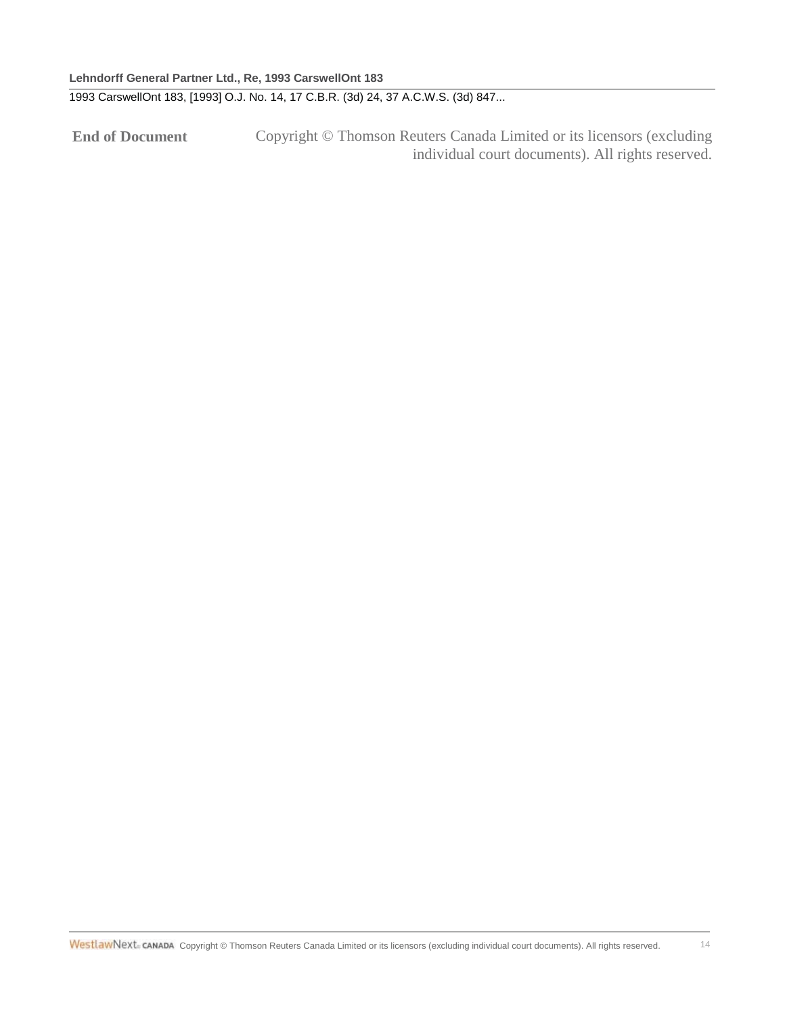**End of Document** Copyright © Thomson Reuters Canada Limited or its licensors (excluding individual court documents). All rights reserved.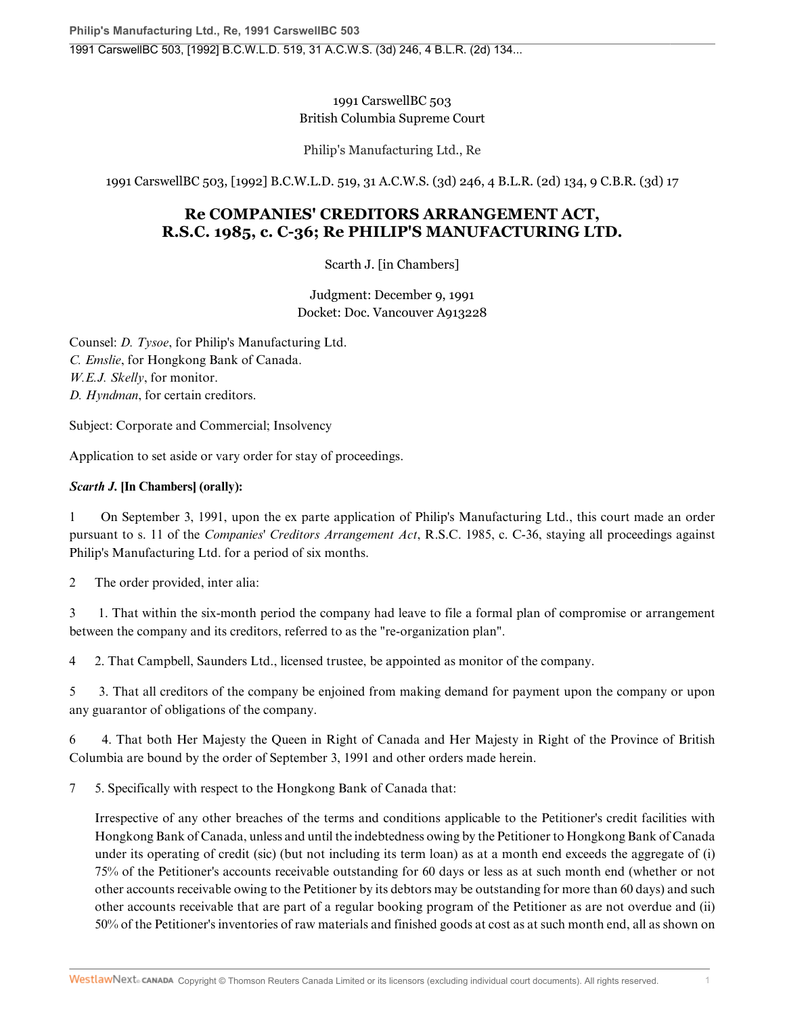### 1991 CarswellBC 503 British Columbia Supreme Court

Philip's Manufacturing Ltd., Re

1991 CarswellBC 503, [1992] B.C.W.L.D. 519, 31 A.C.W.S. (3d) 246, 4 B.L.R. (2d) 134, 9 C.B.R. (3d) 17

## **Re COMPANIES' CREDITORS ARRANGEMENT ACT, R.S.C. 1985, c. C-36; Re PHILIP'S MANUFACTURING LTD.**

Scarth J. [in Chambers]

Judgment: December 9, 1991 Docket: Doc. Vancouver A913228

Counsel: *D. Tysoe*, for Philip's Manufacturing Ltd. *C. Emslie*, for Hongkong Bank of Canada. *W.E.J. Skelly*, for monitor. *D. Hyndman*, for certain creditors.

Subject: Corporate and Commercial; Insolvency

Application to set aside or vary order for stay of proceedings.

### *Scarth J.* **[In Chambers] (orally):**

1 On September 3, 1991, upon the ex parte application of Philip's Manufacturing Ltd., this court made an order pursuant to s. 11 of the *Companies' Creditors Arrangement Act*, R.S.C. 1985, c. C-36, staying all proceedings against Philip's Manufacturing Ltd. for a period of six months.

2 The order provided, inter alia:

3 1. That within the six-month period the company had leave to file a formal plan of compromise or arrangement between the company and its creditors, referred to as the "re-organization plan".

4 2. That Campbell, Saunders Ltd., licensed trustee, be appointed as monitor of the company.

5 3. That all creditors of the company be enjoined from making demand for payment upon the company or upon any guarantor of obligations of the company.

6 4. That both Her Majesty the Queen in Right of Canada and Her Majesty in Right of the Province of British Columbia are bound by the order of September 3, 1991 and other orders made herein.

7 5. Specifically with respect to the Hongkong Bank of Canada that:

Irrespective of any other breaches of the terms and conditions applicable to the Petitioner's credit facilities with Hongkong Bank of Canada, unless and until the indebtedness owing by the Petitioner to Hongkong Bank of Canada under its operating of credit (sic) (but not including its term loan) as at a month end exceeds the aggregate of (i) 75% of the Petitioner's accounts receivable outstanding for 60 days or less as at such month end (whether or not other accounts receivable owing to the Petitioner by its debtors may be outstanding for more than 60 days) and such other accounts receivable that are part of a regular booking program of the Petitioner as are not overdue and (ii) 50% of the Petitioner's inventories of raw materials and finished goods at cost as at such month end, all as shown on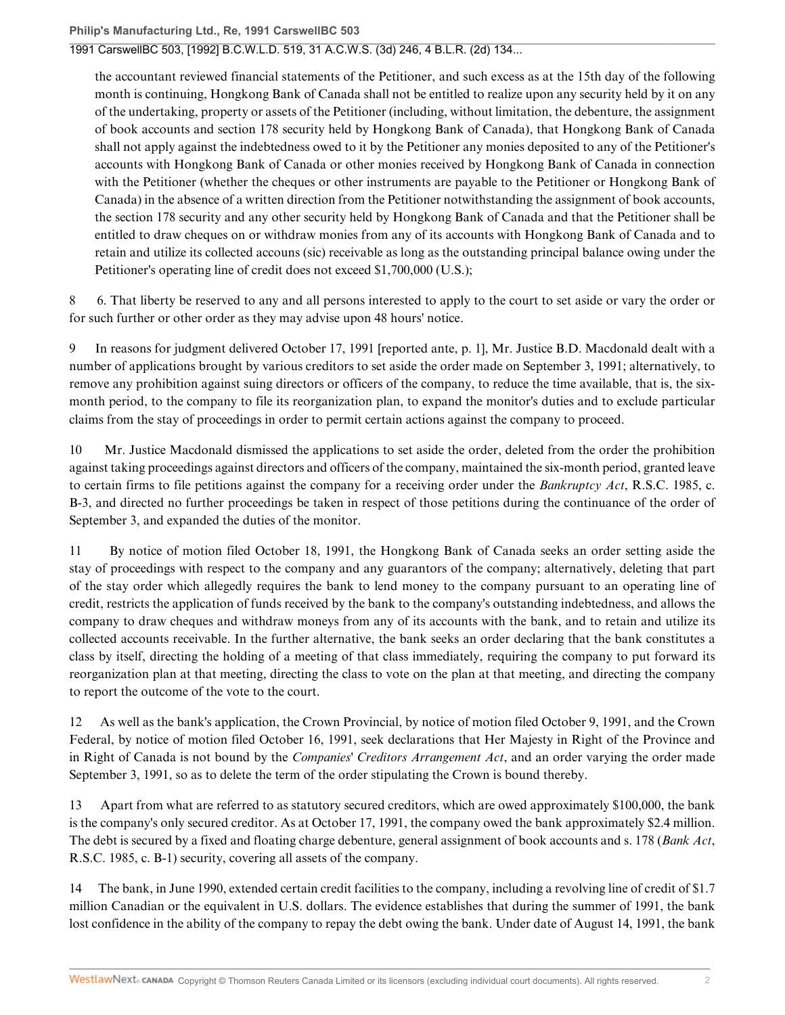### 1991 CarswellBC 503, [1992] B.C.W.L.D. 519, 31 A.C.W.S. (3d) 246, 4 B.L.R. (2d) 134...

the accountant reviewed financial statements of the Petitioner, and such excess as at the 15th day of the following month is continuing, Hongkong Bank of Canada shall not be entitled to realize upon any security held by it on any of the undertaking, property or assets of the Petitioner (including, without limitation, the debenture, the assignment of book accounts and section 178 security held by Hongkong Bank of Canada), that Hongkong Bank of Canada shall not apply against the indebtedness owed to it by the Petitioner any monies deposited to any of the Petitioner's accounts with Hongkong Bank of Canada or other monies received by Hongkong Bank of Canada in connection with the Petitioner (whether the cheques or other instruments are payable to the Petitioner or Hongkong Bank of Canada) in the absence of a written direction from the Petitioner notwithstanding the assignment of book accounts, the section 178 security and any other security held by Hongkong Bank of Canada and that the Petitioner shall be entitled to draw cheques on or withdraw monies from any of its accounts with Hongkong Bank of Canada and to retain and utilize its collected accouns (sic) receivable as long as the outstanding principal balance owing under the Petitioner's operating line of credit does not exceed \$1,700,000 (U.S.);

8 6. That liberty be reserved to any and all persons interested to apply to the court to set aside or vary the order or for such further or other order as they may advise upon 48 hours' notice.

9 In reasons for judgment delivered October 17, 1991 [reported ante, p. 1], Mr. Justice B.D. Macdonald dealt with a number of applications brought by various creditors to set aside the order made on September 3, 1991; alternatively, to remove any prohibition against suing directors or officers of the company, to reduce the time available, that is, the sixmonth period, to the company to file its reorganization plan, to expand the monitor's duties and to exclude particular claims from the stay of proceedings in order to permit certain actions against the company to proceed.

10 Mr. Justice Macdonald dismissed the applications to set aside the order, deleted from the order the prohibition against taking proceedings against directors and officers of the company, maintained the six-month period, granted leave to certain firms to file petitions against the company for a receiving order under the *Bankruptcy Act*, R.S.C. 1985, c. B-3, and directed no further proceedings be taken in respect of those petitions during the continuance of the order of September 3, and expanded the duties of the monitor.

11 By notice of motion filed October 18, 1991, the Hongkong Bank of Canada seeks an order setting aside the stay of proceedings with respect to the company and any guarantors of the company; alternatively, deleting that part of the stay order which allegedly requires the bank to lend money to the company pursuant to an operating line of credit, restricts the application of funds received by the bank to the company's outstanding indebtedness, and allows the company to draw cheques and withdraw moneys from any of its accounts with the bank, and to retain and utilize its collected accounts receivable. In the further alternative, the bank seeks an order declaring that the bank constitutes a class by itself, directing the holding of a meeting of that class immediately, requiring the company to put forward its reorganization plan at that meeting, directing the class to vote on the plan at that meeting, and directing the company to report the outcome of the vote to the court.

12 As well as the bank's application, the Crown Provincial, by notice of motion filed October 9, 1991, and the Crown Federal, by notice of motion filed October 16, 1991, seek declarations that Her Majesty in Right of the Province and in Right of Canada is not bound by the *Companies' Creditors Arrangement Act*, and an order varying the order made September 3, 1991, so as to delete the term of the order stipulating the Crown is bound thereby.

13 Apart from what are referred to as statutory secured creditors, which are owed approximately \$100,000, the bank is the company's only secured creditor. As at October 17, 1991, the company owed the bank approximately \$2.4 million. The debt is secured by a fixed and floating charge debenture, general assignment of book accounts and s. 178 (*Bank Act*, R.S.C. 1985, c. B-1) security, covering all assets of the company.

14 The bank, in June 1990, extended certain credit facilities to the company, including a revolving line of credit of \$1.7 million Canadian or the equivalent in U.S. dollars. The evidence establishes that during the summer of 1991, the bank lost confidence in the ability of the company to repay the debt owing the bank. Under date of August 14, 1991, the bank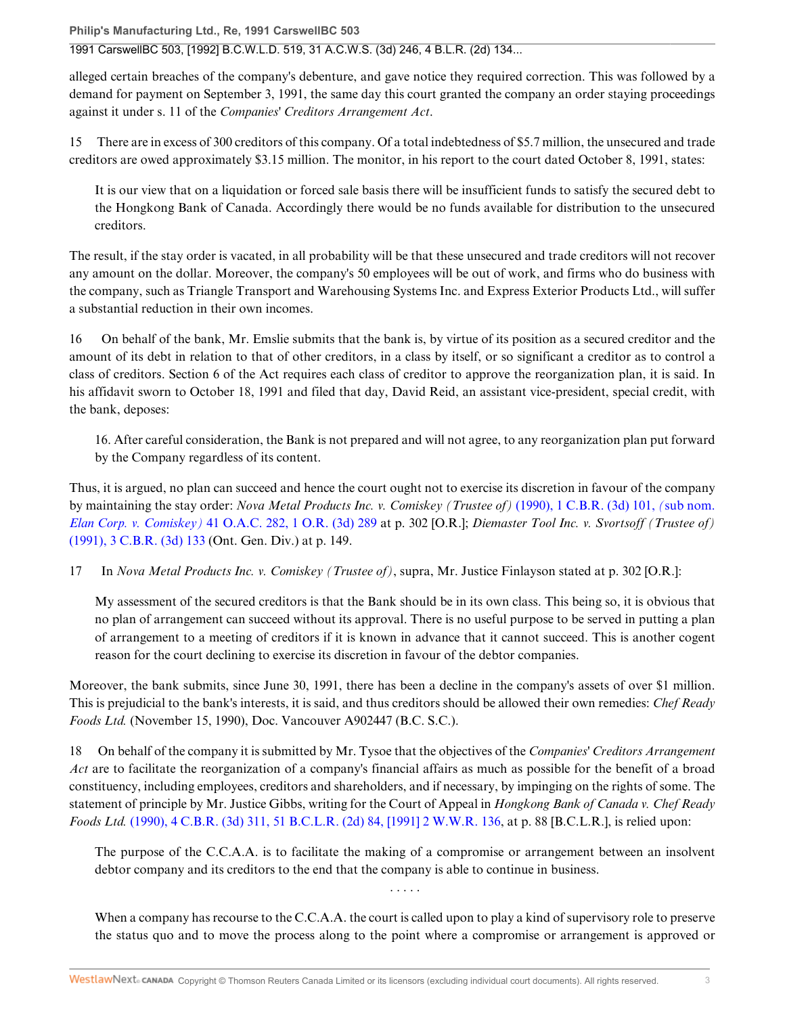**Philip's Manufacturing Ltd., Re, 1991 CarswellBC 503**

1991 CarswellBC 503, [1992] B.C.W.L.D. 519, 31 A.C.W.S. (3d) 246, 4 B.L.R. (2d) 134...

alleged certain breaches of the company's debenture, and gave notice they required correction. This was followed by a demand for payment on September 3, 1991, the same day this court granted the company an order staying proceedings against it under s. 11 of the *Companies' Creditors Arrangement Act*.

15 There are in excess of 300 creditors of this company. Of a total indebtedness of \$5.7 million, the unsecured and trade creditors are owed approximately \$3.15 million. The monitor, in his report to the court dated October 8, 1991, states:

It is our view that on a liquidation or forced sale basis there will be insufficient funds to satisfy the secured debt to the Hongkong Bank of Canada. Accordingly there would be no funds available for distribution to the unsecured creditors.

The result, if the stay order is vacated, in all probability will be that these unsecured and trade creditors will not recover any amount on the dollar. Moreover, the company's 50 employees will be out of work, and firms who do business with the company, such as Triangle Transport and Warehousing Systems Inc. and Express Exterior Products Ltd., will suffer a substantial reduction in their own incomes.

16 On behalf of the bank, Mr. Emslie submits that the bank is, by virtue of its position as a secured creditor and the amount of its debt in relation to that of other creditors, in a class by itself, or so significant a creditor as to control a class of creditors. Section 6 of the Act requires each class of creditor to approve the reorganization plan, it is said. In his affidavit sworn to October 18, 1991 and filed that day, David Reid, an assistant vice-president, special credit, with the bank, deposes:

16. After careful consideration, the Bank is not prepared and will not agree, to any reorganization plan put forward by the Company regardless of its content.

Thus, it is argued, no plan can succeed and hence the court ought not to exercise its discretion in favour of the company by maintaining the stay order: *Nova Metal Products Inc. v. Comiskey (Trustee of)* (1990), 1 C.B.R. (3d) 101, *(*sub nom. *Elan Corp. v. Comiskey)* 41 O.A.C. 282, 1 O.R. (3d) 289 at p. 302 [O.R.]; *Diemaster Tool Inc. v. Svortsoff (Trustee of)* (1991), 3 C.B.R. (3d) 133 (Ont. Gen. Div.) at p. 149.

17 In *Nova Metal Products Inc. v. Comiskey (Trustee of)*, supra, Mr. Justice Finlayson stated at p. 302 [O.R.]:

My assessment of the secured creditors is that the Bank should be in its own class. This being so, it is obvious that no plan of arrangement can succeed without its approval. There is no useful purpose to be served in putting a plan of arrangement to a meeting of creditors if it is known in advance that it cannot succeed. This is another cogent reason for the court declining to exercise its discretion in favour of the debtor companies.

Moreover, the bank submits, since June 30, 1991, there has been a decline in the company's assets of over \$1 million. This is prejudicial to the bank's interests, it is said, and thus creditors should be allowed their own remedies: *Chef Ready Foods Ltd.* (November 15, 1990), Doc. Vancouver A902447 (B.C. S.C.).

18 On behalf of the company it is submitted by Mr. Tysoe that the objectives of the *Companies' Creditors Arrangement Act* are to facilitate the reorganization of a company's financial affairs as much as possible for the benefit of a broad constituency, including employees, creditors and shareholders, and if necessary, by impinging on the rights of some. The statement of principle by Mr. Justice Gibbs, writing for the Court of Appeal in *Hongkong Bank of Canada v. Chef Ready Foods Ltd.* (1990), 4 C.B.R. (3d) 311, 51 B.C.L.R. (2d) 84, [1991] 2 W.W.R. 136, at p. 88 [B.C.L.R.], is relied upon:

The purpose of the C.C.A.A. is to facilitate the making of a compromise or arrangement between an insolvent debtor company and its creditors to the end that the company is able to continue in business.

When a company has recourse to the C.C.A.A. the court is called upon to play a kind of supervisory role to preserve the status quo and to move the process along to the point where a compromise or arrangement is approved or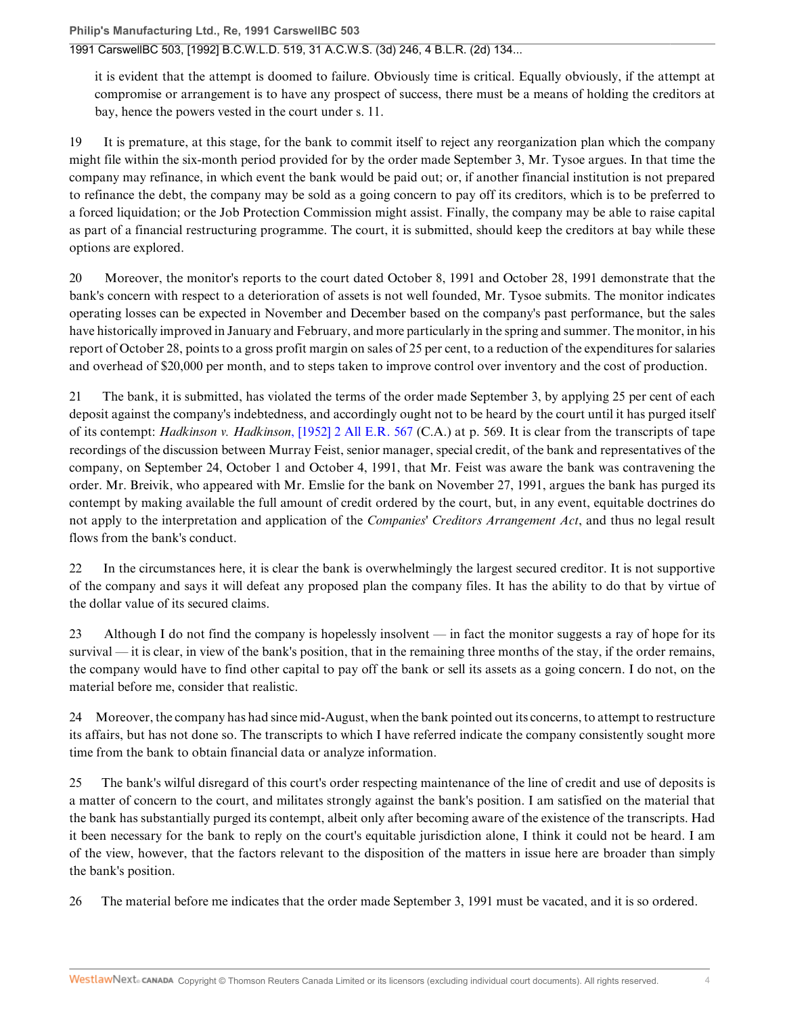#### 1991 CarswellBC 503, [1992] B.C.W.L.D. 519, 31 A.C.W.S. (3d) 246, 4 B.L.R. (2d) 134...

it is evident that the attempt is doomed to failure. Obviously time is critical. Equally obviously, if the attempt at compromise or arrangement is to have any prospect of success, there must be a means of holding the creditors at bay, hence the powers vested in the court under s. 11.

19 It is premature, at this stage, for the bank to commit itself to reject any reorganization plan which the company might file within the six-month period provided for by the order made September 3, Mr. Tysoe argues. In that time the company may refinance, in which event the bank would be paid out; or, if another financial institution is not prepared to refinance the debt, the company may be sold as a going concern to pay off its creditors, which is to be preferred to a forced liquidation; or the Job Protection Commission might assist. Finally, the company may be able to raise capital as part of a financial restructuring programme. The court, it is submitted, should keep the creditors at bay while these options are explored.

20 Moreover, the monitor's reports to the court dated October 8, 1991 and October 28, 1991 demonstrate that the bank's concern with respect to a deterioration of assets is not well founded, Mr. Tysoe submits. The monitor indicates operating losses can be expected in November and December based on the company's past performance, but the sales have historically improved in January and February, and more particularly in the spring and summer. The monitor, in his report of October 28, points to a gross profit margin on sales of 25 per cent, to a reduction of the expenditures for salaries and overhead of \$20,000 per month, and to steps taken to improve control over inventory and the cost of production.

21 The bank, it is submitted, has violated the terms of the order made September 3, by applying 25 per cent of each deposit against the company's indebtedness, and accordingly ought not to be heard by the court until it has purged itself of its contempt: *Hadkinson v. Hadkinson*, [1952] 2 All E.R. 567 (C.A.) at p. 569. It is clear from the transcripts of tape recordings of the discussion between Murray Feist, senior manager, special credit, of the bank and representatives of the company, on September 24, October 1 and October 4, 1991, that Mr. Feist was aware the bank was contravening the order. Mr. Breivik, who appeared with Mr. Emslie for the bank on November 27, 1991, argues the bank has purged its contempt by making available the full amount of credit ordered by the court, but, in any event, equitable doctrines do not apply to the interpretation and application of the *Companies' Creditors Arrangement Act*, and thus no legal result flows from the bank's conduct.

22 In the circumstances here, it is clear the bank is overwhelmingly the largest secured creditor. It is not supportive of the company and says it will defeat any proposed plan the company files. It has the ability to do that by virtue of the dollar value of its secured claims.

23 Although I do not find the company is hopelessly insolvent — in fact the monitor suggests a ray of hope for its survival — it is clear, in view of the bank's position, that in the remaining three months of the stay, if the order remains, the company would have to find other capital to pay off the bank or sell its assets as a going concern. I do not, on the material before me, consider that realistic.

24 Moreover, the company has had since mid-August, when the bank pointed out its concerns, to attempt to restructure its affairs, but has not done so. The transcripts to which I have referred indicate the company consistently sought more time from the bank to obtain financial data or analyze information.

25 The bank's wilful disregard of this court's order respecting maintenance of the line of credit and use of deposits is a matter of concern to the court, and militates strongly against the bank's position. I am satisfied on the material that the bank has substantially purged its contempt, albeit only after becoming aware of the existence of the transcripts. Had it been necessary for the bank to reply on the court's equitable jurisdiction alone, I think it could not be heard. I am of the view, however, that the factors relevant to the disposition of the matters in issue here are broader than simply the bank's position.

26 The material before me indicates that the order made September 3, 1991 must be vacated, and it is so ordered.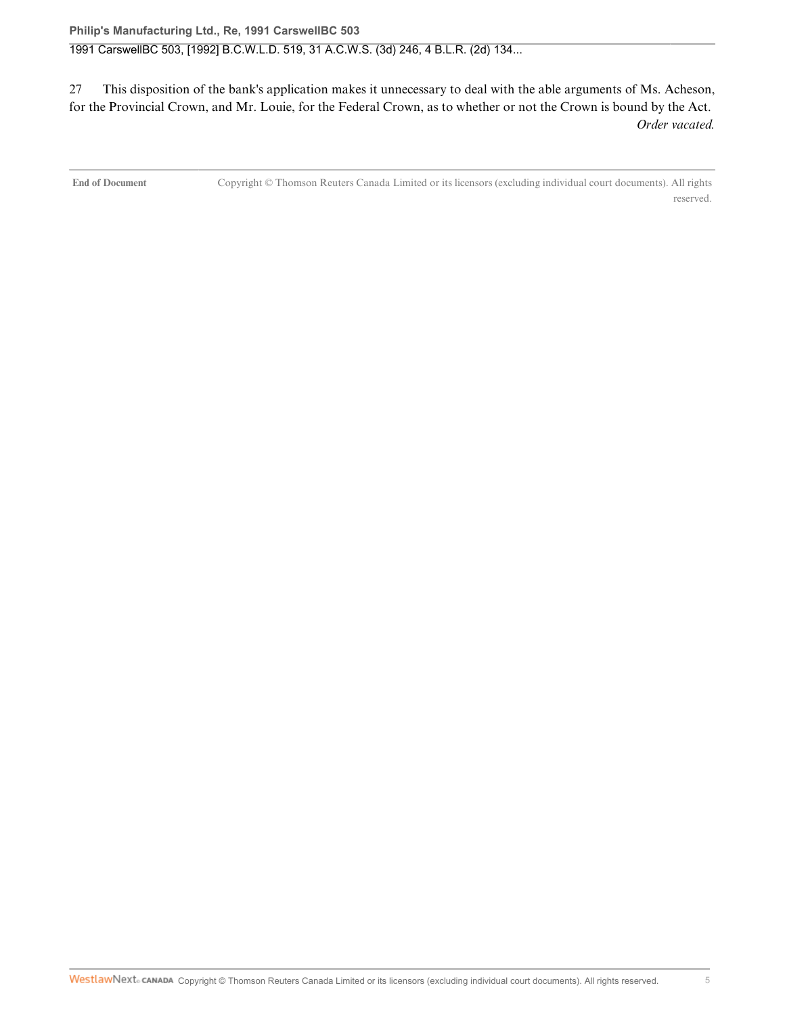27 This disposition of the bank's application makes it unnecessary to deal with the able arguments of Ms. Acheson, for the Provincial Crown, and Mr. Louie, for the Federal Crown, as to whether or not the Crown is bound by the Act. *Order vacated.*

**End of Document** Copyright © Thomson Reuters Canada Limited or its licensors (excluding individual court documents). All rights reserved.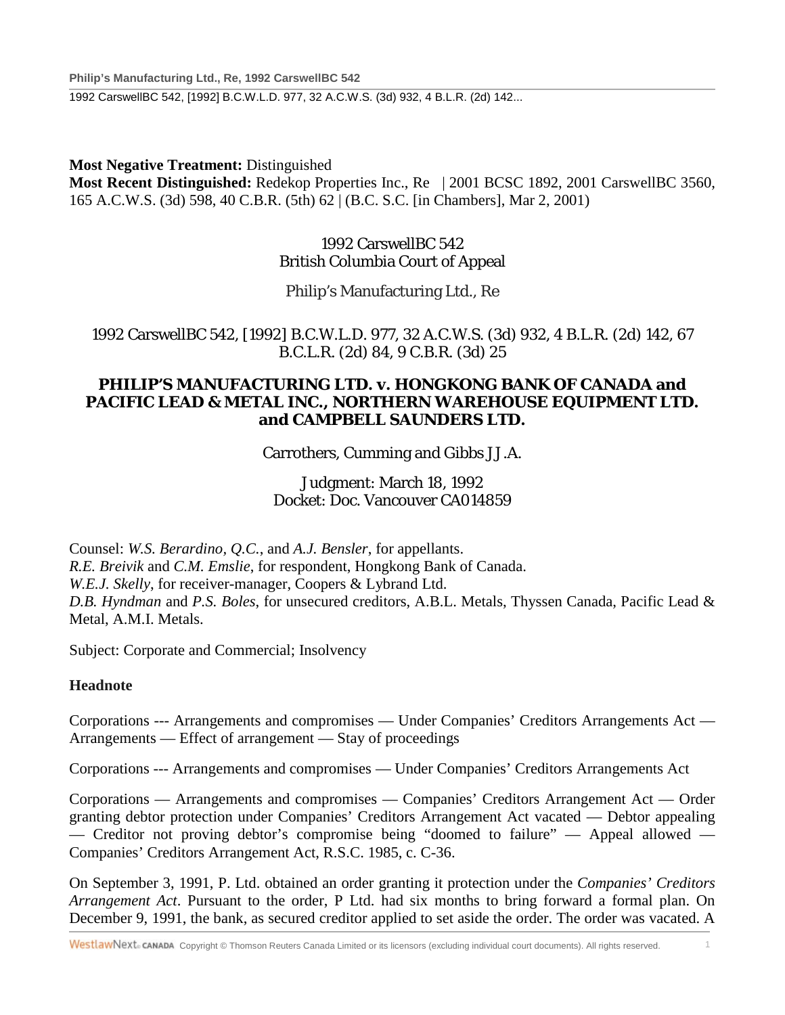**Philip's Manufacturing Ltd., Re, 1992 CarswellBC 542**

1992 CarswellBC 542, [1992] B.C.W.L.D. 977, 32 A.C.W.S. (3d) 932, 4 B.L.R. (2d) 142...

## **Most Negative Treatment:** Distinguished

**Most Recent Distinguished:** Redekop Properties Inc., Re | 2001 BCSC 1892, 2001 CarswellBC 3560, 165 A.C.W.S. (3d) 598, 40 C.B.R. (5th) 62 | (B.C. S.C. [in Chambers], Mar 2, 2001)

## 1992 CarswellBC 542 British Columbia Court of Appeal

Philip's Manufacturing Ltd., Re

1992 CarswellBC 542, [1992] B.C.W.L.D. 977, 32 A.C.W.S. (3d) 932, 4 B.L.R. (2d) 142, 67 B.C.L.R. (2d) 84, 9 C.B.R. (3d) 25

## **PHILIP'S MANUFACTURING LTD. v. HONGKONG BANK OF CANADA and PACIFIC LEAD & METAL INC., NORTHERN WAREHOUSE EQUIPMENT LTD. and CAMPBELL SAUNDERS LTD.**

Carrothers, Cumming and Gibbs JJ.A.

Judgment: March 18, 1992 Docket: Doc. Vancouver CA014859

Counsel: *W.S. Berardino, Q.C.*, and *A.J. Bensler*, for appellants. *R.E. Breivik* and *C.M. Emslie*, for respondent, Hongkong Bank of Canada. *W.E.J. Skelly*, for receiver-manager, Coopers & Lybrand Ltd. *D.B. Hyndman* and *P.S. Boles*, for unsecured creditors, A.B.L. Metals, Thyssen Canada, Pacific Lead & Metal, A.M.I. Metals.

Subject: Corporate and Commercial; Insolvency

## **Headnote**

Corporations --- Arrangements and compromises — Under Companies' Creditors Arrangements Act — Arrangements — Effect of arrangement — Stay of proceedings

Corporations --- Arrangements and compromises — Under Companies' Creditors Arrangements Act

Corporations — Arrangements and compromises — Companies' Creditors Arrangement Act — Order granting debtor protection under Companies' Creditors Arrangement Act vacated — Debtor appealing — Creditor not proving debtor's compromise being "doomed to failure" — Appeal allowed — Companies' Creditors Arrangement Act, R.S.C. 1985, c. C-36.

On September 3, 1991, P. Ltd. obtained an order granting it protection under the *Companies' Creditors Arrangement Act*. Pursuant to the order, P Ltd. had six months to bring forward a formal plan. On December 9, 1991, the bank, as secured creditor applied to set aside the order. The order was vacated. A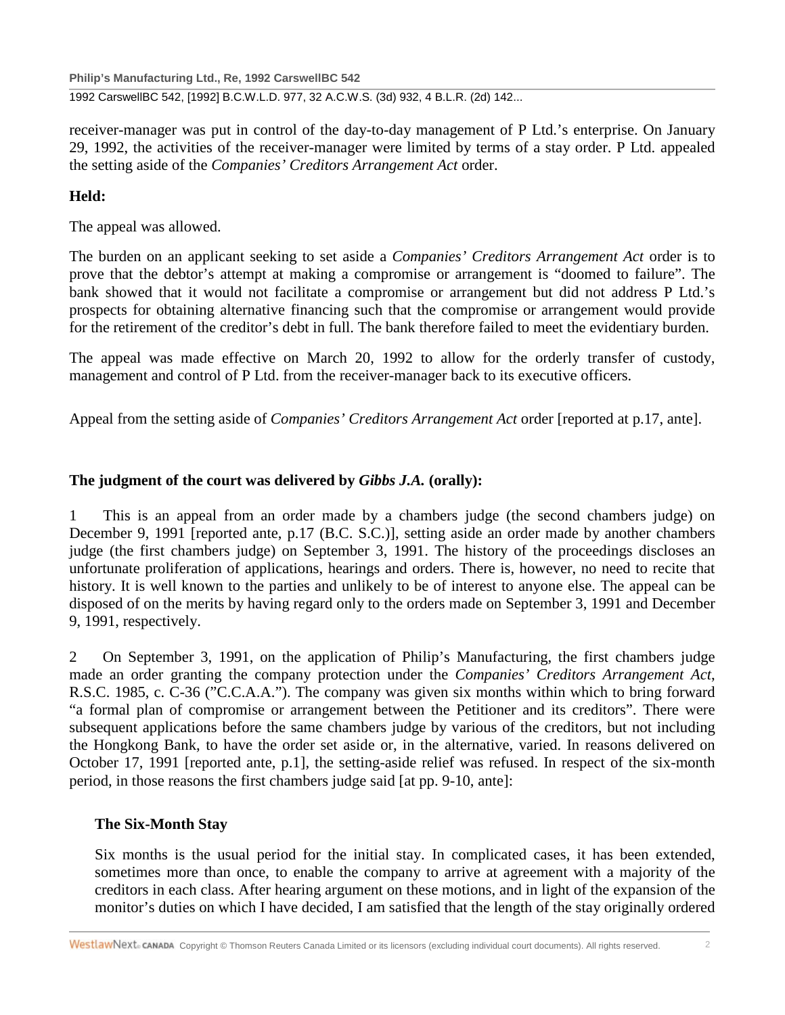**Philip's Manufacturing Ltd., Re, 1992 CarswellBC 542**

1992 CarswellBC 542, [1992] B.C.W.L.D. 977, 32 A.C.W.S. (3d) 932, 4 B.L.R. (2d) 142...

receiver-manager was put in control of the day-to-day management of P Ltd.'s enterprise. On January 29, 1992, the activities of the receiver-manager were limited by terms of a stay order. P Ltd. appealed the setting aside of the *Companies' Creditors Arrangement Act* order.

## **Held:**

The appeal was allowed.

The burden on an applicant seeking to set aside a *Companies' Creditors Arrangement Act* order is to prove that the debtor's attempt at making a compromise or arrangement is "doomed to failure". The bank showed that it would not facilitate a compromise or arrangement but did not address P Ltd.'s prospects for obtaining alternative financing such that the compromise or arrangement would provide for the retirement of the creditor's debt in full. The bank therefore failed to meet the evidentiary burden.

The appeal was made effective on March 20, 1992 to allow for the orderly transfer of custody, management and control of P Ltd. from the receiver-manager back to its executive officers.

Appeal from the setting aside of *Companies' Creditors Arrangement Act* order [reported at p.17, ante].

## **The judgment of the court was delivered by** *Gibbs J.A.* **(orally):**

1 This is an appeal from an order made by a chambers judge (the second chambers judge) on December 9, 1991 [reported ante, p.17 (B.C. S.C.)], setting aside an order made by another chambers judge (the first chambers judge) on September 3, 1991. The history of the proceedings discloses an unfortunate proliferation of applications, hearings and orders. There is, however, no need to recite that history. It is well known to the parties and unlikely to be of interest to anyone else. The appeal can be disposed of on the merits by having regard only to the orders made on September 3, 1991 and December 9, 1991, respectively.

2 On September 3, 1991, on the application of Philip's Manufacturing, the first chambers judge made an order granting the company protection under the *Companies' Creditors Arrangement Act*, R.S.C. 1985, c. C-36 ("C.C.A.A."). The company was given six months within which to bring forward "a formal plan of compromise or arrangement between the Petitioner and its creditors". There were subsequent applications before the same chambers judge by various of the creditors, but not including the Hongkong Bank, to have the order set aside or, in the alternative, varied. In reasons delivered on October 17, 1991 [reported ante, p.1], the setting-aside relief was refused. In respect of the six-month period, in those reasons the first chambers judge said [at pp. 9-10, ante]:

## **The Six-Month Stay**

Six months is the usual period for the initial stay. In complicated cases, it has been extended, sometimes more than once, to enable the company to arrive at agreement with a majority of the creditors in each class. After hearing argument on these motions, and in light of the expansion of the monitor's duties on which I have decided, I am satisfied that the length of the stay originally ordered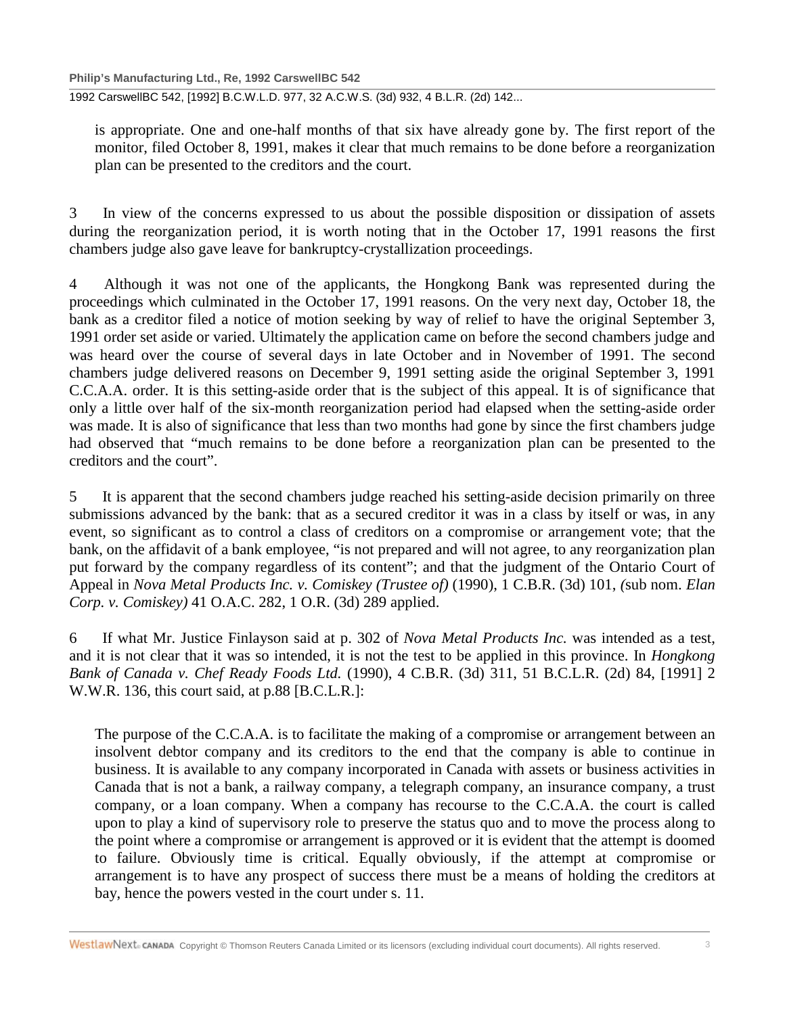1992 CarswellBC 542, [1992] B.C.W.L.D. 977, 32 A.C.W.S. (3d) 932, 4 B.L.R. (2d) 142...

is appropriate. One and one-half months of that six have already gone by. The first report of the monitor, filed October 8, 1991, makes it clear that much remains to be done before a reorganization plan can be presented to the creditors and the court.

3 In view of the concerns expressed to us about the possible disposition or dissipation of assets during the reorganization period, it is worth noting that in the October 17, 1991 reasons the first chambers judge also gave leave for bankruptcy-crystallization proceedings.

4 Although it was not one of the applicants, the Hongkong Bank was represented during the proceedings which culminated in the October 17, 1991 reasons. On the very next day, October 18, the bank as a creditor filed a notice of motion seeking by way of relief to have the original September 3, 1991 order set aside or varied. Ultimately the application came on before the second chambers judge and was heard over the course of several days in late October and in November of 1991. The second chambers judge delivered reasons on December 9, 1991 setting aside the original September 3, 1991 C.C.A.A. order. It is this setting-aside order that is the subject of this appeal. It is of significance that only a little over half of the six-month reorganization period had elapsed when the setting-aside order was made. It is also of significance that less than two months had gone by since the first chambers judge had observed that "much remains to be done before a reorganization plan can be presented to the creditors and the court".

5 It is apparent that the second chambers judge reached his setting-aside decision primarily on three submissions advanced by the bank: that as a secured creditor it was in a class by itself or was, in any event, so significant as to control a class of creditors on a compromise or arrangement vote; that the bank, on the affidavit of a bank employee, "is not prepared and will not agree, to any reorganization plan put forward by the company regardless of its content"; and that the judgment of the Ontario Court of Appeal in *Nova Metal Products Inc. v. Comiskey (Trustee of)* (1990), 1 C.B.R. (3d) 101, *(*sub nom. *Elan Corp. v. Comiskey)* 41 O.A.C. 282, 1 O.R. (3d) 289 applied.

6 If what Mr. Justice Finlayson said at p. 302 of *Nova Metal Products Inc.* was intended as a test, and it is not clear that it was so intended, it is not the test to be applied in this province. In *Hongkong Bank of Canada v. Chef Ready Foods Ltd.* (1990), 4 C.B.R. (3d) 311, 51 B.C.L.R. (2d) 84, [1991] 2 W.W.R. 136, this court said, at p.88 [B.C.L.R.]:

The purpose of the C.C.A.A. is to facilitate the making of a compromise or arrangement between an insolvent debtor company and its creditors to the end that the company is able to continue in business. It is available to any company incorporated in Canada with assets or business activities in Canada that is not a bank, a railway company, a telegraph company, an insurance company, a trust company, or a loan company. When a company has recourse to the C.C.A.A. the court is called upon to play a kind of supervisory role to preserve the status quo and to move the process along to the point where a compromise or arrangement is approved or it is evident that the attempt is doomed to failure. Obviously time is critical. Equally obviously, if the attempt at compromise or arrangement is to have any prospect of success there must be a means of holding the creditors at bay, hence the powers vested in the court under s. 11.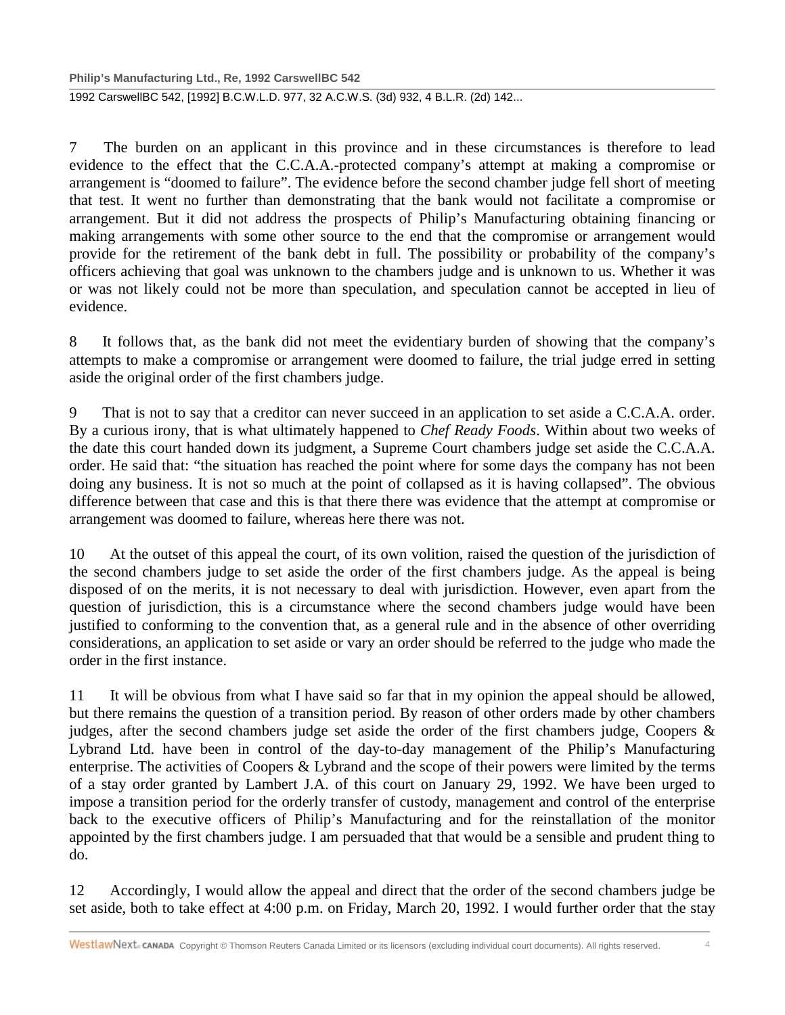1992 CarswellBC 542, [1992] B.C.W.L.D. 977, 32 A.C.W.S. (3d) 932, 4 B.L.R. (2d) 142...

7 The burden on an applicant in this province and in these circumstances is therefore to lead evidence to the effect that the C.C.A.A.-protected company's attempt at making a compromise or arrangement is "doomed to failure". The evidence before the second chamber judge fell short of meeting that test. It went no further than demonstrating that the bank would not facilitate a compromise or arrangement. But it did not address the prospects of Philip's Manufacturing obtaining financing or making arrangements with some other source to the end that the compromise or arrangement would provide for the retirement of the bank debt in full. The possibility or probability of the company's officers achieving that goal was unknown to the chambers judge and is unknown to us. Whether it was or was not likely could not be more than speculation, and speculation cannot be accepted in lieu of evidence.

8 It follows that, as the bank did not meet the evidentiary burden of showing that the company's attempts to make a compromise or arrangement were doomed to failure, the trial judge erred in setting aside the original order of the first chambers judge.

9 That is not to say that a creditor can never succeed in an application to set aside a C.C.A.A. order. By a curious irony, that is what ultimately happened to *Chef Ready Foods*. Within about two weeks of the date this court handed down its judgment, a Supreme Court chambers judge set aside the C.C.A.A. order. He said that: "the situation has reached the point where for some days the company has not been doing any business. It is not so much at the point of collapsed as it is having collapsed". The obvious difference between that case and this is that there there was evidence that the attempt at compromise or arrangement was doomed to failure, whereas here there was not.

10 At the outset of this appeal the court, of its own volition, raised the question of the jurisdiction of the second chambers judge to set aside the order of the first chambers judge. As the appeal is being disposed of on the merits, it is not necessary to deal with jurisdiction. However, even apart from the question of jurisdiction, this is a circumstance where the second chambers judge would have been justified to conforming to the convention that, as a general rule and in the absence of other overriding considerations, an application to set aside or vary an order should be referred to the judge who made the order in the first instance.

11 It will be obvious from what I have said so far that in my opinion the appeal should be allowed, but there remains the question of a transition period. By reason of other orders made by other chambers judges, after the second chambers judge set aside the order of the first chambers judge, Coopers & Lybrand Ltd. have been in control of the day-to-day management of the Philip's Manufacturing enterprise. The activities of Coopers & Lybrand and the scope of their powers were limited by the terms of a stay order granted by Lambert J.A. of this court on January 29, 1992. We have been urged to impose a transition period for the orderly transfer of custody, management and control of the enterprise back to the executive officers of Philip's Manufacturing and for the reinstallation of the monitor appointed by the first chambers judge. I am persuaded that that would be a sensible and prudent thing to do.

12 Accordingly, I would allow the appeal and direct that the order of the second chambers judge be set aside, both to take effect at 4:00 p.m. on Friday, March 20, 1992. I would further order that the stay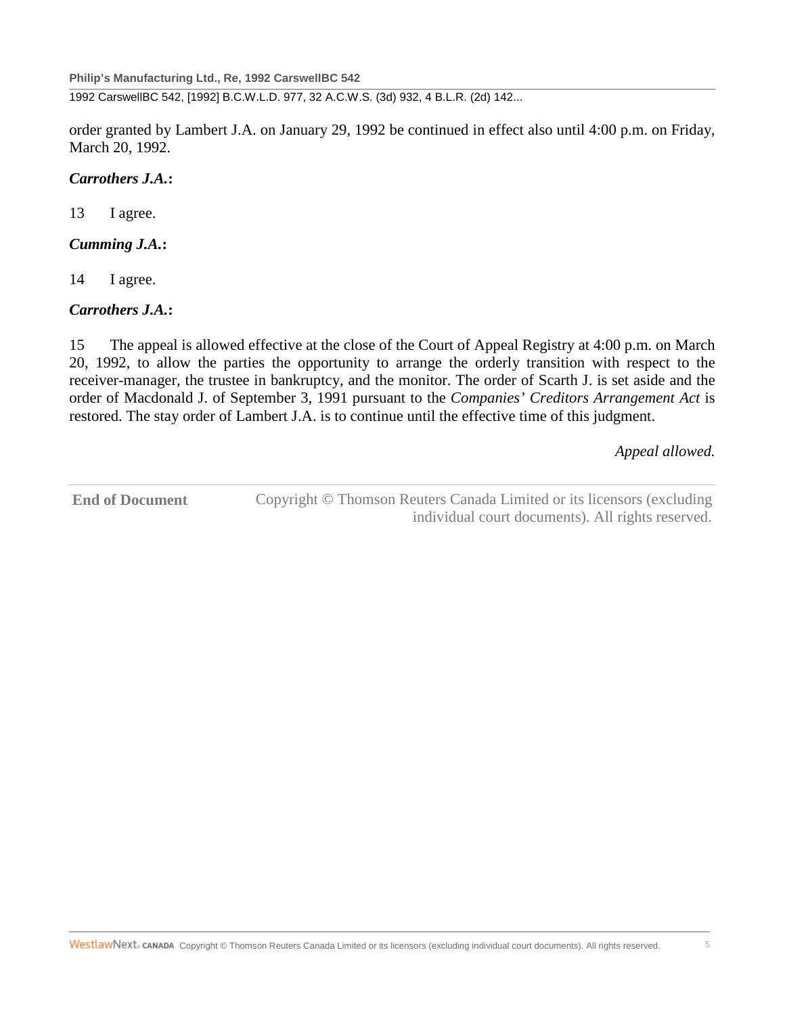1992 CarswellBC 542, [1992] B.C.W.L.D. 977, 32 A.C.W.S. (3d) 932, 4 B.L.R. (2d) 142...

order granted by Lambert J.A. on January 29, 1992 be continued in effect also until 4:00 p.m. on Friday, March 20, 1992.

### *Carrothers J.A.***:**

13 I agree.

## *Cumming J.A.***:**

14 I agree.

## *Carrothers J.A.***:**

15 The appeal is allowed effective at the close of the Court of Appeal Registry at 4:00 p.m. on March 20, 1992, to allow the parties the opportunity to arrange the orderly transition with respect to the receiver-manager, the trustee in bankruptcy, and the monitor. The order of Scarth J. is set aside and the order of Macdonald J. of September 3, 1991 pursuant to the *Companies' Creditors Arrangement Act* is restored. The stay order of Lambert J.A. is to continue until the effective time of this judgment.

*Appeal allowed.*

**End of Document** Copyright © Thomson Reuters Canada Limited or its licensors (excluding individual court documents). All rights reserved.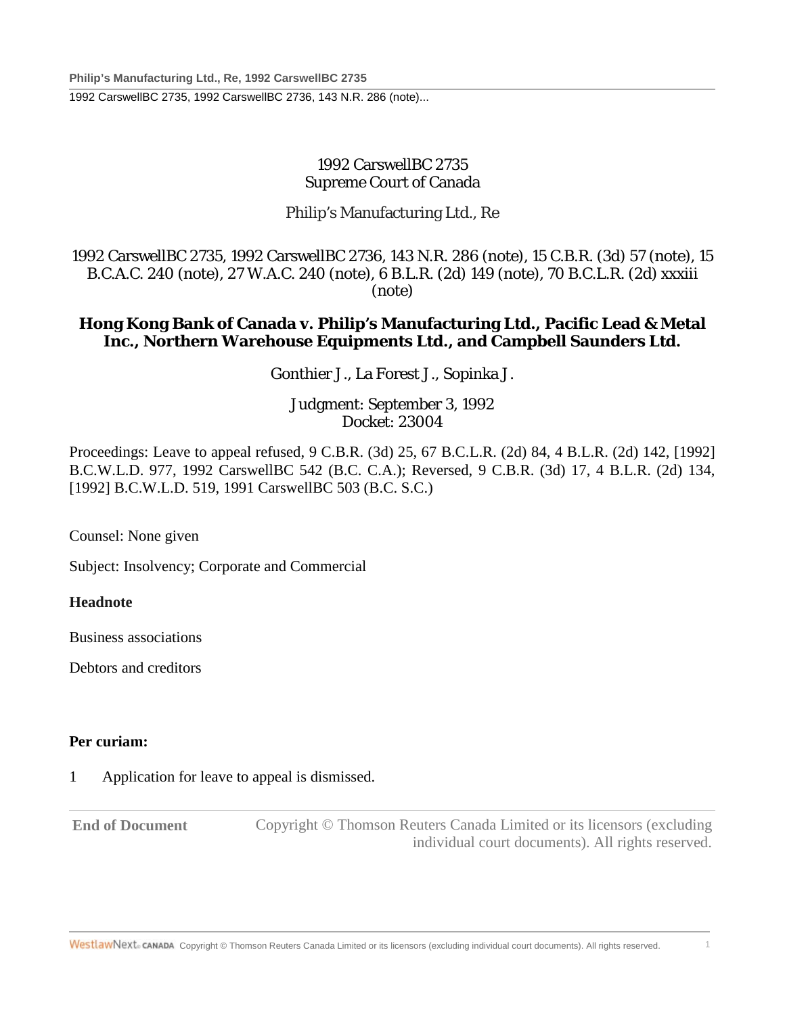1992 CarswellBC 2735, 1992 CarswellBC 2736, 143 N.R. 286 (note)...

## 1992 CarswellBC 2735 Supreme Court of Canada

## Philip's Manufacturing Ltd., Re

1992 CarswellBC 2735, 1992 CarswellBC 2736, 143 N.R. 286 (note), 15 C.B.R. (3d) 57 (note), 15 B.C.A.C. 240 (note), 27 W.A.C. 240 (note), 6 B.L.R. (2d) 149 (note), 70 B.C.L.R. (2d) xxxiii (note)

## **Hong Kong Bank of Canada v. Philip's Manufacturing Ltd., Pacific Lead & Metal Inc., Northern Warehouse Equipments Ltd., and Campbell Saunders Ltd.**

Gonthier J., La Forest J., Sopinka J.

## Judgment: September 3, 1992 Docket: 23004

Proceedings: Leave to appeal refused, 9 C.B.R. (3d) 25, 67 B.C.L.R. (2d) 84, 4 B.L.R. (2d) 142, [1992] B.C.W.L.D. 977, 1992 CarswellBC 542 (B.C. C.A.); Reversed, 9 C.B.R. (3d) 17, 4 B.L.R. (2d) 134, [1992] B.C.W.L.D. 519, 1991 CarswellBC 503 (B.C. S.C.)

Counsel: None given

Subject: Insolvency; Corporate and Commercial

## **Headnote**

Business associations

Debtors and creditors

## **Per curiam:**

## 1 Application for leave to appeal is dismissed.

**End of Document** Copyright © Thomson Reuters Canada Limited or its licensors (excluding individual court documents). All rights reserved.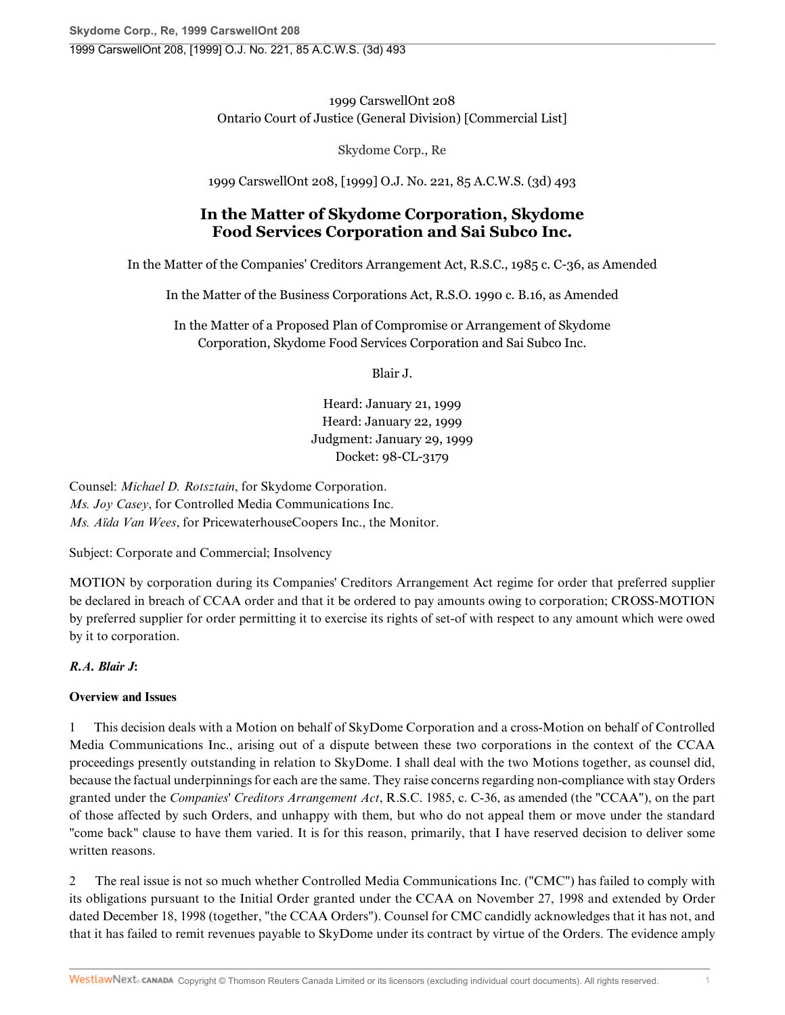1999 CarswellOnt 208 Ontario Court of Justice (General Division) [Commercial List]

Skydome Corp., Re

1999 CarswellOnt 208, [1999] O.J. No. 221, 85 A.C.W.S. (3d) 493

# **In the Matter of Skydome Corporation, Skydome Food Services Corporation and Sai Subco Inc.**

In the Matter of the Companies' Creditors Arrangement Act, R.S.C., 1985 c. C-36, as Amended

In the Matter of the Business Corporations Act, R.S.O. 1990 c. B.16, as Amended

In the Matter of a Proposed Plan of Compromise or Arrangement of Skydome Corporation, Skydome Food Services Corporation and Sai Subco Inc.

Blair J.

Heard: January 21, 1999 Heard: January 22, 1999 Judgment: January 29, 1999 Docket: 98-CL-3179

Counsel: *Michael D. Rotsztain*, for Skydome Corporation. *Ms. Joy Casey*, for Controlled Media Communications Inc. *Ms. Aïda Van Wees*, for PricewaterhouseCoopers Inc., the Monitor.

Subject: Corporate and Commercial; Insolvency

MOTION by corporation during its Companies' Creditors Arrangement Act regime for order that preferred supplier be declared in breach of CCAA order and that it be ordered to pay amounts owing to corporation; CROSS-MOTION by preferred supplier for order permitting it to exercise its rights of set-of with respect to any amount which were owed by it to corporation.

## *R.A. Blair J***:**

## **Overview and Issues**

1 This decision deals with a Motion on behalf of SkyDome Corporation and a cross-Motion on behalf of Controlled Media Communications Inc., arising out of a dispute between these two corporations in the context of the CCAA proceedings presently outstanding in relation to SkyDome. I shall deal with the two Motions together, as counsel did, because the factual underpinnings for each are the same. They raise concerns regarding non-compliance with stay Orders granted under the *Companies' Creditors Arrangement Act*, R.S.C. 1985, c. C-36, as amended (the "CCAA"), on the part of those affected by such Orders, and unhappy with them, but who do not appeal them or move under the standard "come back" clause to have them varied. It is for this reason, primarily, that I have reserved decision to deliver some written reasons.

2 The real issue is not so much whether Controlled Media Communications Inc. ("CMC") has failed to comply with its obligations pursuant to the Initial Order granted under the CCAA on November 27, 1998 and extended by Order dated December 18, 1998 (together, "the CCAA Orders"). Counsel for CMC candidly acknowledges that it has not, and that it has failed to remit revenues payable to SkyDome under its contract by virtue of the Orders. The evidence amply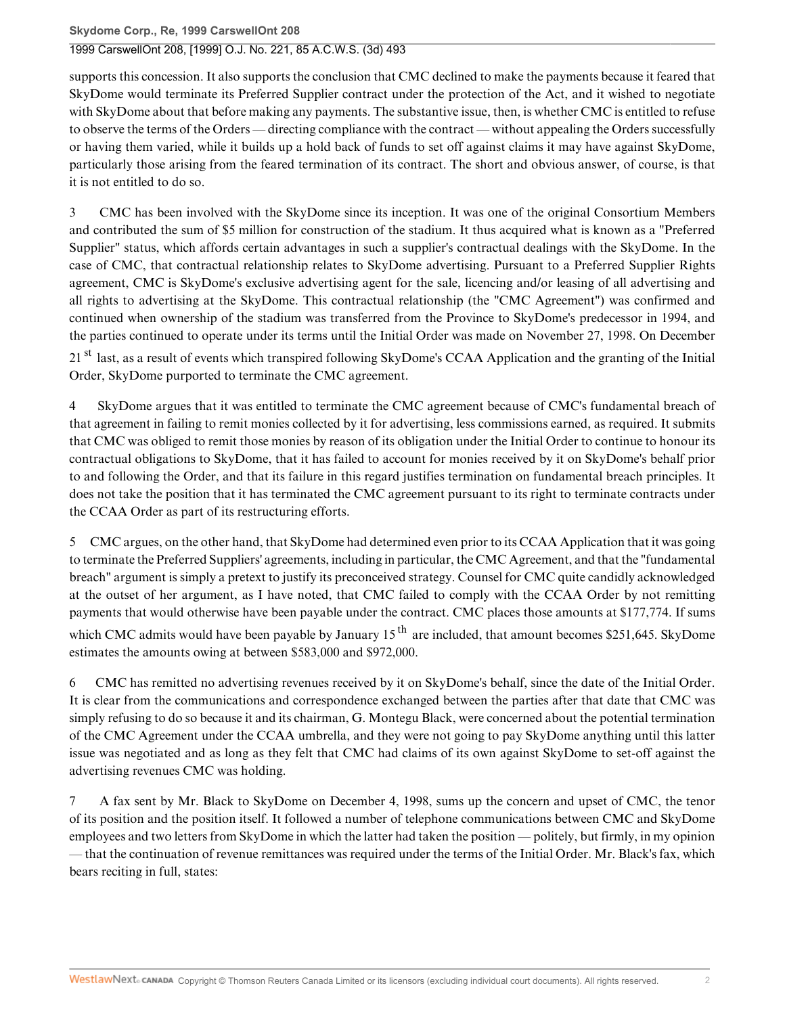supports this concession. It also supports the conclusion that CMC declined to make the payments because it feared that SkyDome would terminate its Preferred Supplier contract under the protection of the Act, and it wished to negotiate with SkyDome about that before making any payments. The substantive issue, then, is whether CMC is entitled to refuse to observe the terms of the Orders — directing compliance with the contract — without appealing the Orders successfully or having them varied, while it builds up a hold back of funds to set off against claims it may have against SkyDome, particularly those arising from the feared termination of its contract. The short and obvious answer, of course, is that it is not entitled to do so.

3 CMC has been involved with the SkyDome since its inception. It was one of the original Consortium Members and contributed the sum of \$5 million for construction of the stadium. It thus acquired what is known as a "Preferred Supplier" status, which affords certain advantages in such a supplier's contractual dealings with the SkyDome. In the case of CMC, that contractual relationship relates to SkyDome advertising. Pursuant to a Preferred Supplier Rights agreement, CMC is SkyDome's exclusive advertising agent for the sale, licencing and/or leasing of all advertising and all rights to advertising at the SkyDome. This contractual relationship (the "CMC Agreement") was confirmed and continued when ownership of the stadium was transferred from the Province to SkyDome's predecessor in 1994, and the parties continued to operate under its terms until the Initial Order was made on November 27, 1998. On December 21<sup>st</sup> last, as a result of events which transpired following SkyDome's CCAA Application and the granting of the Initial Order, SkyDome purported to terminate the CMC agreement.

4 SkyDome argues that it was entitled to terminate the CMC agreement because of CMC's fundamental breach of that agreement in failing to remit monies collected by it for advertising, less commissions earned, as required. It submits that CMC was obliged to remit those monies by reason of its obligation under the Initial Order to continue to honour its contractual obligations to SkyDome, that it has failed to account for monies received by it on SkyDome's behalf prior to and following the Order, and that its failure in this regard justifies termination on fundamental breach principles. It does not take the position that it has terminated the CMC agreement pursuant to its right to terminate contracts under the CCAA Order as part of its restructuring efforts.

5 CMC argues, on the other hand, that SkyDome had determined even prior to its CCAA Application that it was going to terminate the Preferred Suppliers' agreements, including in particular, the CMC Agreement, and that the "fundamental breach" argument is simply a pretext to justify its preconceived strategy. Counsel for CMC quite candidly acknowledged at the outset of her argument, as I have noted, that CMC failed to comply with the CCAA Order by not remitting payments that would otherwise have been payable under the contract. CMC places those amounts at \$177,774. If sums which CMC admits would have been payable by January  $15<sup>th</sup>$  are included, that amount becomes \$251,645. SkyDome estimates the amounts owing at between \$583,000 and \$972,000.

6 CMC has remitted no advertising revenues received by it on SkyDome's behalf, since the date of the Initial Order. It is clear from the communications and correspondence exchanged between the parties after that date that CMC was simply refusing to do so because it and its chairman, G. Montegu Black, were concerned about the potential termination of the CMC Agreement under the CCAA umbrella, and they were not going to pay SkyDome anything until this latter issue was negotiated and as long as they felt that CMC had claims of its own against SkyDome to set-off against the advertising revenues CMC was holding.

7 A fax sent by Mr. Black to SkyDome on December 4, 1998, sums up the concern and upset of CMC, the tenor of its position and the position itself. It followed a number of telephone communications between CMC and SkyDome employees and two letters from SkyDome in which the latter had taken the position — politely, but firmly, in my opinion — that the continuation of revenue remittances was required under the terms of the Initial Order. Mr. Black's fax, which bears reciting in full, states: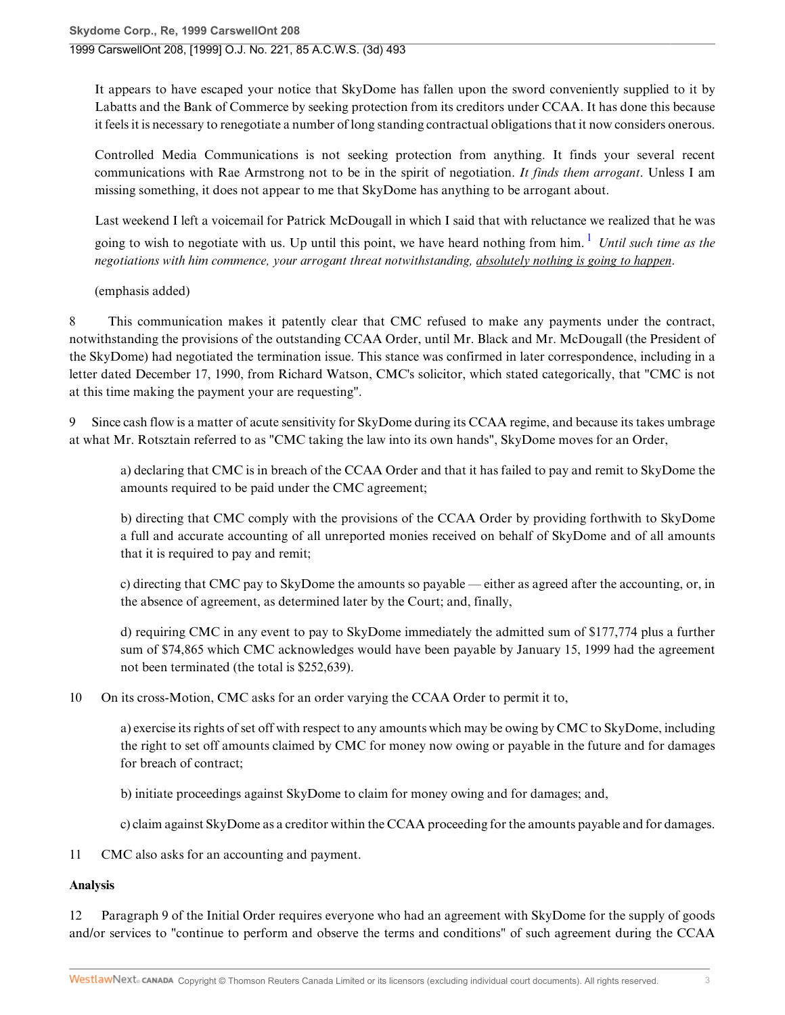It appears to have escaped your notice that SkyDome has fallen upon the sword conveniently supplied to it by Labatts and the Bank of Commerce by seeking protection from its creditors under CCAA. It has done this because it feels it is necessary to renegotiate a number of long standing contractual obligations that it now considers onerous.

Controlled Media Communications is not seeking protection from anything. It finds your several recent communications with Rae Armstrong not to be in the spirit of negotiation. *It finds them arrogant*. Unless I am missing something, it does not appear to me that SkyDome has anything to be arrogant about.

Last weekend I left a voicemail for Patrick McDougall in which I said that with reluctance we realized that he was going to wish to negotiate with us. Up until this point, we have heard nothing from him. <sup>1</sup> *Until such time as the negotiations with him commence, your arrogant threat notwithstanding, absolutely nothing is going to happen*.

(emphasis added)

8 This communication makes it patently clear that CMC refused to make any payments under the contract, notwithstanding the provisions of the outstanding CCAA Order, until Mr. Black and Mr. McDougall (the President of the SkyDome) had negotiated the termination issue. This stance was confirmed in later correspondence, including in a letter dated December 17, 1990, from Richard Watson, CMC's solicitor, which stated categorically, that "CMC is not at this time making the payment your are requesting".

Since cash flow is a matter of acute sensitivity for SkyDome during its CCAA regime, and because its takes umbrage at what Mr. Rotsztain referred to as "CMC taking the law into its own hands", SkyDome moves for an Order,

a) declaring that CMC is in breach of the CCAA Order and that it has failed to pay and remit to SkyDome the amounts required to be paid under the CMC agreement;

b) directing that CMC comply with the provisions of the CCAA Order by providing forthwith to SkyDome a full and accurate accounting of all unreported monies received on behalf of SkyDome and of all amounts that it is required to pay and remit;

c) directing that CMC pay to SkyDome the amounts so payable — either as agreed after the accounting, or, in the absence of agreement, as determined later by the Court; and, finally,

d) requiring CMC in any event to pay to SkyDome immediately the admitted sum of \$177,774 plus a further sum of \$74,865 which CMC acknowledges would have been payable by January 15, 1999 had the agreement not been terminated (the total is \$252,639).

10 On its cross-Motion, CMC asks for an order varying the CCAA Order to permit it to,

a) exercise its rights of set off with respect to any amounts which may be owing by CMC to SkyDome, including the right to set off amounts claimed by CMC for money now owing or payable in the future and for damages for breach of contract;

b) initiate proceedings against SkyDome to claim for money owing and for damages; and,

c) claim against SkyDome as a creditor within the CCAA proceeding for the amounts payable and for damages.

11 CMC also asks for an accounting and payment.

#### **Analysis**

12 Paragraph 9 of the Initial Order requires everyone who had an agreement with SkyDome for the supply of goods and/or services to "continue to perform and observe the terms and conditions" of such agreement during the CCAA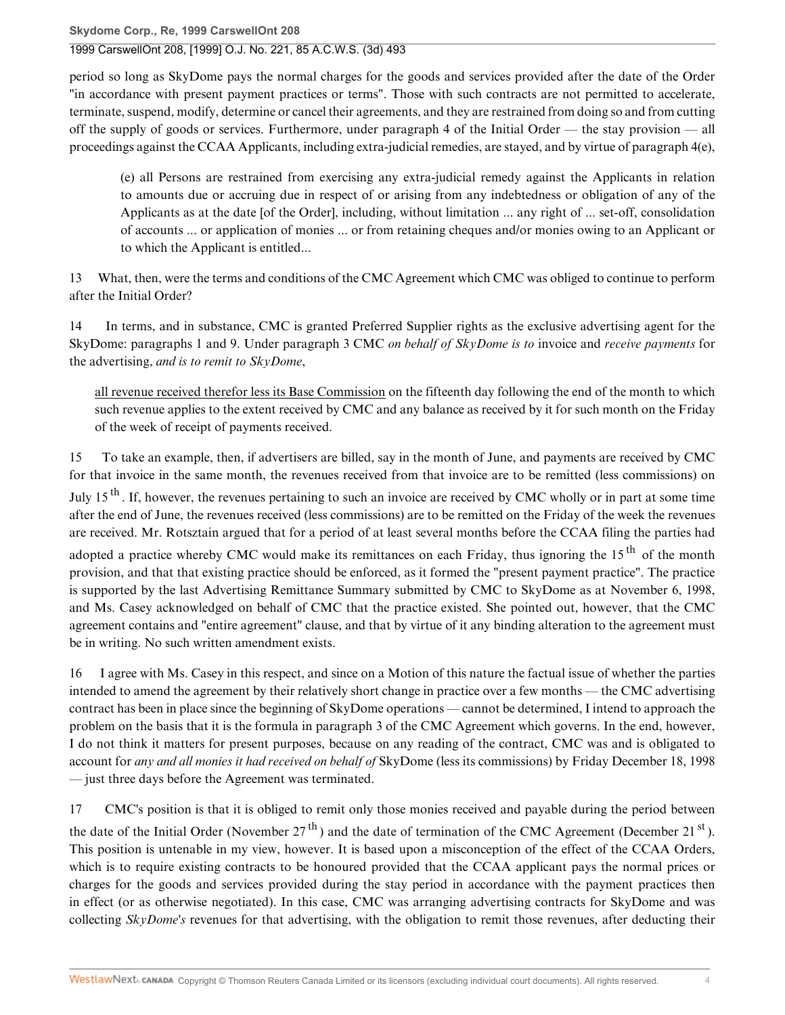period so long as SkyDome pays the normal charges for the goods and services provided after the date of the Order "in accordance with present payment practices or terms". Those with such contracts are not permitted to accelerate, terminate, suspend, modify, determine or cancel their agreements, and they are restrained from doing so and from cutting off the supply of goods or services. Furthermore, under paragraph 4 of the Initial Order — the stay provision — all proceedings against the CCAA Applicants, including extra-judicial remedies, are stayed, and by virtue of paragraph 4(e),

(e) all Persons are restrained from exercising any extra-judicial remedy against the Applicants in relation to amounts due or accruing due in respect of or arising from any indebtedness or obligation of any of the Applicants as at the date [of the Order], including, without limitation ... any right of ... set-off, consolidation of accounts ... or application of monies ... or from retaining cheques and/or monies owing to an Applicant or to which the Applicant is entitled...

13 What, then, were the terms and conditions of the CMC Agreement which CMC was obliged to continue to perform after the Initial Order?

14 In terms, and in substance, CMC is granted Preferred Supplier rights as the exclusive advertising agent for the SkyDome: paragraphs 1 and 9. Under paragraph 3 CMC *on behalf of SkyDome is to* invoice and *receive payments* for the advertising, *and is to remit to SkyDome*,

all revenue received therefor less its Base Commission on the fifteenth day following the end of the month to which such revenue applies to the extent received by CMC and any balance as received by it for such month on the Friday of the week of receipt of payments received.

15 To take an example, then, if advertisers are billed, say in the month of June, and payments are received by CMC for that invoice in the same month, the revenues received from that invoice are to be remitted (less commissions) on July 15<sup>th</sup>. If, however, the revenues pertaining to such an invoice are received by CMC wholly or in part at some time after the end of June, the revenues received (less commissions) are to be remitted on the Friday of the week the revenues are received. Mr. Rotsztain argued that for a period of at least several months before the CCAA filing the parties had adopted a practice whereby CMC would make its remittances on each Friday, thus ignoring the 15<sup>th</sup> of the month provision, and that that existing practice should be enforced, as it formed the "present payment practice". The practice is supported by the last Advertising Remittance Summary submitted by CMC to SkyDome as at November 6, 1998, and Ms. Casey acknowledged on behalf of CMC that the practice existed. She pointed out, however, that the CMC agreement contains and "entire agreement" clause, and that by virtue of it any binding alteration to the agreement must be in writing. No such written amendment exists.

16 I agree with Ms. Casey in this respect, and since on a Motion of this nature the factual issue of whether the parties intended to amend the agreement by their relatively short change in practice over a few months — the CMC advertising contract has been in place since the beginning of SkyDome operations — cannot be determined, I intend to approach the problem on the basis that it is the formula in paragraph 3 of the CMC Agreement which governs. In the end, however, I do not think it matters for present purposes, because on any reading of the contract, CMC was and is obligated to account for *any and all monies it had received on behalf of* SkyDome (less its commissions) by Friday December 18, 1998 — just three days before the Agreement was terminated.

17 CMC's position is that it is obliged to remit only those monies received and payable during the period between the date of the Initial Order (November 27<sup>th</sup>) and the date of termination of the CMC Agreement (December 21<sup>st</sup>). This position is untenable in my view, however. It is based upon a misconception of the effect of the CCAA Orders, which is to require existing contracts to be honoured provided that the CCAA applicant pays the normal prices or charges for the goods and services provided during the stay period in accordance with the payment practices then in effect (or as otherwise negotiated). In this case, CMC was arranging advertising contracts for SkyDome and was collecting *SkyDome's* revenues for that advertising, with the obligation to remit those revenues, after deducting their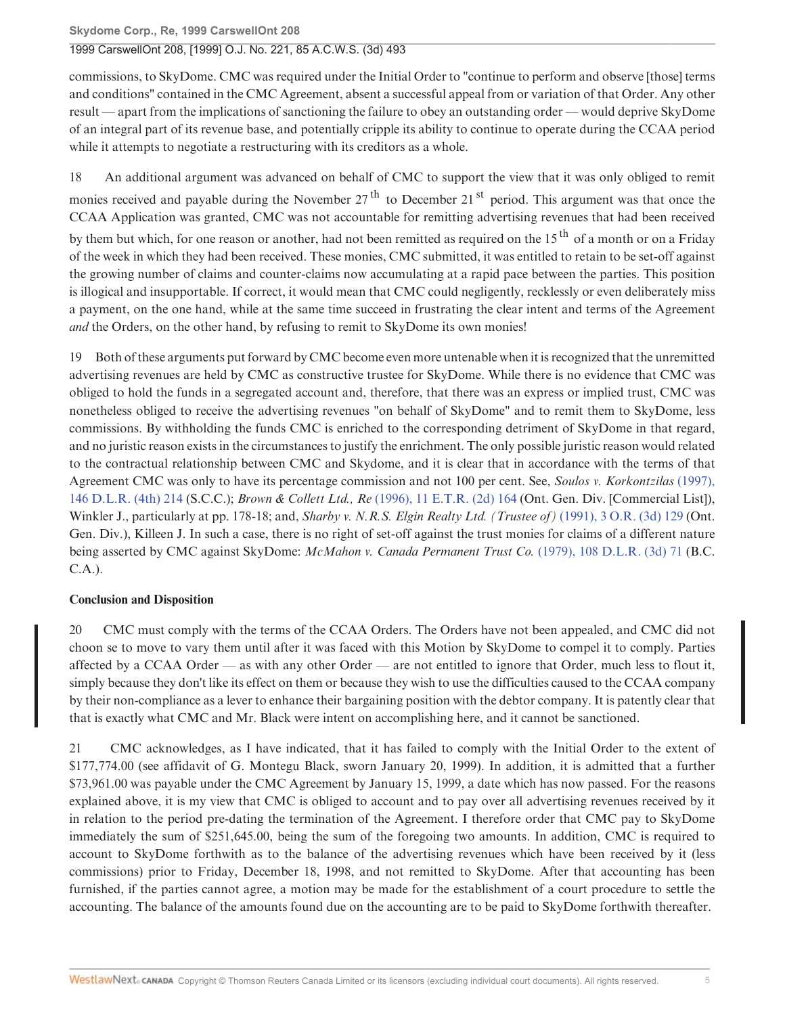### Skydome Corp., Re, 1999 CarswellOnt 208 1999 CarswellOnt 208, [1999] O.J. No. 221, 85 A.C.W.S. (3d) 493

commissions, to SkyDome. CMC was required under the Initial Order to "continue to perform and observe [those] terms and conditions" contained in the CMC Agreement, absent a successful appeal from or variation of that Order. Any other result — apart from the implications of sanctioning the failure to obey an outstanding order — would deprive SkyDome of an integral part of its revenue base, and potentially cripple its ability to continue to operate during the CCAA period while it attempts to negotiate a restructuring with its creditors as a whole.

An additional argument was advanced on behalf of CMC to support the view that it was only obliged to remit 18 monies received and pavable during the November  $27<sup>th</sup>$  to December  $21<sup>st</sup>$  period. This argument was that once the CCAA Application was granted, CMC was not accountable for remitting advertising revenues that had been received by them but which, for one reason or another, had not been remitted as required on the 15<sup>th</sup> of a month or on a Fridav of the week in which they had been received. These monies, CMC submitted, it was entitled to retain to be set-off against the growing number of claims and counter-claims now accumulating at a rapid pace between the parties. This position is illogical and insupportable. If correct, it would mean that CMC could negligently, recklessly or even deliberately miss a payment, on the one hand, while at the same time succeed in frustrating the clear intent and terms of the Agreement *and* the Orders, on the other hand, by refusing to remit to SkyDome its own monies!

Both of these arguments put forward by CMC become even more untenable when it is recognized that the unremitted 19 advertising revenues are held by CMC as constructive trustee for SkyDome. While there is no evidence that CMC was obliged to hold the funds in a segregated account and, therefore, that there was an express or implied trust, CMC was nonetheless obliged to receive the advertising revenues "on behalf of SkyDome" and to remit them to SkyDome, less commissions. By withholding the funds CMC is enriched to the corresponding detriment of SkyDome in that regard, and no juristic reason exists in the circumstances to justify the enrichment. The only possible juristic reason would related to the contractual relationship between CMC and Skydome, and it is clear that in accordance with the terms of that Agreement CMC was only to have its percentage commission and not 100 per cent. See, Soulos v. Korkontzilas (1997), 146 D.L.R. (4th) 214 (S.C.C.); *Brown & Collett Ltd., Re* (1996), 11 E.T.R. (2d) 164 (Ont. Gen. Div. [Commercial List]), Winkler J., particularly at pp. 178-18; and, Sharby v. N.R.S. Elgin Realty Ltd. (Trustee of) (1991), 3 O.R. (3d) 129 (Ont. Gen. Div.), Killeen J. In such a case, there is no right of set-off against the trust monies for claims of a different nature being asserted by CMC against SkyDome: McMahon v. Canada Permanent Trust Co. (1979), 108 D.L.R. (3d) 71 (B.C.  $C.A.$ ).

## **Conclusion and Disposition**

CMC must comply with the terms of the CCAA Orders. The Orders have not been appealed, and CMC did not 20 choon se to move to vary them until after it was faced with this Motion by SkyDome to compel it to comply. Parties affected by a CCAA Order — as with any other Order — are not entitled to ignore that Order, much less to flout it, simply because they don't like its effect on them or because they wish to use the difficulties caused to the CCAA company by their non-compliance as a lever to enhance their bargaining position with the debtor company. It is patently clear that that is exactly what CMC and Mr. Black were intent on accomplishing here, and it cannot be sanctioned.

CMC acknowledges, as I have indicated, that it has failed to comply with the Initial Order to the extent of 21 \$177,774.00 (see affidavit of G. Montegu Black, sworn January 20, 1999). In addition, it is admitted that a further \$73,961.00 was payable under the CMC Agreement by January 15, 1999, a date which has now passed. For the reasons explained above, it is my view that CMC is obliged to account and to pay over all advertising revenues received by it in relation to the period pre-dating the termination of the Agreement. I therefore order that CMC pay to SkyDome immediately the sum of \$251,645.00, being the sum of the foregoing two amounts. In addition, CMC is required to account to SkyDome forthwith as to the balance of the advertising revenues which have been received by it (less commissions) prior to Friday, December 18, 1998, and not remitted to SkyDome. After that accounting has been furnished, if the parties cannot agree, a motion may be made for the establishment of a court procedure to settle the accounting. The balance of the amounts found due on the accounting are to be paid to SkyDome forthwith thereafter.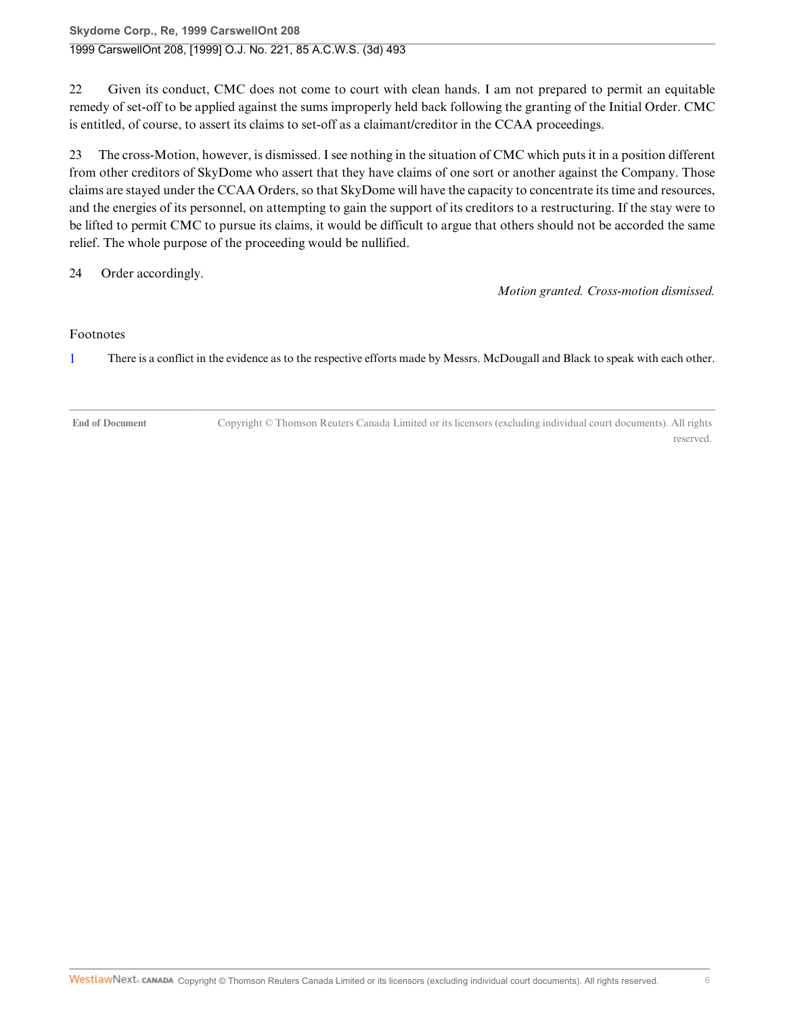### **Skydome Corp., Re, 1999 CarswellOnt 208** 1999 CarswellOnt 208, [1999] O.J. No. 221, 85 A.C.W.S. (3d) 493

22 Given its conduct, CMC does not come to court with clean hands. I am not prepared to permit an equitable remedy of set-off to be applied against the sums improperly held back following the granting of the Initial Order. CMC is entitled, of course, to assert its claims to set-off as a claimant/creditor in the CCAA proceedings.

23 The cross-Motion, however, is dismissed. I see nothing in the situation of CMC which puts it in a position different from other creditors of SkyDome who assert that they have claims of one sort or another against the Company. Those claims are stayed under the CCAA Orders, so that SkyDome will have the capacity to concentrate its time and resources, and the energies of its personnel, on attempting to gain the support of its creditors to a restructuring. If the stay were to be lifted to permit CMC to pursue its claims, it would be difficult to argue that others should not be accorded the same relief. The whole purpose of the proceeding would be nullified.

24 Order accordingly.

*Motion granted. Cross-motion dismissed.*

#### Footnotes

1 There is a conflict in the evidence as to the respective efforts made by Messrs. McDougall and Black to speak with each other.

**End of Document** Copyright © Thomson Reuters Canada Limited or its licensors (excluding individual court documents). All rights reserved.